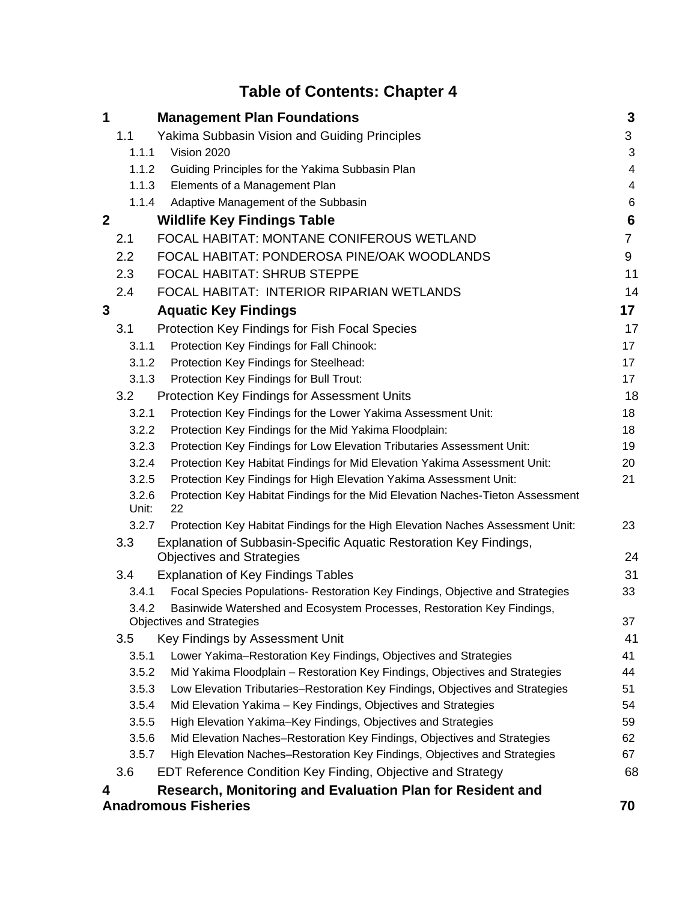# **Table of Contents: Chapter 4**

| 1                |                | <b>Management Plan Foundations</b>                                                                         | $\mathbf{3}$             |
|------------------|----------------|------------------------------------------------------------------------------------------------------------|--------------------------|
|                  | 1.1            | <b>Yakima Subbasin Vision and Guiding Principles</b>                                                       | 3                        |
|                  | 1.1.1          | Vision 2020                                                                                                | 3                        |
|                  | 1.1.2          | Guiding Principles for the Yakima Subbasin Plan                                                            | $\overline{4}$           |
|                  | 1.1.3          | Elements of a Management Plan                                                                              | $\overline{\mathcal{A}}$ |
|                  | 1.1.4          | Adaptive Management of the Subbasin                                                                        | 6                        |
| $\boldsymbol{2}$ |                | <b>Wildlife Key Findings Table</b>                                                                         | $6\phantom{1}6$          |
|                  | 2.1            | FOCAL HABITAT: MONTANE CONIFEROUS WETLAND                                                                  | $\overline{7}$           |
|                  | 2.2            | FOCAL HABITAT: PONDEROSA PINE/OAK WOODLANDS                                                                | 9                        |
|                  | 2.3            | <b>FOCAL HABITAT: SHRUB STEPPE</b>                                                                         | 11                       |
|                  | 2.4            | FOCAL HABITAT: INTERIOR RIPARIAN WETLANDS                                                                  | 14                       |
| 3                |                | <b>Aquatic Key Findings</b>                                                                                | 17                       |
|                  | 3.1            | Protection Key Findings for Fish Focal Species                                                             | 17                       |
|                  | 3.1.1          | Protection Key Findings for Fall Chinook:                                                                  | 17                       |
|                  | 3.1.2          | Protection Key Findings for Steelhead:                                                                     | 17                       |
|                  | 3.1.3          | Protection Key Findings for Bull Trout:                                                                    | 17                       |
|                  | 3.2            | <b>Protection Key Findings for Assessment Units</b>                                                        | 18                       |
|                  | 3.2.1          | Protection Key Findings for the Lower Yakima Assessment Unit:                                              | 18                       |
|                  | 3.2.2          | Protection Key Findings for the Mid Yakima Floodplain:                                                     | 18                       |
|                  | 3.2.3          | Protection Key Findings for Low Elevation Tributaries Assessment Unit:                                     | 19                       |
|                  | 3.2.4          | Protection Key Habitat Findings for Mid Elevation Yakima Assessment Unit:                                  | 20                       |
|                  | 3.2.5          | Protection Key Findings for High Elevation Yakima Assessment Unit:                                         | 21                       |
|                  | 3.2.6<br>Unit: | Protection Key Habitat Findings for the Mid Elevation Naches-Tieton Assessment<br>22                       |                          |
|                  | 3.2.7          | Protection Key Habitat Findings for the High Elevation Naches Assessment Unit:                             | 23                       |
|                  | 3.3            | Explanation of Subbasin-Specific Aquatic Restoration Key Findings,<br><b>Objectives and Strategies</b>     | 24                       |
|                  | 3.4            | <b>Explanation of Key Findings Tables</b>                                                                  | 31                       |
|                  | 3.4.1          | Focal Species Populations- Restoration Key Findings, Objective and Strategies                              | 33                       |
|                  | 3.4.2          | Basinwide Watershed and Ecosystem Processes, Restoration Key Findings,<br><b>Objectives and Strategies</b> | 37                       |
|                  | 3.5            | Key Findings by Assessment Unit                                                                            | 41                       |
|                  | 3.5.1          | Lower Yakima-Restoration Key Findings, Objectives and Strategies                                           | 41                       |
|                  | 3.5.2          | Mid Yakima Floodplain - Restoration Key Findings, Objectives and Strategies                                | 44                       |
|                  | 3.5.3          | Low Elevation Tributaries–Restoration Key Findings, Objectives and Strategies                              | 51                       |
|                  | 3.5.4          | Mid Elevation Yakima - Key Findings, Objectives and Strategies                                             | 54                       |
|                  | 3.5.5          | High Elevation Yakima-Key Findings, Objectives and Strategies                                              | 59                       |
|                  | 3.5.6          | Mid Elevation Naches-Restoration Key Findings, Objectives and Strategies                                   | 62                       |
|                  | 3.5.7          | High Elevation Naches-Restoration Key Findings, Objectives and Strategies                                  | 67                       |
|                  | 3.6            | EDT Reference Condition Key Finding, Objective and Strategy                                                | 68                       |
| 4                |                | Research, Monitoring and Evaluation Plan for Resident and                                                  |                          |
|                  |                | <b>Anadromous Fisheries</b>                                                                                | 70                       |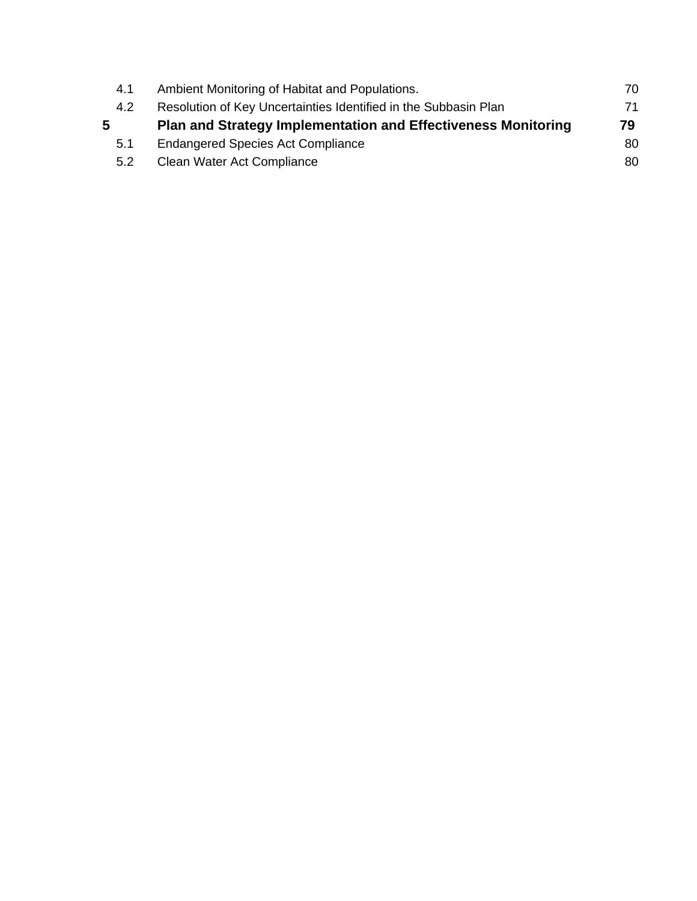| 4.1 | Ambient Monitoring of Habitat and Populations.                       | 70 |
|-----|----------------------------------------------------------------------|----|
| 4.2 | Resolution of Key Uncertainties Identified in the Subbasin Plan      | 71 |
|     | <b>Plan and Strategy Implementation and Effectiveness Monitoring</b> | 79 |
| 5.1 | <b>Endangered Species Act Compliance</b>                             | 80 |
| 5.2 | Clean Water Act Compliance                                           | 80 |
|     |                                                                      |    |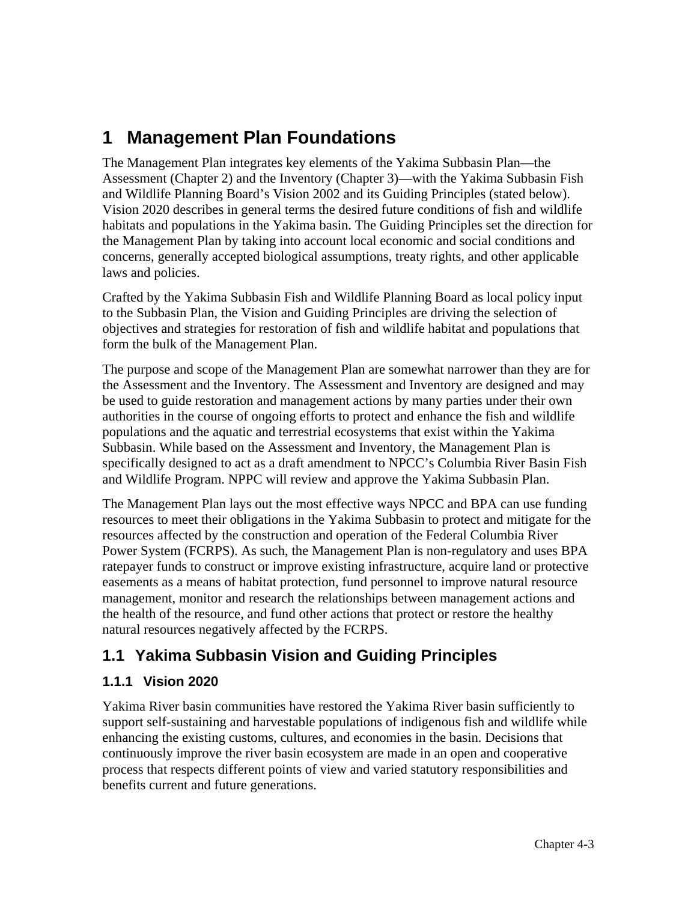# <span id="page-2-0"></span>**1 Management Plan Foundations**

The Management Plan integrates key elements of the Yakima Subbasin Plan—the Assessment (Chapter 2) and the Inventory (Chapter 3)—with the Yakima Subbasin Fish and Wildlife Planning Board's Vision 2002 and its Guiding Principles (stated below). Vision 2020 describes in general terms the desired future conditions of fish and wildlife habitats and populations in the Yakima basin. The Guiding Principles set the direction for the Management Plan by taking into account local economic and social conditions and concerns, generally accepted biological assumptions, treaty rights, and other applicable laws and policies.

Crafted by the Yakima Subbasin Fish and Wildlife Planning Board as local policy input to the Subbasin Plan, the Vision and Guiding Principles are driving the selection of objectives and strategies for restoration of fish and wildlife habitat and populations that form the bulk of the Management Plan.

The purpose and scope of the Management Plan are somewhat narrower than they are for the Assessment and the Inventory. The Assessment and Inventory are designed and may be used to guide restoration and management actions by many parties under their own authorities in the course of ongoing efforts to protect and enhance the fish and wildlife populations and the aquatic and terrestrial ecosystems that exist within the Yakima Subbasin. While based on the Assessment and Inventory, the Management Plan is specifically designed to act as a draft amendment to NPCC's Columbia River Basin Fish and Wildlife Program. NPPC will review and approve the Yakima Subbasin Plan.

The Management Plan lays out the most effective ways NPCC and BPA can use funding resources to meet their obligations in the Yakima Subbasin to protect and mitigate for the resources affected by the construction and operation of the Federal Columbia River Power System (FCRPS). As such, the Management Plan is non-regulatory and uses BPA ratepayer funds to construct or improve existing infrastructure, acquire land or protective easements as a means of habitat protection, fund personnel to improve natural resource management, monitor and research the relationships between management actions and the health of the resource, and fund other actions that protect or restore the healthy natural resources negatively affected by the FCRPS.

# **1.1 Yakima Subbasin Vision and Guiding Principles**

## **1.1.1 Vision 2020**

Yakima River basin communities have restored the Yakima River basin sufficiently to support self-sustaining and harvestable populations of indigenous fish and wildlife while enhancing the existing customs, cultures, and economies in the basin. Decisions that continuously improve the river basin ecosystem are made in an open and cooperative process that respects different points of view and varied statutory responsibilities and benefits current and future generations.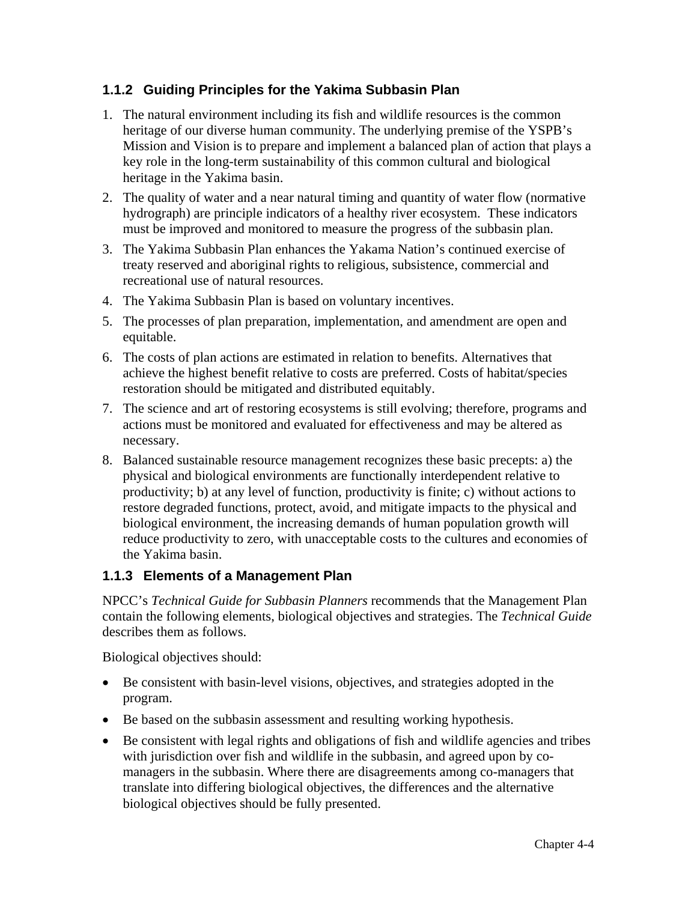## <span id="page-3-0"></span>**1.1.2 Guiding Principles for the Yakima Subbasin Plan**

- 1. The natural environment including its fish and wildlife resources is the common heritage of our diverse human community. The underlying premise of the YSPB's Mission and Vision is to prepare and implement a balanced plan of action that plays a key role in the long-term sustainability of this common cultural and biological heritage in the Yakima basin.
- 2. The quality of water and a near natural timing and quantity of water flow (normative hydrograph) are principle indicators of a healthy river ecosystem. These indicators must be improved and monitored to measure the progress of the subbasin plan.
- 3. The Yakima Subbasin Plan enhances the Yakama Nation's continued exercise of treaty reserved and aboriginal rights to religious, subsistence, commercial and recreational use of natural resources.
- 4. The Yakima Subbasin Plan is based on voluntary incentives.
- 5. The processes of plan preparation, implementation, and amendment are open and equitable.
- 6. The costs of plan actions are estimated in relation to benefits. Alternatives that achieve the highest benefit relative to costs are preferred. Costs of habitat/species restoration should be mitigated and distributed equitably.
- 7. The science and art of restoring ecosystems is still evolving; therefore, programs and actions must be monitored and evaluated for effectiveness and may be altered as necessary.
- 8. Balanced sustainable resource management recognizes these basic precepts: a) the physical and biological environments are functionally interdependent relative to productivity; b) at any level of function, productivity is finite; c) without actions to restore degraded functions, protect, avoid, and mitigate impacts to the physical and biological environment, the increasing demands of human population growth will reduce productivity to zero, with unacceptable costs to the cultures and economies of the Yakima basin.

## **1.1.3 Elements of a Management Plan**

NPCC's *Technical Guide for Subbasin Planners* recommends that the Management Plan contain the following elements, biological objectives and strategies. The *Technical Guide* describes them as follows.

Biological objectives should:

- Be consistent with basin-level visions, objectives, and strategies adopted in the program.
- Be based on the subbasin assessment and resulting working hypothesis.
- Be consistent with legal rights and obligations of fish and wildlife agencies and tribes with jurisdiction over fish and wildlife in the subbasin, and agreed upon by comanagers in the subbasin. Where there are disagreements among co-managers that translate into differing biological objectives, the differences and the alternative biological objectives should be fully presented.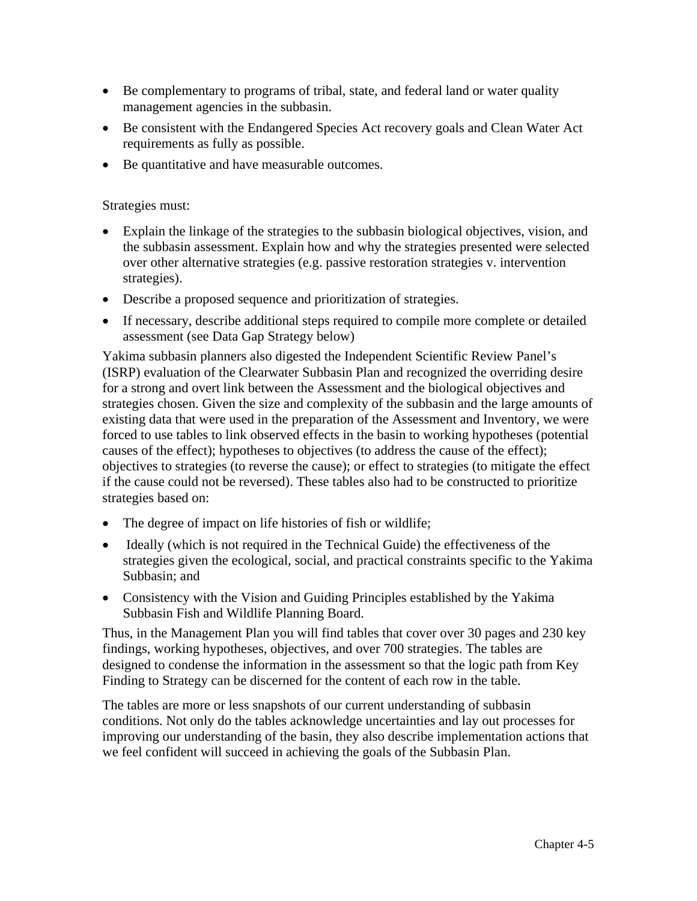- Be complementary to programs of tribal, state, and federal land or water quality management agencies in the subbasin.
- Be consistent with the Endangered Species Act recovery goals and Clean Water Act requirements as fully as possible.
- Be quantitative and have measurable outcomes.

#### Strategies must:

- Explain the linkage of the strategies to the subbasin biological objectives, vision, and the subbasin assessment. Explain how and why the strategies presented were selected over other alternative strategies (e.g. passive restoration strategies v. intervention strategies).
- Describe a proposed sequence and prioritization of strategies.
- If necessary, describe additional steps required to compile more complete or detailed assessment (see Data Gap Strategy below)

Yakima subbasin planners also digested the Independent Scientific Review Panel's (ISRP) evaluation of the Clearwater Subbasin Plan and recognized the overriding desire for a strong and overt link between the Assessment and the biological objectives and strategies chosen. Given the size and complexity of the subbasin and the large amounts of existing data that were used in the preparation of the Assessment and Inventory, we were forced to use tables to link observed effects in the basin to working hypotheses (potential causes of the effect); hypotheses to objectives (to address the cause of the effect); objectives to strategies (to reverse the cause); or effect to strategies (to mitigate the effect if the cause could not be reversed). These tables also had to be constructed to prioritize strategies based on:

- The degree of impact on life histories of fish or wildlife;
- Ideally (which is not required in the Technical Guide) the effectiveness of the strategies given the ecological, social, and practical constraints specific to the Yakima Subbasin; and
- Consistency with the Vision and Guiding Principles established by the Yakima Subbasin Fish and Wildlife Planning Board.

Thus, in the Management Plan you will find tables that cover over 30 pages and 230 key findings, working hypotheses, objectives, and over 700 strategies. The tables are designed to condense the information in the assessment so that the logic path from Key Finding to Strategy can be discerned for the content of each row in the table.

The tables are more or less snapshots of our current understanding of subbasin conditions. Not only do the tables acknowledge uncertainties and lay out processes for improving our understanding of the basin, they also describe implementation actions that we feel confident will succeed in achieving the goals of the Subbasin Plan.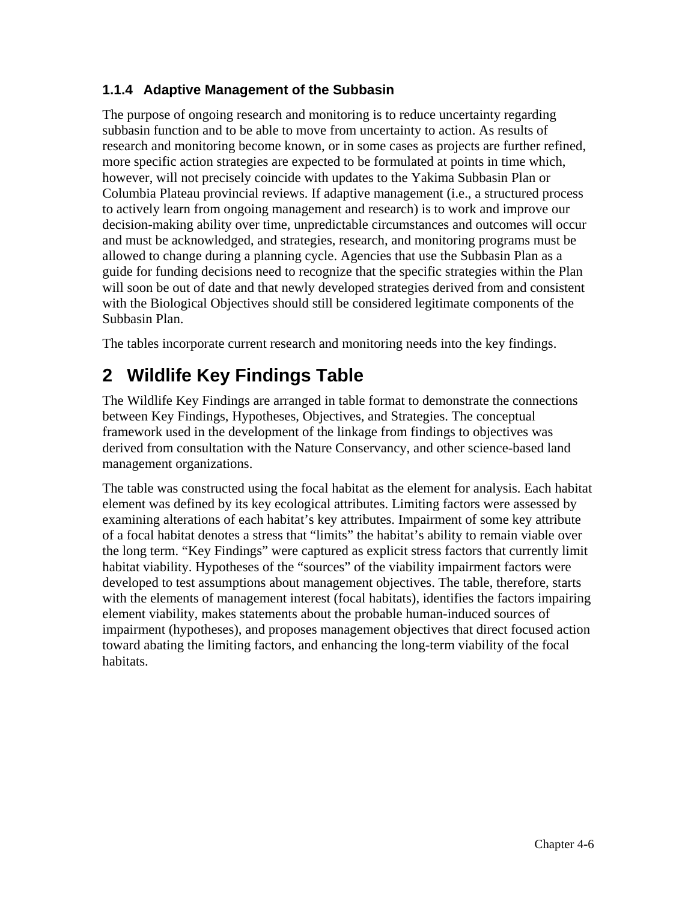## <span id="page-5-0"></span>**1.1.4 Adaptive Management of the Subbasin**

The purpose of ongoing research and monitoring is to reduce uncertainty regarding subbasin function and to be able to move from uncertainty to action. As results of research and monitoring become known, or in some cases as projects are further refined, more specific action strategies are expected to be formulated at points in time which, however, will not precisely coincide with updates to the Yakima Subbasin Plan or Columbia Plateau provincial reviews. If adaptive management (i.e., a structured process to actively learn from ongoing management and research) is to work and improve our decision-making ability over time, unpredictable circumstances and outcomes will occur and must be acknowledged, and strategies, research, and monitoring programs must be allowed to change during a planning cycle. Agencies that use the Subbasin Plan as a guide for funding decisions need to recognize that the specific strategies within the Plan will soon be out of date and that newly developed strategies derived from and consistent with the Biological Objectives should still be considered legitimate components of the Subbasin Plan.

The tables incorporate current research and monitoring needs into the key findings.

# **2 Wildlife Key Findings Table**

The Wildlife Key Findings are arranged in table format to demonstrate the connections between Key Findings, Hypotheses, Objectives, and Strategies. The conceptual framework used in the development of the linkage from findings to objectives was derived from consultation with the Nature Conservancy, and other science-based land management organizations.

The table was constructed using the focal habitat as the element for analysis. Each habitat element was defined by its key ecological attributes. Limiting factors were assessed by examining alterations of each habitat's key attributes. Impairment of some key attribute of a focal habitat denotes a stress that "limits" the habitat's ability to remain viable over the long term. "Key Findings" were captured as explicit stress factors that currently limit habitat viability. Hypotheses of the "sources" of the viability impairment factors were developed to test assumptions about management objectives. The table, therefore, starts with the elements of management interest (focal habitats), identifies the factors impairing element viability, makes statements about the probable human-induced sources of impairment (hypotheses), and proposes management objectives that direct focused action toward abating the limiting factors, and enhancing the long-term viability of the focal habitats.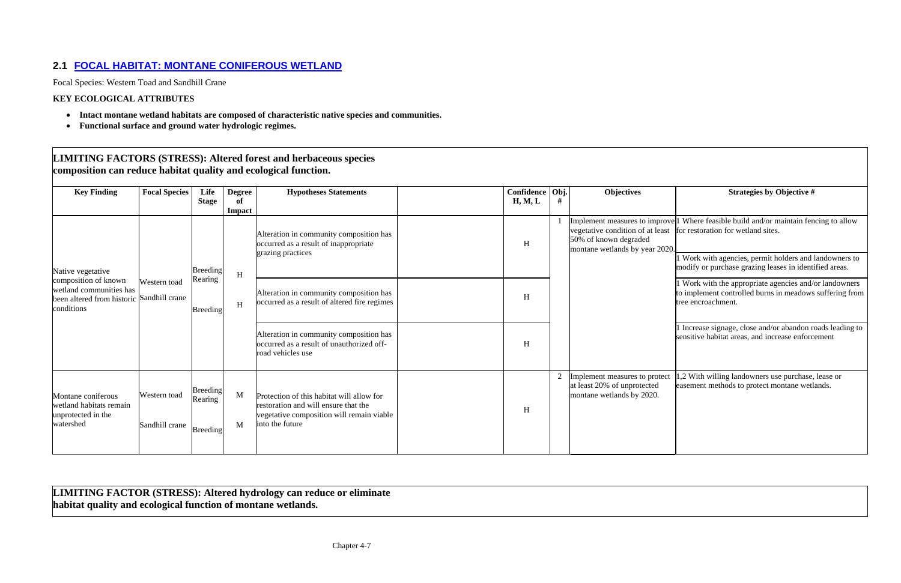# **2.1 FOCAL HABITAT: MONTANE CONIFEROUS WETLAND**

Focal Species: Western Toad and Sandhill Crane

#### **KEY ECOLOGICAL ATTRIBUTES**

- **Intact montane wetland habitats are composed of characteristic native species and communities.**
- **Functional surface and ground water hydrologic regimes.**

# **LIMITING FACTORS (STRESS): Altered forest and herbaceous species composition can reduce habitat quality and ecological function.**

| <b>Key Finding</b>                                                                                         | <b>Focal Species</b>           | Life<br><b>Stage</b>                          | <b>Degree</b><br>of<br><b>Impact</b> | <b>Hypotheses Statements</b>                                                                                                                      | Confidence Obj.<br>H, M, L | <b>Objectives</b>                                                                                                            | <b>Strategies by Objective #</b>                                                                                                                                                                                |
|------------------------------------------------------------------------------------------------------------|--------------------------------|-----------------------------------------------|--------------------------------------|---------------------------------------------------------------------------------------------------------------------------------------------------|----------------------------|------------------------------------------------------------------------------------------------------------------------------|-----------------------------------------------------------------------------------------------------------------------------------------------------------------------------------------------------------------|
| Native vegetative                                                                                          |                                | <b>Breeding</b>                               | H                                    | Alteration in community composition has<br>occurred as a result of inappropriate<br>grazing practices                                             | H                          | Implement measures to improve<br>vegetative condition of at least<br>50% of known degraded<br>montane wetlands by year 2020. | 1 Where feasible build and/or maintain fencing to allow<br>for restoration for wetland sites.<br>Work with agencies, permit holders and landowners to<br>modify or purchase grazing leases in identified areas. |
| composition of known<br>wetland communities has<br>been altered from historic Sandhill crane<br>conditions | Western toad                   | Rearing<br><b>Breeding</b>                    | H                                    | Alteration in community composition has<br>occurred as a result of altered fire regimes                                                           | H                          |                                                                                                                              | Work with the appropriate agencies and/or landowners<br>to implement controlled burns in meadows suffering from<br>tree encroachment.                                                                           |
|                                                                                                            |                                |                                               |                                      | Alteration in community composition has<br>occurred as a result of unauthorized off-<br>road vehicles use                                         | H                          |                                                                                                                              | 1 Increase signage, close and/or abandon roads leading to<br>sensitive habitat areas, and increase enforcement                                                                                                  |
| Montane coniferous<br>wetland habitats remain<br>unprotected in the<br>watershed                           | Western toad<br>Sandhill crane | <b>Breeding</b><br>Rearing<br><b>Breeding</b> | M<br>M                               | Protection of this habitat will allow for<br>restoration and will ensure that the<br>vegetative composition will remain viable<br>into the future | H                          | Implement measures to protect<br>at least 20% of unprotected<br>montane wetlands by 2020.                                    | ,2 With willing landowners use purchase, lease or<br>easement methods to protect montane wetlands.                                                                                                              |

# <span id="page-6-0"></span>**LIMITING FACTOR (STRESS): Altered hydrology can reduce or eliminate habitat quality and ecological function of montane wetlands.**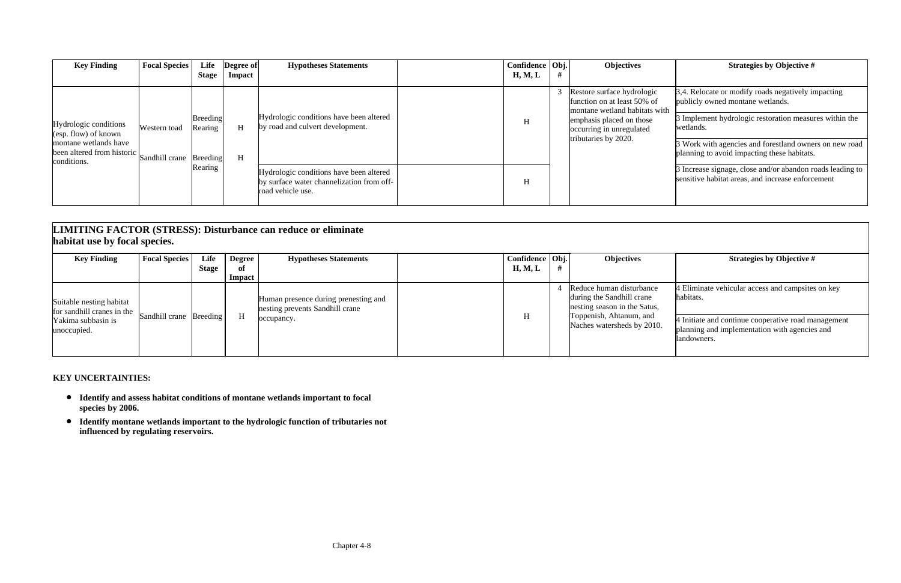| <b>Key Finding</b>                                                 | <b>Focal Species</b> | Life<br><b>Stage</b>       | Degree of<br><b>Impact</b> | <b>Hypotheses Statements</b>                                                                              | Confidence Obj.<br>H, M, L | <b>Objectives</b>                                                                          | <b>Strategies by Objective #</b>                                                                               |
|--------------------------------------------------------------------|----------------------|----------------------------|----------------------------|-----------------------------------------------------------------------------------------------------------|----------------------------|--------------------------------------------------------------------------------------------|----------------------------------------------------------------------------------------------------------------|
|                                                                    |                      |                            |                            |                                                                                                           |                            | Restore surface hydrologic<br>function on at least 50% of<br>montane wetland habitats with | 3,4. Relocate or modify roads negatively impacting<br>publicly owned montane wetlands.                         |
| Hydrologic conditions<br>(esp. flow) of known                      | Western toad         | <b>Breeding</b><br>Rearing | H                          | Hydrologic conditions have been altered<br>by road and culvert development.                               | H                          | emphasis placed on those<br>occurring in unregulated<br>tributaries by 2020.               | 3 Implement hydrologic restoration measures within the<br>wetlands.                                            |
| montane wetlands have<br>been altered from historic<br>conditions. | Sandhill crane       | <b>Breeding</b>            | H                          |                                                                                                           |                            |                                                                                            | 3 Work with agencies and forestland owners on new road<br>planning to avoid impacting these habitats.          |
|                                                                    |                      | Rearing                    |                            | Hydrologic conditions have been altered<br>by surface water channelization from off-<br>road vehicle use. | H                          |                                                                                            | 3 Increase signage, close and/or abandon roads leading to<br>sensitive habitat areas, and increase enforcement |

4 Initiate and continue cooperative road management planning and implementation with agencies and landowners.

# **LIMITING FACTOR (STRESS): Disturbance can reduce or eliminate habitat use by focal species.**

4 Eliminate vehicular access and campsites on key

| <b>Key Finding</b>                                                                          | <b>Focal Species</b>    | Life<br><b>Stage</b> | <b>Degree</b><br>of<br>Impact | <b>Hypotheses Statements</b>                                                          | Confidence Obj.<br>H, M, L | # | <b>Objectives</b>                                                                                                                              |                                                             |
|---------------------------------------------------------------------------------------------|-------------------------|----------------------|-------------------------------|---------------------------------------------------------------------------------------|----------------------------|---|------------------------------------------------------------------------------------------------------------------------------------------------|-------------------------------------------------------------|
| Suitable nesting habitat<br>for sandhill cranes in the<br>Yakima subbasin is<br>unoccupied. | Sandhill crane Breeding |                      |                               | Human presence during prenesting and<br>nesting prevents Sandhill crane<br>occupancy. | H                          |   | Reduce human disturbance<br>during the Sandhill crane<br>nesting season in the Satus,<br>Toppenish, Ahtanum, and<br>Naches watersheds by 2010. | 4 Elimina<br>habitats.<br>I Initiate<br>blanning<br>landown |

#### **KEY UNCERTAINTIES:**

- **Identify and assess habitat conditions of montane wetlands important to focal species by 2006.**
- **Identify montane wetlands important to the hydrologic function of tributaries not influenced by regulating reservoirs.**

#### **Strategies by Objective #**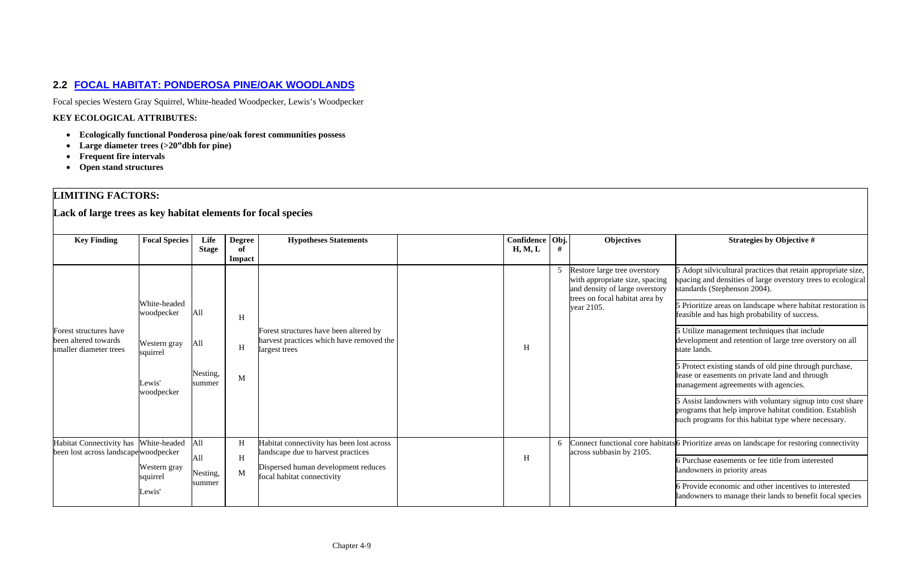# **2.2 FOCAL HABITAT: PONDEROSA PINE/OAK WOODLANDS**

Focal species Western Gray Squirrel, White-headed Woodpecker, Lewis's Woodpecker

#### **KEY ECOLOGICAL ATTRIBUTES:**

- **Ecologically functional Ponderosa pine/oak forest communities possess**
- **Large diameter trees (>20"dbh for pine)**
- **Frequent fire intervals**
- **Open stand structures**

# **LIMITING FACTORS:**

# **Lack of large trees as key habitat elements for focal species**

<span id="page-8-0"></span>

| <b>Key Finding</b>                                                             | <b>Focal Species</b>       | Life<br><b>Stage</b> | <b>Degree</b><br>of<br>Impact | <b>Hypotheses Statements</b>                                                                        | Confidence   Obj.  <br>H, M, L |   | <b>Objectives</b>                                                                                                                  | <b>Strategies by Objective #</b>                                                                                                                                             |
|--------------------------------------------------------------------------------|----------------------------|----------------------|-------------------------------|-----------------------------------------------------------------------------------------------------|--------------------------------|---|------------------------------------------------------------------------------------------------------------------------------------|------------------------------------------------------------------------------------------------------------------------------------------------------------------------------|
|                                                                                |                            |                      |                               |                                                                                                     |                                |   | Restore large tree overstory<br>with appropriate size, spacing<br>and density of large overstory<br>trees on focal habitat area by | 5 Adopt silvicultural practices that retain appropriate size,<br>spacing and densities of large overstory trees to ecological<br>standards (Stephenson 2004).                |
|                                                                                | White-headed<br>woodpecker | All                  | H                             |                                                                                                     |                                |   | year 2105.                                                                                                                         | 5 Prioritize areas on landscape where habitat restoration is<br>feasible and has high probability of success.                                                                |
| Forest structures have<br>been altered towards<br>smaller diameter trees       | Western gray<br>squirrel   | All                  | H                             | Forest structures have been altered by<br>harvest practices which have removed the<br>largest trees | H                              |   |                                                                                                                                    | 5 Utilize management techniques that include<br>development and retention of large tree overstory on all<br>state lands.                                                     |
|                                                                                | Lewis'<br>woodpecker       | Nesting,<br>summer   | $\mathbf{M}$                  |                                                                                                     |                                |   |                                                                                                                                    | 5 Protect existing stands of old pine through purchase,<br>lease or easements on private land and through<br>management agreements with agencies.                            |
|                                                                                |                            |                      |                               |                                                                                                     |                                |   |                                                                                                                                    | 5 Assist landowners with voluntary signup into cost share<br>programs that help improve habitat condition. Establish<br>such programs for this habitat type where necessary. |
| Habitat Connectivity has White-headed<br>been lost across landscape woodpecker |                            | A <sub>11</sub>      | H                             | Habitat connectivity has been lost across<br>landscape due to harvest practices                     |                                | 6 | across subbasin by 2105.                                                                                                           | Connect functional core habitats 6 Prioritize areas on landscape for restoring connectivity                                                                                  |
|                                                                                | Western gray<br>squirrel   | A11<br>Nesting,      | H<br>$\mathbf M$              | Dispersed human development reduces<br>focal habitat connectivity                                   | H                              |   |                                                                                                                                    | 6 Purchase easements or fee title from interested<br>landowners in priority areas                                                                                            |
|                                                                                | Lewis'                     | summer               |                               |                                                                                                     |                                |   |                                                                                                                                    | 6 Provide economic and other incentives to interested<br>landowners to manage their lands to benefit focal species                                                           |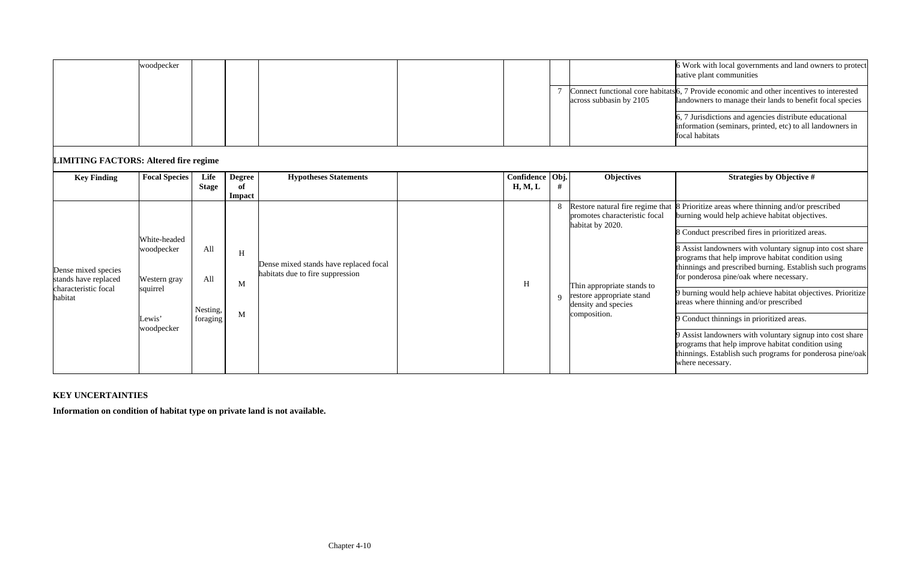| woodpecker |  |  |  |                         | 6 Work with local governments and land owners to protect<br>native plant communities                                                                   |
|------------|--|--|--|-------------------------|--------------------------------------------------------------------------------------------------------------------------------------------------------|
|            |  |  |  | across subbasin by 2105 | Connect functional core habitats 6, 7 Provide economic and other incentives to interested<br>landowners to manage their lands to benefit focal species |
|            |  |  |  |                         | 6, 7 Jurisdictions and agencies distribute educational<br>information (seminars, printed, etc) to all landowners in<br>focal habitats                  |

# **LIMITING FACTORS: Altered fire regime**

| <b>Key Finding</b>                                                             | <b>Focal Species</b>                                                           | Life<br><b>Stage</b>               | <b>Degree</b><br>0ľ<br>Impact | <b>Hypotheses Statements</b>                                               | Confidence Obj.<br>H, M, L |          | <b>Objectives</b>                                                                              | <b>Strategies by Objective #</b>                                                                                                                                                                                                                                                                                                                                                                                                                                                                                                                                                                                                      |
|--------------------------------------------------------------------------------|--------------------------------------------------------------------------------|------------------------------------|-------------------------------|----------------------------------------------------------------------------|----------------------------|----------|------------------------------------------------------------------------------------------------|---------------------------------------------------------------------------------------------------------------------------------------------------------------------------------------------------------------------------------------------------------------------------------------------------------------------------------------------------------------------------------------------------------------------------------------------------------------------------------------------------------------------------------------------------------------------------------------------------------------------------------------|
|                                                                                |                                                                                |                                    |                               |                                                                            |                            |          | promotes characteristic focal<br>habitat by 2020.                                              | Restore natural fire regime that 8 Prioritize areas where thinning and/or prescribed<br>burning would help achieve habitat objectives.                                                                                                                                                                                                                                                                                                                                                                                                                                                                                                |
| Dense mixed species<br>stands have replaced<br>characteristic focal<br>habitat | White-headed<br>woodpecker<br>Western gray<br>squirrel<br>Lewis'<br>woodpecker | All<br>All<br>Nesting,<br>foraging | H<br>M<br>M                   | Dense mixed stands have replaced focal<br>habitats due to fire suppression | $\boldsymbol{\mathrm{H}}$  | $\Omega$ | Thin appropriate stands to<br>restore appropriate stand<br>density and species<br>composition. | 8 Conduct prescribed fires in prioritized areas.<br>8 Assist landowners with voluntary signup into cost share<br>programs that help improve habitat condition using<br>thinnings and prescribed burning. Establish such programs<br>for ponderosa pine/oak where necessary.<br>9 burning would help achieve habitat objectives. Prioritize<br>areas where thinning and/or prescribed<br>9 Conduct thinnings in prioritized areas.<br>9 Assist landowners with voluntary signup into cost share<br>programs that help improve habitat condition using<br>thinnings. Establish such programs for ponderosa pine/oak<br>where necessary. |

#### **KEY UNCERTAINTIES**

**Information on condition of habitat type on private land is not available.**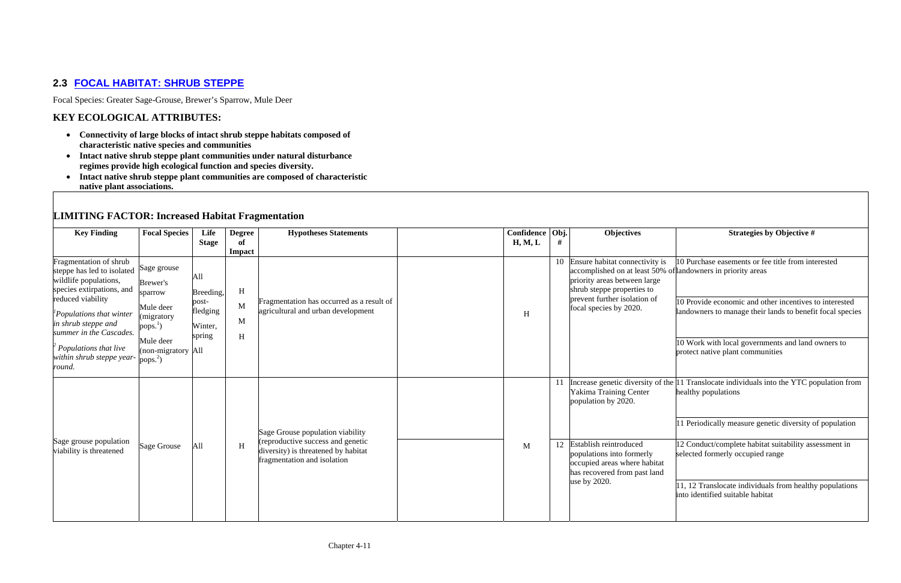# **2.3 FOCAL HABITAT: SHRUB STEPPE**

Focal Species: Greater Sage-Grouse, Brewer's Sparrow, Mule Deer

## **KEY ECOLOGICAL ATTRIBUTES:**

- **Connectivity of large blocks of intact shrub steppe habitats composed of characteristic native species and communities**
- **Intact native shrub steppe plant communities under natural disturbance regimes provide high ecological function and species diversity.**
- **Intact native shrub steppe plant communities are composed of characteristic native plant associations.**

# **LIMITING FACTOR: Increased Habitat Fragmentation**

<span id="page-10-0"></span>

| <b>Key Finding</b>                                                                                                     | <b>Focal Species</b>                                | Life                                   | <b>Degree</b>                     | <b>Hypotheses Statements</b>                                                                            | <b>Confidence</b> | Obj. | <b>Objectives</b>                                                                                                                                            | <b>Strategies by Objective #</b>                                                                                    |
|------------------------------------------------------------------------------------------------------------------------|-----------------------------------------------------|----------------------------------------|-----------------------------------|---------------------------------------------------------------------------------------------------------|-------------------|------|--------------------------------------------------------------------------------------------------------------------------------------------------------------|---------------------------------------------------------------------------------------------------------------------|
|                                                                                                                        |                                                     | <b>Stage</b>                           | of                                |                                                                                                         | H, M, L           | #    |                                                                                                                                                              |                                                                                                                     |
|                                                                                                                        |                                                     |                                        | <b>Impact</b>                     |                                                                                                         |                   |      |                                                                                                                                                              |                                                                                                                     |
| Fragmentation of shrub<br>steppe has led to isolated Sage grouse<br>wildlife populations,<br>species extirpations, and | Brewer's<br>sparrow                                 | A11<br>Breeding,                       | H                                 |                                                                                                         |                   |      | Ensure habitat connectivity is<br>accomplished on at least 50% of landowners in priority areas<br>priority areas between large<br>shrub steppe properties to | 10 Purchase easements or fee title from interested                                                                  |
| reduced viability<br>Populations that winter<br>in shrub steppe and<br>summer in the Cascades.                         | Mule deer<br>(migratory<br>pops. <sup>1</sup>       | post-<br>fledging<br>Winter,<br>spring | $\mathbf{M}$<br>$\mathbf{M}$<br>H | Fragmentation has occurred as a result of<br>agricultural and urban development                         | H                 |      | prevent further isolation of<br>focal species by 2020.                                                                                                       | 10 Provide economic and other incentives to interested<br>landowners to manage their lands to benefit focal species |
| $\sigma^2$ Populations that live<br>within shrub steppe year-<br>round.                                                | Mule deer<br>(non-migratory All<br>$\text{pops.}^2$ |                                        |                                   |                                                                                                         |                   |      |                                                                                                                                                              | 10 Work with local governments and land owners to<br>protect native plant communities                               |
|                                                                                                                        |                                                     |                                        |                                   |                                                                                                         |                   |      | Yakima Training Center<br>population by 2020.                                                                                                                | Increase genetic diversity of the 11 Translocate individuals into the YTC population from<br>healthy populations    |
|                                                                                                                        |                                                     |                                        |                                   | Sage Grouse population viability                                                                        |                   |      |                                                                                                                                                              | 11 Periodically measure genetic diversity of population                                                             |
| Sage grouse population<br>viability is threatened                                                                      | Sage Grouse                                         | All                                    | H                                 | (reproductive success and genetic<br>diversity) is threatened by habitat<br>fragmentation and isolation | M                 |      | 12 Establish reintroduced<br>populations into formerly<br>occupied areas where habitat<br>has recovered from past land                                       | 12 Conduct/complete habitat suitability assessment in<br>selected formerly occupied range                           |
|                                                                                                                        |                                                     |                                        |                                   |                                                                                                         |                   |      | use by 2020.                                                                                                                                                 | 11, 12 Translocate individuals from healthy populations<br>into identified suitable habitat                         |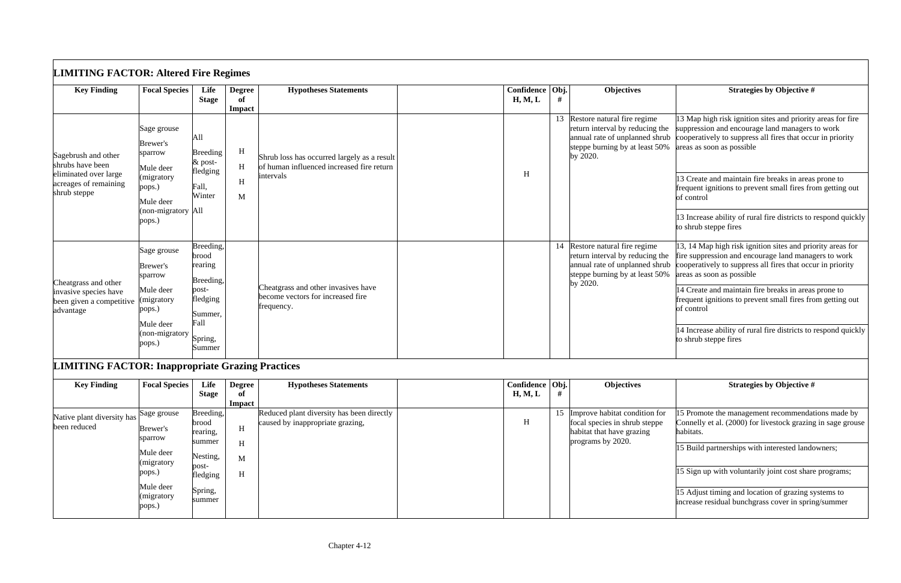# **LIMITING FACTOR: Altered Fire Regimes**

| <b>Key Finding</b>                                             | <b>Focal Species</b>                            | Life<br><b>Stage</b>                       | <b>Degree</b><br>of<br><b>Impact</b> | <b>Hypotheses Statements</b>                                                             | Confidence Obj.<br>H, M, L | <b>Objectives</b>                                                                                                                                 | <b>Strategies by Objective #</b>                                                                                                                                                                              |
|----------------------------------------------------------------|-------------------------------------------------|--------------------------------------------|--------------------------------------|------------------------------------------------------------------------------------------|----------------------------|---------------------------------------------------------------------------------------------------------------------------------------------------|---------------------------------------------------------------------------------------------------------------------------------------------------------------------------------------------------------------|
| Sagebrush and other<br>shrubs have been                        | Sage grouse<br>Brewer's<br>sparrow<br>Mule deer | All<br><b>Breeding</b><br>$\&$ post-       | H<br>H                               | Shrub loss has occurred largely as a result<br>of human influenced increased fire return |                            | Restore natural fire regime<br>return interval by reducing the<br>annual rate of unplanned shrub<br>steppe burning by at least 50%<br>by 2020.    | 13 Map high risk ignition sites and priority areas for fire<br>suppression and encourage land managers to work<br>cooperatively to suppress all fires that occur in priority<br>areas as soon as possible     |
| eliminated over large<br>acreages of remaining<br>shrub steppe | (migratory<br>pops.)<br>Mule deer               | fledging<br>Fall,<br>Winter                | H<br>$\mathbf{M}$                    | intervals                                                                                | H                          |                                                                                                                                                   | 13 Create and maintain fire breaks in areas prone to<br>frequent ignitions to prevent small fires from getting out<br>of control                                                                              |
|                                                                | (non-migratory All<br>pops.)                    |                                            |                                      |                                                                                          |                            |                                                                                                                                                   | 13 Increase ability of rural fire districts to respond quickly<br>to shrub steppe fires                                                                                                                       |
| Cheatgrass and other                                           | Sage grouse<br>Brewer's<br>sparrow              | Breeding,<br>brood<br>rearing<br>Breeding, |                                      |                                                                                          |                            | 14 Restore natural fire regime<br>return interval by reducing the<br>annual rate of unplanned shrub<br>steppe burning by at least 50%<br>by 2020. | 13, 14 Map high risk ignition sites and priority areas for<br>fire suppression and encourage land managers to work<br>cooperatively to suppress all fires that occur in priority<br>areas as soon as possible |
| invasive species have<br>been given a competitive<br>advantage | Mule deer<br>(migratory<br>pops.)               | post-<br>fledging<br>Summer,<br>Fall       |                                      | Cheatgrass and other invasives have<br>become vectors for increased fire<br>frequency.   |                            |                                                                                                                                                   | 14 Create and maintain fire breaks in areas prone to<br>frequent ignitions to prevent small fires from getting out<br>of control                                                                              |
|                                                                | Mule deer<br>(non-migratory<br>pops.)           | Spring,<br>Summer                          |                                      |                                                                                          |                            |                                                                                                                                                   | 14 Increase ability of rural fire districts to respond quickly<br>to shrub steppe fires                                                                                                                       |

# **LIMITING FACTOR: Inappropriate Grazing Practices**

| <b>Key Finding</b>                                     | <b>Focal Species</b>                                                   | Life                                                                                 | <b>Degree</b>    | <b>Hypotheses Statements</b>                                                  | Confidence Obj. | <b>Objectives</b>                                                                                                | <b>Strategies by Objective #</b>                                                                                                                                                                                                                                                                    |
|--------------------------------------------------------|------------------------------------------------------------------------|--------------------------------------------------------------------------------------|------------------|-------------------------------------------------------------------------------|-----------------|------------------------------------------------------------------------------------------------------------------|-----------------------------------------------------------------------------------------------------------------------------------------------------------------------------------------------------------------------------------------------------------------------------------------------------|
|                                                        |                                                                        | <b>Stage</b>                                                                         | - of             |                                                                               | H, M, L         |                                                                                                                  |                                                                                                                                                                                                                                                                                                     |
|                                                        |                                                                        |                                                                                      | Impact           |                                                                               |                 |                                                                                                                  |                                                                                                                                                                                                                                                                                                     |
| Native plant diversity has Sage grouse<br>been reduced | Brewer's<br>sparrow<br>Mule deer<br>(migratory)<br>pops.)<br>Mule deer | Breeding,<br>brood<br>rearing,<br>summer<br>Nesting,<br>post-<br>fledging<br>Spring, | H<br>H<br>M<br>H | Reduced plant diversity has been directly<br>caused by inappropriate grazing, | H               | Improve habitat condition for<br>focal species in shrub steppe<br>habitat that have grazing<br>programs by 2020. | 15 Promote the management recommendations made by<br>Connelly et al. (2000) for livestock grazing in sage grouse<br>habitats.<br>15 Build partnerships with interested landowners;<br>15 Sign up with voluntarily joint cost share programs;<br>15 Adjust timing and location of grazing systems to |
|                                                        | (migratory<br>pops.)                                                   | summer                                                                               |                  |                                                                               |                 |                                                                                                                  | increase residual bunchgrass cover in spring/summer                                                                                                                                                                                                                                                 |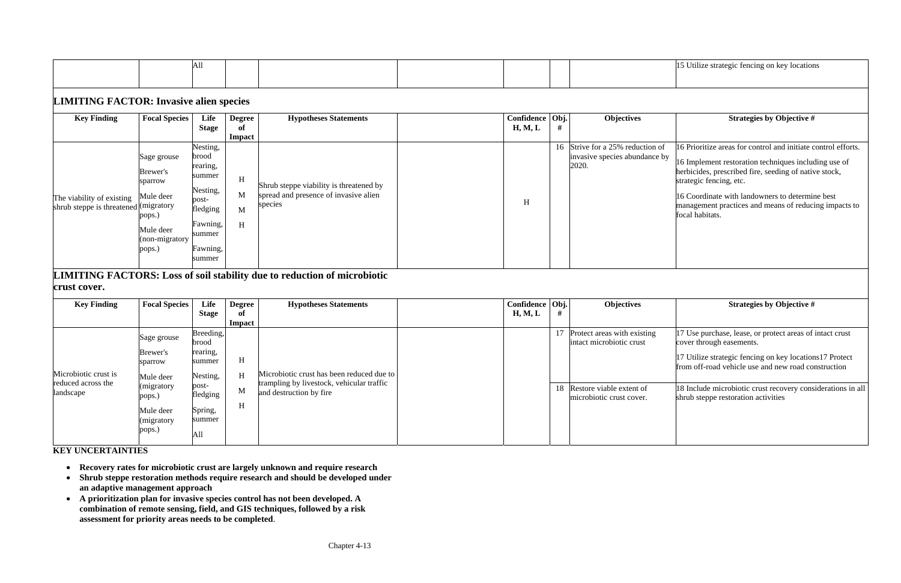|  | Ali |  | 15 Utilize strategic fencing on key locations |
|--|-----|--|-----------------------------------------------|
|  |     |  |                                               |

# **LIMITING FACTOR: Invasive alien species**

| <b>Key Finding</b>                                                 | <b>Focal Species</b>                                                                               | Life<br><b>Stage</b>                                                                                                 | <b>Degree</b><br>0ľ<br><b>Impact</b> | <b>Hypotheses Statements</b>                                                                | Confidence Obj.<br>H, M, L |    | <b>Objectives</b>                                                       | <b>Strategies by Objective #</b>                                                                                                                                                                                                                                                                                                         |
|--------------------------------------------------------------------|----------------------------------------------------------------------------------------------------|----------------------------------------------------------------------------------------------------------------------|--------------------------------------|---------------------------------------------------------------------------------------------|----------------------------|----|-------------------------------------------------------------------------|------------------------------------------------------------------------------------------------------------------------------------------------------------------------------------------------------------------------------------------------------------------------------------------------------------------------------------------|
| The viability of existing<br>shrub steppe is threatened (migratory | Sage grouse<br>Brewer's<br>sparrow<br>Mule deer<br>pops.)<br>Mule deer<br>(non-migratory<br>pops.) | Nesting,<br>brood<br>rearing,<br>summer<br>Nesting,<br>post-<br>fledging<br>Fawning,<br>summer<br>Fawning,<br>summer | $\mathbf M$<br>$\mathbf{M}$<br>H     | Shrub steppe viability is threatened by<br>spread and presence of invasive alien<br>species | H                          | 16 | Strive for a 25% reduction of<br>invasive species abundance by<br>2020. | 16 Prioritize areas for control and initiate control efforts.<br>16 Implement restoration techniques including use of<br>herbicides, prescribed fire, seeding of native stock,<br>strategic fencing, etc.<br>16 Coordinate with landowners to determine best<br>management practices and means of reducing impacts to<br>focal habitats. |

# **LIMITING FACTORS: Loss of soil stability due to reduction of microbiotic crust cover.**

| <b>Key Finding</b>                                      | <b>Focal Species</b>                                                                                         | Life<br>Stage                                                                                         | Degree<br>of<br>Impact | <b>Hypotheses Statements</b>                                                                                      | Confidence   Obj.  <br>H, M, L |    | <b>Objectives</b>                                                                                               | <b>Strategies by Objective #</b>                                                                                                                                                                                                                                                                             |
|---------------------------------------------------------|--------------------------------------------------------------------------------------------------------------|-------------------------------------------------------------------------------------------------------|------------------------|-------------------------------------------------------------------------------------------------------------------|--------------------------------|----|-----------------------------------------------------------------------------------------------------------------|--------------------------------------------------------------------------------------------------------------------------------------------------------------------------------------------------------------------------------------------------------------------------------------------------------------|
| Microbiotic crust is<br>reduced across the<br>landscape | Sage grouse<br>Brewer's<br>sparrow<br>Mule deer<br>(migratory<br>pops.)<br>Mule deer<br>(migratory<br>pops.) | Breeding,<br>brood<br>rearing,<br>summer<br>Nesting,<br>post-<br>fledging<br>Spring,<br>summer<br>All | H<br>H<br>M<br>H       | Microbiotic crust has been reduced due to<br>trampling by livestock, vehicular traffic<br>and destruction by fire |                                | 18 | Protect areas with existing<br>intact microbiotic crust<br>Restore viable extent of<br>microbiotic crust cover. | 17 Use purchase, lease, or protect areas of intact crust<br>cover through easements.<br>17 Utilize strategic fencing on key locations17 Protect<br>from off-road vehicle use and new road construction<br>18 Include microbiotic crust recovery considerations in all<br>shrub steppe restoration activities |

#### **KEY UNCERTAINTIES**

- **Recovery rates for microbiotic crust are largely unknown and require research**
- **Shrub steppe restoration methods require research and should be developed under an adaptive management approach**
- **A prioritization plan for invasive species control has not been developed. A combination of remote sensing, field, and GIS techniques, followed by a risk assessment for priority areas needs to be completed**.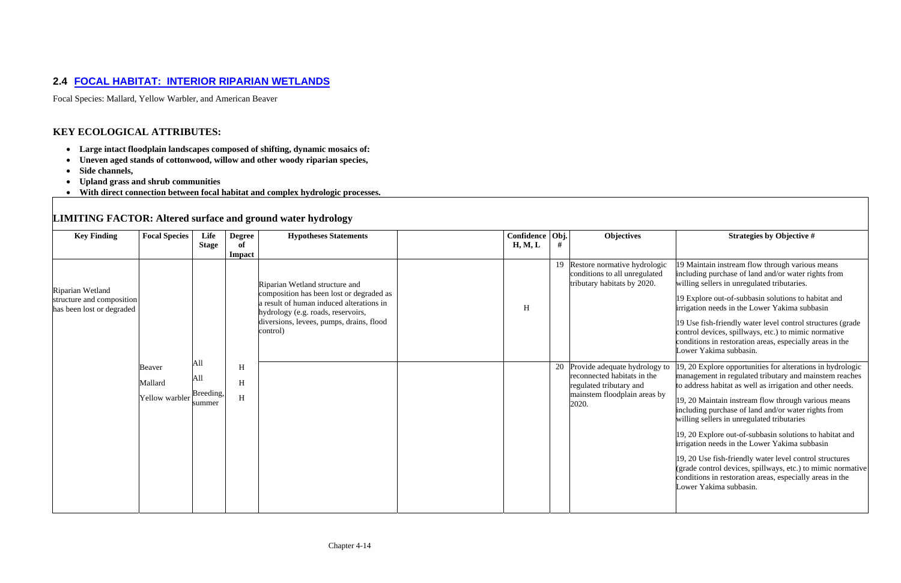# **2.4 FOCAL HABITAT: INTERIOR RIPARIAN WETLANDS**

Focal Species: Mallard, Yellow Warbler, and American Beaver

# **KEY ECOLOGICAL ATTRIBUTES:**

- **Large intact floodplain landscapes composed of shifting, dynamic mosaics of:**
- **Uneven aged stands of cottonwood, willow and other woody riparian species,**
- **Side channels,**
- **Upland grass and shrub communities**
- **With direct connection between focal habitat and complex hydrologic processes.**

## **LIMITING FACTOR: Altered surface and ground water hydrology**

<span id="page-13-0"></span>

| <b>Key Finding</b>                                                         | <b>Focal Species</b>                | Life<br><b>Stage</b>              | <b>Degree</b><br>of<br><b>Impact</b> | <b>Hypotheses Statements</b>                                                                                                                                                                                         | Confidence Obj.<br>H, M, L | <b>Objectives</b>                                                                                                                | <b>Strategies by Objective #</b>                                                                                                                                                                                                                                                                                                                                                                                                                                                                                                                                                                                                                                          |
|----------------------------------------------------------------------------|-------------------------------------|-----------------------------------|--------------------------------------|----------------------------------------------------------------------------------------------------------------------------------------------------------------------------------------------------------------------|----------------------------|----------------------------------------------------------------------------------------------------------------------------------|---------------------------------------------------------------------------------------------------------------------------------------------------------------------------------------------------------------------------------------------------------------------------------------------------------------------------------------------------------------------------------------------------------------------------------------------------------------------------------------------------------------------------------------------------------------------------------------------------------------------------------------------------------------------------|
| Riparian Wetland<br>structure and composition<br>has been lost or degraded |                                     |                                   |                                      | Riparian Wetland structure and<br>composition has been lost or degraded as<br>a result of human induced alterations in<br>hydrology (e.g. roads, reservoirs,<br>diversions, levees, pumps, drains, flood<br>control) | H                          | 19 Restore normative hydrologic<br>conditions to all unregulated<br>tributary habitats by 2020.                                  | 19 Maintain instream flow through various means<br>including purchase of land and/or water rights from<br>willing sellers in unregulated tributaries.<br>19 Explore out-of-subbasin solutions to habitat and<br>irrigation needs in the Lower Yakima subbasin<br>19 Use fish-friendly water level control structures (grade<br>control devices, spillways, etc.) to mimic normative<br>conditions in restoration areas, especially areas in the<br>Lower Yakima subbasin.                                                                                                                                                                                                 |
|                                                                            | Beaver<br>Mallard<br>Yellow warbler | All<br>All<br>Breeding,<br>summer | H<br>H<br>$\boldsymbol{\mathrm{H}}$  |                                                                                                                                                                                                                      |                            | Provide adequate hydrology to<br>reconnected habitats in the<br>regulated tributary and<br>mainstem floodplain areas by<br>2020. | 19, 20 Explore opportunities for alterations in hydrologic<br>management in regulated tributary and mainstem reaches<br>to address habitat as well as irrigation and other needs.<br>19, 20 Maintain instream flow through various means<br>including purchase of land and/or water rights from<br>willing sellers in unregulated tributaries<br>19, 20 Explore out-of-subbasin solutions to habitat and<br>irrigation needs in the Lower Yakima subbasin<br>19, 20 Use fish-friendly water level control structures<br>(grade control devices, spillways, etc.) to mimic normative<br>conditions in restoration areas, especially areas in the<br>Lower Yakima subbasin. |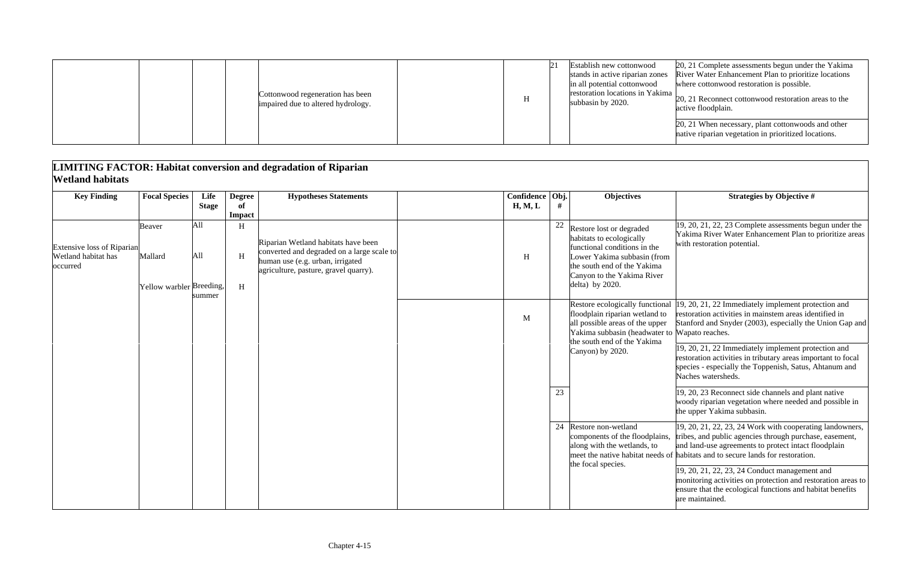|  |  | Cottonwood regeneration has been<br>impaired due to altered hydrology. | H | 21 | Establish new cottonwood<br>stands in active riparian zones<br>in all potential cottonwood<br>restoration locations in Yakima<br>subbasin by 2020. | 20, 21 Complete assessments begun under the Yakima<br>River Water Enhancement Plan to prioritize locations<br>where cotton wood restoration is possible.<br>[20, 21 Reconnect cottonwood restoration areas to the<br>active floodplain. |
|--|--|------------------------------------------------------------------------|---|----|----------------------------------------------------------------------------------------------------------------------------------------------------|-----------------------------------------------------------------------------------------------------------------------------------------------------------------------------------------------------------------------------------------|
|  |  |                                                                        |   |    |                                                                                                                                                    | 20, 21 When necessary, plant cottonwoods and other<br>native riparian vegetation in prioritized locations.                                                                                                                              |

## **LIMITING FACTOR: Habitat conversion and degradation of Riparian Wetland habitats**

| <b>Key Finding</b>                                                   | <b>Focal Species</b>                          | Life<br><b>Stage</b> | <b>Degree</b><br>of<br><b>Impact</b> | <b>Hypotheses Statements</b>                                                                                                                                   | Confidence Obj.<br>H, M, L |    | <b>Objectives</b>                                                                                                                                                                                        | <b>Strategies by Objective #</b>                                                                                                                                                                                                                                                                                                                                                 |
|----------------------------------------------------------------------|-----------------------------------------------|----------------------|--------------------------------------|----------------------------------------------------------------------------------------------------------------------------------------------------------------|----------------------------|----|----------------------------------------------------------------------------------------------------------------------------------------------------------------------------------------------------------|----------------------------------------------------------------------------------------------------------------------------------------------------------------------------------------------------------------------------------------------------------------------------------------------------------------------------------------------------------------------------------|
| <b>Extensive loss of Riparian</b><br>Wetland habitat has<br>occurred | Beaver<br>Mallard<br>Yellow warbler Breeding, | All<br>All<br>summer | H<br>H<br>H                          | Riparian Wetland habitats have been<br>converted and degraded on a large scale to<br>human use (e.g. urban, irrigated<br>agriculture, pasture, gravel quarry). | H                          | 22 | Restore lost or degraded<br>habitats to ecologically<br>functional conditions in the<br>Lower Yakima subbasin (from<br>the south end of the Yakima<br>Canyon to the Yakima River<br>delta) by 2020.      | 19, 20, 21, 22, 23 Complete assessments begun under the<br>Yakima River Water Enhancement Plan to prioritize areas<br>with restoration potential.                                                                                                                                                                                                                                |
|                                                                      |                                               |                      |                                      |                                                                                                                                                                | M                          |    | Restore ecologically functional<br>floodplain riparian wetland to<br>all possible areas of the upper<br>Yakima subbasin (headwater to Wapato reaches.<br>the south end of the Yakima<br>Canyon) by 2020. | 19, 20, 21, 22 Immediately implement protection and<br>restoration activities in mainstem areas identified in<br>Stanford and Snyder (2003), especially the Union Gap and<br>19, 20, 21, 22 Immediately implement protection and<br>restoration activities in tributary areas important to focal<br>species - especially the Toppenish, Satus, Ahtanum and<br>Naches watersheds. |
|                                                                      |                                               |                      |                                      |                                                                                                                                                                |                            | 23 |                                                                                                                                                                                                          | 19, 20, 23 Reconnect side channels and plant native<br>woody riparian vegetation where needed and possible in<br>the upper Yakima subbasin.                                                                                                                                                                                                                                      |
|                                                                      |                                               |                      |                                      |                                                                                                                                                                |                            | 24 | Restore non-wetland<br>components of the floodplains,<br>along with the wetlands, to                                                                                                                     | 19, 20, 21, 22, 23, 24 Work with cooperating landowners,<br>tribes, and public agencies through purchase, easement,<br>and land-use agreements to protect intact floodplain<br>meet the native habitat needs of habitats and to secure lands for restoration.                                                                                                                    |
|                                                                      |                                               |                      |                                      |                                                                                                                                                                |                            |    | the focal species.                                                                                                                                                                                       | 19, 20, 21, 22, 23, 24 Conduct management and<br>monitoring activities on protection and restoration areas to<br>ensure that the ecological functions and habitat benefits<br>are maintained.                                                                                                                                                                                    |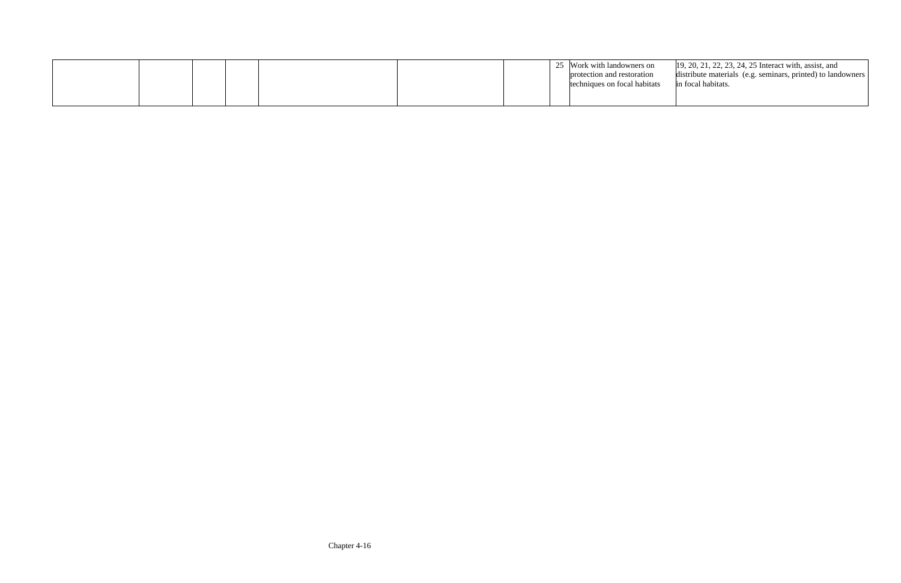|  |  |  |  | 25 Work with landowners on   |
|--|--|--|--|------------------------------|
|  |  |  |  | protection and restoration   |
|  |  |  |  | techniques on focal habitats |
|  |  |  |  |                              |
|  |  |  |  |                              |

5 | Work with landowners on | 19, 20, 21, 22, 23, 24, 25 Interact with, assist, and distribute materials (e.g. seminars, printed) to landowners in focal habitats.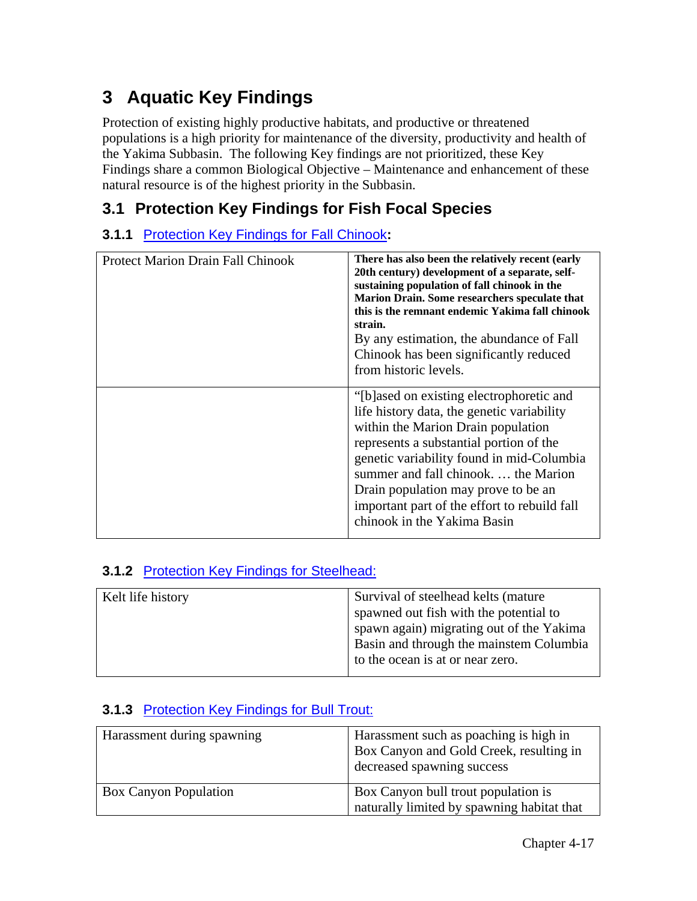# <span id="page-16-0"></span>**3 Aquatic Key Findings**

Protection of existing highly productive habitats, and productive or threatened populations is a high priority for maintenance of the diversity, productivity and health of the Yakima Subbasin. The following Key findings are not prioritized, these Key Findings share a common Biological Objective – Maintenance and enhancement of these natural resource is of the highest priority in the Subbasin.

# **3.1 Protection Key Findings for Fish Focal Species**

## **3.1.1** Protection Key Findings for Fall Chinook**:**

| <b>Protect Marion Drain Fall Chinook</b> | There has also been the relatively recent (early<br>20th century) development of a separate, self-<br>sustaining population of fall chinook in the<br>Marion Drain. Some researchers speculate that<br>this is the remnant endemic Yakima fall chinook<br>strain.<br>By any estimation, the abundance of Fall<br>Chinook has been significantly reduced<br>from historic levels. |
|------------------------------------------|----------------------------------------------------------------------------------------------------------------------------------------------------------------------------------------------------------------------------------------------------------------------------------------------------------------------------------------------------------------------------------|
|                                          | "[b]ased on existing electrophoretic and<br>life history data, the genetic variability<br>within the Marion Drain population<br>represents a substantial portion of the<br>genetic variability found in mid-Columbia<br>summer and fall chinook the Marion<br>Drain population may prove to be an<br>important part of the effort to rebuild fall<br>chinook in the Yakima Basin |

## **3.1.2** Protection Key Findings for Steelhead:

| Kelt life history | Survival of steelhead kelts (mature      |
|-------------------|------------------------------------------|
|                   | spawned out fish with the potential to   |
|                   | spawn again) migrating out of the Yakima |
|                   | Basin and through the mainstem Columbia  |
|                   | to the ocean is at or near zero.         |
|                   |                                          |

## **3.1.3** Protection Key Findings for Bull Trout:

| Harassment during spawning   | Harassment such as poaching is high in<br>Box Canyon and Gold Creek, resulting in<br>decreased spawning success |
|------------------------------|-----------------------------------------------------------------------------------------------------------------|
| <b>Box Canyon Population</b> | Box Canyon bull trout population is<br>naturally limited by spawning habitat that                               |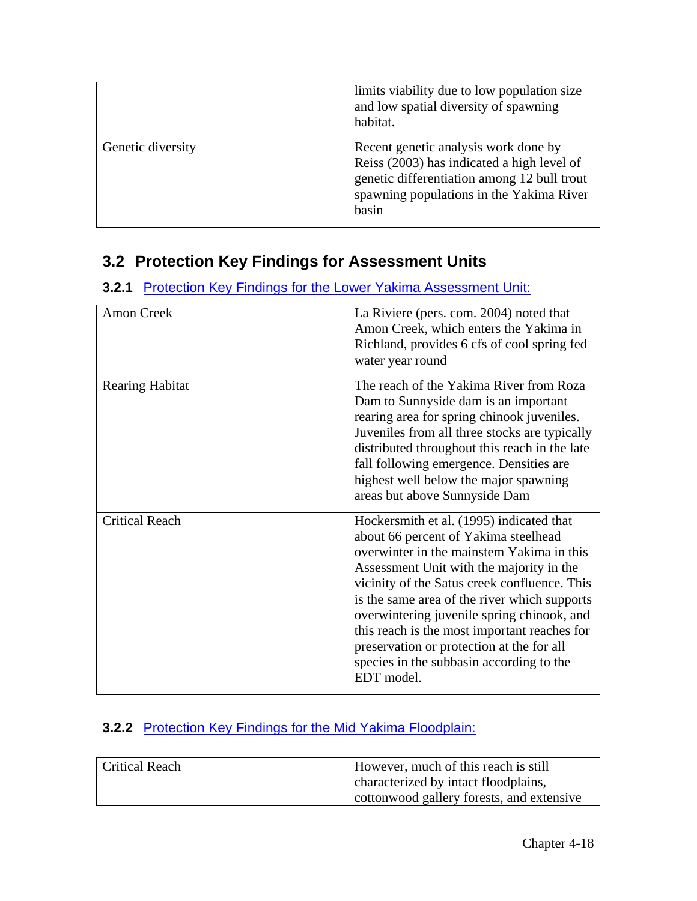<span id="page-17-0"></span>

|                   | limits viability due to low population size<br>and low spatial diversity of spawning<br>habitat.                                                                                       |
|-------------------|----------------------------------------------------------------------------------------------------------------------------------------------------------------------------------------|
| Genetic diversity | Recent genetic analysis work done by<br>Reiss (2003) has indicated a high level of<br>genetic differentiation among 12 bull trout<br>spawning populations in the Yakima River<br>basin |

# **3.2 Protection Key Findings for Assessment Units**

## **3.2.1** Protection Key Findings for the Lower Yakima Assessment Unit:

| Amon Creek             | La Riviere (pers. com. 2004) noted that<br>Amon Creek, which enters the Yakima in<br>Richland, provides 6 cfs of cool spring fed<br>water year round                                                                                                                                                                                                                                                                                                                           |
|------------------------|--------------------------------------------------------------------------------------------------------------------------------------------------------------------------------------------------------------------------------------------------------------------------------------------------------------------------------------------------------------------------------------------------------------------------------------------------------------------------------|
| <b>Rearing Habitat</b> | The reach of the Yakima River from Roza<br>Dam to Sunnyside dam is an important<br>rearing area for spring chinook juveniles.<br>Juveniles from all three stocks are typically<br>distributed throughout this reach in the late<br>fall following emergence. Densities are<br>highest well below the major spawning<br>areas but above Sunnyside Dam                                                                                                                           |
| <b>Critical Reach</b>  | Hockersmith et al. (1995) indicated that<br>about 66 percent of Yakima steelhead<br>overwinter in the mainstem Yakima in this<br>Assessment Unit with the majority in the<br>vicinity of the Satus creek confluence. This<br>is the same area of the river which supports<br>overwintering juvenile spring chinook, and<br>this reach is the most important reaches for<br>preservation or protection at the for all<br>species in the subbasin according to the<br>EDT model. |

# **3.2.2** Protection Key Findings for the Mid Yakima Floodplain:

| <b>Critical Reach</b> | However, much of this reach is still      |
|-----------------------|-------------------------------------------|
|                       | characterized by intact floodplains,      |
|                       | cottonwood gallery forests, and extensive |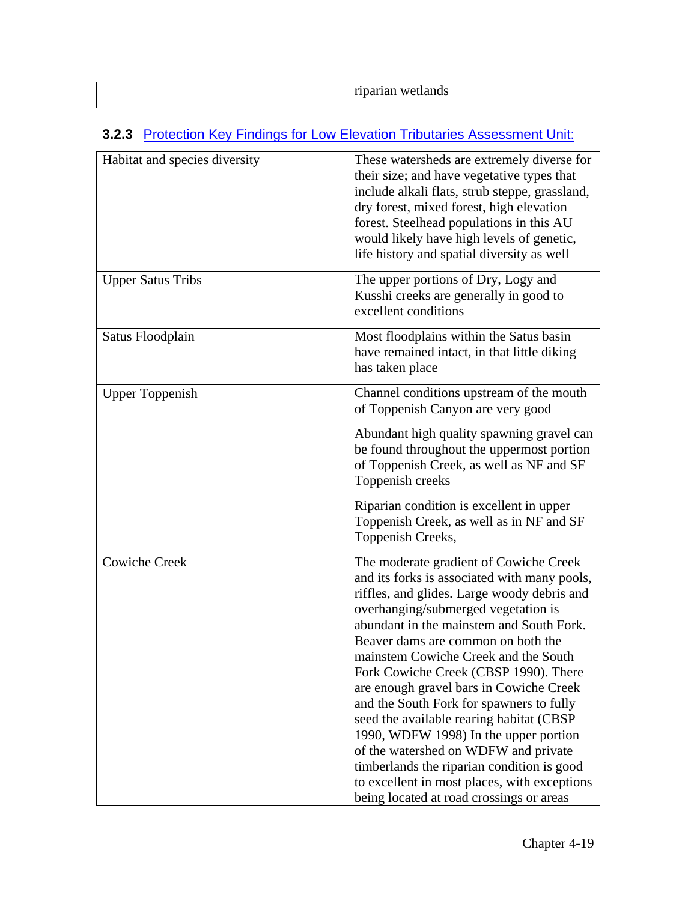<span id="page-18-0"></span>

| riparian wetlands |
|-------------------|
|                   |

# **3.2.3** Protection Key Findings for Low Elevation Tributaries Assessment Unit:

| Habitat and species diversity | These watersheds are extremely diverse for<br>their size; and have vegetative types that<br>include alkali flats, strub steppe, grassland,<br>dry forest, mixed forest, high elevation<br>forest. Steelhead populations in this AU<br>would likely have high levels of genetic,<br>life history and spatial diversity as well                                                                                                                                                                                                                                                                                                                                                                                 |
|-------------------------------|---------------------------------------------------------------------------------------------------------------------------------------------------------------------------------------------------------------------------------------------------------------------------------------------------------------------------------------------------------------------------------------------------------------------------------------------------------------------------------------------------------------------------------------------------------------------------------------------------------------------------------------------------------------------------------------------------------------|
| <b>Upper Satus Tribs</b>      | The upper portions of Dry, Logy and<br>Kusshi creeks are generally in good to<br>excellent conditions                                                                                                                                                                                                                                                                                                                                                                                                                                                                                                                                                                                                         |
| Satus Floodplain              | Most floodplains within the Satus basin<br>have remained intact, in that little diking<br>has taken place                                                                                                                                                                                                                                                                                                                                                                                                                                                                                                                                                                                                     |
| <b>Upper Toppenish</b>        | Channel conditions upstream of the mouth<br>of Toppenish Canyon are very good                                                                                                                                                                                                                                                                                                                                                                                                                                                                                                                                                                                                                                 |
|                               | Abundant high quality spawning gravel can<br>be found throughout the uppermost portion<br>of Toppenish Creek, as well as NF and SF<br>Toppenish creeks                                                                                                                                                                                                                                                                                                                                                                                                                                                                                                                                                        |
|                               | Riparian condition is excellent in upper<br>Toppenish Creek, as well as in NF and SF<br>Toppenish Creeks,                                                                                                                                                                                                                                                                                                                                                                                                                                                                                                                                                                                                     |
| <b>Cowiche Creek</b>          | The moderate gradient of Cowiche Creek<br>and its forks is associated with many pools,<br>riffles, and glides. Large woody debris and<br>overhanging/submerged vegetation is<br>abundant in the mainstem and South Fork.<br>Beaver dams are common on both the<br>mainstem Cowiche Creek and the South<br>Fork Cowiche Creek (CBSP 1990). There<br>are enough gravel bars in Cowiche Creek<br>and the South Fork for spawners to fully<br>seed the available rearing habitat (CBSP<br>1990, WDFW 1998) In the upper portion<br>of the watershed on WDFW and private<br>timberlands the riparian condition is good<br>to excellent in most places, with exceptions<br>being located at road crossings or areas |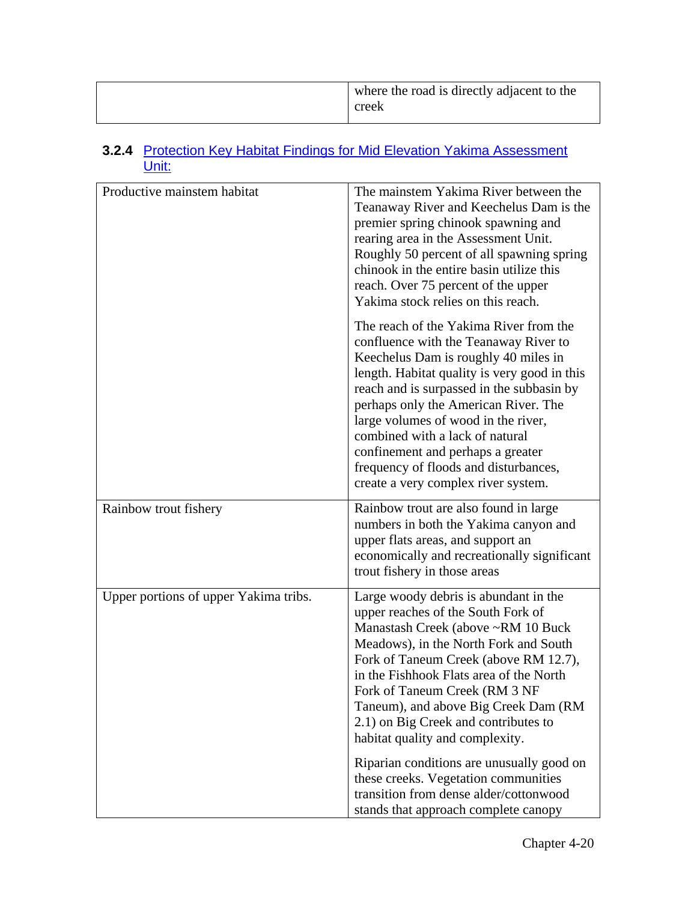<span id="page-19-0"></span>

|  | where the road is directly adjacent to the<br>creek |
|--|-----------------------------------------------------|
|--|-----------------------------------------------------|

## Productive mainstem habitat The mainstem Yakima River between the Teanaway River and Keechelus Dam is the premier spring chinook spawning and rearing area in the Assessment Unit. Roughly 50 percent of all spawning spring chinook in the entire basin utilize this reach. Over 75 percent of the upper Yakima stock relies on this reach. The reach of the Yakima River from the confluence with the Teanaway River to Keechelus Dam is roughly 40 miles in length. Habitat quality is very good in this reach and is surpassed in the subbasin by perhaps only the American River. The large volumes of wood in the river, combined with a lack of natural confinement and perhaps a greater frequency of floods and disturbances, create a very complex river system. Rainbow trout fishery **Rainbow** trout are also found in large numbers in both the Yakima canyon and upper flats areas, and support an economically and recreationally significant trout fishery in those areas Upper portions of upper Yakima tribs. [ Large woody debris is abundant in the upper reaches of the South Fork of Manastash Creek (above ~RM 10 Buck Meadows), in the North Fork and South Fork of Taneum Creek (above RM 12.7), in the Fishhook Flats area of the North Fork of Taneum Creek (RM 3 NF Taneum), and above Big Creek Dam (RM 2.1) on Big Creek and contributes to habitat quality and complexity. Riparian conditions are unusually good on these creeks. Vegetation communities transition from dense alder/cottonwood stands that approach complete canopy

#### **3.2.4** Protection Key Habitat Findings for Mid Elevation Yakima Assessment Unit: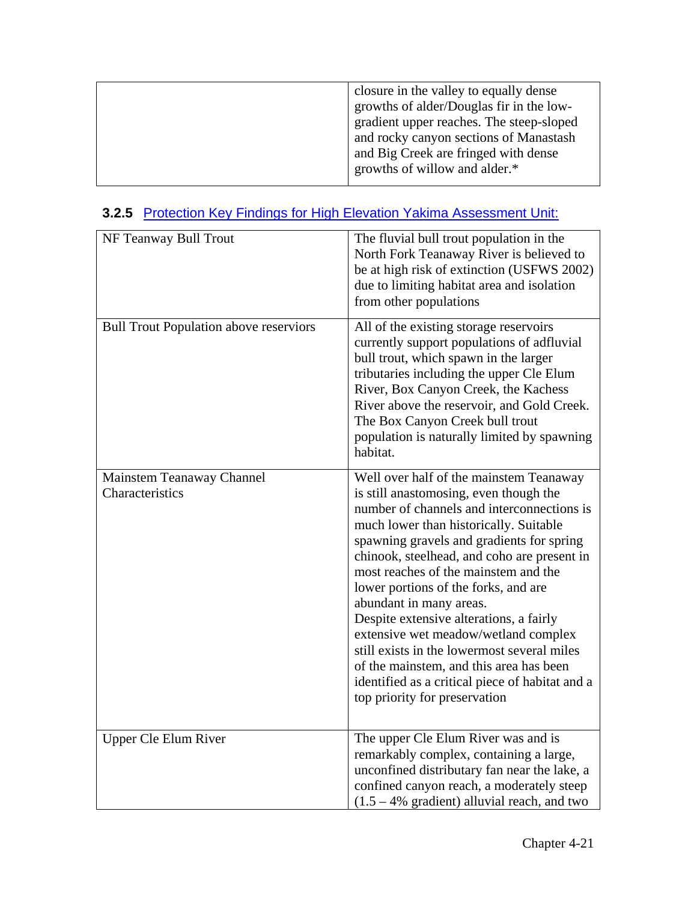<span id="page-20-0"></span>

|  | closure in the valley to equally dense   |
|--|------------------------------------------|
|  | growths of alder/Douglas fir in the low- |
|  | gradient upper reaches. The steep-sloped |
|  | and rocky canyon sections of Manastash   |
|  | and Big Creek are fringed with dense     |
|  | growths of willow and alder.*            |
|  |                                          |

# **3.2.5** Protection Key Findings for High Elevation Yakima Assessment Unit:

| NF Teanway Bull Trout                         | The fluvial bull trout population in the<br>North Fork Teanaway River is believed to<br>be at high risk of extinction (USFWS 2002)<br>due to limiting habitat area and isolation<br>from other populations                                                                                                                                                                                                                                                                                                                                                                                                                                        |
|-----------------------------------------------|---------------------------------------------------------------------------------------------------------------------------------------------------------------------------------------------------------------------------------------------------------------------------------------------------------------------------------------------------------------------------------------------------------------------------------------------------------------------------------------------------------------------------------------------------------------------------------------------------------------------------------------------------|
| <b>Bull Trout Population above reserviors</b> | All of the existing storage reservoirs<br>currently support populations of adfluvial<br>bull trout, which spawn in the larger<br>tributaries including the upper Cle Elum<br>River, Box Canyon Creek, the Kachess<br>River above the reservoir, and Gold Creek.<br>The Box Canyon Creek bull trout<br>population is naturally limited by spawning<br>habitat.                                                                                                                                                                                                                                                                                     |
| Mainstem Teanaway Channel<br>Characteristics  | Well over half of the mainstem Teanaway<br>is still anastomosing, even though the<br>number of channels and interconnections is<br>much lower than historically. Suitable<br>spawning gravels and gradients for spring<br>chinook, steelhead, and coho are present in<br>most reaches of the mainstem and the<br>lower portions of the forks, and are<br>abundant in many areas.<br>Despite extensive alterations, a fairly<br>extensive wet meadow/wetland complex<br>still exists in the lowermost several miles<br>of the mainstem, and this area has been<br>identified as a critical piece of habitat and a<br>top priority for preservation |
| <b>Upper Cle Elum River</b>                   | The upper Cle Elum River was and is<br>remarkably complex, containing a large,<br>unconfined distributary fan near the lake, a<br>confined canyon reach, a moderately steep                                                                                                                                                                                                                                                                                                                                                                                                                                                                       |
|                                               | $(1.5 - 4\%$ gradient) alluvial reach, and two                                                                                                                                                                                                                                                                                                                                                                                                                                                                                                                                                                                                    |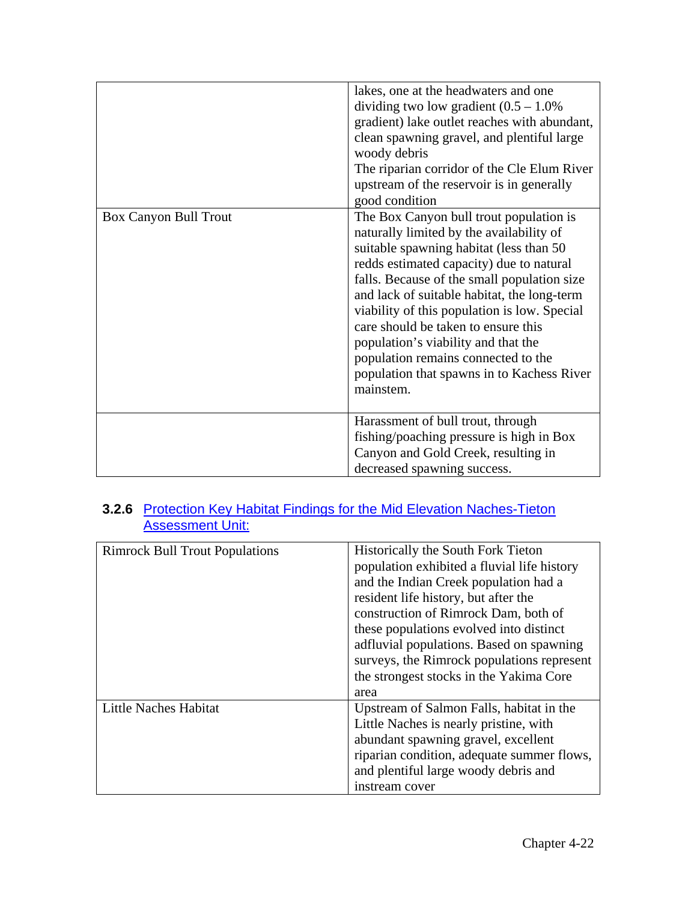<span id="page-21-0"></span>

|                       | lakes, one at the headwaters and one<br>dividing two low gradient $(0.5 - 1.0\%)$<br>gradient) lake outlet reaches with abundant,<br>clean spawning gravel, and plentiful large<br>woody debris<br>The riparian corridor of the Cle Elum River<br>upstream of the reservoir is in generally<br>good condition                                                                                                                                                                                             |
|-----------------------|-----------------------------------------------------------------------------------------------------------------------------------------------------------------------------------------------------------------------------------------------------------------------------------------------------------------------------------------------------------------------------------------------------------------------------------------------------------------------------------------------------------|
| Box Canyon Bull Trout | The Box Canyon bull trout population is<br>naturally limited by the availability of<br>suitable spawning habitat (less than 50)<br>redds estimated capacity) due to natural<br>falls. Because of the small population size<br>and lack of suitable habitat, the long-term<br>viability of this population is low. Special<br>care should be taken to ensure this<br>population's viability and that the<br>population remains connected to the<br>population that spawns in to Kachess River<br>mainstem. |
|                       | Harassment of bull trout, through<br>fishing/poaching pressure is high in Box<br>Canyon and Gold Creek, resulting in<br>decreased spawning success.                                                                                                                                                                                                                                                                                                                                                       |

## **3.2.6** Protection Key Habitat Findings for the Mid Elevation Naches-Tieton **Assessment Unit:**

| <b>Rimrock Bull Trout Populations</b> | Historically the South Fork Tieton          |  |  |  |  |  |
|---------------------------------------|---------------------------------------------|--|--|--|--|--|
|                                       | population exhibited a fluvial life history |  |  |  |  |  |
|                                       | and the Indian Creek population had a       |  |  |  |  |  |
|                                       | resident life history, but after the        |  |  |  |  |  |
|                                       | construction of Rimrock Dam, both of        |  |  |  |  |  |
|                                       | these populations evolved into distinct     |  |  |  |  |  |
|                                       | adfluvial populations. Based on spawning    |  |  |  |  |  |
|                                       | surveys, the Rimrock populations represent  |  |  |  |  |  |
|                                       | the strongest stocks in the Yakima Core     |  |  |  |  |  |
|                                       | area                                        |  |  |  |  |  |
| Little Naches Habitat                 | Upstream of Salmon Falls, habitat in the    |  |  |  |  |  |
|                                       | Little Naches is nearly pristine, with      |  |  |  |  |  |
|                                       | abundant spawning gravel, excellent         |  |  |  |  |  |
|                                       | riparian condition, adequate summer flows,  |  |  |  |  |  |
|                                       | and plentiful large woody debris and        |  |  |  |  |  |
|                                       | instream cover                              |  |  |  |  |  |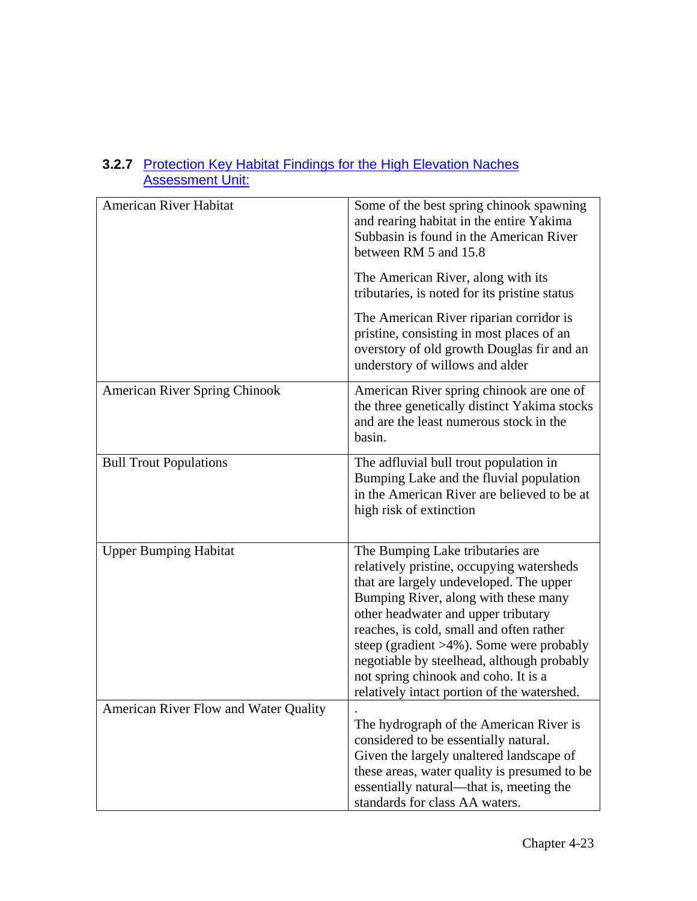## American River Habitat Some of the best spring chinook spawning and rearing habitat in the entire Yakima Subbasin is found in the American River between RM 5 and 15.8 The American River, along with its tributaries, is noted for its pristine status The American River riparian corridor is pristine, consisting in most places of an overstory of old growth Douglas fir and an understory of willows and alder American River Spring Chinook | American River spring chinook are one of the three genetically distinct Yakima stocks and are the least numerous stock in the basin. Bull Trout Populations The adfluvial bull trout population in Bumping Lake and the fluvial population in the American River are believed to be at high risk of extinction Upper Bumping Habitat The Bumping Lake tributaries are relatively pristine, occupying watersheds that are largely undeveloped. The upper Bumping River, along with these many other headwater and upper tributary reaches, is cold, small and often rather steep (gradient >4%). Some were probably negotiable by steelhead, although probably not spring chinook and coho. It is a relatively intact portion of the watershed. American River Flow and Water Quality . The hydrograph of the American River is considered to be essentially natural. Given the largely unaltered landscape of these areas, water quality is presumed to be essentially natural—that is, meeting the standards for class AA waters.

## <span id="page-22-0"></span>**3.2.7** Protection Key Habitat Findings for the High Elevation Naches Assessment Unit: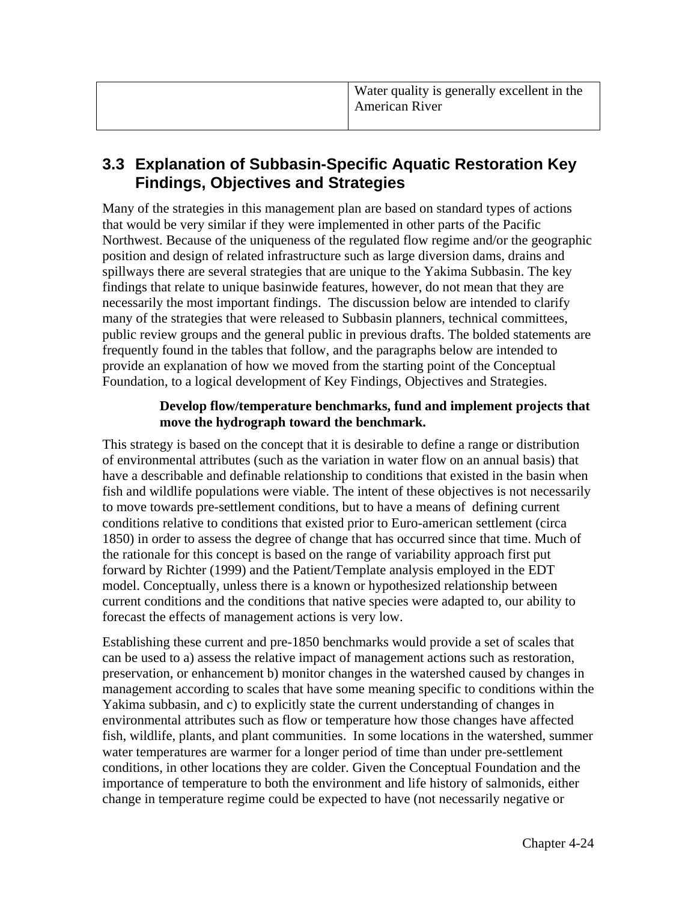<span id="page-23-0"></span>

| Water quality is generally excellent in the<br><b>American River</b> |
|----------------------------------------------------------------------|
|                                                                      |

# **3.3 Explanation of Subbasin-Specific Aquatic Restoration Key Findings, Objectives and Strategies**

Many of the strategies in this management plan are based on standard types of actions that would be very similar if they were implemented in other parts of the Pacific Northwest. Because of the uniqueness of the regulated flow regime and/or the geographic position and design of related infrastructure such as large diversion dams, drains and spillways there are several strategies that are unique to the Yakima Subbasin. The key findings that relate to unique basinwide features, however, do not mean that they are necessarily the most important findings. The discussion below are intended to clarify many of the strategies that were released to Subbasin planners, technical committees, public review groups and the general public in previous drafts. The bolded statements are frequently found in the tables that follow, and the paragraphs below are intended to provide an explanation of how we moved from the starting point of the Conceptual Foundation, to a logical development of Key Findings, Objectives and Strategies.

#### **Develop flow/temperature benchmarks, fund and implement projects that move the hydrograph toward the benchmark.**

This strategy is based on the concept that it is desirable to define a range or distribution of environmental attributes (such as the variation in water flow on an annual basis) that have a describable and definable relationship to conditions that existed in the basin when fish and wildlife populations were viable. The intent of these objectives is not necessarily to move towards pre-settlement conditions, but to have a means of defining current conditions relative to conditions that existed prior to Euro-american settlement (circa 1850) in order to assess the degree of change that has occurred since that time. Much of the rationale for this concept is based on the range of variability approach first put forward by Richter (1999) and the Patient/Template analysis employed in the EDT model. Conceptually, unless there is a known or hypothesized relationship between current conditions and the conditions that native species were adapted to, our ability to forecast the effects of management actions is very low.

Establishing these current and pre-1850 benchmarks would provide a set of scales that can be used to a) assess the relative impact of management actions such as restoration, preservation, or enhancement b) monitor changes in the watershed caused by changes in management according to scales that have some meaning specific to conditions within the Yakima subbasin, and c) to explicitly state the current understanding of changes in environmental attributes such as flow or temperature how those changes have affected fish, wildlife, plants, and plant communities. In some locations in the watershed, summer water temperatures are warmer for a longer period of time than under pre-settlement conditions, in other locations they are colder. Given the Conceptual Foundation and the importance of temperature to both the environment and life history of salmonids, either change in temperature regime could be expected to have (not necessarily negative or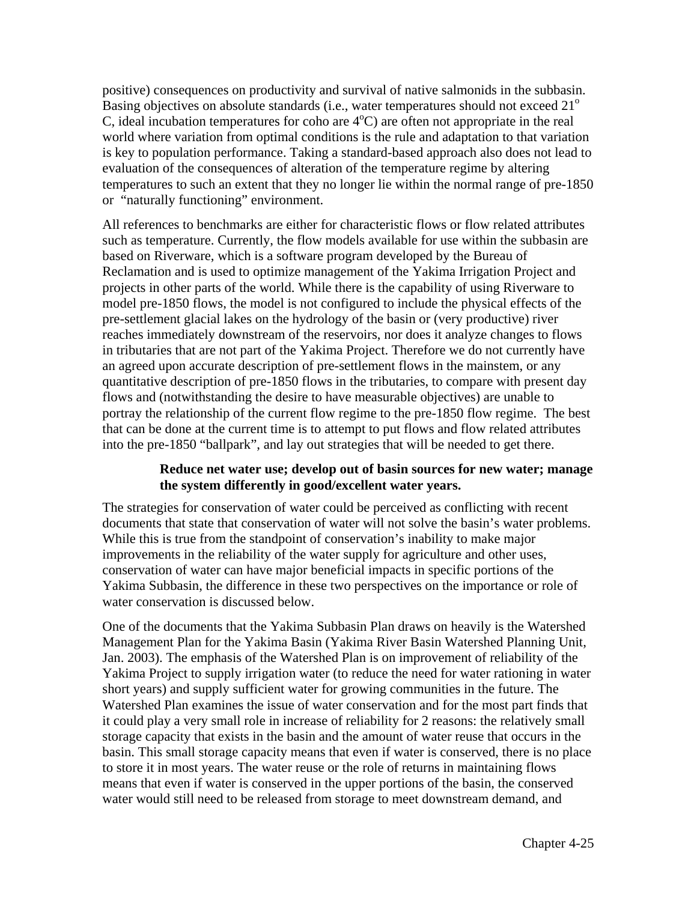positive) consequences on productivity and survival of native salmonids in the subbasin. Basing objectives on absolute standards (i.e., water temperatures should not exceed  $21^{\circ}$ C, ideal incubation temperatures for coho are  $4^{\circ}$ C) are often not appropriate in the real world where variation from optimal conditions is the rule and adaptation to that variation is key to population performance. Taking a standard-based approach also does not lead to evaluation of the consequences of alteration of the temperature regime by altering temperatures to such an extent that they no longer lie within the normal range of pre-1850 or "naturally functioning" environment.

All references to benchmarks are either for characteristic flows or flow related attributes such as temperature. Currently, the flow models available for use within the subbasin are based on Riverware, which is a software program developed by the Bureau of Reclamation and is used to optimize management of the Yakima Irrigation Project and projects in other parts of the world. While there is the capability of using Riverware to model pre-1850 flows, the model is not configured to include the physical effects of the pre-settlement glacial lakes on the hydrology of the basin or (very productive) river reaches immediately downstream of the reservoirs, nor does it analyze changes to flows in tributaries that are not part of the Yakima Project. Therefore we do not currently have an agreed upon accurate description of pre-settlement flows in the mainstem, or any quantitative description of pre-1850 flows in the tributaries, to compare with present day flows and (notwithstanding the desire to have measurable objectives) are unable to portray the relationship of the current flow regime to the pre-1850 flow regime. The best that can be done at the current time is to attempt to put flows and flow related attributes into the pre-1850 "ballpark", and lay out strategies that will be needed to get there.

#### **Reduce net water use; develop out of basin sources for new water; manage the system differently in good/excellent water years.**

The strategies for conservation of water could be perceived as conflicting with recent documents that state that conservation of water will not solve the basin's water problems. While this is true from the standpoint of conservation's inability to make major improvements in the reliability of the water supply for agriculture and other uses, conservation of water can have major beneficial impacts in specific portions of the Yakima Subbasin, the difference in these two perspectives on the importance or role of water conservation is discussed below.

One of the documents that the Yakima Subbasin Plan draws on heavily is the Watershed Management Plan for the Yakima Basin (Yakima River Basin Watershed Planning Unit, Jan. 2003). The emphasis of the Watershed Plan is on improvement of reliability of the Yakima Project to supply irrigation water (to reduce the need for water rationing in water short years) and supply sufficient water for growing communities in the future. The Watershed Plan examines the issue of water conservation and for the most part finds that it could play a very small role in increase of reliability for 2 reasons: the relatively small storage capacity that exists in the basin and the amount of water reuse that occurs in the basin. This small storage capacity means that even if water is conserved, there is no place to store it in most years. The water reuse or the role of returns in maintaining flows means that even if water is conserved in the upper portions of the basin, the conserved water would still need to be released from storage to meet downstream demand, and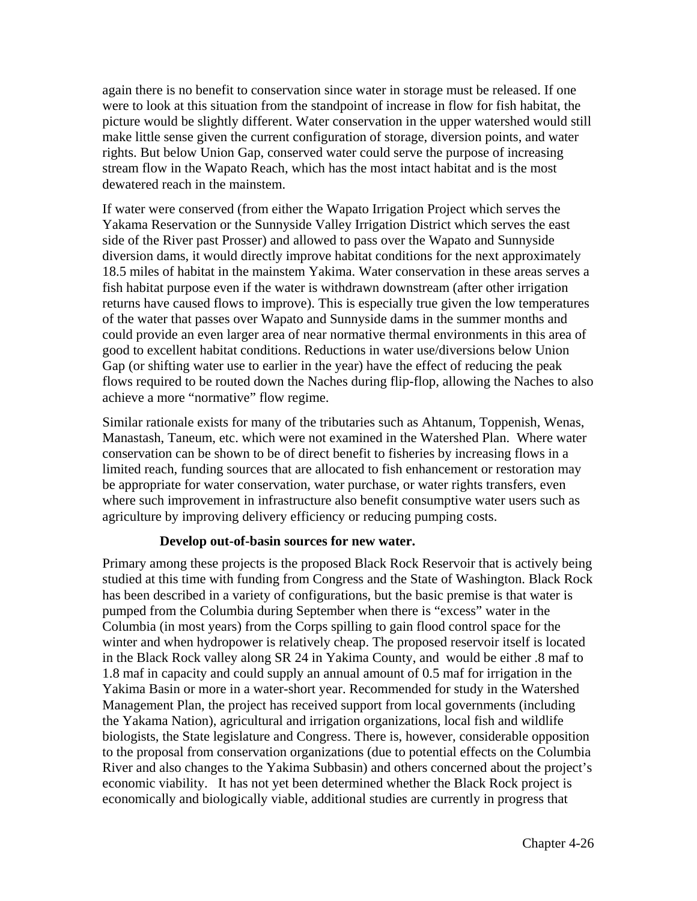again there is no benefit to conservation since water in storage must be released. If one were to look at this situation from the standpoint of increase in flow for fish habitat, the picture would be slightly different. Water conservation in the upper watershed would still make little sense given the current configuration of storage, diversion points, and water rights. But below Union Gap, conserved water could serve the purpose of increasing stream flow in the Wapato Reach, which has the most intact habitat and is the most dewatered reach in the mainstem.

If water were conserved (from either the Wapato Irrigation Project which serves the Yakama Reservation or the Sunnyside Valley Irrigation District which serves the east side of the River past Prosser) and allowed to pass over the Wapato and Sunnyside diversion dams, it would directly improve habitat conditions for the next approximately 18.5 miles of habitat in the mainstem Yakima. Water conservation in these areas serves a fish habitat purpose even if the water is withdrawn downstream (after other irrigation returns have caused flows to improve). This is especially true given the low temperatures of the water that passes over Wapato and Sunnyside dams in the summer months and could provide an even larger area of near normative thermal environments in this area of good to excellent habitat conditions. Reductions in water use/diversions below Union Gap (or shifting water use to earlier in the year) have the effect of reducing the peak flows required to be routed down the Naches during flip-flop, allowing the Naches to also achieve a more "normative" flow regime.

Similar rationale exists for many of the tributaries such as Ahtanum, Toppenish, Wenas, Manastash, Taneum, etc. which were not examined in the Watershed Plan. Where water conservation can be shown to be of direct benefit to fisheries by increasing flows in a limited reach, funding sources that are allocated to fish enhancement or restoration may be appropriate for water conservation, water purchase, or water rights transfers, even where such improvement in infrastructure also benefit consumptive water users such as agriculture by improving delivery efficiency or reducing pumping costs.

#### **Develop out-of-basin sources for new water.**

Primary among these projects is the proposed Black Rock Reservoir that is actively being studied at this time with funding from Congress and the State of Washington. Black Rock has been described in a variety of configurations, but the basic premise is that water is pumped from the Columbia during September when there is "excess" water in the Columbia (in most years) from the Corps spilling to gain flood control space for the winter and when hydropower is relatively cheap. The proposed reservoir itself is located in the Black Rock valley along SR 24 in Yakima County, and would be either .8 maf to 1.8 maf in capacity and could supply an annual amount of 0.5 maf for irrigation in the Yakima Basin or more in a water-short year. Recommended for study in the Watershed Management Plan, the project has received support from local governments (including the Yakama Nation), agricultural and irrigation organizations, local fish and wildlife biologists, the State legislature and Congress. There is, however, considerable opposition to the proposal from conservation organizations (due to potential effects on the Columbia River and also changes to the Yakima Subbasin) and others concerned about the project's economic viability. It has not yet been determined whether the Black Rock project is economically and biologically viable, additional studies are currently in progress that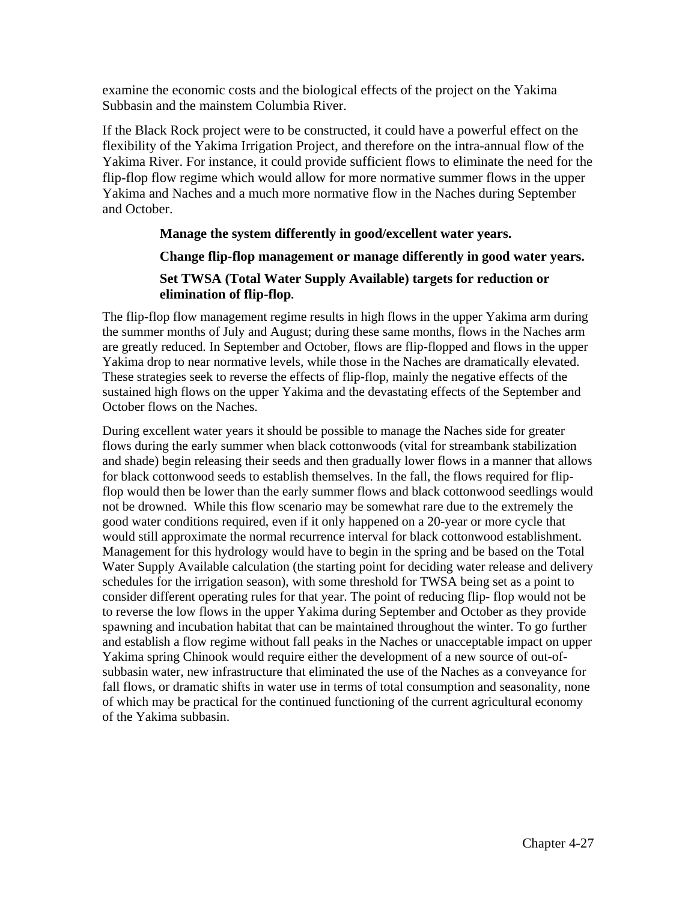examine the economic costs and the biological effects of the project on the Yakima Subbasin and the mainstem Columbia River.

If the Black Rock project were to be constructed, it could have a powerful effect on the flexibility of the Yakima Irrigation Project, and therefore on the intra-annual flow of the Yakima River. For instance, it could provide sufficient flows to eliminate the need for the flip-flop flow regime which would allow for more normative summer flows in the upper Yakima and Naches and a much more normative flow in the Naches during September and October.

#### **Manage the system differently in good/excellent water years.**

**Change flip-flop management or manage differently in good water years. Set TWSA (Total Water Supply Available) targets for reduction or elimination of flip-flop.**

The flip-flop flow management regime results in high flows in the upper Yakima arm during the summer months of July and August; during these same months, flows in the Naches arm are greatly reduced. In September and October, flows are flip-flopped and flows in the upper Yakima drop to near normative levels, while those in the Naches are dramatically elevated. These strategies seek to reverse the effects of flip-flop, mainly the negative effects of the sustained high flows on the upper Yakima and the devastating effects of the September and October flows on the Naches.

During excellent water years it should be possible to manage the Naches side for greater flows during the early summer when black cottonwoods (vital for streambank stabilization and shade) begin releasing their seeds and then gradually lower flows in a manner that allows for black cottonwood seeds to establish themselves. In the fall, the flows required for flipflop would then be lower than the early summer flows and black cottonwood seedlings would not be drowned. While this flow scenario may be somewhat rare due to the extremely the good water conditions required, even if it only happened on a 20-year or more cycle that would still approximate the normal recurrence interval for black cottonwood establishment. Management for this hydrology would have to begin in the spring and be based on the Total Water Supply Available calculation (the starting point for deciding water release and delivery schedules for the irrigation season), with some threshold for TWSA being set as a point to consider different operating rules for that year. The point of reducing flip- flop would not be to reverse the low flows in the upper Yakima during September and October as they provide spawning and incubation habitat that can be maintained throughout the winter. To go further and establish a flow regime without fall peaks in the Naches or unacceptable impact on upper Yakima spring Chinook would require either the development of a new source of out-ofsubbasin water, new infrastructure that eliminated the use of the Naches as a conveyance for fall flows, or dramatic shifts in water use in terms of total consumption and seasonality, none of which may be practical for the continued functioning of the current agricultural economy of the Yakima subbasin.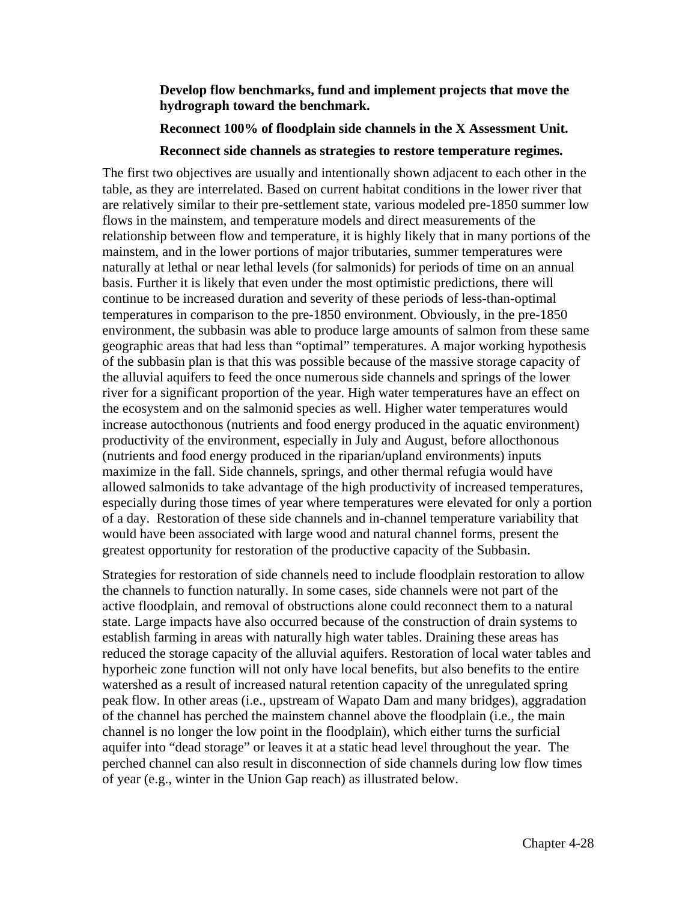#### **Develop flow benchmarks, fund and implement projects that move the hydrograph toward the benchmark.**

#### **Reconnect 100% of floodplain side channels in the X Assessment Unit.**

#### **Reconnect side channels as strategies to restore temperature regimes.**

The first two objectives are usually and intentionally shown adjacent to each other in the table, as they are interrelated. Based on current habitat conditions in the lower river that are relatively similar to their pre-settlement state, various modeled pre-1850 summer low flows in the mainstem, and temperature models and direct measurements of the relationship between flow and temperature, it is highly likely that in many portions of the mainstem, and in the lower portions of major tributaries, summer temperatures were naturally at lethal or near lethal levels (for salmonids) for periods of time on an annual basis. Further it is likely that even under the most optimistic predictions, there will continue to be increased duration and severity of these periods of less-than-optimal temperatures in comparison to the pre-1850 environment. Obviously, in the pre-1850 environment, the subbasin was able to produce large amounts of salmon from these same geographic areas that had less than "optimal" temperatures. A major working hypothesis of the subbasin plan is that this was possible because of the massive storage capacity of the alluvial aquifers to feed the once numerous side channels and springs of the lower river for a significant proportion of the year. High water temperatures have an effect on the ecosystem and on the salmonid species as well. Higher water temperatures would increase autocthonous (nutrients and food energy produced in the aquatic environment) productivity of the environment, especially in July and August, before allocthonous (nutrients and food energy produced in the riparian/upland environments) inputs maximize in the fall. Side channels, springs, and other thermal refugia would have allowed salmonids to take advantage of the high productivity of increased temperatures, especially during those times of year where temperatures were elevated for only a portion of a day. Restoration of these side channels and in-channel temperature variability that would have been associated with large wood and natural channel forms, present the greatest opportunity for restoration of the productive capacity of the Subbasin.

Strategies for restoration of side channels need to include floodplain restoration to allow the channels to function naturally. In some cases, side channels were not part of the active floodplain, and removal of obstructions alone could reconnect them to a natural state. Large impacts have also occurred because of the construction of drain systems to establish farming in areas with naturally high water tables. Draining these areas has reduced the storage capacity of the alluvial aquifers. Restoration of local water tables and hyporheic zone function will not only have local benefits, but also benefits to the entire watershed as a result of increased natural retention capacity of the unregulated spring peak flow. In other areas (i.e., upstream of Wapato Dam and many bridges), aggradation of the channel has perched the mainstem channel above the floodplain (i.e., the main channel is no longer the low point in the floodplain), which either turns the surficial aquifer into "dead storage" or leaves it at a static head level throughout the year. The perched channel can also result in disconnection of side channels during low flow times of year (e.g., winter in the Union Gap reach) as illustrated below.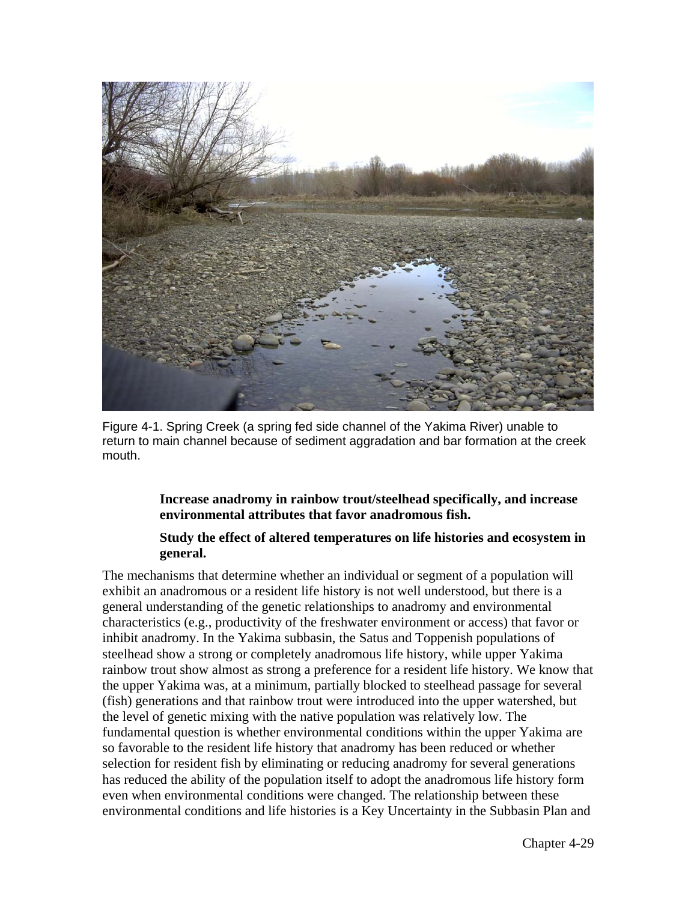

Figure 4-1. Spring Creek (a spring fed side channel of the Yakima River) unable to return to main channel because of sediment aggradation and bar formation at the creek mouth.

**Increase anadromy in rainbow trout/steelhead specifically, and increase environmental attributes that favor anadromous fish.** 

#### **Study the effect of altered temperatures on life histories and ecosystem in general.**

The mechanisms that determine whether an individual or segment of a population will exhibit an anadromous or a resident life history is not well understood, but there is a general understanding of the genetic relationships to anadromy and environmental characteristics (e.g., productivity of the freshwater environment or access) that favor or inhibit anadromy. In the Yakima subbasin, the Satus and Toppenish populations of steelhead show a strong or completely anadromous life history, while upper Yakima rainbow trout show almost as strong a preference for a resident life history. We know that the upper Yakima was, at a minimum, partially blocked to steelhead passage for several (fish) generations and that rainbow trout were introduced into the upper watershed, but the level of genetic mixing with the native population was relatively low. The fundamental question is whether environmental conditions within the upper Yakima are so favorable to the resident life history that anadromy has been reduced or whether selection for resident fish by eliminating or reducing anadromy for several generations has reduced the ability of the population itself to adopt the anadromous life history form even when environmental conditions were changed. The relationship between these environmental conditions and life histories is a Key Uncertainty in the Subbasin Plan and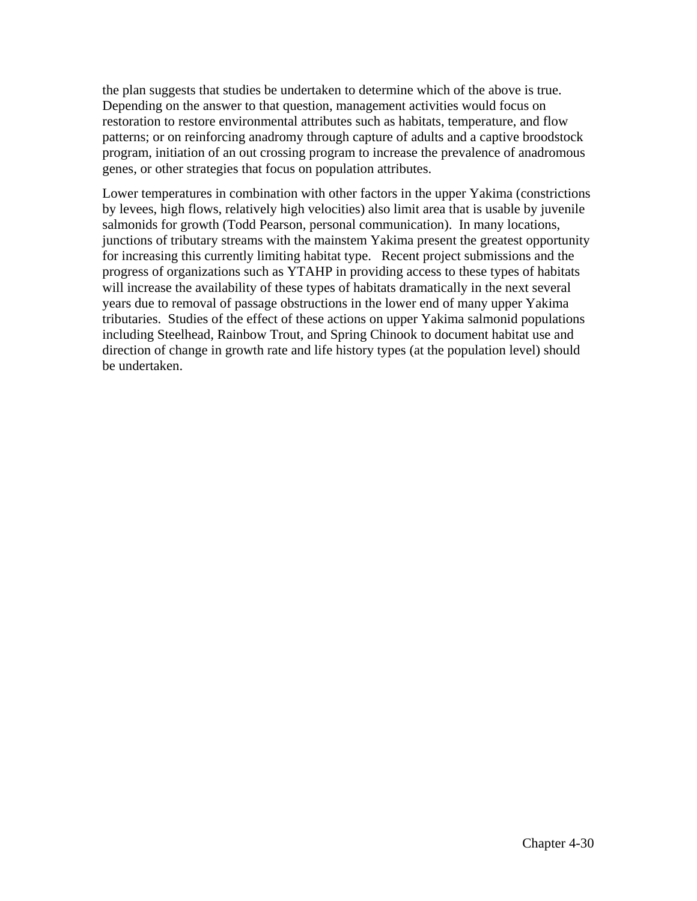the plan suggests that studies be undertaken to determine which of the above is true. Depending on the answer to that question, management activities would focus on restoration to restore environmental attributes such as habitats, temperature, and flow patterns; or on reinforcing anadromy through capture of adults and a captive broodstock program, initiation of an out crossing program to increase the prevalence of anadromous genes, or other strategies that focus on population attributes.

Lower temperatures in combination with other factors in the upper Yakima (constrictions by levees, high flows, relatively high velocities) also limit area that is usable by juvenile salmonids for growth (Todd Pearson, personal communication). In many locations, junctions of tributary streams with the mainstem Yakima present the greatest opportunity for increasing this currently limiting habitat type. Recent project submissions and the progress of organizations such as YTAHP in providing access to these types of habitats will increase the availability of these types of habitats dramatically in the next several years due to removal of passage obstructions in the lower end of many upper Yakima tributaries. Studies of the effect of these actions on upper Yakima salmonid populations including Steelhead, Rainbow Trout, and Spring Chinook to document habitat use and direction of change in growth rate and life history types (at the population level) should be undertaken.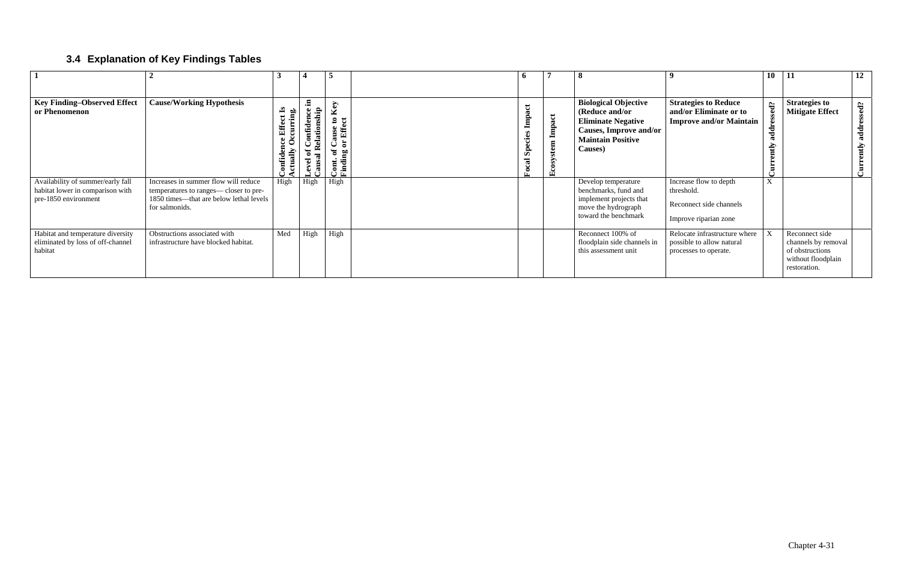# **3.4 Explanation of Ke y Findings Table s**

<span id="page-30-0"></span>

|                                                                                               |                                                                                                                                            |                                                                   |                                      | $\overline{5}$                                                                                                        |                            |                         | -8                                                                                                                                                 |                                                                                          | <b>10</b>                   | $\vert$ 11                                                                                     | 12                      |
|-----------------------------------------------------------------------------------------------|--------------------------------------------------------------------------------------------------------------------------------------------|-------------------------------------------------------------------|--------------------------------------|-----------------------------------------------------------------------------------------------------------------------|----------------------------|-------------------------|----------------------------------------------------------------------------------------------------------------------------------------------------|------------------------------------------------------------------------------------------|-----------------------------|------------------------------------------------------------------------------------------------|-------------------------|
| <b>Key Finding-Observed Effect</b><br>or Phenomenon                                           | <b>Cause/Working Hypothesis</b>                                                                                                            | $\mathbf{z}$<br>ffect<br>Irrin<br>ಲಿ ರ<br>$\overline{\mathbf{g}}$ | - 드<br>ပ္ပ<br>- 유<br>onfiden<br>Rela | Key<br>$\mathbf{c}$<br>$\mathbf{t}$<br>use i<br>Effe<br>$\overline{a}$<br>$\bar{\bullet}$<br>ಕ<br>ă<br>Cont.<br>Findi | Impact<br>Species<br>Focal | Impact<br>stem<br>Ecosy | <b>Biological Objective</b><br>(Reduce and/or<br><b>Eliminate Negative</b><br><b>Causes, Improve and/or</b><br><b>Maintain Positive</b><br>Causes) | <b>Strategies to Reduce</b><br>and/or Eliminate or to<br><b>Improve and/or Maintain</b>  | essed?<br>addr<br>Currently | <b>Strategies to</b><br><b>Mitigate Effect</b>                                                 | addressed?<br>Currently |
| Availability of summer/early fall<br>habitat lower in comparison with<br>pre-1850 environment | Increases in summer flow will reduce<br>temperatures to ranges—closer to pre-<br>1850 times—that are below lethal levels<br>for salmonids. | High                                                              | High                                 | High                                                                                                                  |                            |                         | Develop temperature<br>benchmarks, fund and<br>implement projects that<br>move the hydrograph<br>toward the benchmark                              | Increase flow to depth<br>threshold.<br>Reconnect side channels<br>Improve riparian zone | $\mathbf X$                 |                                                                                                |                         |
| Habitat and temperature diversity<br>eliminated by loss of off-channel<br>habitat             | Obstructions associated with<br>infrastructure have blocked habitat.                                                                       | Med                                                               | High                                 | High                                                                                                                  |                            |                         | Reconnect 100% of<br>floodplain side channels in<br>this assessment unit                                                                           | Relocate infrastructure where<br>possible to allow natural<br>processes to operate.      |                             | Reconnect side<br>channels by removal<br>of obstructions<br>without floodplain<br>restoration. |                         |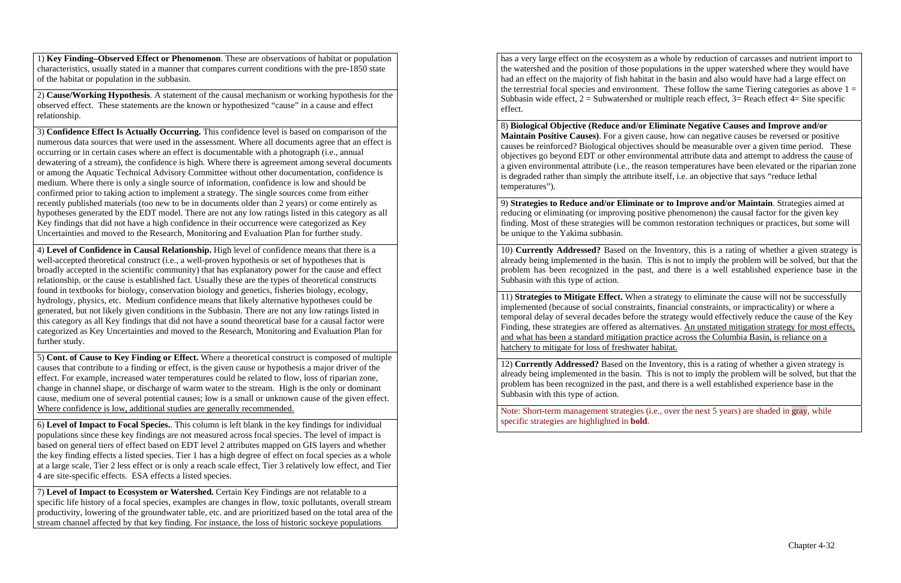1) **Key Finding–Observed Effect o r Phenomenon**. These are observations of habitat or population characteristics, usually stated in a manner that com pares current conditions with the pre-1850 state of the habitat or population in the subbasin.

2) **Cause/W orking Hypothesis**. A statement of the causal mechanism or working hypothesis for the observed effect. These statements are the known or hypothesized "cause" in a cause and effect relationship.

3) **Confidence Effect Is Actually Occurring.** This confidence level is based on com p arison of the num erous data sources that were used in the assessment. Where all docu ments agree that an effect is occurring or in certain cases where an effect is docum entable with a photograph (i.e., annual dewatering of a stream), the confidence is high. Where there is agreement among several docum ents or among the Aquatic Technical Advisory Committee witho ut other documentation, confidence is medium. Where there is only a single source of infor mation, confidence is low and should be confirm ed prior to taking action to implem ent a strategy. The single sources com e from either recently published materials (too new to be in documents older than 2 years) or come entirely as hypotheses generated by the EDT model. There are not any low ratings listed in this category as all Key findings that did not have a high confidence in their occurrence were categorized as Key Uncertainties and moved to the Research, Monitoring and E valuation Plan for further study.

4) **Level of Confidence in Causal Relationship.** High level of confidence means that there is a well-accepted theoretical construct (i.e., a well-proven hypothesis or set of hypotheses that is broadly accepted in the scientific community) that has explanatory power for the cause and effect relationship, or the cause is established fact. Usually these are the types of theoretical constructs found in textbooks for biology, conservation biology and genetics, fisheries biology, ecology, hydrology, physics, etc. Medium confidence m e a ns that likely alternative hypotheses could be generated, but not likely given conditions in the Subbasin. There are not any low ratings listed in this category as all Key findings that did not have a sound theoretical base for a causal factor were categorized as Key Uncertainties and moved to the Research, Monitoring and Evaluation Plan for further study.

5) **Cont. of Cause to Key Finding or Effect.**  W here a the oretical construct is composed of m ultiple causes that contribute to a finding or effect, is the given cause or hypothesis a m ajor driver of the effect. For example, increased water tem peratures could be related to flow, loss of riparian zone, change in channel shape, or discharge of war m water to the stream. High is the only or dominant cause, m edium one of s everal potential causes; low is a small or unknown cause of the given effect. W here confidence is low, additional studies are g enerally recommended.

11) **Strategies to Mitigate Effect.** When a strategy to eliminate the cause will not be successfully implemented (because of social constraints, financial constraints, or impracticality) or where a temporal delay of several decades before the strategy would effectively reduce the cause of the Key Finding, these strategies are offered as alternatives. An unstated mitigation strategy for most effects, and what has been a standard mitigation practice across the Columbia Basin, is r elianc e on a hatchery to mitigate for loss of freshwater habitat.

6) **Level of Impact to F ocal Species.**. This column is left blank in the key findings for individual populations since these key findings are not measured across focal species. The level of impact is based on general tiers of effect based on EDT level 2 attributes m apped on GIS layers and whether the key finding effects a listed species. Tier 1 has a high degree of effect on focal species as a whole at a large scale, Tier 2 less effect or is only a reach scale effect, Tier 3 relatively low effect, and Tier 4 are site-specific effects. ESA effects a listed s pecies.

Note: Short-term management strategies (i.e., over the next 5 years) are shaded in gray, while specific strategies are highlighted in **bold**.

7) **Level of Impact to E cosystem or Watershed.** Certain Key Findings are not relatable to a specific life history of a focal species, examples are chang es in flow, toxic pollutants, overall stream productivity, lowering of the groundwater table, etc. and are prioritized based on the total area of the stream channel affected by that key finding. For instance, the loss of historic sockeye populations

has a very large effect on the ecosystem as a whole by reduction of carcasses and nutrient import to the watershed and the position of those populations in the upper watershed where they would have had an effect on the majority of fish habitat in the basin and also would have had a large effect on the terrestrial focal species and environment. These follow the sam e Tiering categories as above 1 = Subbasin wide effect, 2 = Subwaters hed or multiple reach effect, 3= Reach effect 4= Site specific effect.

8) **Biological Objective (Reduce and/or Eliminate Negative Causes and Improve and/or Maintain Positive Causes).** For a given cause, how can negative causes be reversed or positive causes be reinforced? Biological objectives should be measurable over a given tim e period. These objectives go beyond EDT or other environmental attribute data and attempt to address the cause of a given environmental attribute (i.e., the reason temperatures have been elevated or the riparian zone is degraded rather than sim ply the attribute itself, i.e. an objective that says "reduce lethal tem peratures").

9) **Strategies to Reduce and/or Eliminate or to Improve and/or Maintain**. Strategies aim ed at reducing or eliminating (or improving positive phenomenon) the causal factor for the given key finding. Most of these strategies will be common restoration techniques or practices, b ut som e will be unique to the Yakim a subbasin.

10) **Currently Address ed?** Based on the Inventory, this is a rating of whether a given strategy is already being implemented in the basin. This is n ot to imply the problem will be solved, but that the problem has been recognized in the past, and there is a well establish ed experience base in the Subbasin with this type of action.

12) **Currently Addressed?** Based on the Inventory, this is a rating of whether a given strategy is already being implemented in the basin. This is not to imply the problem will be solved, but that the problem has been recognized in the past, and there is a well established experience base in the Subbasin with this type of action.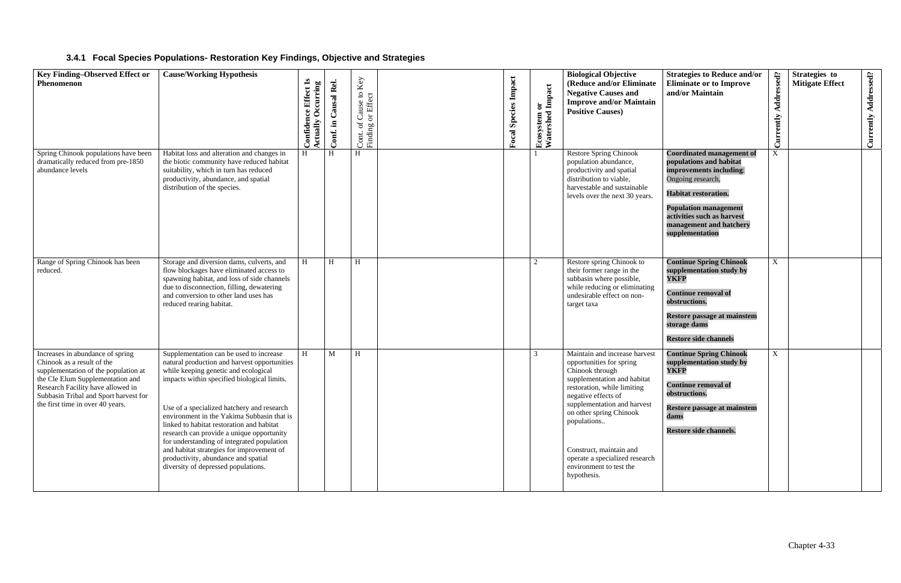# **3.4.1 Focal Species Populations- Restoration Key Findings, Objective and Strategies**

<span id="page-32-0"></span>

| Key Finding-Observed Effect or<br>Phenomenon                                                                                                                                                                                                                 | <b>Cause/Working Hypothesis</b>                                                                                                                                                                                                                                                                                                                                                                                                                                                                                                               | Effect Is<br>curring<br>Confidence<br>Ŏ<br>Actually | Causal Rel.<br>Conf. in | Key<br>Cause to<br>or Effect<br>đ<br>δp<br>Cont. | <b>Species Impact</b><br>Focal | Impact<br>$\overline{\mathbf{d}}$<br>rshed<br>Ecosystem<br><b>Wate</b> | <b>Biological Objective</b><br>(Reduce and/or Eliminate<br><b>Negative Causes and</b><br><b>Improve and/or Maintain</b><br><b>Positive Causes)</b>                                                                                                                                                                                                | <b>Strategies to Reduce and/or</b><br><b>Eliminate or to Improve</b><br>and/or Maintain                                                                                                                                                                | Addressed?<br>Currently | Strategies to<br>Addressed?<br><b>Mitigate Effect</b><br>Currently |
|--------------------------------------------------------------------------------------------------------------------------------------------------------------------------------------------------------------------------------------------------------------|-----------------------------------------------------------------------------------------------------------------------------------------------------------------------------------------------------------------------------------------------------------------------------------------------------------------------------------------------------------------------------------------------------------------------------------------------------------------------------------------------------------------------------------------------|-----------------------------------------------------|-------------------------|--------------------------------------------------|--------------------------------|------------------------------------------------------------------------|---------------------------------------------------------------------------------------------------------------------------------------------------------------------------------------------------------------------------------------------------------------------------------------------------------------------------------------------------|--------------------------------------------------------------------------------------------------------------------------------------------------------------------------------------------------------------------------------------------------------|-------------------------|--------------------------------------------------------------------|
| Spring Chinook populations have been<br>dramatically reduced from pre-1850<br>abundance levels                                                                                                                                                               | Habitat loss and alteration and changes in<br>the biotic community have reduced habitat<br>suitability, which in turn has reduced<br>productivity, abundance, and spatial<br>distribution of the species.                                                                                                                                                                                                                                                                                                                                     | H                                                   | H                       | H                                                |                                |                                                                        | <b>Restore Spring Chinook</b><br>population abundance,<br>productivity and spatial<br>distribution to viable,<br>harvestable and sustainable<br>levels over the next 30 years.                                                                                                                                                                    | <b>Coordinated management of</b><br>populations and habitat<br>improvements including:<br>Ongoing research,<br><b>Habitat restoration.</b><br><b>Population management</b><br>activities such as harvest<br>management and hatchery<br>supplementation | X                       |                                                                    |
| Range of Spring Chinook has been<br>reduced.                                                                                                                                                                                                                 | Storage and diversion dams, culverts, and<br>flow blockages have eliminated access to<br>spawning habitat, and loss of side channels<br>due to disconnection, filling, dewatering<br>and conversion to other land uses has<br>reduced rearing habitat.                                                                                                                                                                                                                                                                                        | H                                                   | H                       | H                                                |                                | $\mathcal{D}$                                                          | Restore spring Chinook to<br>their former range in the<br>subbasin where possible,<br>while reducing or eliminating<br>undesirable effect on non-<br>target taxa                                                                                                                                                                                  | <b>Continue Spring Chinook</b><br>supplementation study by<br><b>YKFP</b><br><b>Continue removal of</b><br>obstructions.<br><b>Restore passage at mainstem</b><br>storage dams<br><b>Restore side channels</b>                                         | $\mathbf X$             |                                                                    |
| Increases in abundance of spring<br>Chinook as a result of the<br>supplementation of the population at<br>the Cle Elum Supplementation and<br>Research Facility have allowed in<br>Subbasin Tribal and Sport harvest for<br>the first time in over 40 years. | Supplementation can be used to increase<br>natural production and harvest opportunities<br>while keeping genetic and ecological<br>impacts within specified biological limits.<br>Use of a specialized hatchery and research<br>environment in the Yakima Subbasin that is<br>linked to habitat restoration and habitat<br>research can provide a unique opportunity<br>for understanding of integrated population<br>and habitat strategies for improvement of<br>productivity, abundance and spatial<br>diversity of depressed populations. | H                                                   | M                       | H                                                |                                |                                                                        | Maintain and increase harvest<br>opportunities for spring<br>Chinook through<br>supplementation and habitat<br>restoration, while limiting<br>negative effects of<br>supplementation and harvest<br>on other spring Chinook<br>populations<br>Construct, maintain and<br>operate a specialized research<br>environment to test the<br>hypothesis. | <b>Continue Spring Chinook</b><br>supplementation study by<br><b>YKFP</b><br><b>Continue removal of</b><br>obstructions.<br>Restore passage at mainstem<br>dams<br>Restore side channels.                                                              | $\mathbf X$             |                                                                    |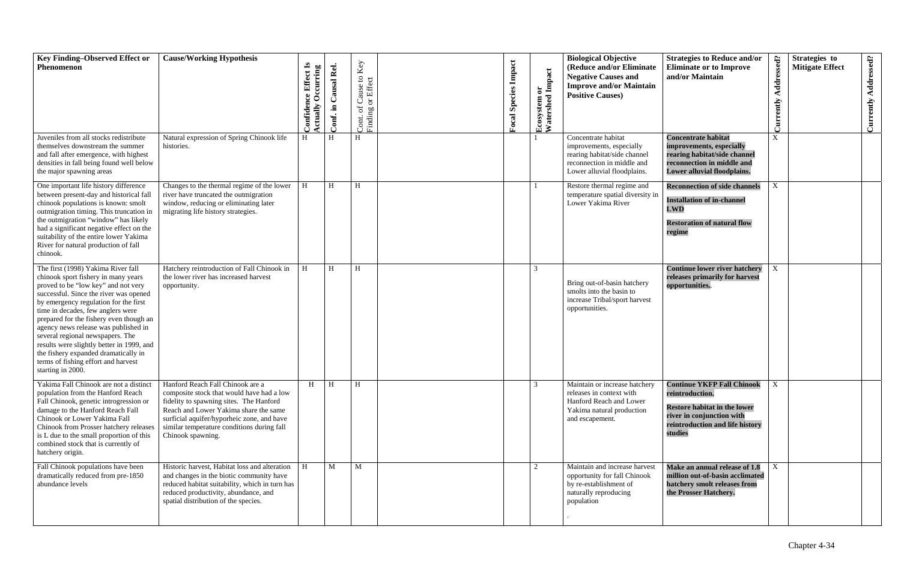| <b>Key Finding-Observed Effect or</b><br>Phenomenon                                                                                                                                                                                                                                                                                                                                                                                                                                                              | <b>Cause/Working Hypothesis</b>                                                                                                                                                                                                                                                    | <b>Confidence Effect Is</b><br>currin<br>$ctually$ Oc | Causal Rel.<br>르.<br>Conf. | Key<br>'ause to<br>· Effect<br>$\overline{a}$<br>◡<br>$\mathfrak{b}$<br>Finding | <b>Focal Species Impact</b> | impact<br>$\delta$<br>Watershed<br>Ecosystem | <b>Biological Objective</b><br>(Reduce and/or Eliminate<br><b>Negative Causes and</b><br><b>Improve and/or Maintain</b><br><b>Positive Causes)</b> | <b>Strategies to Reduce and/or</b><br><b>Eliminate or to Improve</b><br>and/or Maintain                                                                                | Addressed?<br>rrently | Strategies to<br>Addressed?<br><b>Mitigate Effect</b><br>Currently |
|------------------------------------------------------------------------------------------------------------------------------------------------------------------------------------------------------------------------------------------------------------------------------------------------------------------------------------------------------------------------------------------------------------------------------------------------------------------------------------------------------------------|------------------------------------------------------------------------------------------------------------------------------------------------------------------------------------------------------------------------------------------------------------------------------------|-------------------------------------------------------|----------------------------|---------------------------------------------------------------------------------|-----------------------------|----------------------------------------------|----------------------------------------------------------------------------------------------------------------------------------------------------|------------------------------------------------------------------------------------------------------------------------------------------------------------------------|-----------------------|--------------------------------------------------------------------|
| Juveniles from all stocks redistribute<br>themselves downstream the summer<br>and fall after emergence, with highest<br>densities in fall being found well below<br>the major spawning areas                                                                                                                                                                                                                                                                                                                     | Natural expression of Spring Chinook life<br>histories.                                                                                                                                                                                                                            | H                                                     | H                          | H                                                                               |                             |                                              | Concentrate habitat<br>improvements, especially<br>rearing habitat/side channel<br>reconnection in middle and<br>Lower alluvial floodplains.       | <b>Concentrate habitat</b><br>improvements, especially<br>rearing habitat/side channel<br>reconnection in middle and<br>Lower alluvial floodplains.                    | $\mathbf X$           |                                                                    |
| One important life history difference<br>between present-day and historical fall<br>chinook populations is known: smolt<br>outmigration timing. This truncation in<br>the outmigration "window" has likely<br>had a significant negative effect on the<br>suitability of the entire lower Yakima<br>River for natural production of fall<br>chinook.                                                                                                                                                             | Changes to the thermal regime of the lower<br>river have truncated the outmigration<br>window, reducing or eliminating later<br>migrating life history strategies.                                                                                                                 | H                                                     | H                          | H                                                                               |                             |                                              | Restore thermal regime and<br>temperature spatial diversity in<br>Lower Yakima River                                                               | <b>Reconnection of side channels</b><br><b>Installation of in-channel</b><br><b>LWD</b><br><b>Restoration of natural flow</b><br>regime                                | X                     |                                                                    |
| The first (1998) Yakima River fall<br>chinook sport fishery in many years<br>proved to be "low key" and not very<br>successful. Since the river was opened<br>by emergency regulation for the first<br>time in decades, few anglers were<br>prepared for the fishery even though an<br>agency news release was published in<br>several regional newspapers. The<br>results were slightly better in 1999, and<br>the fishery expanded dramatically in<br>terms of fishing effort and harvest<br>starting in 2000. | Hatchery reintroduction of Fall Chinook in<br>the lower river has increased harvest<br>opportunity.                                                                                                                                                                                | H                                                     | H                          | H                                                                               |                             | 3                                            | Bring out-of-basin hatchery<br>smolts into the basin to<br>increase Tribal/sport harvest<br>opportunities.                                         | <b>Continue lower river hatchery</b><br>releases primarily for harvest<br>opportunities.                                                                               |                       |                                                                    |
| Yakima Fall Chinook are not a distinct<br>population from the Hanford Reach<br>Fall Chinook, genetic introgression or<br>damage to the Hanford Reach Fall<br>Chinook or Lower Yakima Fall<br>Chinook from Prosser hatchery releases<br>is L due to the small proportion of this<br>combined stock that is currently of<br>hatchery origin.                                                                                                                                                                       | Hanford Reach Fall Chinook are a<br>composite stock that would have had a low<br>fidelity to spawning sites. The Hanford<br>Reach and Lower Yakima share the same<br>surficial aquifer/hyporheic zone, and have<br>similar temperature conditions during fall<br>Chinook spawning. | H                                                     | ΙH                         | H                                                                               |                             |                                              | Maintain or increase hatchery<br>releases in context with<br>Hanford Reach and Lower<br>Yakima natural production<br>and escapement.               | <b>Continue YKFP Fall Chinook</b><br>reintroduction.<br><b>Restore habitat in the lower</b><br>river in conjunction with<br>reintroduction and life history<br>studies |                       |                                                                    |
| Fall Chinook populations have been<br>dramatically reduced from pre-1850<br>abundance levels                                                                                                                                                                                                                                                                                                                                                                                                                     | Historic harvest, Habitat loss and alteration<br>and changes in the biotic community have<br>reduced habitat suitability, which in turn has<br>reduced productivity, abundance, and<br>spatial distribution of the species.                                                        | H                                                     | M                          | $\mathbf{M}$                                                                    |                             | $\overline{2}$                               | Maintain and increase harvest<br>opportunity for fall Chinook<br>by re-establishment of<br>naturally reproducing<br>population                     | Make an annual release of 1.8<br>million out-of-basin acclimated<br>hatchery smolt releases from<br>the Prosser Hatchery.                                              |                       |                                                                    |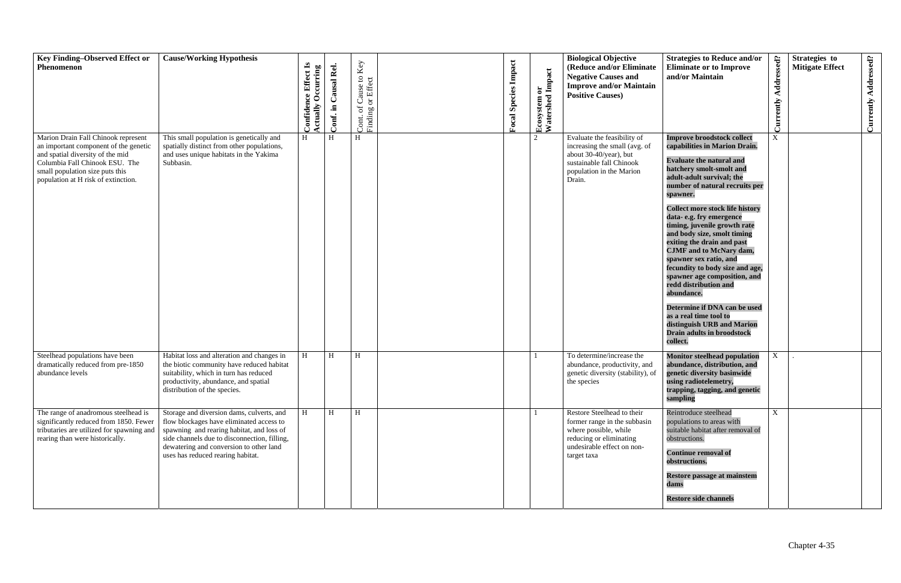| <b>Key Finding-Observed Effect or</b><br>Phenomenon<br>Marion Drain Fall Chinook represent<br>an important component of the genetic<br>and spatial diversity of the mid<br>Columbia Fall Chinook ESU. The<br>small population size puts this<br>population at H risk of extinction. | <b>Cause/Working Hypothesis</b><br>This small population is genetically and<br>spatially distinct from other populations,<br>and uses unique habitats in the Yakima<br>Subbasin.                                                                                   | <b>Effect Is</b><br>curring<br>Confidence<br>Actually Oce<br>H | Causal Rel.<br>Conf. in<br>H | Key<br>ause to<br>Effect<br>ಕ<br>Cont.<br>Findi<br>H | Impact<br><b>Species</b><br>Focal | Impact<br>$\delta$<br>Watershed<br>Ecosystem<br>$\mathcal{D}$ | <b>Biological Objective</b><br>(Reduce and/or Eliminate)<br><b>Negative Causes and</b><br><b>Improve and/or Maintain</b><br><b>Positive Causes)</b><br>Evaluate the feasibility of<br>increasing the small (avg. of<br>about 30-40/year), but<br>sustainable fall Chinook<br>population in the Marion<br>Drain. | <b>Strategies to Reduce and/or</b><br><b>Eliminate or to Improve</b><br>and/or Maintain<br><b>Improve broodstock collect</b><br>capabilities in Marion Drain.<br><b>Evaluate the natural and</b><br>hatchery smolt-smolt and<br>adult-adult survival; the<br>number of natural recruits per<br>spawner.<br><b>Collect more stock life history</b><br>data-e.g. fry emergence<br>timing, juvenile growth rate<br>and body size, smolt timing<br>exiting the drain and past<br><b>CJMF</b> and to McNary dam,<br>spawner sex ratio, and<br>fecundity to body size and age,<br>spawner age composition, and<br>redd distribution and<br>abundance.<br>Determine if DNA can be used<br>as a real time tool to<br>distinguish URB and Marion<br><b>Drain adults in broodstock</b><br>collect. | Addressed?<br>Currently<br>X | <b>Strategies to</b><br>Addressed?<br><b>Mitigate Effect</b><br>Currently |
|-------------------------------------------------------------------------------------------------------------------------------------------------------------------------------------------------------------------------------------------------------------------------------------|--------------------------------------------------------------------------------------------------------------------------------------------------------------------------------------------------------------------------------------------------------------------|----------------------------------------------------------------|------------------------------|------------------------------------------------------|-----------------------------------|---------------------------------------------------------------|-----------------------------------------------------------------------------------------------------------------------------------------------------------------------------------------------------------------------------------------------------------------------------------------------------------------|------------------------------------------------------------------------------------------------------------------------------------------------------------------------------------------------------------------------------------------------------------------------------------------------------------------------------------------------------------------------------------------------------------------------------------------------------------------------------------------------------------------------------------------------------------------------------------------------------------------------------------------------------------------------------------------------------------------------------------------------------------------------------------------|------------------------------|---------------------------------------------------------------------------|
| Steelhead populations have been<br>dramatically reduced from pre-1850<br>abundance levels                                                                                                                                                                                           | Habitat loss and alteration and changes in<br>the biotic community have reduced habitat<br>suitability, which in turn has reduced<br>productivity, abundance, and spatial<br>distribution of the species.                                                          | H                                                              | H                            | H                                                    |                                   |                                                               | To determine/increase the<br>abundance, productivity, and<br>genetic diversity (stability), of<br>the species                                                                                                                                                                                                   | <b>Monitor steelhead population</b><br>abundance, distribution, and<br>genetic diversity basinwide<br>using radiotelemetry,<br>trapping, tagging, and genetic<br>sampling                                                                                                                                                                                                                                                                                                                                                                                                                                                                                                                                                                                                                | X                            |                                                                           |
| The range of anadromous steelhead is<br>significantly reduced from 1850. Fewer<br>tributaries are utilized for spawning and<br>rearing than were historically.                                                                                                                      | Storage and diversion dams, culverts, and<br>flow blockages have eliminated access to<br>spawning and rearing habitat, and loss of<br>side channels due to disconnection, filling,<br>dewatering and conversion to other land<br>uses has reduced rearing habitat. | H                                                              | H                            | H                                                    |                                   | $\overline{1}$                                                | Restore Steelhead to their<br>former range in the subbasin<br>where possible, while<br>reducing or eliminating<br>undesirable effect on non-<br>target taxa                                                                                                                                                     | Reintroduce steelhead<br>populations to areas with<br>suitable habitat after removal of<br>obstructions.<br><b>Continue removal of</b><br>obstructions.<br><b>Restore passage at mainstem</b><br>dams<br><b>Restore side channels</b>                                                                                                                                                                                                                                                                                                                                                                                                                                                                                                                                                    | X                            |                                                                           |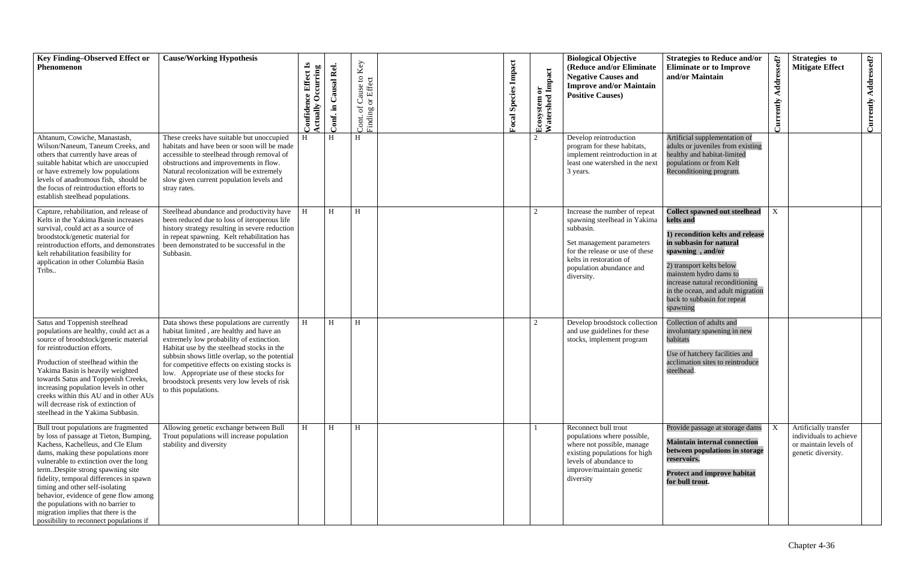| <b>Key Finding-Observed Effect or</b><br>Phenomenon<br>Ahtanum, Cowiche, Manastash,<br>Wilson/Naneum, Taneum Creeks, and                                                                                                                                                                                                                                                                                                                                                                   | <b>Cause/Working Hypothesis</b><br>These creeks have suitable but unoccupied<br>habitats and have been or soon will be made                                                                                                                                                                                                                                                                            | Effect Is<br>curring<br>Confidence<br>Actually Oc<br>H | Causal Rel.<br>Conf. in<br>H | Key<br>ause to<br>Effect<br>đ<br>ā<br>Findin<br>ont.<br>H | Impact<br><b>Focal Species</b> | Impact<br>$\delta$<br>Ecosystem of<br>Watershed<br>2 | <b>Biological Objective</b><br>(Reduce and/or Eliminate)<br><b>Negative Causes and</b><br><b>Improve and/or Maintain</b><br><b>Positive Causes)</b><br>Develop reintroduction<br>program for these habitats,    | <b>Strategies to Reduce and/or</b><br><b>Eliminate or to Improve</b><br>and/or Maintain<br>Artificial supplementation of<br>adults or juveniles from existing                                                                                                                                                 | Addressed?<br>Currenty    | Strategies to<br>Currently Addressed?<br><b>Mitigate Effect</b>                                |
|--------------------------------------------------------------------------------------------------------------------------------------------------------------------------------------------------------------------------------------------------------------------------------------------------------------------------------------------------------------------------------------------------------------------------------------------------------------------------------------------|--------------------------------------------------------------------------------------------------------------------------------------------------------------------------------------------------------------------------------------------------------------------------------------------------------------------------------------------------------------------------------------------------------|--------------------------------------------------------|------------------------------|-----------------------------------------------------------|--------------------------------|------------------------------------------------------|-----------------------------------------------------------------------------------------------------------------------------------------------------------------------------------------------------------------|---------------------------------------------------------------------------------------------------------------------------------------------------------------------------------------------------------------------------------------------------------------------------------------------------------------|---------------------------|------------------------------------------------------------------------------------------------|
| others that currently have areas of<br>suitable habitat which are unoccupied<br>or have extremely low populations<br>levels of anadromous fish, should be<br>the focus of reintroduction efforts to<br>establish steelhead populations.                                                                                                                                                                                                                                                    | accessible to steelhead through removal of<br>obstructions and improvements in flow.<br>Natural recolonization will be extremely<br>slow given current population levels and<br>stray rates.                                                                                                                                                                                                           |                                                        |                              |                                                           |                                |                                                      | implement reintroduction in at<br>least one watershed in the next<br>3 years.                                                                                                                                   | healthy and habitat-limited<br>populations or from Kelt<br>Reconditioning program                                                                                                                                                                                                                             |                           |                                                                                                |
| Capture, rehabilitation, and release of<br>Kelts in the Yakima Basin increases<br>survival, could act as a source of<br>broodstock/genetic material for<br>reintroduction efforts, and demonstrates<br>kelt rehabilitation feasibility for<br>application in other Columbia Basin<br>Tribs                                                                                                                                                                                                 | Steelhead abundance and productivity have<br>been reduced due to loss of iteroperous life<br>history strategy resulting in severe reduction<br>in repeat spawning. Kelt rehabilitation has<br>been demonstrated to be successful in the<br>Subbasin.                                                                                                                                                   | H                                                      | H                            | H                                                         |                                | 2                                                    | Increase the number of repeat<br>spawning steelhead in Yakima<br>subbasin.<br>Set management parameters<br>for the release or use of these<br>kelts in restoration of<br>population abundance and<br>diversity. | <b>Collect spawned out steelhead</b><br>kelts and<br>1) recondition kelts and release<br>in subbasin for natural<br>spawning, and/or<br>2) transport kelts below<br>mainstem hydro dams to<br>increase natural reconditioning<br>in the ocean, and adult migration<br>back to subbasin for repeat<br>spawning | X                         |                                                                                                |
| Satus and Toppenish steelhead<br>populations are healthy, could act as a<br>source of broodstock/genetic material<br>for reintroduction efforts.<br>Production of steelhead within the<br>Yakima Basin is heavily weighted<br>towards Satus and Toppenish Creeks,<br>increasing population levels in other<br>creeks within this AU and in other AUs<br>will decrease risk of extinction of<br>steelhead in the Yakima Subbasin.                                                           | Data shows these populations are currently<br>habitat limited, are healthy and have an<br>extremely low probability of extinction.<br>Habitat use by the steelhead stocks in the<br>subbsin shows little overlap, so the potential<br>for competitive effects on existing stocks is<br>low. Appropriate use of these stocks for<br>broodstock presents very low levels of risk<br>to this populations. | H                                                      | H                            | H                                                         |                                | 2                                                    | Develop broodstock collection<br>and use guidelines for these<br>stocks, implement program                                                                                                                      | Collection of adults and<br>involuntary spawning in new<br>habitats<br>Use of hatchery facilities and<br>acclimation sites to reintroduce<br>steelhead.                                                                                                                                                       |                           |                                                                                                |
| Bull trout populations are fragmented<br>by loss of passage at Tieton, Bumping,<br>Kachess, Kachelleus, and Cle Elum<br>dams, making these populations more<br>vulnerable to extinction over the long<br>term. Despite strong spawning site<br>fidelity, temporal differences in spawn<br>timing and other self-isolating<br>behavior, evidence of gene flow among<br>the populations with no barrier to<br>migration implies that there is the<br>possibility to reconnect populations if | Allowing genetic exchange between Bull<br>Trout populations will increase population<br>stability and diversity                                                                                                                                                                                                                                                                                        | H                                                      | H                            | H                                                         |                                |                                                      | Reconnect bull trout<br>populations where possible,<br>where not possible, manage<br>existing populations for high<br>levels of abundance to<br>improve/maintain genetic<br>diversity                           | Provide passage at storage dams<br><b>Maintain internal connection</b><br>between populations in storage<br>reservoirs.<br><b>Protect and improve habitat</b><br>for bull trout.                                                                                                                              | $\boldsymbol{\mathrm{X}}$ | Artificially transfer<br>individuals to achieve<br>or maintain levels of<br>genetic diversity. |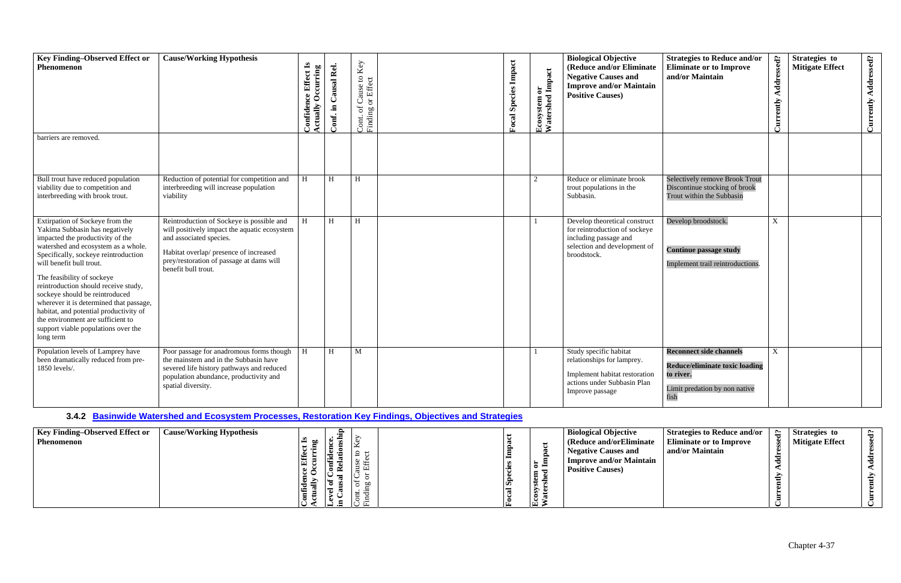| <b>Key Finding-Observed Effect or</b><br>Phenomenon<br>barriers are removed.                                                                                                                                                                                                                                                                                                                                                                                                                           | <b>Cause/Working Hypothesis</b>                                                                                                                                                                                                   | Confidence Effect Is<br>Actually Occurring | Causal Rel.<br>Conf. in | Key<br>ause to<br>Effect<br>Cau<br>$\overline{\sigma}$<br>đ<br>Cont. of<br>Finding | <b>Focal Species Impact</b> | Ecosystem or<br>Watershed Impact | <b>Biological Objective</b><br>(Reduce and/or Eliminate<br><b>Negative Causes and</b><br><b>Improve and/or Maintain</b><br><b>Positive Causes)</b> | <b>Strategies to Reduce and/or</b><br><b>Eliminate or to Improve</b><br>and/or Maintain                                       | Addressed?<br>Currently | Strategies to<br><b>Currently Addressed?</b><br><b>Mitigate Effect</b> |
|--------------------------------------------------------------------------------------------------------------------------------------------------------------------------------------------------------------------------------------------------------------------------------------------------------------------------------------------------------------------------------------------------------------------------------------------------------------------------------------------------------|-----------------------------------------------------------------------------------------------------------------------------------------------------------------------------------------------------------------------------------|--------------------------------------------|-------------------------|------------------------------------------------------------------------------------|-----------------------------|----------------------------------|----------------------------------------------------------------------------------------------------------------------------------------------------|-------------------------------------------------------------------------------------------------------------------------------|-------------------------|------------------------------------------------------------------------|
|                                                                                                                                                                                                                                                                                                                                                                                                                                                                                                        |                                                                                                                                                                                                                                   |                                            |                         |                                                                                    |                             |                                  |                                                                                                                                                    |                                                                                                                               |                         |                                                                        |
| Bull trout have reduced population<br>viability due to competition and<br>interbreeding with brook trout.                                                                                                                                                                                                                                                                                                                                                                                              | Reduction of potential for competition and<br>interbreeding will increase population<br>viability                                                                                                                                 | H                                          | H                       | H                                                                                  |                             | $\overline{2}$                   | Reduce or eliminate brook<br>trout populations in the<br>Subbasin.                                                                                 | Selectively remove Brook Trout<br>Discontinue stocking of brook<br>Trout within the Subbasin                                  |                         |                                                                        |
| Extirpation of Sockeye from the<br>Yakima Subbasin has negatively<br>impacted the productivity of the<br>watershed and ecosystem as a whole.<br>Specifically, sockeye reintroduction<br>will benefit bull trout.<br>The feasibility of sockeye<br>reintroduction should receive study,<br>sockeye should be reintroduced<br>wherever it is determined that passage,<br>habitat, and potential productivity of<br>the environment are sufficient to<br>support viable populations over the<br>long term | Reintroduction of Sockeye is possible and<br>will positively impact the aquatic ecosystem<br>and associated species.<br>Habitat overlap/ presence of increased<br>prey/restoration of passage at dams will<br>benefit bull trout. | H                                          | H                       | H                                                                                  |                             |                                  | Develop theoretical construct<br>for reintroduction of sockeye<br>including passage and<br>selection and development of<br>broodstock.             | Develop broodstock.<br><b>Continue passage study</b><br>Implement trail reintroductions.                                      | X                       |                                                                        |
| Population levels of Lamprey have<br>been dramatically reduced from pre-<br>1850 levels/.                                                                                                                                                                                                                                                                                                                                                                                                              | Poor passage for anadromous forms though<br>the mainstem and in the Subbasin have<br>severed life history pathways and reduced<br>population abundance, productivity and<br>spatial diversity.                                    | H                                          | H                       | M                                                                                  |                             |                                  | Study specific habitat<br>relationships for lamprey.<br>Implement habitat restoration<br>actions under Subbasin Plan<br>Improve passage            | <b>Reconnect side channels</b><br><b>Reduce/eliminate toxic loading</b><br>to river.<br>Limit predation by non native<br>fish | X                       |                                                                        |

#### **3.4.2 Basinwide Watershed and Ecosystem Processes, Restoration Key Findings, Objectives and Strategies**

| Key Finding-Observed Effect or<br>Phenomenon | <b>Cause/Working Hypothesis</b> | ao<br>. ⊶<br>$\sim$<br><u>ಲ</u> ೆ ರೆ<br>$\sim$<br>$\frac{d}{dx}$<br>l`ಕ<br>용 용<br>- | ≚<br>. ಕ ರ<br>$\checkmark$<br>$\overline{\phantom{a}}$<br>⊶ |  |  | $\overline{\bullet}$ $\overline{\bullet}$<br>$E_{\rm B}$<br>ັ<br>ت<br>in.<br>$\sum_{i=1}^n a_i$<br>õ<br>$\bullet$ $\sim$<br>I⊡ ≯ | <b>Biological Objective</b><br>(Reduce and/orEliminate<br><b>Negative Causes and</b><br><b>Improve and/or Maintain</b><br><b>Positive Causes</b> ) | <b>Strategies to Reduce and/or</b><br><b>Eliminate or to Improve</b><br>and/or Maintain | $\tilde{=}$<br>$\mathbf{E}$ | Strategies to<br><b>Mitigate Effect</b> |  |
|----------------------------------------------|---------------------------------|-------------------------------------------------------------------------------------|-------------------------------------------------------------|--|--|----------------------------------------------------------------------------------------------------------------------------------|----------------------------------------------------------------------------------------------------------------------------------------------------|-----------------------------------------------------------------------------------------|-----------------------------|-----------------------------------------|--|
|----------------------------------------------|---------------------------------|-------------------------------------------------------------------------------------|-------------------------------------------------------------|--|--|----------------------------------------------------------------------------------------------------------------------------------|----------------------------------------------------------------------------------------------------------------------------------------------------|-----------------------------------------------------------------------------------------|-----------------------------|-----------------------------------------|--|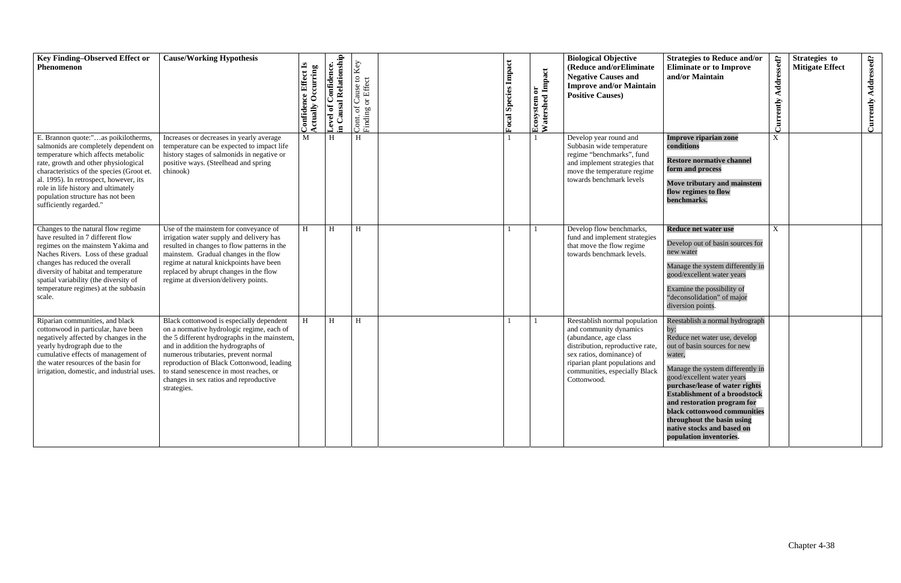| <b>Key Finding-Observed Effect or</b><br>Phenomenon                                                                                                                                                                                                                                                                                                       | <b>Cause/Working Hypothesis</b>                                                                                                                                                                                                                                                                                                                                      | $\mathbf{a}_0$<br>Confidence<br>Actually Oce | <b>Lever or Commente.</b><br>in Causal Relationship<br>Confidence<br>$\sigma$<br>Level | Key<br>Cause to<br>Effect<br>$\overleftarrow{\mathrm{O}}$<br>ð<br>Finding<br>ont. | Impact<br><b>Focal Species</b> | or<br>Impact<br>Ecosystem o<br>Watershed 1 | <b>Biological Objective</b><br>(Reduce and/orEliminate<br><b>Negative Causes and</b><br><b>Improve and/or Maintain</b><br><b>Positive Causes)</b>                                                                                   | <b>Strategies to Reduce and/or</b><br><b>Eliminate or to Improve</b><br>and/or Maintain                                                                                                                                                                                                                                                                                                                             | Addressed?<br>Currently | <b>Strategies to</b><br><b>Mitigate Effect</b> | Currently Addressed? |
|-----------------------------------------------------------------------------------------------------------------------------------------------------------------------------------------------------------------------------------------------------------------------------------------------------------------------------------------------------------|----------------------------------------------------------------------------------------------------------------------------------------------------------------------------------------------------------------------------------------------------------------------------------------------------------------------------------------------------------------------|----------------------------------------------|----------------------------------------------------------------------------------------|-----------------------------------------------------------------------------------|--------------------------------|--------------------------------------------|-------------------------------------------------------------------------------------------------------------------------------------------------------------------------------------------------------------------------------------|---------------------------------------------------------------------------------------------------------------------------------------------------------------------------------------------------------------------------------------------------------------------------------------------------------------------------------------------------------------------------------------------------------------------|-------------------------|------------------------------------------------|----------------------|
| E. Brannon quote:"as poikilotherms,<br>salmonids are completely dependent on<br>temperature which affects metabolic<br>rate, growth and other physiological<br>characteristics of the species (Groot et.<br>al. 1995). In retrospect, however, its<br>role in life history and ultimately<br>population structure has not been<br>sufficiently regarded." | Increases or decreases in yearly average<br>temperature can be expected to impact life<br>history stages of salmonids in negative or<br>positive ways. (Steelhead and spring<br>chinook)                                                                                                                                                                             | M                                            | H                                                                                      | H                                                                                 |                                |                                            | Develop year round and<br>Subbasin wide temperature<br>regime "benchmarks", fund<br>and implement strategies that<br>move the temperature regime<br>towards benchmark levels                                                        | <b>Improve riparian zone</b><br>conditions<br><b>Restore normative channel</b><br>form and process<br>Move tributary and mainstem<br>flow regimes to flow<br>benchmarks.                                                                                                                                                                                                                                            | $\mathbf X$             |                                                |                      |
| Changes to the natural flow regime<br>have resulted in 7 different flow<br>regimes on the mainstem Yakima and<br>Naches Rivers. Loss of these gradual<br>changes has reduced the overall<br>diversity of habitat and temperature<br>spatial variability (the diversity of<br>temperature regimes) at the subbasin<br>scale.                               | Use of the mainstem for conveyance of<br>irrigation water supply and delivery has<br>resulted in changes to flow patterns in the<br>mainstem. Gradual changes in the flow<br>regime at natural knickpoints have been<br>replaced by abrupt changes in the flow<br>regime at diversion/delivery points.                                                               | H                                            | H                                                                                      | H                                                                                 |                                |                                            | Develop flow benchmarks,<br>fund and implement strategies<br>that move the flow regime<br>towards benchmark levels.                                                                                                                 | <b>Reduce net water use</b><br>Develop out of basin sources for<br>new water<br>Manage the system differently in<br>good/excellent water years<br>Examine the possibility of<br>"deconsolidation" of major<br>diversion points.                                                                                                                                                                                     | X                       |                                                |                      |
| Riparian communities, and black<br>cottonwood in particular, have been<br>negatively affected by changes in the<br>yearly hydrograph due to the<br>cumulative effects of management of<br>the water resources of the basin for<br>irrigation, domestic, and industrial uses.                                                                              | Black cottonwood is especially dependent<br>on a normative hydrologic regime, each of<br>the 5 different hydrographs in the mainstem,<br>and in addition the hydrographs of<br>numerous tributaries, prevent normal<br>reproduction of Black Cottonwood, leading<br>to stand senescence in most reaches, or<br>changes in sex ratios and reproductive<br>strategies. | H                                            | H                                                                                      | H                                                                                 |                                |                                            | Reestablish normal population<br>and community dynamics<br>(abundance, age class<br>distribution, reproductive rate,<br>sex ratios, dominance) of<br>riparian plant populations and<br>communities, especially Black<br>Cottonwood. | Reestablish a normal hydrograph<br>by:<br>Reduce net water use, develop<br>out of basin sources for new<br>water.<br>Manage the system differently in<br>good/excellent water years<br>purchase/lease of water rights<br><b>Establishment of a broodstock</b><br>and restoration program for<br>black cottonwood communities<br>throughout the basin using<br>native stocks and based on<br>population inventories. |                         |                                                |                      |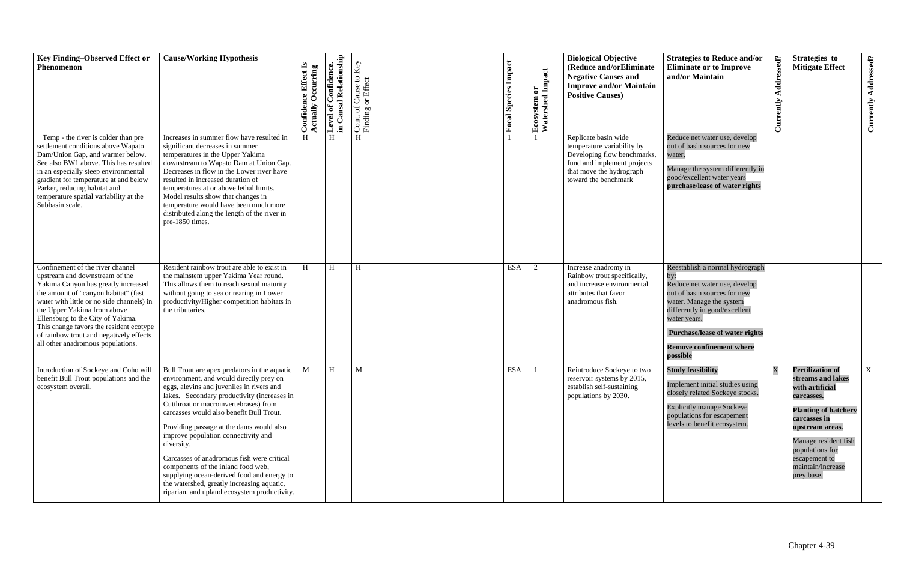| <b>Key Finding-Observed Effect or</b><br>Phenomenon                                                                                                                                                                                                                                                                                                                                           | <b>Cause/Working Hypothesis</b>                                                                                                                                                                                                                                                                                                                                                                                                                                                                                                                                                                           | ring<br>Confidence<br>Actually Oc | n Causal Relationship<br>Confidence<br>Level of $\mathfrak o$ | f Cause to Key<br>or Effect<br>Cont. of (<br>Finding ( | <b>Focal Species Impact</b> | Ecosystem or<br>Watershed Impact | <b>Biological Objective</b><br>(Reduce and/orEliminate<br><b>Negative Causes and</b><br><b>Improve and/or Maintain</b><br><b>Positive Causes)</b>                    | <b>Strategies to Reduce and/or</b><br><b>Eliminate or to Improve</b><br>and/or Maintain                                                                                                                                                                               | Addressed?<br>Currently | <b>Strategies to</b><br><b>Mitigate Effect</b>                                                                                                                                                                                                 | <b>Currently Addressed?</b> |
|-----------------------------------------------------------------------------------------------------------------------------------------------------------------------------------------------------------------------------------------------------------------------------------------------------------------------------------------------------------------------------------------------|-----------------------------------------------------------------------------------------------------------------------------------------------------------------------------------------------------------------------------------------------------------------------------------------------------------------------------------------------------------------------------------------------------------------------------------------------------------------------------------------------------------------------------------------------------------------------------------------------------------|-----------------------------------|---------------------------------------------------------------|--------------------------------------------------------|-----------------------------|----------------------------------|----------------------------------------------------------------------------------------------------------------------------------------------------------------------|-----------------------------------------------------------------------------------------------------------------------------------------------------------------------------------------------------------------------------------------------------------------------|-------------------------|------------------------------------------------------------------------------------------------------------------------------------------------------------------------------------------------------------------------------------------------|-----------------------------|
| Temp - the river is colder than pre<br>settlement conditions above Wapato<br>Dam/Union Gap, and warmer below.<br>See also BW1 above. This has resulted<br>in an especially steep environmental<br>gradient for temperature at and below<br>Parker, reducing habitat and<br>temperature spatial variability at the<br>Subbasin scale.                                                          | Increases in summer flow have resulted in<br>significant decreases in summer<br>temperatures in the Upper Yakima<br>downstream to Wapato Dam at Union Gap.<br>Decreases in flow in the Lower river have<br>resulted in increased duration of<br>temperatures at or above lethal limits.<br>Model results show that changes in<br>temperature would have been much more<br>distributed along the length of the river in<br>pre-1850 times.                                                                                                                                                                 | H                                 | $\, {\rm H}$                                                  | H                                                      |                             |                                  | Replicate basin wide<br>temperature variability by<br>Developing flow benchmarks,<br>fund and implement projects<br>that move the hydrograph<br>toward the benchmark | Reduce net water use, develop<br>out of basin sources for new<br>water,<br>Manage the system differently in<br>good/excellent water years<br>purchase/lease of water rights                                                                                           |                         |                                                                                                                                                                                                                                                |                             |
| Confinement of the river channel<br>upstream and downstream of the<br>Yakima Canyon has greatly increased<br>the amount of "canyon habitat" (fast<br>water with little or no side channels) in<br>the Upper Yakima from above<br>Ellensburg to the City of Yakima.<br>This change favors the resident ecotype<br>of rainbow trout and negatively effects<br>all other anadromous populations. | Resident rainbow trout are able to exist in<br>the mainstem upper Yakima Year round.<br>This allows them to reach sexual maturity<br>without going to sea or rearing in Lower<br>productivity/Higher competition habitats in<br>the tributaries.                                                                                                                                                                                                                                                                                                                                                          | H                                 | H                                                             | H                                                      | <b>ESA</b>                  | $\overline{2}$                   | Increase anadromy in<br>Rainbow trout specifically,<br>and increase environmental<br>attributes that favor<br>anadromous fish.                                       | Reestablish a normal hydrograph<br>by:<br>Reduce net water use, develop<br>out of basin sources for new<br>water. Manage the system<br>differently in good/excellent<br>water years.<br>Purchase/lease of water rights<br><b>Remove confinement where</b><br>possible |                         |                                                                                                                                                                                                                                                |                             |
| Introduction of Sockeye and Coho will<br>benefit Bull Trout populations and the<br>ecosystem overall.                                                                                                                                                                                                                                                                                         | Bull Trout are apex predators in the aquatic<br>environment, and would directly prey on<br>eggs, alevins and juveniles in rivers and<br>lakes. Secondary productivity (increases in<br>Cutthroat or macroinvertebrases) from<br>carcasses would also benefit Bull Trout.<br>Providing passage at the dams would also<br>improve population connectivity and<br>diversity.<br>Carcasses of anadromous fish were critical<br>components of the inland food web,<br>supplying ocean-derived food and energy to<br>the watershed, greatly increasing aquatic,<br>riparian, and upland ecosystem productivity. | M                                 | H                                                             | M                                                      | <b>ESA</b>                  |                                  | Reintroduce Sockeye to two<br>reservoir systems by 2015,<br>establish self-sustaining<br>populations by 2030.                                                        | <b>Study feasibility</b><br>Implement initial studies using<br>closely related Sockeye stocks.<br><b>Explicitly manage Sockeye</b><br>populations for escapement<br>levels to benefit ecosystem.                                                                      |                         | <b>Fertilization of</b><br>streams and lakes<br>with artificial<br>carcasses.<br><b>Planting of hatchery</b><br>carcasses in<br>upstream areas.<br>Manage resident fish<br>populations for<br>escapement to<br>maintain/increase<br>prey base. | $\mathbf X$                 |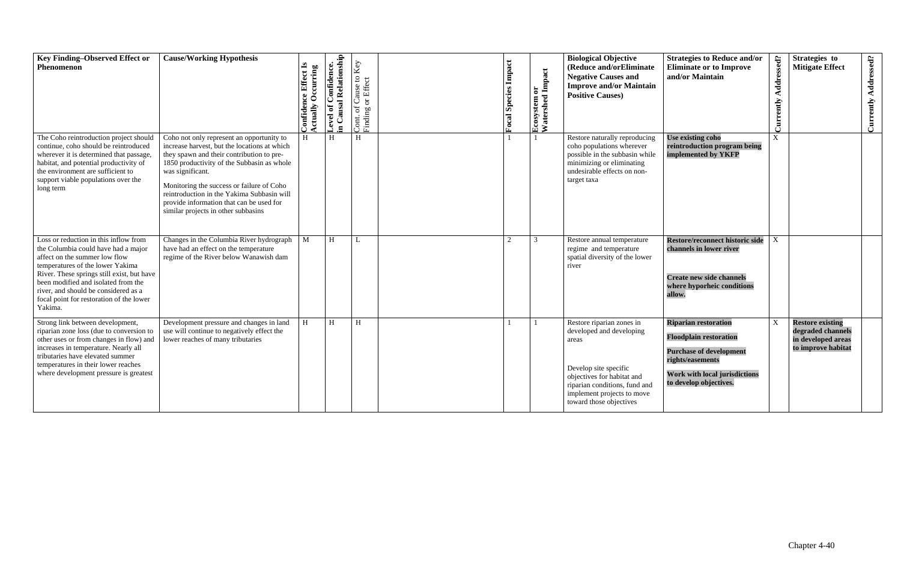| <b>Key Finding-Observed Effect or</b><br>Phenomenon                                                                                                                                                                                                                                                                                   | <b>Cause/Working Hypothesis</b>                                                                                                                                                                                                                                                                                                                                                        | ccurring<br><b>Effect</b><br>Confidence ]<br>Actually Oce | n Causal Relationship<br>Level of Confidence. | Cont. of Cause to Key<br>Finding or Effect | <b>Focal Species Impact</b> | or<br>Impact<br>Ecosystem o<br>Watershed 1 | <b>Biological Objective</b><br>(Reduce and/orEliminate<br><b>Negative Causes and</b><br><b>Improve and/or Maintain</b><br><b>Positive Causes)</b>                                                               | <b>Strategies to Reduce and/or</b><br><b>Eliminate or to Improve</b><br>and/or Maintain                                                                                       | Addressed?<br>Currently   | <b>Strategies to</b><br><b>Mitigate Effect</b>                                           | Currently Addressed? |
|---------------------------------------------------------------------------------------------------------------------------------------------------------------------------------------------------------------------------------------------------------------------------------------------------------------------------------------|----------------------------------------------------------------------------------------------------------------------------------------------------------------------------------------------------------------------------------------------------------------------------------------------------------------------------------------------------------------------------------------|-----------------------------------------------------------|-----------------------------------------------|--------------------------------------------|-----------------------------|--------------------------------------------|-----------------------------------------------------------------------------------------------------------------------------------------------------------------------------------------------------------------|-------------------------------------------------------------------------------------------------------------------------------------------------------------------------------|---------------------------|------------------------------------------------------------------------------------------|----------------------|
| The Coho reintroduction project should<br>continue, coho should be reintroduced<br>wherever it is determined that passage,<br>habitat, and potential productivity of<br>the environment are sufficient to<br>support viable populations over the<br>long term                                                                         | Coho not only represent an opportunity to<br>increase harvest, but the locations at which<br>they spawn and their contribution to pre-<br>1850 productivity of the Subbasin as whole<br>was significant.<br>Monitoring the success or failure of Coho<br>reintroduction in the Yakima Subbasin will<br>provide information that can be used for<br>similar projects in other subbasins | H                                                         | H                                             | H                                          |                             | $\overline{1}$                             | Restore naturally reproducing<br>coho populations wherever<br>possible in the subbasin while<br>minimizing or eliminating<br>undesirable effects on non-<br>target taxa                                         | <b>Use existing coho</b><br>reintroduction program being<br>implemented by YKFP                                                                                               | $\overline{X}$            |                                                                                          |                      |
| Loss or reduction in this inflow from<br>the Columbia could have had a major<br>affect on the summer low flow<br>temperatures of the lower Yakima<br>River. These springs still exist, but have<br>been modified and isolated from the<br>river, and should be considered as a<br>focal point for restoration of the lower<br>Yakima. | Changes in the Columbia River hydrograph<br>have had an effect on the temperature<br>regime of the River below Wanawish dam                                                                                                                                                                                                                                                            | M                                                         | H                                             |                                            | $\mathfrak{D}$              | 3                                          | Restore annual temperature<br>regime and temperature<br>spatial diversity of the lower<br>river                                                                                                                 | <b>Restore/reconnect historic side</b><br>channels in lower river<br><b>Create new side channels</b><br>where hyporheic conditions<br>allow.                                  | X                         |                                                                                          |                      |
| Strong link between development,<br>riparian zone loss (due to conversion to<br>other uses or from changes in flow) and<br>increases in temperature. Nearly all<br>tributaries have elevated summer<br>temperatures in their lower reaches<br>where development pressure is greatest                                                  | Development pressure and changes in land<br>use will continue to negatively effect the<br>lower reaches of many tributaries                                                                                                                                                                                                                                                            | H                                                         | H                                             | H                                          |                             |                                            | Restore riparian zones in<br>developed and developing<br>areas<br>Develop site specific<br>objectives for habitat and<br>riparian conditions, fund and<br>implement projects to move<br>toward those objectives | <b>Riparian restoration</b><br><b>Floodplain restoration</b><br><b>Purchase of development</b><br>rights/easements<br>Work with local jurisdictions<br>to develop objectives. | $\boldsymbol{\mathrm{X}}$ | <b>Restore existing</b><br>degraded channels<br>in developed areas<br>to improve habitat |                      |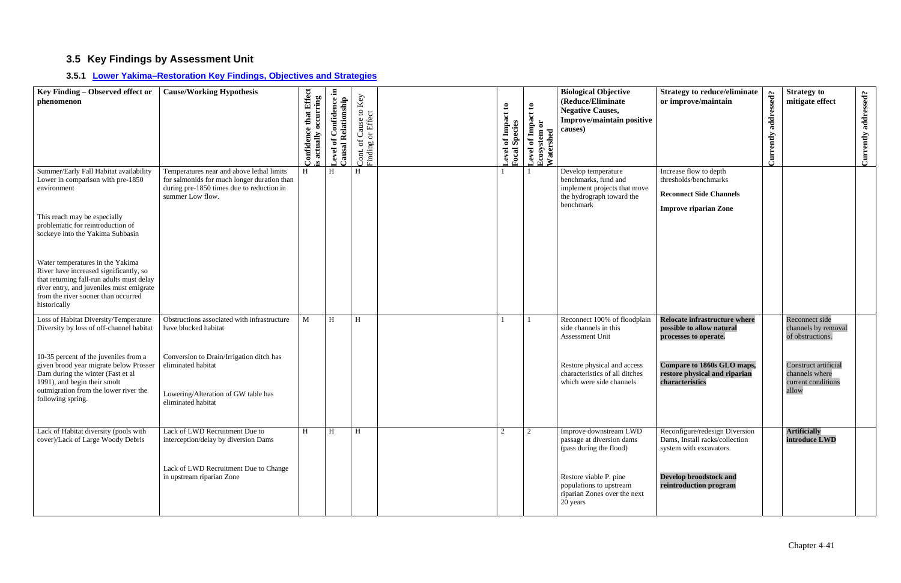# **3.5 Key Findings by Assessment Unit**

#### **3.5.1 Lower Yakima–Restoration Key Findings, Objectives and Strategies**

| Key Finding – Observed effect or<br>phenomenon                                                                                                                                                                             | <b>Cause/Working Hypothesis</b>                                                                                                                           | Effect<br>ring<br>that<br>Confidence<br>acti<br>$\bullet$ | of Confidence in<br>sal Relationship<br>Level<br>Cau | Cause to Key<br>or Effect<br>$\mathfrak{b}$<br>Finding<br>Cont. | of Impact to<br>Species<br>Level<br>Focal | Level of Impact to<br>Ecosystem or<br>Watershed | <b>Biological Objective</b><br>(Reduce/Eliminate<br><b>Negative Causes,</b><br>Improve/maintain positive<br>causes)                                                               | <b>Strategy to reduce/eliminate</b><br>or improve/maintain                                                                                             | addressed?<br>Currently | <b>Strategy to</b><br>mitigate effect                                 | Currently addressed? |
|----------------------------------------------------------------------------------------------------------------------------------------------------------------------------------------------------------------------------|-----------------------------------------------------------------------------------------------------------------------------------------------------------|-----------------------------------------------------------|------------------------------------------------------|-----------------------------------------------------------------|-------------------------------------------|-------------------------------------------------|-----------------------------------------------------------------------------------------------------------------------------------------------------------------------------------|--------------------------------------------------------------------------------------------------------------------------------------------------------|-------------------------|-----------------------------------------------------------------------|----------------------|
| Summer/Early Fall Habitat availability<br>Lower in comparison with pre-1850<br>environment<br>This reach may be especially<br>problematic for reintroduction of<br>sockeye into the Yakima Subbasin                        | Temperatures near and above lethal limits<br>for salmonids for much longer duration than<br>during pre-1850 times due to reduction in<br>summer Low flow. | H                                                         | H                                                    | H                                                               |                                           |                                                 | Develop temperature<br>benchmarks, fund and<br>implement projects that move<br>the hydrograph toward the<br>benchmark                                                             | Increase flow to depth<br>thresholds/benchmarks<br><b>Reconnect Side Channels</b><br><b>Improve riparian Zone</b>                                      |                         |                                                                       |                      |
| Water temperatures in the Yakima<br>River have increased significantly, so<br>that returning fall-run adults must delay<br>river entry, and juveniles must emigrate<br>from the river sooner than occurred<br>historically |                                                                                                                                                           |                                                           |                                                      |                                                                 |                                           |                                                 |                                                                                                                                                                                   |                                                                                                                                                        |                         |                                                                       |                      |
| Loss of Habitat Diversity/Temperature<br>Diversity by loss of off-channel habitat                                                                                                                                          | Obstructions associated with infrastructure<br>have blocked habitat                                                                                       | M                                                         | $\boldsymbol{\mathrm{H}}$                            | H                                                               |                                           |                                                 | Reconnect 100% of floodplain<br>side channels in this<br>Assessment Unit                                                                                                          | <b>Relocate infrastructure where</b><br>possible to allow natural<br>processes to operate.                                                             |                         | Reconnect side<br>channels by removal<br>of obstructions.             |                      |
| 10-35 percent of the juveniles from a<br>given brood year migrate below Prosser<br>Dam during the winter (Fast et al<br>1991), and begin their smolt<br>outmigration from the lower river the<br>following spring.         | Conversion to Drain/Irrigation ditch has<br>eliminated habitat<br>Lowering/Alteration of GW table has<br>eliminated habitat                               |                                                           |                                                      |                                                                 |                                           |                                                 | Restore physical and access<br>characteristics of all ditches<br>which were side channels                                                                                         | Compare to 1860s GLO maps,<br>restore physical and riparian<br>characteristics                                                                         |                         | Construct artificial<br>channels where<br>current conditions<br>allow |                      |
| Lack of Habitat diversity (pools with<br>cover)/Lack of Large Woody Debris                                                                                                                                                 | Lack of LWD Recruitment Due to<br>interception/delay by diversion Dams<br>Lack of LWD Recruitment Due to Change<br>in upstream riparian Zone              | H                                                         | $\, {\rm H}$                                         | H                                                               | $\overline{2}$                            | $\overline{2}$                                  | Improve downstream LWD<br>passage at diversion dams<br>(pass during the flood)<br>Restore viable P. pine<br>populations to upstream<br>riparian Zones over the next<br>$20$ years | Reconfigure/redesign Diversion<br>Dams, Install racks/collection<br>system with excavators.<br><b>Develop broodstock and</b><br>reintroduction program |                         | <b>Artificially</b><br>introduce LWD                                  |                      |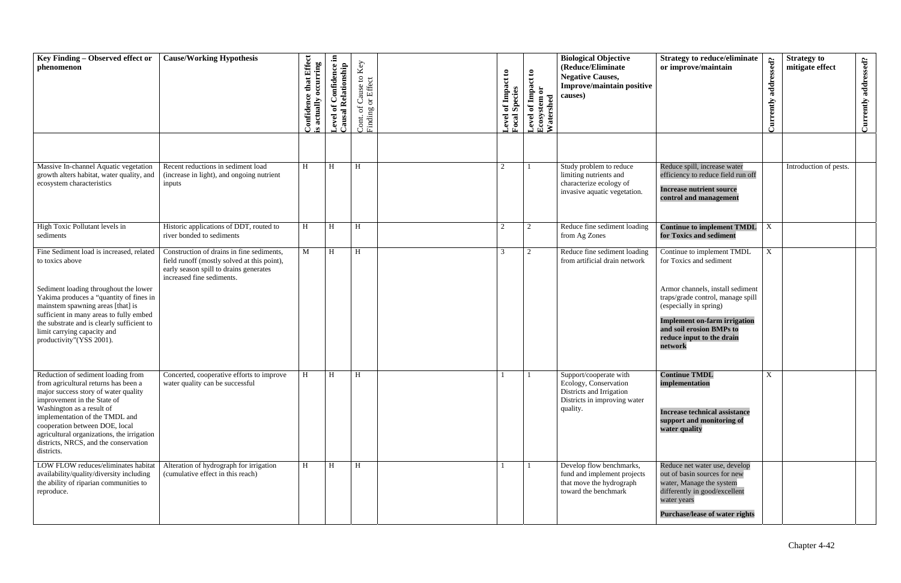| Key Finding - Observed effect or<br>phenomenon                                                                                                                                                                                                                                                                                                          | <b>Cause/Working Hypothesis</b>                                                                                                                                 | <b>Effect</b><br>Confid | of Confidence in<br>Relationshi<br>Causa<br>Level | to Key<br>or Effect<br>Cause<br>đ<br>Finding<br>Cont. | of Impact to<br>Species<br>Level<br>Focal | Level of Impact to<br>Ecosystem or<br>Watershed | <b>Biological Objective</b><br>(Reduce/Eliminate<br><b>Negative Causes,</b><br>Improve/maintain positive<br>causes)     | <b>Strategy to reduce/eliminate</b><br>or improve/maintain                                                                                                                                                                                                          | addressed?<br>Currently | <b>Strategy to</b><br>mitigate effect | addressed?<br>Currently |
|---------------------------------------------------------------------------------------------------------------------------------------------------------------------------------------------------------------------------------------------------------------------------------------------------------------------------------------------------------|-----------------------------------------------------------------------------------------------------------------------------------------------------------------|-------------------------|---------------------------------------------------|-------------------------------------------------------|-------------------------------------------|-------------------------------------------------|-------------------------------------------------------------------------------------------------------------------------|---------------------------------------------------------------------------------------------------------------------------------------------------------------------------------------------------------------------------------------------------------------------|-------------------------|---------------------------------------|-------------------------|
| Massive In-channel Aquatic vegetation<br>growth alters habitat, water quality, and<br>ecosystem characteristics                                                                                                                                                                                                                                         | Recent reductions in sediment load<br>(increase in light), and ongoing nutrient<br>inputs                                                                       | H                       | H                                                 | H                                                     | $\overline{2}$                            |                                                 | Study problem to reduce<br>limiting nutrients and<br>characterize ecology of<br>invasive aquatic vegetation.            | Reduce spill, increase water<br>efficiency to reduce field run off<br><b>Increase nutrient source</b><br>control and management                                                                                                                                     |                         | Introduction of pests.                |                         |
| High Toxic Pollutant levels in<br>sediments                                                                                                                                                                                                                                                                                                             | Historic applications of DDT, routed to<br>river bonded to sediments                                                                                            | H                       | H                                                 | H                                                     | 2                                         | 2                                               | Reduce fine sediment loading<br>from Ag Zones                                                                           | <b>Continue to implement TMDL</b><br>for Toxics and sediment                                                                                                                                                                                                        | X                       |                                       |                         |
| Fine Sediment load is increased, related<br>to toxics above<br>Sediment loading throughout the lower<br>Yakima produces a "quantity of fines in<br>mainstem spawning areas [that] is<br>sufficient in many areas to fully embed<br>the substrate and is clearly sufficient to<br>limit carrying capacity and<br>productivity"(YSS 2001).                | Construction of drains in fine sediments,<br>field runoff (mostly solved at this point),<br>early season spill to drains generates<br>increased fine sediments. | $\mathbf{M}$            | H                                                 | H                                                     | 3                                         | 2                                               | Reduce fine sediment loading<br>from artificial drain network                                                           | Continue to implement TMDL<br>for Toxics and sediment<br>Armor channels, install sediment<br>traps/grade control, manage spill<br>(especially in spring)<br><b>Implement on-farm irrigation</b><br>and soil erosion BMPs to<br>reduce input to the drain<br>network | $\mathbf X$             |                                       |                         |
| Reduction of sediment loading from<br>from agricultural returns has been a<br>major success story of water quality<br>improvement in the State of<br>Washington as a result of<br>implementation of the TMDL and<br>cooperation between DOE, local<br>agricultural organizations, the irrigation<br>districts, NRCS, and the conservation<br>districts. | Concerted, cooperative efforts to improve<br>water quality can be successful                                                                                    | $\, {\rm H}$            | H                                                 | H                                                     |                                           |                                                 | Support/cooperate with<br>Ecology, Conservation<br>Districts and Irrigation<br>Districts in improving water<br>quality. | <b>Continue TMDL</b><br>implementation<br><b>Increase technical assistance</b><br>support and monitoring of<br>water quality                                                                                                                                        | $\mathbf X$             |                                       |                         |
| LOW FLOW reduces/eliminates habitat<br>availability/quality/diversity including<br>the ability of riparian communities to<br>reproduce.                                                                                                                                                                                                                 | Alteration of hydrograph for irrigation<br>(cumulative effect in this reach)                                                                                    | H                       | $\,$ H                                            | H                                                     |                                           |                                                 | Develop flow benchmarks,<br>fund and implement projects<br>that move the hydrograph<br>toward the benchmark             | Reduce net water use, develop<br>out of basin sources for new<br>water, Manage the system<br>differently in good/excellent<br>water years<br><b>Purchase/lease of water rights</b>                                                                                  |                         |                                       |                         |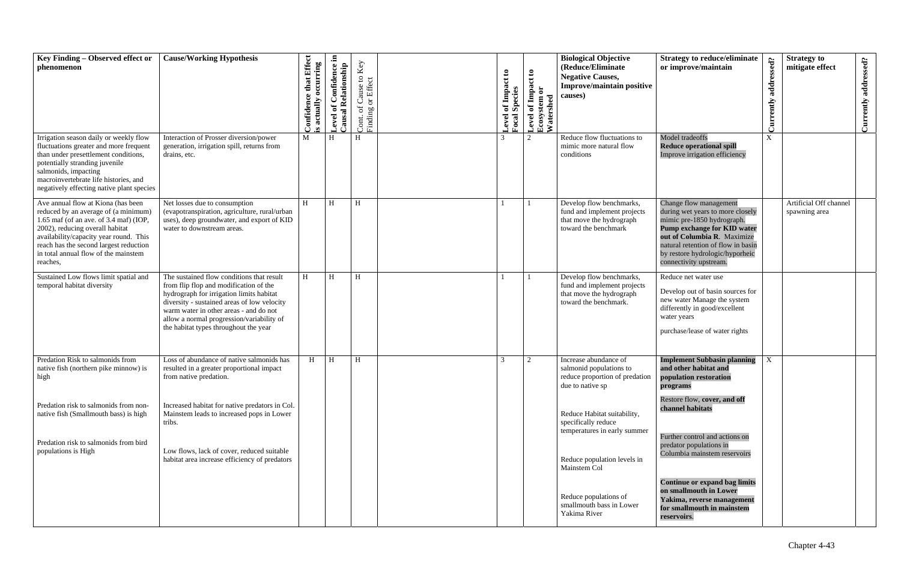| Key Finding – Observed effect or<br>phenomenon                                                                                                                                                                                                                                                  | <b>Cause/Working Hypothesis</b>                                                                                                                                                                                                                                                                                | <b>Effect</b><br>that<br>Confidence | of Confidence in<br>ausal Relationship<br>Level | of Cause to Key<br>Effect<br>$\tilde{a}$<br>Finding<br>Cont. | Level of Impact to<br> Focal Species | Level of Impact to<br>$\mathbf{C}$<br><i>rstem</i><br><b>Natershed</b><br>Ecosy | <b>Biological Objective</b><br>(Reduce/Eliminate<br><b>Negative Causes,</b><br>Improve/maintain positive<br>causes) | <b>Strategy to reduce/eliminate</b><br>addressed?<br>or improve/maintain<br>Currently                                                                                                                                                                            | <b>Strategy to</b><br>mitigate effect   | addressed?<br>Currently: |
|-------------------------------------------------------------------------------------------------------------------------------------------------------------------------------------------------------------------------------------------------------------------------------------------------|----------------------------------------------------------------------------------------------------------------------------------------------------------------------------------------------------------------------------------------------------------------------------------------------------------------|-------------------------------------|-------------------------------------------------|--------------------------------------------------------------|--------------------------------------|---------------------------------------------------------------------------------|---------------------------------------------------------------------------------------------------------------------|------------------------------------------------------------------------------------------------------------------------------------------------------------------------------------------------------------------------------------------------------------------|-----------------------------------------|--------------------------|
| Irrigation season daily or weekly flow<br>fluctuations greater and more frequent<br>than under presettlement conditions,<br>potentially stranding juvenile<br>salmonids, impacting<br>macroinvertebrate life histories, and<br>negatively effecting native plant species                        | Interaction of Prosser diversion/power<br>generation, irrigation spill, returns from<br>drains, etc.                                                                                                                                                                                                           | M                                   | H                                               | H                                                            | $\mathcal{E}$                        | 2                                                                               | Reduce flow fluctuations to<br>mimic more natural flow<br>conditions                                                | $\mathbf X$<br>Model tradeoffs<br><b>Reduce operational spill</b><br>Improve irrigation efficiency                                                                                                                                                               |                                         |                          |
| Ave annual flow at Kiona (has been<br>reduced by an average of (a minimum)<br>1.65 maf (of an ave. of 3.4 maf) (IOP,<br>2002), reducing overall habitat<br>availability/capacity year round. This<br>reach has the second largest reduction<br>in total annual flow of the mainstem<br>reaches, | Net losses due to consumption<br>(evapotranspiration, agriculture, rural/urban<br>uses), deep groundwater, and export of KID<br>water to downstream areas.                                                                                                                                                     | H                                   | $H_{\rm}$                                       | H                                                            |                                      |                                                                                 | Develop flow benchmarks,<br>fund and implement projects<br>that move the hydrograph<br>toward the benchmark         | Change flow management<br>during wet years to more closely<br>mimic pre-1850 hydrograph.<br><b>Pump exchange for KID water</b><br>out of Columbia R. Maximize<br>natural retention of flow in basin<br>by restore hydrologic/hyporheic<br>connectivity upstream. | Artificial Off channel<br>spawning area |                          |
| Sustained Low flows limit spatial and<br>temporal habitat diversity                                                                                                                                                                                                                             | The sustained flow conditions that result<br>from flip flop and modification of the<br>hydrograph for irrigation limits habitat<br>diversity - sustained areas of low velocity<br>warm water in other areas - and do not<br>allow a normal progression/variability of<br>the habitat types throughout the year | H                                   | H                                               | H                                                            |                                      |                                                                                 | Develop flow benchmarks,<br>fund and implement projects<br>that move the hydrograph<br>toward the benchmark.        | Reduce net water use<br>Develop out of basin sources for<br>new water Manage the system<br>differently in good/excellent<br>water years<br>purchase/lease of water rights                                                                                        |                                         |                          |
| Predation Risk to salmonids from<br>native fish (northern pike minnow) is<br>high                                                                                                                                                                                                               | Loss of abundance of native salmonids has<br>resulted in a greater proportional impact<br>from native predation.                                                                                                                                                                                               |                                     | H                                               | H                                                            | 3                                    | $\overline{2}$                                                                  | Increase abundance of<br>salmonid populations to<br>reduce proportion of predation<br>due to native sp              | <b>Implement Subbasin planning</b><br>$\mathbf X$<br>and other habitat and<br>population restoration<br>programs                                                                                                                                                 |                                         |                          |
| Predation risk to salmonids from non-<br>native fish (Smallmouth bass) is high                                                                                                                                                                                                                  | Increased habitat for native predators in Col.<br>Mainstem leads to increased pops in Lower<br>tribs.                                                                                                                                                                                                          |                                     |                                                 |                                                              |                                      |                                                                                 | Reduce Habitat suitability,<br>specifically reduce<br>temperatures in early summer                                  | Restore flow, cover, and off<br>channel habitats<br>Further control and actions on                                                                                                                                                                               |                                         |                          |
| Predation risk to salmonids from bird<br>populations is High                                                                                                                                                                                                                                    | Low flows, lack of cover, reduced suitable<br>habitat area increase efficiency of predators                                                                                                                                                                                                                    |                                     |                                                 |                                                              |                                      |                                                                                 | Reduce population levels in<br>Mainstem Col                                                                         | predator populations in<br>Columbia mainstem reservoirs                                                                                                                                                                                                          |                                         |                          |
|                                                                                                                                                                                                                                                                                                 |                                                                                                                                                                                                                                                                                                                |                                     |                                                 |                                                              |                                      |                                                                                 | Reduce populations of<br>smallmouth bass in Lower<br>Yakima River                                                   | <b>Continue or expand bag limits</b><br>on smallmouth in Lower<br>Yakima, reverse management<br>for smallmouth in mainstem<br>reservoirs.                                                                                                                        |                                         |                          |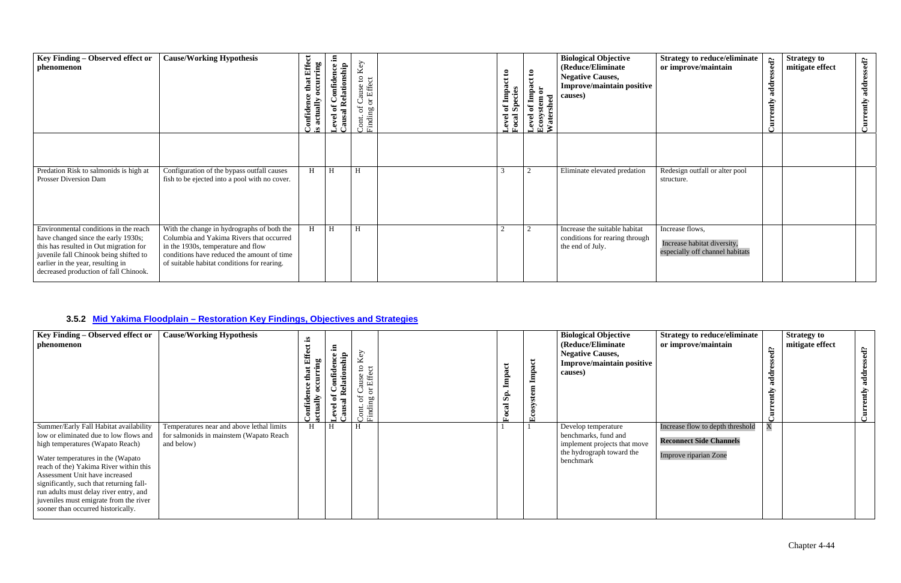| Key Finding - Observed effect or<br>phenomenon                                                                                                                                                                                                 | <b>Cause/Working Hypothesis</b>                                                                                                                                                                                           | Effect<br>ing<br>ිonf | .크<br>ship<br>fider<br>ati<br><b>Rel</b> | Key<br>$\mathbf{c}$<br>or Effect<br>$s$ e<br>$\overline{a}$<br>◡<br>'ಕ<br>Cont. or<br>Finding<br>$\overline{\text{int}}$ | $\mathbf{a}$<br>of Impact<br>Species<br>Level<br>Focal | of Impact to<br>$\sigma$<br>shed<br>em<br>Level<br>Ecosys<br>Water | <b>Biological Objective</b><br>(Reduce/Eliminate<br><b>Negative Causes,</b><br>Improve/maintain positive<br>causes) | <b>Strategy to reduce/eliminate</b><br>or improve/maintain                        | sed?<br>addr<br>₩ | <b>Strategy to</b><br>addressed?<br>mitigate effect<br>Currently |
|------------------------------------------------------------------------------------------------------------------------------------------------------------------------------------------------------------------------------------------------|---------------------------------------------------------------------------------------------------------------------------------------------------------------------------------------------------------------------------|-----------------------|------------------------------------------|--------------------------------------------------------------------------------------------------------------------------|--------------------------------------------------------|--------------------------------------------------------------------|---------------------------------------------------------------------------------------------------------------------|-----------------------------------------------------------------------------------|-------------------|------------------------------------------------------------------|
| Predation Risk to salmonids is high at<br>Prosser Diversion Dam                                                                                                                                                                                | Configuration of the bypass outfall causes<br>fish to be ejected into a pool with no cover.                                                                                                                               | H                     | H                                        | H                                                                                                                        |                                                        |                                                                    | Eliminate elevated predation                                                                                        | Redesign outfall or alter pool<br>structure.                                      |                   |                                                                  |
| Environmental conditions in the reach<br>have changed since the early 1930s;<br>this has resulted in Out migration for<br>juvenile fall Chinook being shifted to<br>earlier in the year, resulting in<br>decreased production of fall Chinook. | With the change in hydrographs of both the<br>Columbia and Yakima Rivers that occurred<br>in the 1930s, temperature and flow<br>conditions have reduced the amount of time<br>of suitable habitat conditions for rearing. |                       | H                                        | H                                                                                                                        |                                                        |                                                                    | Increase the suitable habitat<br>conditions for rearing through<br>the end of July.                                 | Increase flows,<br>Increase habitat diversity,<br>especially off channel habitats |                   |                                                                  |

# **3.5.2 Mid Yakima Floodplain – Restoration Key Findings, Objectives and Strategies**

| Key Finding – Observed effect or<br>phenomenon                                                                                                                                                                                                                                                                                                                                                              | <b>Cause/Working Hypothesis</b>                                                                    | .≌<br><b>Effect</b><br>$\mathbf{a}$<br>that<br>idence | - 트<br>ship<br>$\mathbf{t}$<br>Rela | Key<br>$\mathbf{c}$<br>$\vec{c}$<br>Effe<br>$\overline{5}$<br>◡<br>$\sigma$<br><b>DD</b><br>ndin<br>置 | Impact<br>$\bullet$<br>$\mathbf{s}$<br>ನ<br>$\mathbf{S}$ | <u>្តរ</u><br>$\ddot{a}$ | <b>Biological Objective</b><br>(Reduce/Eliminate<br><b>Negative Causes,</b><br>Improve/maintain positive<br>causes)   | <b>Strategy to reduce/eliminate</b><br>or improve/maintain                                  | $\sim$<br>➤ | <b>Strategy to</b><br>mitigate effect | sed?<br>add<br>Currently |
|-------------------------------------------------------------------------------------------------------------------------------------------------------------------------------------------------------------------------------------------------------------------------------------------------------------------------------------------------------------------------------------------------------------|----------------------------------------------------------------------------------------------------|-------------------------------------------------------|-------------------------------------|-------------------------------------------------------------------------------------------------------|----------------------------------------------------------|--------------------------|-----------------------------------------------------------------------------------------------------------------------|---------------------------------------------------------------------------------------------|-------------|---------------------------------------|--------------------------|
| Summer/Early Fall Habitat availability<br>low or eliminated due to low flows and<br>high temperatures (Wapato Reach)<br>Water temperatures in the (Wapato<br>reach of the) Yakima River within this<br>Assessment Unit have increased<br>significantly, such that returning fall-<br>run adults must delay river entry, and<br>juveniles must emigrate from the river<br>sooner than occurred historically. | Temperatures near and above lethal limits<br>for salmonids in mainstem (Wapato Reach<br>and below) | H                                                     | H                                   | H                                                                                                     |                                                          |                          | Develop temperature<br>benchmarks, fund and<br>implement projects that move<br>the hydrograph toward the<br>benchmark | Increase flow to depth threshold<br><b>Reconnect Side Channels</b><br>Improve riparian Zone | $\mathbf X$ |                                       |                          |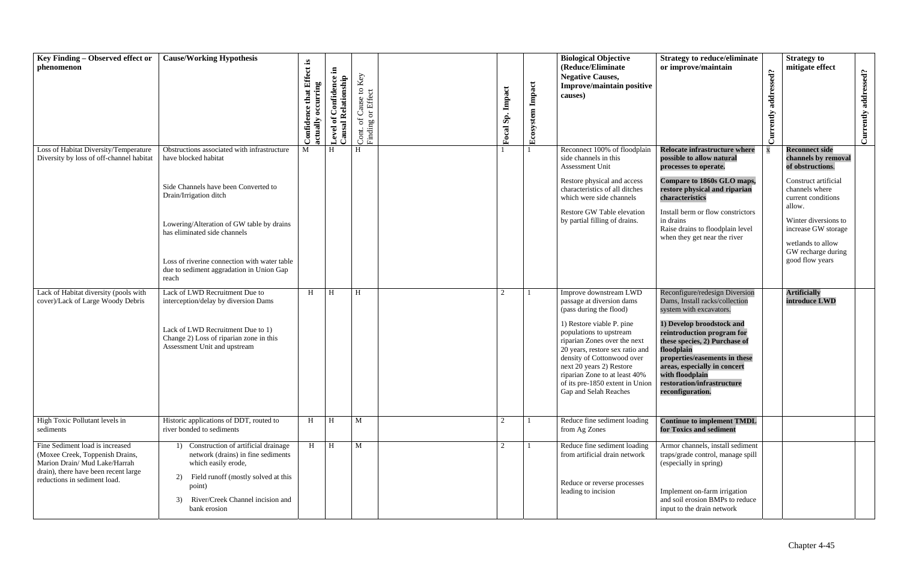| Key Finding – Observed effect or<br>phenomenon                                                                                                                              | <b>Cause/Working Hypothesis</b>                                                                                                                                                                                   | Effect is<br>a<br>¤ | - 드<br>Confidence<br>Relationship<br>$\mathbf{a}$<br><b>Causal</b><br>Level | Key<br>of Cause to<br>or Effect<br>Finding<br>Cont. | Focal Sp. Impact | Impact<br>Ecosystem | <b>Biological Objective</b><br>(Reduce/Eliminate<br><b>Negative Causes,</b><br>Improve/maintain positive<br>causes)                                                                                                                                                            | <b>Strategy to reduce/eliminate</b><br>or improve/maintain                                                                                                                                                                                   | addressed?<br>rrently | <b>Strategy to</b><br>mitigate effect                                                  | Currently addressed? |
|-----------------------------------------------------------------------------------------------------------------------------------------------------------------------------|-------------------------------------------------------------------------------------------------------------------------------------------------------------------------------------------------------------------|---------------------|-----------------------------------------------------------------------------|-----------------------------------------------------|------------------|---------------------|--------------------------------------------------------------------------------------------------------------------------------------------------------------------------------------------------------------------------------------------------------------------------------|----------------------------------------------------------------------------------------------------------------------------------------------------------------------------------------------------------------------------------------------|-----------------------|----------------------------------------------------------------------------------------|----------------------|
| Loss of Habitat Diversity/Temperature<br>Diversity by loss of off-channel habitat                                                                                           | Obstructions associated with infrastructure<br>have blocked habitat                                                                                                                                               | $\mathbf{M}$        | H                                                                           | H                                                   |                  |                     | Reconnect 100% of floodplain<br>side channels in this<br>Assessment Unit                                                                                                                                                                                                       | <b>Relocate infrastructure where</b><br>possible to allow natural<br>processes to operate.                                                                                                                                                   |                       | <b>Reconnect side</b><br>channels by removal<br>of obstructions.                       |                      |
|                                                                                                                                                                             | Side Channels have been Converted to<br>Drain/Irrigation ditch                                                                                                                                                    |                     |                                                                             |                                                     |                  |                     | Restore physical and access<br>characteristics of all ditches<br>which were side channels                                                                                                                                                                                      | Compare to 1860s GLO maps,<br>restore physical and riparian<br>characteristics                                                                                                                                                               |                       | Construct artificial<br>channels where<br>current conditions<br>allow.                 |                      |
|                                                                                                                                                                             | Lowering/Alteration of GW table by drains<br>has eliminated side channels                                                                                                                                         |                     |                                                                             |                                                     |                  |                     | Restore GW Table elevation<br>by partial filling of drains.                                                                                                                                                                                                                    | Install berm or flow constrictors<br>in drains<br>Raise drains to floodplain level<br>when they get near the river                                                                                                                           |                       | Winter diversions to<br>increase GW storage<br>wetlands to allow<br>GW recharge during |                      |
|                                                                                                                                                                             | Loss of riverine connection with water table<br>due to sediment aggradation in Union Gap<br>reach                                                                                                                 |                     |                                                                             |                                                     |                  |                     |                                                                                                                                                                                                                                                                                |                                                                                                                                                                                                                                              |                       | good flow years                                                                        |                      |
| Lack of Habitat diversity (pools with<br>cover)/Lack of Large Woody Debris                                                                                                  | Lack of LWD Recruitment Due to<br>interception/delay by diversion Dams                                                                                                                                            | H                   | H                                                                           | H                                                   | $\mathcal{D}$    |                     | Improve downstream LWD<br>passage at diversion dams<br>(pass during the flood)                                                                                                                                                                                                 | Reconfigure/redesign Diversion<br>Dams, Install racks/collection<br>system with excavators.                                                                                                                                                  |                       | <b>Artificially</b><br>introduce LWD                                                   |                      |
|                                                                                                                                                                             | Lack of LWD Recruitment Due to 1)<br>Change 2) Loss of riparian zone in this<br>Assessment Unit and upstream                                                                                                      |                     |                                                                             |                                                     |                  |                     | 1) Restore viable P. pine<br>populations to upstream<br>riparian Zones over the next<br>20 years, restore sex ratio and<br>density of Cottonwood over<br>next 20 years 2) Restore<br>riparian Zone to at least 40%<br>of its pre-1850 extent in Union<br>Gap and Selah Reaches | 1) Develop broodstock and<br>reintroduction program for<br>these species, 2) Purchase of<br>floodplain<br>properties/easements in these<br>areas, especially in concert<br>with floodplain<br>restoration/infrastructure<br>reconfiguration. |                       |                                                                                        |                      |
| High Toxic Pollutant levels in<br>sediments                                                                                                                                 | Historic applications of DDT, routed to<br>river bonded to sediments                                                                                                                                              | H                   | $\vert$ H                                                                   | M                                                   | $\overline{2}$   |                     | Reduce fine sediment loading<br>from Ag Zones                                                                                                                                                                                                                                  | <b>Continue to implement TMDL</b><br>for Toxics and sediment                                                                                                                                                                                 |                       |                                                                                        |                      |
| Fine Sediment load is increased<br>(Moxee Creek, Toppenish Drains,<br>Marion Drain/ Mud Lake/Harrah<br>drain), there have been recent large<br>reductions in sediment load. | 1) Construction of artificial drainage<br>network (drains) in fine sediments<br>which easily erode,<br>2) Field runoff (mostly solved at this<br>point)<br>River/Creek Channel incision and<br>3)<br>bank erosion | H                   | $\vert$ H                                                                   | $\mathbf{M}$                                        |                  |                     | Reduce fine sediment loading<br>from artificial drain network<br>Reduce or reverse processes<br>leading to incision                                                                                                                                                            | Armor channels, install sediment<br>traps/grade control, manage spill<br>(especially in spring)<br>Implement on-farm irrigation<br>and soil erosion BMPs to reduce<br>input to the drain network                                             |                       |                                                                                        |                      |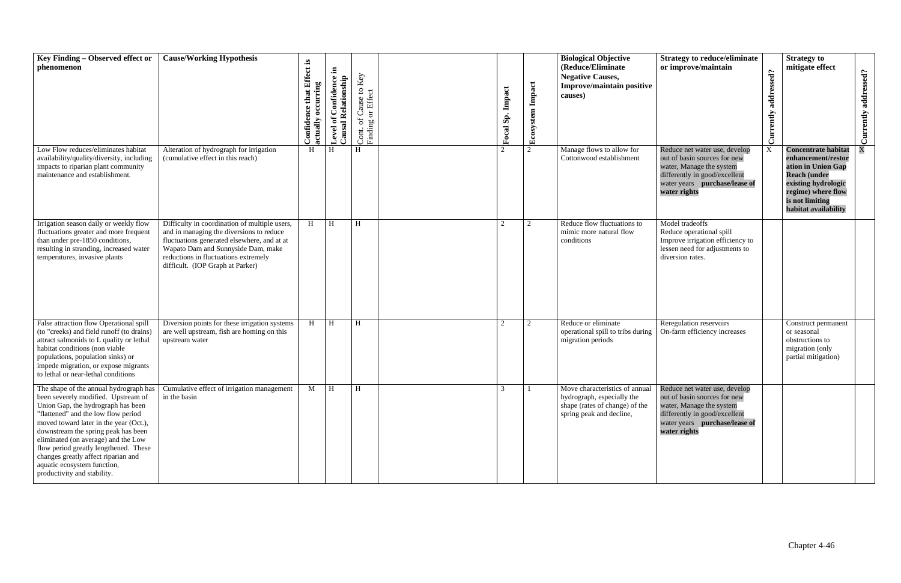| Key Finding – Observed effect or<br>phenomenon                                                                                                                                                                                                                                                                                                                                                                                   | <b>Cause/Working Hypothesis</b>                                                                                                                                                                                                                            | Effect is<br>a<br>E<br>Confidence<br>actually | $\blacksquare$<br>of Confidence<br>Relationship<br>Causal<br>Level | Key<br>of Cause to<br>Effect<br>$\sigma$<br>Cont. of<br>Finding | Focal Sp. Impact            | Impact<br>Ecosystem | <b>Biological Objective</b><br>(Reduce/Eliminate<br><b>Negative Causes,</b><br>Improve/maintain positive<br>causes)        | <b>Strategy to reduce/eliminate</b><br>or improve/maintain                                                                                                                  | addressed?<br>Currently | <b>Strategy to</b><br>mitigate effect<br>Currently addressed?                                                                                                                         |
|----------------------------------------------------------------------------------------------------------------------------------------------------------------------------------------------------------------------------------------------------------------------------------------------------------------------------------------------------------------------------------------------------------------------------------|------------------------------------------------------------------------------------------------------------------------------------------------------------------------------------------------------------------------------------------------------------|-----------------------------------------------|--------------------------------------------------------------------|-----------------------------------------------------------------|-----------------------------|---------------------|----------------------------------------------------------------------------------------------------------------------------|-----------------------------------------------------------------------------------------------------------------------------------------------------------------------------|-------------------------|---------------------------------------------------------------------------------------------------------------------------------------------------------------------------------------|
| Low Flow reduces/eliminates habitat<br>availability/quality/diversity, including<br>impacts to riparian plant community<br>maintenance and establishment.                                                                                                                                                                                                                                                                        | Alteration of hydrograph for irrigation<br>(cumulative effect in this reach)                                                                                                                                                                               | H                                             | H                                                                  | H                                                               |                             | 2                   | Manage flows to allow for<br>Cottonwood establishment                                                                      | Reduce net water use, develop<br>out of basin sources for new<br>water, Manage the system<br>differently in good/excellent<br>water years purchase/lease of<br>water rights | X                       | <b>Concentrate habitat</b><br>enhancement/restor<br>ation in Union Gap<br><b>Reach (under</b><br>existing hydrologic<br>regime) where flow<br>is not limiting<br>habitat availability |
| Irrigation season daily or weekly flow<br>fluctuations greater and more frequent<br>than under pre-1850 conditions,<br>resulting in stranding, increased water<br>temperatures, invasive plants                                                                                                                                                                                                                                  | Difficulty in coordination of multiple users,<br>and in managing the diversions to reduce<br>fluctuations generated elsewhere, and at at<br>Wapato Dam and Sunnyside Dam, make<br>reductions in fluctuations extremely<br>difficult. (IOP Graph at Parker) | H                                             | H                                                                  | H                                                               | $\mathcal{D}_{\mathcal{A}}$ | 2                   | Reduce flow fluctuations to<br>mimic more natural flow<br>conditions                                                       | Model tradeoffs<br>Reduce operational spill<br>Improve irrigation efficiency to<br>lessen need for adjustments to<br>diversion rates.                                       |                         |                                                                                                                                                                                       |
| False attraction flow Operational spill<br>(to "creeks) and field runoff (to drains)<br>attract salmonids to L quality or lethal<br>habitat conditions (non viable<br>populations, population sinks) or<br>impede migration, or expose migrants<br>to lethal or near-lethal conditions                                                                                                                                           | Diversion points for these irrigation systems<br>are well upstream, fish are homing on this<br>upstream water                                                                                                                                              | H                                             | $\vert$ H                                                          | $\boldsymbol{\mathrm{H}}$                                       | $\mathcal{D}$               | 2                   | Reduce or eliminate<br>operational spill to tribs during<br>migration periods                                              | Reregulation reservoirs<br>On-farm efficiency increases                                                                                                                     |                         | Construct permanent<br>or seasonal<br>obstructions to<br>migration (only<br>partial mitigation)                                                                                       |
| The shape of the annual hydrograph has<br>been severely modified. Upstream of<br>Union Gap, the hydrograph has been<br>"flattened" and the low flow period<br>moved toward later in the year (Oct.),<br>downstream the spring peak has been<br>eliminated (on average) and the Low<br>flow period greatly lengthened. These<br>changes greatly affect riparian and<br>aquatic ecosystem function,<br>productivity and stability. | Cumulative effect of irrigation management<br>in the basin                                                                                                                                                                                                 | M                                             | $\overline{\mathbf{H}}$                                            | H                                                               | 3                           |                     | Move characteristics of annual<br>hydrograph, especially the<br>shape (rates of change) of the<br>spring peak and decline, | Reduce net water use, develop<br>out of basin sources for new<br>water, Manage the system<br>differently in good/excellent<br>water years purchase/lease of<br>water rights |                         |                                                                                                                                                                                       |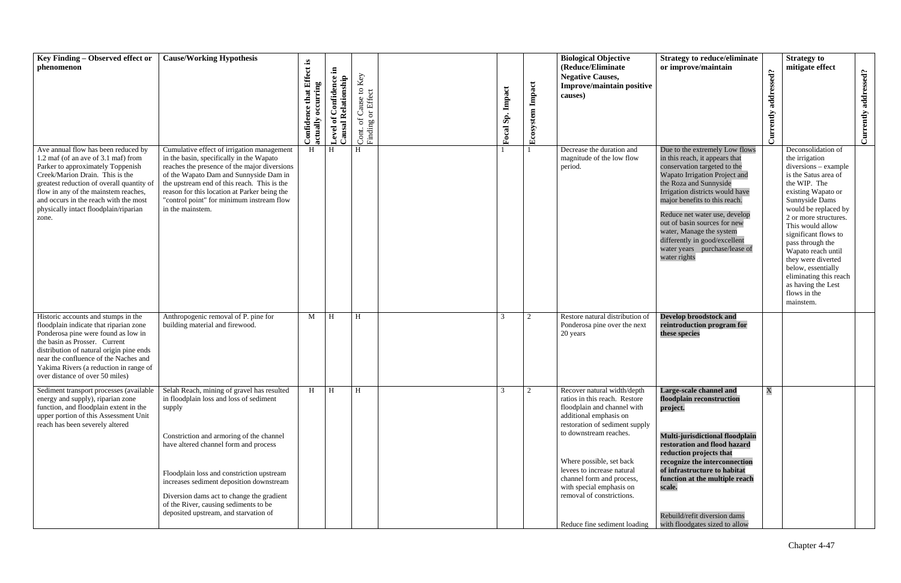| Key Finding – Observed effect or<br>phenomenon                                                                                                                                                                                                                                                                                    | <b>Cause/Working Hypothesis</b>                                                                                                                                                                                                                                                                                                                                                                              | Effect is<br>ring<br>that<br>Confidence | Level of Confidence in<br>Causal Relationship | Key<br>$\mathtt{\underline{o}}$<br>or Effect<br>of Cause<br>Cont. of<br>Finding | Focal Sp. Impact | Impact<br>Ecosystem | <b>Biological Objective</b><br>(Reduce/Eliminate<br><b>Negative Causes,</b><br>Improve/maintain positive<br>causes)                                                                                                                                                                                                                                               | <b>Strategy to reduce/eliminate</b><br>or improve/maintain                                                                                                                                                                                                                                                                                                                                                     | addressed?<br>Currently | <b>Strategy to</b><br>mitigate effect                                                                                                                                                                                                                                                                                                                                                                        | Currently addressed? |
|-----------------------------------------------------------------------------------------------------------------------------------------------------------------------------------------------------------------------------------------------------------------------------------------------------------------------------------|--------------------------------------------------------------------------------------------------------------------------------------------------------------------------------------------------------------------------------------------------------------------------------------------------------------------------------------------------------------------------------------------------------------|-----------------------------------------|-----------------------------------------------|---------------------------------------------------------------------------------|------------------|---------------------|-------------------------------------------------------------------------------------------------------------------------------------------------------------------------------------------------------------------------------------------------------------------------------------------------------------------------------------------------------------------|----------------------------------------------------------------------------------------------------------------------------------------------------------------------------------------------------------------------------------------------------------------------------------------------------------------------------------------------------------------------------------------------------------------|-------------------------|--------------------------------------------------------------------------------------------------------------------------------------------------------------------------------------------------------------------------------------------------------------------------------------------------------------------------------------------------------------------------------------------------------------|----------------------|
| Ave annual flow has been reduced by<br>.2 maf (of an ave of 3.1 maf) from<br>Parker to approximately Toppenish<br>Creek/Marion Drain. This is the<br>greatest reduction of overall quantity of<br>flow in any of the mainstem reaches,<br>and occurs in the reach with the most<br>physically intact floodplain/riparian<br>zone. | Cumulative effect of irrigation management<br>in the basin, specifically in the Wapato<br>reaches the presence of the major diversions<br>of the Wapato Dam and Sunnyside Dam in<br>the upstream end of this reach. This is the<br>reason for this location at Parker being the<br>"control point" for minimum instream flow<br>in the mainstem.                                                             | H                                       | H                                             | H                                                                               |                  |                     | Decrease the duration and<br>magnitude of the low flow<br>period.                                                                                                                                                                                                                                                                                                 | Due to the extremely Low flows<br>in this reach, it appears that<br>conservation targeted to the<br>Wapato Irrigation Project and<br>the Roza and Sunnyside<br>Irrigation districts would have<br>major benefits to this reach.<br>Reduce net water use, develop<br>out of basin sources for new<br>water, Manage the system<br>differently in good/excellent<br>water years purchase/lease of<br>water rights |                         | Deconsolidation of<br>the irrigation<br>diversions - example<br>is the Satus area of<br>the WIP. The<br>existing Wapato or<br>Sunnyside Dams<br>would be replaced by<br>2 or more structures.<br>This would allow<br>significant flows to<br>pass through the<br>Wapato reach until<br>they were diverted<br>below, essentially<br>eliminating this reach<br>as having the Lest<br>flows in the<br>mainstem. |                      |
| Historic accounts and stumps in the<br>floodplain indicate that riparian zone<br>Ponderosa pine were found as low in<br>the basin as Prosser. Current<br>distribution of natural origin pine ends<br>near the confluence of the Naches and<br>Yakima Rivers (a reduction in range of<br>over distance of over 50 miles)           | Anthropogenic removal of P. pine for<br>building material and firewood.                                                                                                                                                                                                                                                                                                                                      | M                                       | H                                             | H                                                                               | 3                | 2                   | Restore natural distribution of<br>Ponderosa pine over the next<br>20 years                                                                                                                                                                                                                                                                                       | <b>Develop broodstock and</b><br>reintroduction program for<br>these species                                                                                                                                                                                                                                                                                                                                   |                         |                                                                                                                                                                                                                                                                                                                                                                                                              |                      |
| Sediment transport processes (available<br>energy and supply), riparian zone<br>function, and floodplain extent in the<br>upper portion of this Assessment Unit<br>reach has been severely altered                                                                                                                                | Selah Reach, mining of gravel has resulted<br>in floodplain loss and loss of sediment<br>supply<br>Constriction and armoring of the channel<br>have altered channel form and process<br>Floodplain loss and constriction upstream<br>increases sediment deposition downstream<br>Diversion dams act to change the gradient<br>of the River, causing sediments to be<br>deposited upstream, and starvation of | H                                       | H                                             | H                                                                               |                  | 2                   | Recover natural width/depth<br>ratios in this reach. Restore<br>floodplain and channel with<br>additional emphasis on<br>restoration of sediment supply<br>to downstream reaches.<br>Where possible, set back<br>levees to increase natural<br>channel form and process,<br>with special emphasis on<br>removal of constrictions.<br>Reduce fine sediment loading | Large-scale channel and<br>floodplain reconstruction<br>project.<br>Multi-jurisdictional floodplain<br>restoration and flood hazard<br>reduction projects that<br>recognize the interconnection<br>of infrastructure to habitat<br>function at the multiple reach<br>scale.<br>Rebuild/refit diversion dams<br>with floodgates sized to allow                                                                  | $\overline{\text{X}}$   |                                                                                                                                                                                                                                                                                                                                                                                                              |                      |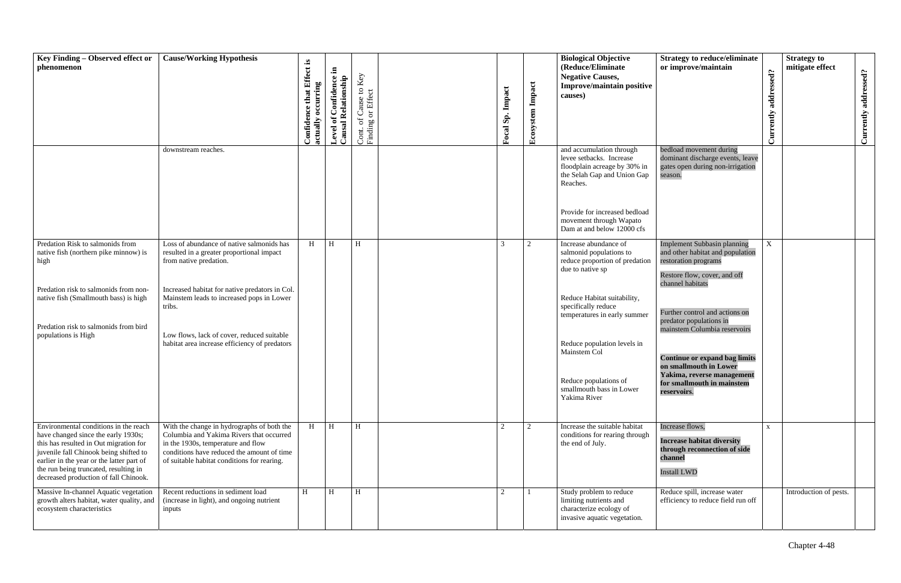| Key Finding – Observed effect or<br>phenomenon                                                                                                                                                                                                                                                  | <b>Cause/Working Hypothesis</b>                                                                                                                                                                                                                                                                                          | Effect is<br>Confidence | $\blacksquare$<br><b>Level of Confidence</b><br>Causal Relationship | Key<br>of Cause to<br>or Effect<br>Cont. of<br>Finding | Focal Sp. Impact | Impact<br>Ecosyste | <b>Biological Objective</b><br>(Reduce/Eliminate<br><b>Negative Causes,</b><br>Improve/maintain positive<br>causes)                                                                                                                                                                                              | <b>Strategy to reduce/eliminate</b><br>or improve/maintain                                                                                                                                                                                                                                                                                                                                   | <b>Strategy to</b><br>mitigate effect<br>addressed?<br>Currently | Currently addressed? |
|-------------------------------------------------------------------------------------------------------------------------------------------------------------------------------------------------------------------------------------------------------------------------------------------------|--------------------------------------------------------------------------------------------------------------------------------------------------------------------------------------------------------------------------------------------------------------------------------------------------------------------------|-------------------------|---------------------------------------------------------------------|--------------------------------------------------------|------------------|--------------------|------------------------------------------------------------------------------------------------------------------------------------------------------------------------------------------------------------------------------------------------------------------------------------------------------------------|----------------------------------------------------------------------------------------------------------------------------------------------------------------------------------------------------------------------------------------------------------------------------------------------------------------------------------------------------------------------------------------------|------------------------------------------------------------------|----------------------|
|                                                                                                                                                                                                                                                                                                 | downstream reaches.                                                                                                                                                                                                                                                                                                      |                         |                                                                     |                                                        |                  |                    | and accumulation through<br>levee setbacks. Increase<br>floodplain acreage by 30% in<br>the Selah Gap and Union Gap<br>Reaches.<br>Provide for increased bedload<br>movement through Wapato<br>Dam at and below 12000 cfs                                                                                        | bedload movement during<br>dominant discharge events, leave<br>gates open during non-irrigation<br>season.                                                                                                                                                                                                                                                                                   |                                                                  |                      |
| Predation Risk to salmonids from<br>native fish (northern pike minnow) is<br>high<br>Predation risk to salmonids from non-<br>native fish (Smallmouth bass) is high<br>Predation risk to salmonids from bird<br>populations is High                                                             | Loss of abundance of native salmonids has<br>resulted in a greater proportional impact<br>from native predation.<br>Increased habitat for native predators in Col.<br>Mainstem leads to increased pops in Lower<br>tribs.<br>Low flows, lack of cover, reduced suitable<br>habitat area increase efficiency of predators | H                       | $\vert$ H                                                           | H                                                      | 3                | 2                  | Increase abundance of<br>salmonid populations to<br>reduce proportion of predation<br>due to native sp<br>Reduce Habitat suitability,<br>specifically reduce<br>temperatures in early summer<br>Reduce population levels in<br>Mainstem Col<br>Reduce populations of<br>smallmouth bass in Lower<br>Yakima River | <b>Implement Subbasin planning</b><br>and other habitat and population<br>restoration programs<br>Restore flow, cover, and off<br>channel habitats<br>Further control and actions on<br>predator populations in<br>mainstem Columbia reservoirs<br><b>Continue or expand bag limits</b><br>on smallmouth in Lower<br>Yakima, reverse management<br>for smallmouth in mainstem<br>reservoirs. | X                                                                |                      |
| Environmental conditions in the reach<br>have changed since the early 1930s;<br>this has resulted in Out migration for<br>juvenile fall Chinook being shifted to<br>earlier in the year or the latter part of<br>the run being truncated, resulting in<br>decreased production of fall Chinook. | With the change in hydrographs of both the<br>Columbia and Yakima Rivers that occurred<br>in the 1930s, temperature and flow<br>conditions have reduced the amount of time<br>of suitable habitat conditions for rearing.                                                                                                | H                       | $\vert$ H                                                           | H                                                      | $\overline{2}$   | 2                  | Increase the suitable habitat<br>conditions for rearing through<br>the end of July.                                                                                                                                                                                                                              | Increase flows,<br><b>Increase habitat diversity</b><br>through reconnection of side<br>channel<br><b>Install LWD</b>                                                                                                                                                                                                                                                                        | $\mathbf{X}$                                                     |                      |
| Massive In-channel Aquatic vegetation<br>growth alters habitat, water quality, and<br>ecosystem characteristics                                                                                                                                                                                 | Recent reductions in sediment load<br>(increase in light), and ongoing nutrient<br>inputs                                                                                                                                                                                                                                | H                       | H                                                                   | H                                                      | $\overline{2}$   |                    | Study problem to reduce<br>limiting nutrients and<br>characterize ecology of<br>invasive aquatic vegetation.                                                                                                                                                                                                     | Reduce spill, increase water<br>efficiency to reduce field run off                                                                                                                                                                                                                                                                                                                           | Introduction of pests.                                           |                      |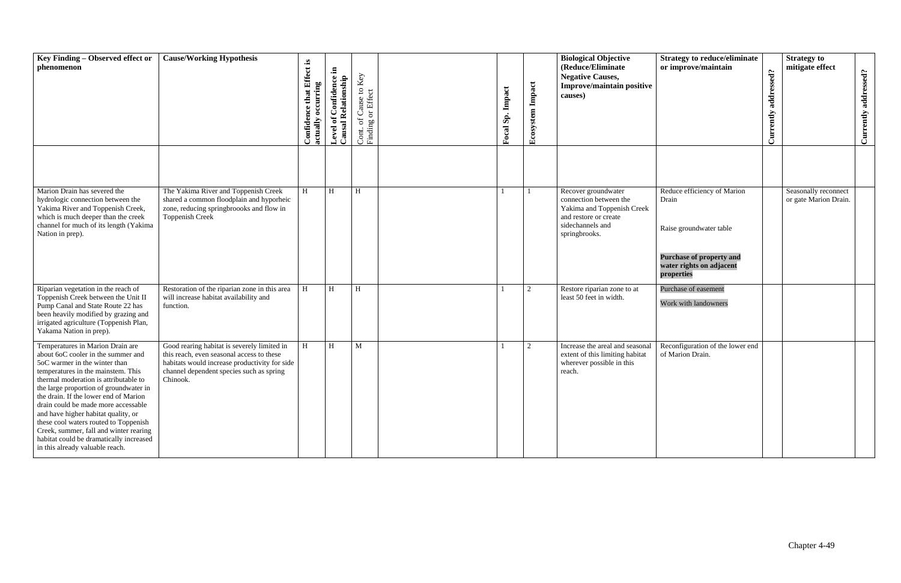| Key Finding - Observed effect or<br>phenomenon                                                                                                                                                                                                                                                                                                                                                                                                                                                                           | <b>Cause/Working Hypothesis</b>                                                                                                                                                                   | Effect is<br>that<br>Confidence<br>actually | <b>Level of Confidence in<br/>Causal Relationship</b> | Key<br>of Cause to<br>or Effect<br>Finding<br>Cont. | Focal Sp. Impact | Impact<br>Ecosystem | <b>Biological Objective</b><br>(Reduce/Eliminate<br><b>Negative Causes,</b><br>Improve/maintain positive<br>causes) | <b>Strategy to reduce/eliminate</b><br>or improve/maintain                                           | addressed?<br>Currently | <b>Strategy to</b><br>mitigate effect         | Currently addressed? |
|--------------------------------------------------------------------------------------------------------------------------------------------------------------------------------------------------------------------------------------------------------------------------------------------------------------------------------------------------------------------------------------------------------------------------------------------------------------------------------------------------------------------------|---------------------------------------------------------------------------------------------------------------------------------------------------------------------------------------------------|---------------------------------------------|-------------------------------------------------------|-----------------------------------------------------|------------------|---------------------|---------------------------------------------------------------------------------------------------------------------|------------------------------------------------------------------------------------------------------|-------------------------|-----------------------------------------------|----------------------|
| Marion Drain has severed the<br>hydrologic connection between the<br>Yakima River and Toppenish Creek,                                                                                                                                                                                                                                                                                                                                                                                                                   | The Yakima River and Toppenish Creek<br>shared a common floodplain and hyporheic<br>zone, reducing springbroooks and flow in                                                                      | H                                           | H                                                     | H                                                   |                  | $\overline{1}$      | Recover groundwater<br>connection between the<br>Yakima and Toppenish Creek                                         | Reduce efficiency of Marion<br>Drain                                                                 |                         | Seasonally reconnect<br>or gate Marion Drain. |                      |
| which is much deeper than the creek<br>channel for much of its length (Yakima<br>Nation in prep).                                                                                                                                                                                                                                                                                                                                                                                                                        | Toppenish Creek                                                                                                                                                                                   |                                             |                                                       |                                                     |                  |                     | and restore or create<br>sidechannels and<br>springbrooks.                                                          | Raise groundwater table<br><b>Purchase of property and</b><br>water rights on adjacent<br>properties |                         |                                               |                      |
| Riparian vegetation in the reach of<br>Toppenish Creek between the Unit II<br>Pump Canal and State Route 22 has<br>been heavily modified by grazing and<br>irrigated agriculture (Toppenish Plan,<br>Yakama Nation in prep).                                                                                                                                                                                                                                                                                             | Restoration of the riparian zone in this area<br>will increase habitat availability and<br>function.                                                                                              | H                                           | H                                                     | H                                                   |                  | 2                   | Restore riparian zone to at<br>least 50 feet in width.                                                              | Purchase of easement<br>Work with landowners                                                         |                         |                                               |                      |
| Temperatures in Marion Drain are<br>about 6oC cooler in the summer and<br>5oC warmer in the winter than<br>temperatures in the mainstem. This<br>thermal moderation is attributable to<br>the large proportion of groundwater in<br>the drain. If the lower end of Marion<br>drain could be made more accessable<br>and have higher habitat quality, or<br>these cool waters routed to Toppenish<br>Creek, summer, fall and winter rearing<br>habitat could be dramatically increased<br>in this already valuable reach. | Good rearing habitat is severely limited in<br>this reach, even seasonal access to these<br>habitats would increase productivity for side<br>channel dependent species such as spring<br>Chinook. | H                                           | $\, {\rm H}$                                          | M                                                   |                  | 2                   | Increase the areal and seasonal<br>extent of this limiting habitat<br>wherever possible in this<br>reach.           | Reconfiguration of the lower end<br>of Marion Drain.                                                 |                         |                                               |                      |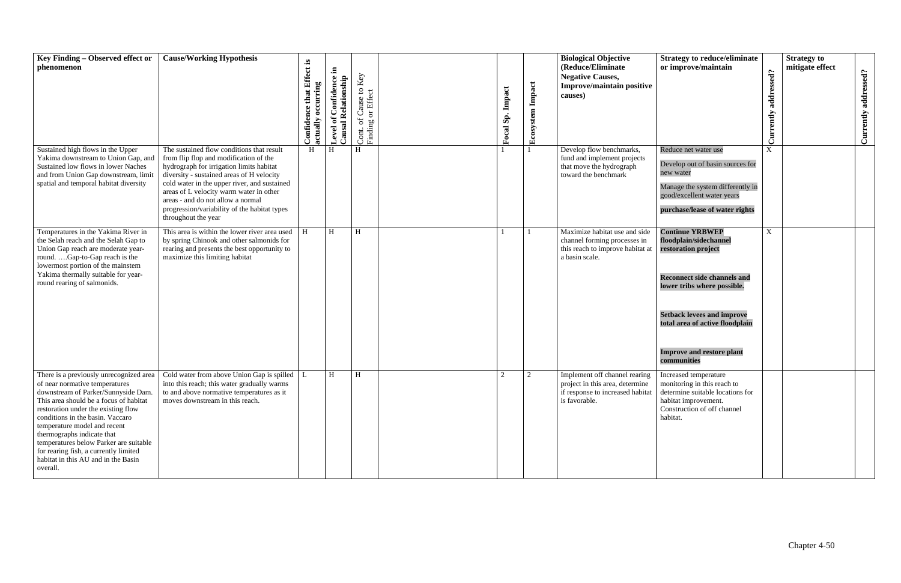| Key Finding – Observed effect or<br>phenomenon                                                                                                                                                                                                                                                                                                                                                 | <b>Cause/Working Hypothesis</b>                                                                                                                                                                                                                                                                                                                                                     | s.<br>Effect i<br>that | of Confidence in<br>Causal Relationship<br>Level | Key<br>$\mathtt{c}$<br>or Effect<br>of Cause<br>Cont. of<br>Finding | Focal Sp. Impact | Impact<br>Ecosystem | <b>Biological Objective</b><br>(Reduce/Eliminate<br><b>Negative Causes,</b><br>Improve/maintain positive<br>causes)   | <b>Strategy to reduce/eliminate</b><br>or improve/maintain                                                                                                                                                                                                              | addressed?<br>Currently | <b>Strategy to</b><br>mitigate effect | Currently addressed? |
|------------------------------------------------------------------------------------------------------------------------------------------------------------------------------------------------------------------------------------------------------------------------------------------------------------------------------------------------------------------------------------------------|-------------------------------------------------------------------------------------------------------------------------------------------------------------------------------------------------------------------------------------------------------------------------------------------------------------------------------------------------------------------------------------|------------------------|--------------------------------------------------|---------------------------------------------------------------------|------------------|---------------------|-----------------------------------------------------------------------------------------------------------------------|-------------------------------------------------------------------------------------------------------------------------------------------------------------------------------------------------------------------------------------------------------------------------|-------------------------|---------------------------------------|----------------------|
| Sustained high flows in the Upper<br>Yakima downstream to Union Gap, and<br>Sustained low flows in lower Naches<br>and from Union Gap downstream, limit<br>spatial and temporal habitat diversity                                                                                                                                                                                              | The sustained flow conditions that result<br>from flip flop and modification of the<br>hydrograph for irrigation limits habitat<br>diversity - sustained areas of H velocity<br>cold water in the upper river, and sustained<br>areas of L velocity warm water in other<br>areas - and do not allow a normal<br>progression/variability of the habitat types<br>throughout the year | H                      | H                                                | H                                                                   |                  |                     | Develop flow benchmarks,<br>fund and implement projects<br>that move the hydrograph<br>toward the benchmark           | Reduce net water use<br>Develop out of basin sources for<br>new water<br>Manage the system differently in<br>good/excellent water years<br>purchase/lease of water rights                                                                                               | $\mathbf X$             |                                       |                      |
| Temperatures in the Yakima River in<br>the Selah reach and the Selah Gap to<br>Union Gap reach are moderate year-<br>round. Gap-to-Gap reach is the<br>lowermost portion of the mainstem<br>Yakima thermally suitable for year-<br>round rearing of salmonids.                                                                                                                                 | This area is within the lower river area used<br>by spring Chinook and other salmonids for<br>rearing and presents the best opportunity to<br>maximize this limiting habitat                                                                                                                                                                                                        | H                      | H                                                | H                                                                   |                  |                     | Maximize habitat use and side<br>channel forming processes in<br>this reach to improve habitat at<br>a basin scale.   | <b>Continue YRBWEP</b><br>floodplain/sidechannel<br>restoration project<br><b>Reconnect side channels and</b><br>lower tribs where possible.<br><b>Setback levees and improve</b><br>total area of active floodplain<br><b>Improve and restore plant</b><br>communities | X                       |                                       |                      |
| of near normative temperatures<br>downstream of Parker/Sunnyside Dam.<br>This area should be a focus of habitat<br>restoration under the existing flow<br>conditions in the basin. Vaccaro<br>temperature model and recent<br>thermographs indicate that<br>temperatures below Parker are suitable<br>for rearing fish, a currently limited<br>habitat in this AU and in the Basin<br>overall. | There is a previously unrecognized area $\vert$ Cold water from above Union Gap is spilled $\vert$ L<br>into this reach; this water gradually warms<br>to and above normative temperatures as it<br>moves downstream in this reach.                                                                                                                                                 |                        | H                                                | H                                                                   |                  | $\overline{2}$      | Implement off channel rearing<br>project in this area, determine<br>if response to increased habitat<br>is favorable. | Increased temperature<br>monitoring in this reach to<br>determine suitable locations for<br>habitat improvement.<br>Construction of off channel<br>habitat.                                                                                                             |                         |                                       |                      |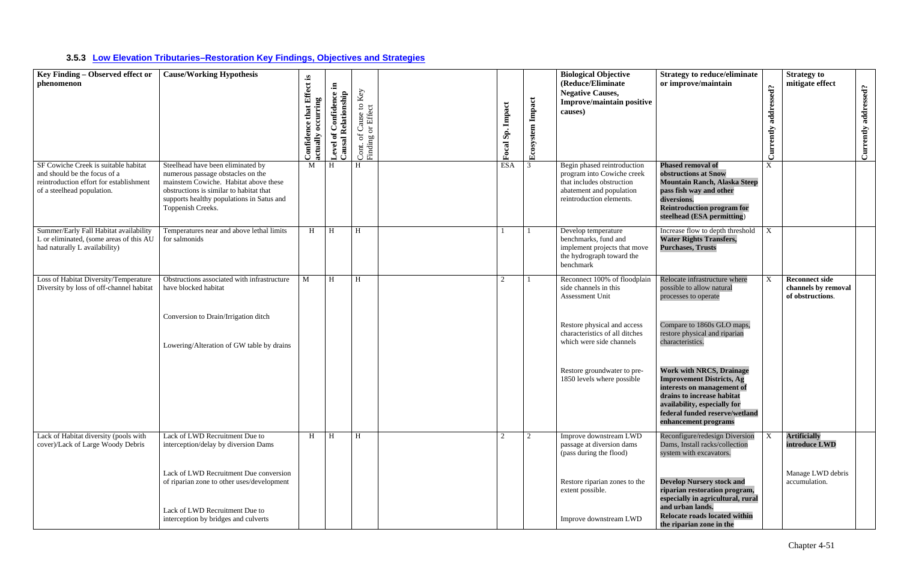#### **3.5.3 Low Elevation Tributaries–Restoration Key Findings, Objectives and Strategies**

| Key Finding - Observed effect or<br>phenomenon                                                                                                | <b>Cause/Working Hypothesis</b>                                                                                                                                                                                              | Effect is<br>a<br>≌<br>occurr<br>Confidence<br>actually | - 드<br>of Confidence<br>ausal Relationship<br>evel | of Cause to Key<br>ng or Effect<br>Cont. | Finding | Focal Sp. Impact | Impact<br>Ecosystem | <b>Biological Objective</b><br>(Reduce/Eliminate<br><b>Negative Causes,</b><br>Improve/maintain positive<br>causes)                            | <b>Strategy to reduce/eliminate</b><br>or improve/maintain                                                                                                                                                                | addressed?<br>Currently | <b>Strategy to</b><br>mitigate effect<br>Currently addressed?    |
|-----------------------------------------------------------------------------------------------------------------------------------------------|------------------------------------------------------------------------------------------------------------------------------------------------------------------------------------------------------------------------------|---------------------------------------------------------|----------------------------------------------------|------------------------------------------|---------|------------------|---------------------|------------------------------------------------------------------------------------------------------------------------------------------------|---------------------------------------------------------------------------------------------------------------------------------------------------------------------------------------------------------------------------|-------------------------|------------------------------------------------------------------|
| SF Cowiche Creek is suitable habitat<br>and should be the focus of a<br>reintroduction effort for establishment<br>of a steelhead population. | Steelhead have been eliminated by<br>numerous passage obstacles on the<br>mainstem Cowiche. Habitat above these<br>obstructions is similar to habitat that<br>supports healthy populations in Satus and<br>Toppenish Creeks. | M                                                       | H                                                  | H                                        |         | <b>ESA</b>       | 3                   | Begin phased reintroduction<br>program into Cowiche creek<br>that includes obstruction<br>abatement and population<br>reintroduction elements. | <b>Phased removal of</b><br>obstructions at Snow<br><b>Mountain Ranch, Alaska Steep</b><br>pass fish way and other<br>diversions.<br><b>Reintroduction program for</b><br>steelhead (ESA permitting)                      | X                       |                                                                  |
| Summer/Early Fall Habitat availability<br>L or eliminated, (some areas of this AU<br>had naturally L availability)                            | Temperatures near and above lethal limits<br>for salmonids                                                                                                                                                                   | H                                                       | H                                                  | H                                        |         |                  |                     | Develop temperature<br>benchmarks, fund and<br>implement projects that move<br>the hydrograph toward the<br>benchmark                          | Increase flow to depth threshold<br><b>Water Rights Transfers,</b><br><b>Purchases, Trusts</b>                                                                                                                            | $\mathbf X$             |                                                                  |
| Loss of Habitat Diversity/Temperature<br>Diversity by loss of off-channel habitat                                                             | Obstructions associated with infrastructure<br>have blocked habitat                                                                                                                                                          | M                                                       | H                                                  | H                                        |         |                  |                     | Reconnect 100% of floodplain<br>side channels in this<br>Assessment Unit                                                                       | Relocate infrastructure where<br>possible to allow natural<br>processes to operate                                                                                                                                        | $\mathbf X$             | <b>Reconnect side</b><br>channels by removal<br>of obstructions. |
|                                                                                                                                               | Conversion to Drain/Irrigation ditch<br>Lowering/Alteration of GW table by drains                                                                                                                                            |                                                         |                                                    |                                          |         |                  |                     | Restore physical and access<br>characteristics of all ditches<br>which were side channels                                                      | Compare to 1860s GLO maps,<br>restore physical and riparian<br>characteristics.                                                                                                                                           |                         |                                                                  |
|                                                                                                                                               |                                                                                                                                                                                                                              |                                                         |                                                    |                                          |         |                  |                     | Restore groundwater to pre-<br>1850 levels where possible                                                                                      | <b>Work with NRCS, Drainage</b><br><b>Improvement Districts, Ag</b><br>interests on management of<br>drains to increase habitat<br>availability, especially for<br>federal funded reserve/wetland<br>enhancement programs |                         |                                                                  |
| Lack of Habitat diversity (pools with<br>cover)/Lack of Large Woody Debris                                                                    | Lack of LWD Recruitment Due to<br>interception/delay by diversion Dams                                                                                                                                                       | H                                                       | H                                                  | H                                        |         |                  | $\overline{2}$      | Improve downstream LWD<br>passage at diversion dams<br>(pass during the flood)                                                                 | Reconfigure/redesign Diversion<br>Dams, Install racks/collection<br>system with excavators.                                                                                                                               | X                       | <b>Artificially</b><br>introduce LWD                             |
|                                                                                                                                               | Lack of LWD Recruitment Due conversion<br>of riparian zone to other uses/development                                                                                                                                         |                                                         |                                                    |                                          |         |                  |                     | Restore riparian zones to the<br>extent possible.                                                                                              | <b>Develop Nursery stock and</b><br>riparian restoration program,<br>especially in agricultural, rural                                                                                                                    |                         | Manage LWD debris<br>accumulation.                               |
|                                                                                                                                               | Lack of LWD Recruitment Due to<br>interception by bridges and culverts                                                                                                                                                       |                                                         |                                                    |                                          |         |                  |                     | Improve downstream LWD                                                                                                                         | and urban lands.<br><b>Relocate roads located within</b><br>the riparian zone in the                                                                                                                                      |                         |                                                                  |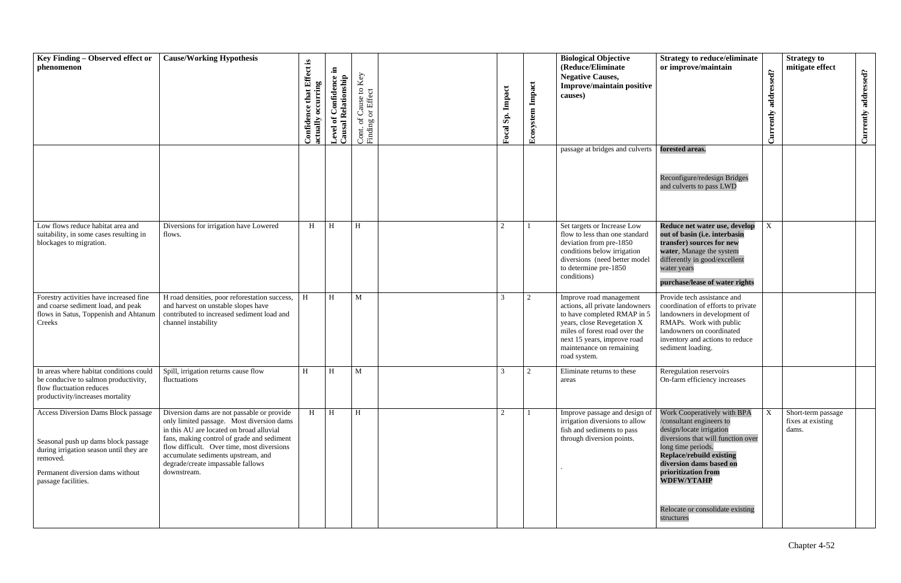| Key Finding – Observed effect or<br>phenomenon                                                                                                                                               | <b>Cause/Working Hypothesis</b>                                                                                                                                                                                                                                                                                           | Effect is<br>occurring<br>that<br>actuall <sub>.</sub> | 급.<br>Level of Confidence<br>Causal Relationship | of Cause to Key<br>or Effect<br>Finding<br>Cont. | Impact<br>Focal Sp. | mpact<br>Ecosysten | <b>Biological Objective</b><br>(Reduce/Eliminate<br><b>Negative Causes,</b><br>Improve/maintain positive<br>causes)<br>passage at bridges and culverts                                                                               | <b>Strategy to reduce/eliminate</b><br>or improve/maintain<br>forested areas.                                                                                                                                                                                                                               | addressed?<br>Currently | <b>Strategy to</b><br>mitigate effect            | Currently addressed? |
|----------------------------------------------------------------------------------------------------------------------------------------------------------------------------------------------|---------------------------------------------------------------------------------------------------------------------------------------------------------------------------------------------------------------------------------------------------------------------------------------------------------------------------|--------------------------------------------------------|--------------------------------------------------|--------------------------------------------------|---------------------|--------------------|--------------------------------------------------------------------------------------------------------------------------------------------------------------------------------------------------------------------------------------|-------------------------------------------------------------------------------------------------------------------------------------------------------------------------------------------------------------------------------------------------------------------------------------------------------------|-------------------------|--------------------------------------------------|----------------------|
|                                                                                                                                                                                              |                                                                                                                                                                                                                                                                                                                           |                                                        |                                                  |                                                  |                     |                    |                                                                                                                                                                                                                                      | Reconfigure/redesign Bridges<br>and culverts to pass LWD                                                                                                                                                                                                                                                    |                         |                                                  |                      |
| Low flows reduce habitat area and<br>suitability, in some cases resulting in<br>blockages to migration.                                                                                      | Diversions for irrigation have Lowered<br>flows.                                                                                                                                                                                                                                                                          | H                                                      | $\overline{H}$                                   | H                                                | $\overline{2}$      |                    | Set targets or Increase Low<br>flow to less than one standard<br>deviation from pre-1850<br>conditions below irrigation<br>diversions (need better model<br>to determine pre-1850<br>conditions)                                     | Reduce net water use, develop<br>out of basin (i.e. interbasin<br>transfer) sources for new<br>water, Manage the system<br>differently in good/excellent<br>water years<br>purchase/lease of water rights                                                                                                   |                         |                                                  |                      |
| Forestry activities have increased fine<br>and coarse sediment load, and peak<br>flows in Satus, Toppenish and Ahtanum<br>Creeks                                                             | H road densities, poor reforestation success,<br>and harvest on unstable slopes have<br>contributed to increased sediment load and<br>channel instability                                                                                                                                                                 | H                                                      | H                                                | M                                                | 3                   | 2                  | Improve road management<br>actions, all private landowners<br>to have completed RMAP in 5<br>years, close Revegetation X<br>miles of forest road over the<br>next 15 years, improve road<br>maintenance on remaining<br>road system. | Provide tech assistance and<br>coordination of efforts to private<br>landowners in development of<br>RMAPs. Work with public<br>landowners on coordinated<br>inventory and actions to reduce<br>sediment loading.                                                                                           |                         |                                                  |                      |
| In areas where habitat conditions could<br>be conducive to salmon productivity,<br>flow fluctuation reduces<br>productivity/increases mortality                                              | Spill, irrigation returns cause flow<br>fluctuations                                                                                                                                                                                                                                                                      | H                                                      | $H_{\rm}$                                        | M                                                | 3                   | 2                  | Eliminate returns to these<br>areas                                                                                                                                                                                                  | Reregulation reservoirs<br>On-farm efficiency increases                                                                                                                                                                                                                                                     |                         |                                                  |                      |
| Access Diversion Dams Block passage<br>Seasonal push up dams block passage<br>during irrigation season until they are<br>removed.<br>Permanent diversion dams without<br>passage facilities. | Diversion dams are not passable or provide<br>only limited passage. Most diversion dams<br>in this AU are located on broad alluvial<br>fans, making control of grade and sediment<br>flow difficult. Over time, most diversions<br>accumulate sediments upstream, and<br>degrade/create impassable fallows<br>downstream. | $H$ H                                                  |                                                  | H                                                | $\overline{2}$      |                    | Improve passage and design of<br>irrigation diversions to allow<br>fish and sediments to pass<br>through diversion points.                                                                                                           | Work Cooperatively with BPA<br>/consultant engineers to<br>design/locate irrigation<br>diversions that will function over<br>long time periods.<br><b>Replace/rebuild existing</b><br>diversion dams based on<br>prioritization from<br><b>WDFW/YTAHP</b><br>Relocate or consolidate existing<br>structures | $\mathbf X$             | Short-term passage<br>fixes at existing<br>dams. |                      |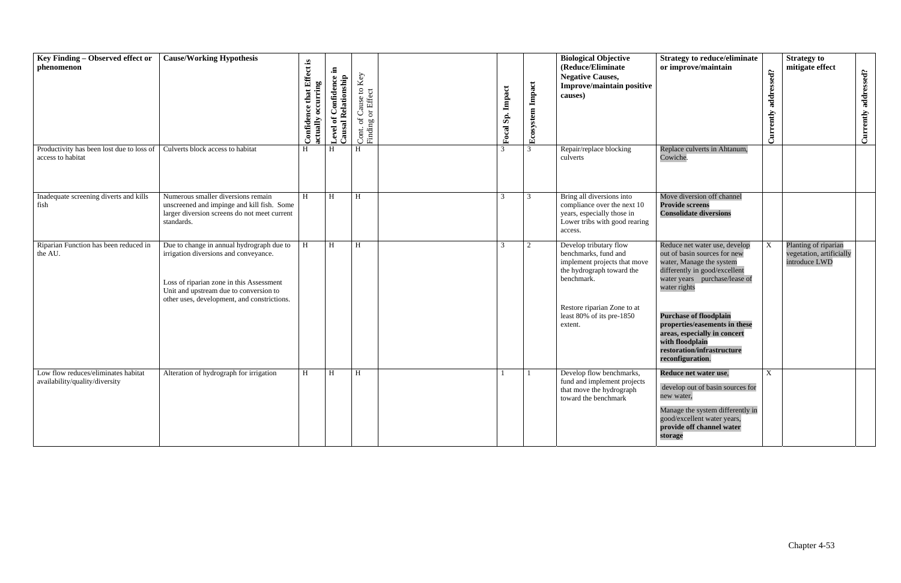| Key Finding – Observed effect or<br>phenomenon                        | <b>Cause/Working Hypothesis</b>                                                                                                                                                                                         | Effect is<br>aur<br>Confidence | .크<br>l of Confidence i<br>al Relationship<br>Causal<br>Level | Key<br>of Cause to<br>or Effect<br>Cont. of<br>Finding | Impact<br>Focal Sp. | Impact<br>Ecosystem | <b>Biological Objective</b><br>(Reduce/Eliminate<br><b>Negative Causes,</b><br>Improve/maintain positive<br>causes)                                                                              | <b>Strategy to reduce/eliminate</b><br>or improve/maintain                                                                                                                                                                                                                                                                                         | addressed?<br>Currently | <b>Strategy to</b><br>mitigate effect                             | Currently addressed? |
|-----------------------------------------------------------------------|-------------------------------------------------------------------------------------------------------------------------------------------------------------------------------------------------------------------------|--------------------------------|---------------------------------------------------------------|--------------------------------------------------------|---------------------|---------------------|--------------------------------------------------------------------------------------------------------------------------------------------------------------------------------------------------|----------------------------------------------------------------------------------------------------------------------------------------------------------------------------------------------------------------------------------------------------------------------------------------------------------------------------------------------------|-------------------------|-------------------------------------------------------------------|----------------------|
| Productivity has been lost due to loss of<br>access to habitat        | Culverts block access to habitat                                                                                                                                                                                        | H                              | H                                                             | H                                                      | 3                   | 3                   | Repair/replace blocking<br>culverts                                                                                                                                                              | Replace culverts in Ahtanum,<br>Cowiche.                                                                                                                                                                                                                                                                                                           |                         |                                                                   |                      |
| Inadequate screening diverts and kills<br>fish                        | Numerous smaller diversions remain<br>unscreened and impinge and kill fish. Some<br>larger diversion screens do not meet current<br>standards.                                                                          | H                              | H                                                             | H                                                      | 3                   | $\mathfrak{Z}$      | Bring all diversions into<br>compliance over the next 10<br>years, especially those in<br>Lower tribs with good rearing<br>access.                                                               | Move diversion off channel<br><b>Provide screens</b><br><b>Consolidate diversions</b>                                                                                                                                                                                                                                                              |                         |                                                                   |                      |
| Riparian Function has been reduced in<br>the AU.                      | Due to change in annual hydrograph due to<br>irrigation diversions and conveyance.<br>Loss of riparian zone in this Assessment<br>Unit and upstream due to conversion to<br>other uses, development, and constrictions. | H                              | H                                                             | H                                                      | 3                   | 2                   | Develop tributary flow<br>benchmarks, fund and<br>implement projects that move<br>the hydrograph toward the<br>benchmark.<br>Restore riparian Zone to at<br>least 80% of its pre-1850<br>extent. | Reduce net water use, develop<br>out of basin sources for new<br>water, Manage the system<br>differently in good/excellent<br>water years purchase/lease of<br>water rights<br><b>Purchase of floodplain</b><br>properties/easements in these<br>areas, especially in concert<br>with floodplain<br>restoration/infrastructure<br>reconfiguration. | X                       | Planting of riparian<br>vegetation, artificially<br>introduce LWD |                      |
| Low flow reduces/eliminates habitat<br>availability/quality/diversity | Alteration of hydrograph for irrigation                                                                                                                                                                                 | H                              | H                                                             | H                                                      |                     |                     | Develop flow benchmarks,<br>fund and implement projects<br>that move the hydrograph<br>toward the benchmark                                                                                      | Reduce net water use,<br>develop out of basin sources for<br>new water,<br>Manage the system differently in<br>good/excellent water years,<br>provide off channel water<br>storage                                                                                                                                                                 | $\mathbf X$             |                                                                   |                      |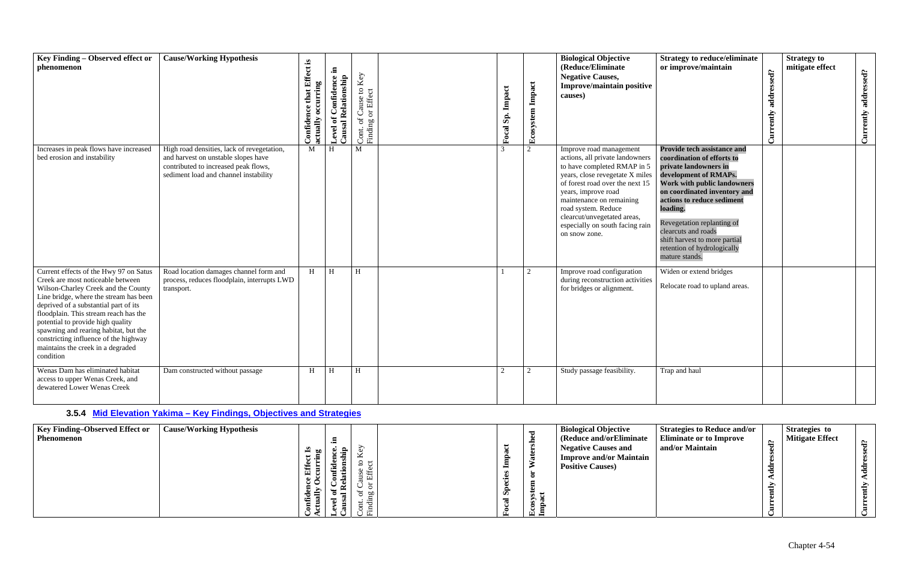| Key Finding - Observed effect or<br>phenomenon                                                                                                                                                                                                                                                                                                                                                                          | <b>Cause/Working Hypothesis</b>                                                                                                                                    | Effect is<br>that<br>Confidence i<br>actually occu | Level of Confidence in<br>Causal Relationship | Cause to Key<br>or Effect<br>$\mathfrak{p}$<br>Finding<br>Cont. | Impact<br>Focal Sp. | Impact<br>Ecosystem 1 | <b>Biological Objective</b><br>(Reduce/Eliminate<br><b>Negative Causes,</b><br>Improve/maintain positive<br>causes)                                                                                                                                                                                                          | <b>Strategy to reduce/eliminate</b><br>or improve/maintain                                                                                                                                                                                                                                                                                                         | <b>Strategy to</b><br>mitigate effect<br>addressed?<br>Currently | Currently addressed? |
|-------------------------------------------------------------------------------------------------------------------------------------------------------------------------------------------------------------------------------------------------------------------------------------------------------------------------------------------------------------------------------------------------------------------------|--------------------------------------------------------------------------------------------------------------------------------------------------------------------|----------------------------------------------------|-----------------------------------------------|-----------------------------------------------------------------|---------------------|-----------------------|------------------------------------------------------------------------------------------------------------------------------------------------------------------------------------------------------------------------------------------------------------------------------------------------------------------------------|--------------------------------------------------------------------------------------------------------------------------------------------------------------------------------------------------------------------------------------------------------------------------------------------------------------------------------------------------------------------|------------------------------------------------------------------|----------------------|
| Increases in peak flows have increased<br>bed erosion and instability                                                                                                                                                                                                                                                                                                                                                   | High road densities, lack of revegetation,<br>and harvest on unstable slopes have<br>contributed to increased peak flows,<br>sediment load and channel instability | M                                                  | H                                             | M                                                               | $\mathcal{R}$       | $\overline{2}$        | Improve road management<br>actions, all private landowners<br>to have completed RMAP in 5<br>years, close revegetate X miles<br>of forest road over the next 15<br>years, improve road<br>maintenance on remaining<br>road system. Reduce<br>clearcut/unvegetated areas,<br>especially on south facing rain<br>on snow zone. | Provide tech assistance and<br>coordination of efforts to<br>private landowners in<br>development of RMAPs.<br><b>Work with public landowners</b><br>on coordinated inventory and<br>actions to reduce sediment<br>loading.<br>Revegetation replanting of<br>clearcuts and roads<br>shift harvest to more partial<br>retention of hydrologically<br>mature stands. |                                                                  |                      |
| Current effects of the Hwy 97 on Satus<br>Creek are most noticeable between<br>Wilson-Charley Creek and the County<br>Line bridge, where the stream has been<br>deprived of a substantial part of its<br>floodplain. This stream reach has the<br>potential to provide high quality<br>spawning and rearing habitat, but the<br>constricting influence of the highway<br>maintains the creek in a degraded<br>condition | Road location damages channel form and<br>process, reduces floodplain, interrupts LWD<br>transport.                                                                | H                                                  | $\mathbf{H}$                                  | H                                                               |                     | $\overline{2}$        | Improve road configuration<br>during reconstruction activities<br>for bridges or alignment.                                                                                                                                                                                                                                  | Widen or extend bridges<br>Relocate road to upland areas.                                                                                                                                                                                                                                                                                                          |                                                                  |                      |
| Wenas Dam has eliminated habitat<br>access to upper Wenas Creek, and<br>dewatered Lower Wenas Creek                                                                                                                                                                                                                                                                                                                     | Dam constructed without passage                                                                                                                                    | H                                                  | H                                             | H                                                               | 2                   | $\overline{2}$        | Study passage feasibility.                                                                                                                                                                                                                                                                                                   | Trap and haul                                                                                                                                                                                                                                                                                                                                                      |                                                                  |                      |

# **3.5.4 Mid Elevation Yakima – Key Findings, Objectives and Strategies**

| Key Finding-Observed Effect or<br>Phenomenon | <b>Cause/Working Hypothesis</b><br>60<br>$\overline{\phantom{0}}$<br>ு ⊶<br>ĚĚ<br>5<br>∽<br>-ਰ ≓ | .ョ<br>-≏<br>$\bullet$ $\blacksquare$<br>$\sim$<br>5 ⊴<br>$\circ$ $\rightarrow$ | $\overline{\phantom{0}}$<br>$\check{ }$<br>Effe<br>◡ᇿ | . .<br>문.<br>▰ | ల<br>国直 | <b>Biological Objective</b><br>(Reduce and/orEliminate<br><b>Negative Causes and</b><br><b>Improve and/or Maintain</b><br><b>Positive Causes</b> ) | <b>Strategies to Reduce and/or</b><br><b>Eliminate or to Improve</b><br>ີ.<br>and/or Maintain<br>≂<br>e de la construcción de la construcción de la construcción de la construcción de la construcción de la construcción de la construcción de la construcción de la construcción de la construcción de la construcción de la const | Strategies to<br><b>Mitigate Effect</b><br>⋗ |  |
|----------------------------------------------|--------------------------------------------------------------------------------------------------|--------------------------------------------------------------------------------|-------------------------------------------------------|----------------|---------|----------------------------------------------------------------------------------------------------------------------------------------------------|--------------------------------------------------------------------------------------------------------------------------------------------------------------------------------------------------------------------------------------------------------------------------------------------------------------------------------------|----------------------------------------------|--|
|----------------------------------------------|--------------------------------------------------------------------------------------------------|--------------------------------------------------------------------------------|-------------------------------------------------------|----------------|---------|----------------------------------------------------------------------------------------------------------------------------------------------------|--------------------------------------------------------------------------------------------------------------------------------------------------------------------------------------------------------------------------------------------------------------------------------------------------------------------------------------|----------------------------------------------|--|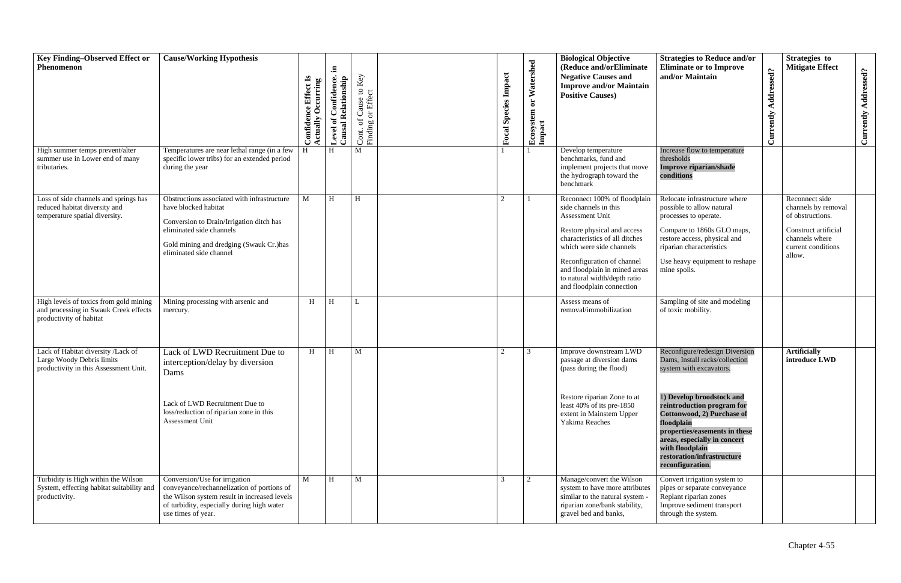| <b>Key Finding-Observed Effect or</b><br>Phenomenon                                                        | <b>Cause/Working Hypothesis</b>                                                                                                                                                                                   | Effect Is<br>Confidence<br>Actually Oc | - 드<br>of Confidence.<br>al Relationship<br>Level<br>Caus | to Key<br>or Effect<br>of Cause<br>Finding<br>Cont. | <b>Focal Species Impact</b> | Watershed<br>$\mathbf{5}$<br>Ecosystem<br>Impact | <b>Biological Objective</b><br>(Reduce and/orEliminate<br><b>Negative Causes and</b><br><b>Improve and/or Maintain</b><br><b>Positive Causes)</b>                                                                                                                                                 | <b>Strategies to Reduce and/or</b><br><b>Eliminate or to Improve</b><br>and/or Maintain                                                                                                                                                                                                                                                  | Strategies to<br><b>Mitigate Effect</b><br>Addressed?<br>Currently                                                                  | Currently Addressed? |
|------------------------------------------------------------------------------------------------------------|-------------------------------------------------------------------------------------------------------------------------------------------------------------------------------------------------------------------|----------------------------------------|-----------------------------------------------------------|-----------------------------------------------------|-----------------------------|--------------------------------------------------|---------------------------------------------------------------------------------------------------------------------------------------------------------------------------------------------------------------------------------------------------------------------------------------------------|------------------------------------------------------------------------------------------------------------------------------------------------------------------------------------------------------------------------------------------------------------------------------------------------------------------------------------------|-------------------------------------------------------------------------------------------------------------------------------------|----------------------|
| High summer temps prevent/alter<br>summer use in Lower end of many<br>tributaries.                         | Temperatures are near lethal range (in a few<br>specific lower tribs) for an extended period<br>during the year                                                                                                   | H                                      | H                                                         | M                                                   |                             |                                                  | Develop temperature<br>benchmarks, fund and<br>implement projects that move<br>the hydrograph toward the<br>benchmark                                                                                                                                                                             | Increase flow to temperature<br>thresholds<br><b>Improve riparian/shade</b><br>conditions                                                                                                                                                                                                                                                |                                                                                                                                     |                      |
| Loss of side channels and springs has<br>reduced habitat diversity and<br>temperature spatial diversity.   | Obstructions associated with infrastructure<br>have blocked habitat<br>Conversion to Drain/Irrigation ditch has<br>eliminated side channels<br>Gold mining and dredging (Swauk Cr.)has<br>eliminated side channel | M                                      | H                                                         | H                                                   | $\overline{2}$              |                                                  | Reconnect 100% of floodplain<br>side channels in this<br>Assessment Unit<br>Restore physical and access<br>characteristics of all ditches<br>which were side channels<br>Reconfiguration of channel<br>and floodplain in mined areas<br>to natural width/depth ratio<br>and floodplain connection | Relocate infrastructure where<br>possible to allow natural<br>processes to operate.<br>Compare to 1860s GLO maps,<br>restore access, physical and<br>riparian characteristics<br>Use heavy equipment to reshape<br>mine spoils.                                                                                                          | Reconnect side<br>channels by removal<br>of obstructions.<br>Construct artificial<br>channels where<br>current conditions<br>allow. |                      |
| High levels of toxics from gold mining<br>and processing in Swauk Creek effects<br>productivity of habitat | Mining processing with arsenic and<br>mercury.                                                                                                                                                                    | H                                      | H                                                         |                                                     |                             |                                                  | Assess means of<br>removal/immobilization                                                                                                                                                                                                                                                         | Sampling of site and modeling<br>of toxic mobility.                                                                                                                                                                                                                                                                                      |                                                                                                                                     |                      |
| Lack of Habitat diversity /Lack of<br>Large Woody Debris limits<br>productivity in this Assessment Unit.   | Lack of LWD Recruitment Due to<br>interception/delay by diversion<br>Dams<br>Lack of LWD Recruitment Due to<br>loss/reduction of riparian zone in this<br>Assessment Unit                                         | H                                      | H                                                         | M                                                   | $\overline{2}$              | 3                                                | Improve downstream LWD<br>passage at diversion dams<br>(pass during the flood)<br>Restore riparian Zone to at<br>least $40\%$ of its pre-1850<br>extent in Mainstem Upper<br>Yakima Reaches                                                                                                       | Reconfigure/redesign Diversion<br>Dams, Install racks/collection<br>system with excavators.<br>1) Develop broodstock and<br>reintroduction program for<br>Cottonwood, 2) Purchase of<br>floodplain<br>properties/easements in these<br>areas, especially in concert<br>with floodplain<br>restoration/infrastructure<br>reconfiguration. | <b>Artificially</b><br>introduce LWD                                                                                                |                      |
| Turbidity is High within the Wilson<br>System, effecting habitat suitability and<br>productivity.          | Conversion/Use for irrigation<br>conveyance/rechannelization of portions of<br>the Wilson system result in increased levels<br>of turbidity, especially during high water<br>use times of year.                   | M                                      | H                                                         | $\mathbf{M}$                                        | 3                           | $\overline{2}$                                   | Manage/convert the Wilson<br>system to have more attributes<br>similar to the natural system -<br>riparian zone/bank stability,<br>gravel bed and banks,                                                                                                                                          | Convert irrigation system to<br>pipes or separate conveyance<br>Replant riparian zones<br>Improve sediment transport<br>through the system.                                                                                                                                                                                              |                                                                                                                                     |                      |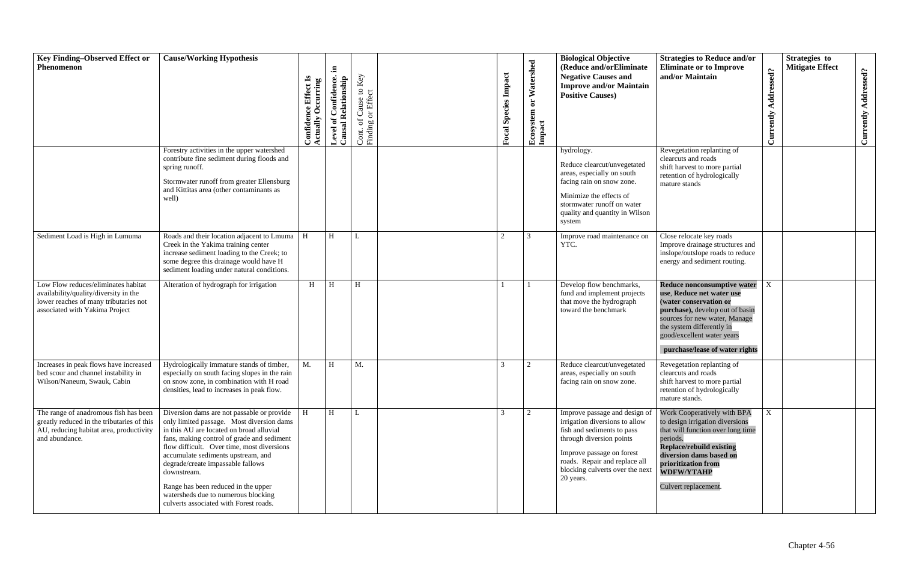| <b>Key Finding-Observed Effect or</b><br>Phenomenon                                                                                                     | <b>Cause/Working Hypothesis</b>                                                                                                                                                                                                                                                                                                                                                                                                                   | ctIs<br>curring<br>Actually<br>Confid | .크<br>Confidence.<br><b>Level of Confidence</b><br>Causal Relationship<br>$\ddot{\sigma}$ | f Cause to Key<br>or Effect<br>of Cause<br>Cont. of<br>Finding | <b>Focal Species Impact</b> | Watershed<br>$\mathbf{5}$<br>ಕ<br>Ecosy<br>Impac | <b>Biological Objective</b><br>(Reduce and/orEliminate<br><b>Negative Causes and</b><br><b>Improve and/or Maintain</b><br><b>Positive Causes)</b>                                                                                       | <b>Strategies to Reduce and/or</b><br><b>Eliminate or to Improve</b><br>and/or Maintain                                                                                                                                                                    | Addressed?<br>Currently | Strategies to<br><b>Mitigate Effect</b> | Currently Addressed? |
|---------------------------------------------------------------------------------------------------------------------------------------------------------|---------------------------------------------------------------------------------------------------------------------------------------------------------------------------------------------------------------------------------------------------------------------------------------------------------------------------------------------------------------------------------------------------------------------------------------------------|---------------------------------------|-------------------------------------------------------------------------------------------|----------------------------------------------------------------|-----------------------------|--------------------------------------------------|-----------------------------------------------------------------------------------------------------------------------------------------------------------------------------------------------------------------------------------------|------------------------------------------------------------------------------------------------------------------------------------------------------------------------------------------------------------------------------------------------------------|-------------------------|-----------------------------------------|----------------------|
|                                                                                                                                                         | Forestry activities in the upper watershed<br>contribute fine sediment during floods and<br>spring runoff.<br>Stormwater runoff from greater Ellensburg<br>and Kittitas area (other contaminants as<br>well)                                                                                                                                                                                                                                      |                                       |                                                                                           |                                                                |                             |                                                  | hydrology.<br>Reduce clearcut/unvegetated<br>areas, especially on south<br>facing rain on snow zone.<br>Minimize the effects of<br>stormwater runoff on water<br>quality and quantity in Wilson<br>system                               | Revegetation replanting of<br>clearcuts and roads<br>shift harvest to more partial<br>retention of hydrologically<br>mature stands                                                                                                                         |                         |                                         |                      |
| Sediment Load is High in Lumuma                                                                                                                         | Roads and their location adjacent to Lmuma<br>Creek in the Yakima training center<br>increase sediment loading to the Creek; to<br>some degree this drainage would have H<br>sediment loading under natural conditions.                                                                                                                                                                                                                           | H                                     | H                                                                                         |                                                                |                             | 3                                                | Improve road maintenance on<br>YTC.                                                                                                                                                                                                     | Close relocate key roads<br>Improve drainage structures and<br>inslope/outslope roads to reduce<br>energy and sediment routing.                                                                                                                            |                         |                                         |                      |
| Low Flow reduces/eliminates habitat<br>availability/quality/diversity in the<br>lower reaches of many tributaries not<br>associated with Yakima Project | Alteration of hydrograph for irrigation                                                                                                                                                                                                                                                                                                                                                                                                           | H                                     | H                                                                                         | $\mathbf H$                                                    |                             |                                                  | Develop flow benchmarks,<br>fund and implement projects<br>that move the hydrograph<br>toward the benchmark                                                                                                                             | <b>Reduce nonconsumptive water</b><br>use, Reduce net water use<br>(water conservation or<br>purchase), develop out of basin<br>sources for new water, Manage<br>the system differently in<br>good/excellent water years<br>purchase/lease of water rights |                         |                                         |                      |
| Increases in peak flows have increased<br>bed scour and channel instability in<br>Wilson/Naneum, Swauk, Cabin                                           | Hydrologically immature stands of timber,<br>especially on south facing slopes in the rain<br>on snow zone, in combination with H road<br>densities, lead to increases in peak flow.                                                                                                                                                                                                                                                              | M.                                    | H                                                                                         | M.                                                             |                             | 2                                                | Reduce clearcut/unvegetated<br>areas, especially on south<br>facing rain on snow zone.                                                                                                                                                  | Revegetation replanting of<br>clearcuts and roads<br>shift harvest to more partial<br>retention of hydrologically<br>mature stands.                                                                                                                        |                         |                                         |                      |
| The range of anadromous fish has been<br>greatly reduced in the tributaries of this<br>AU, reducing habitat area, productivity<br>and abundance.        | Diversion dams are not passable or provide<br>only limited passage. Most diversion dams<br>in this AU are located on broad alluvial<br>fans, making control of grade and sediment<br>flow difficult. Over time, most diversions<br>accumulate sediments upstream, and<br>degrade/create impassable fallows<br>downstream.<br>Range has been reduced in the upper<br>watersheds due to numerous blocking<br>culverts associated with Forest roads. | H                                     | H                                                                                         | L                                                              | $\mathcal{R}$               | 2                                                | Improve passage and design of<br>irrigation diversions to allow<br>fish and sediments to pass<br>through diversion points<br>Improve passage on forest<br>roads. Repair and replace all<br>blocking culverts over the next<br>20 years. | Work Cooperatively with BPA<br>to design irrigation diversions<br>that will function over long time<br>periods.<br><b>Replace/rebuild existing</b><br>diversion dams based on<br>prioritization from<br><b>WDFW/YTAHP</b><br>Culvert replacement.          | $\mathbf{X}$            |                                         |                      |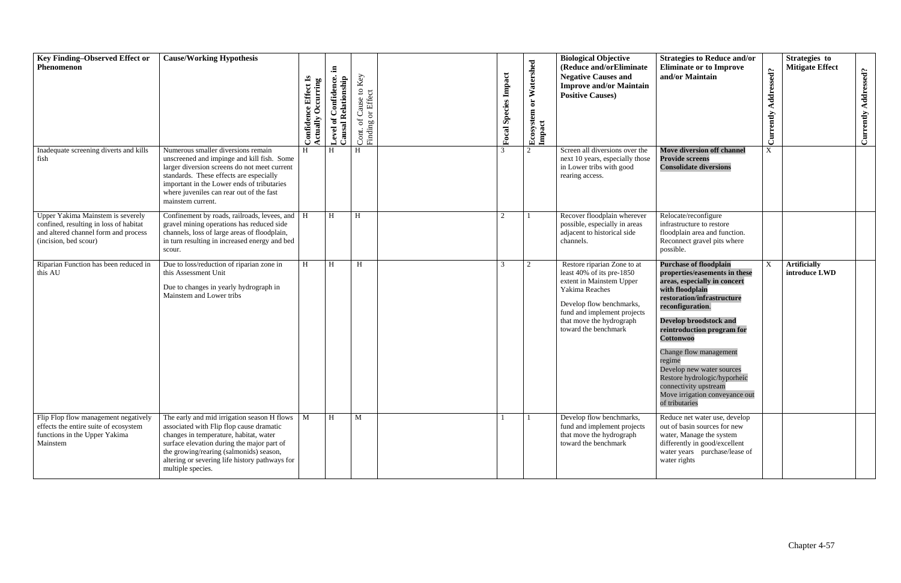| <b>Key Finding-Observed Effect or</b><br>Phenomenon                                                                                          | <b>Cause/Working Hypothesis</b>                                                                                                                                                                                                                                                                   | Effect Is<br>Confidence | - 드<br>of Confidence.<br>al Relationship<br>Level<br>Caus | Key<br>$\mathtt{O}$<br>or Effect<br>of Cause<br>Finding<br>Cont. | <b>Focal Species Impact</b> | Watershed<br>$\mathfrak{b}$<br>Ecosystem<br>Impact | <b>Biological Objective</b><br>(Reduce and/orEliminate<br><b>Negative Causes and</b><br><b>Improve and/or Maintain</b><br><b>Positive Causes)</b>                                                                        | <b>Strategies to Reduce and/or</b><br><b>Eliminate or to Improve</b><br>and/or Maintain                                                                                                                                                                                                                                                                                                                                              | Addressed?<br>Currently | Strategies to<br><b>Mitigate Effect</b> | Currently Addressed? |
|----------------------------------------------------------------------------------------------------------------------------------------------|---------------------------------------------------------------------------------------------------------------------------------------------------------------------------------------------------------------------------------------------------------------------------------------------------|-------------------------|-----------------------------------------------------------|------------------------------------------------------------------|-----------------------------|----------------------------------------------------|--------------------------------------------------------------------------------------------------------------------------------------------------------------------------------------------------------------------------|--------------------------------------------------------------------------------------------------------------------------------------------------------------------------------------------------------------------------------------------------------------------------------------------------------------------------------------------------------------------------------------------------------------------------------------|-------------------------|-----------------------------------------|----------------------|
| Inadequate screening diverts and kills<br>fish                                                                                               | Numerous smaller diversions remain<br>unscreened and impinge and kill fish. Some<br>larger diversion screens do not meet current<br>standards. These effects are especially<br>important in the Lower ends of tributaries<br>where juveniles can rear out of the fast<br>mainstem current.        | H                       | H                                                         |                                                                  | 3                           | 2                                                  | Screen all diversions over the<br>next 10 years, especially those<br>in Lower tribs with good<br>rearing access.                                                                                                         | <b>Move diversion off channel</b><br><b>Provide screens</b><br><b>Consolidate diversions</b>                                                                                                                                                                                                                                                                                                                                         | X                       |                                         |                      |
| Upper Yakima Mainstem is severely<br>confined, resulting in loss of habitat<br>and altered channel form and process<br>(incision, bed scour) | Confinement by roads, railroads, levees, and   H<br>gravel mining operations has reduced side<br>channels, loss of large areas of floodplain,<br>in turn resulting in increased energy and bed<br>scour.                                                                                          |                         | H                                                         | H                                                                | $\overline{2}$              |                                                    | Recover floodplain wherever<br>possible, especially in areas<br>adjacent to historical side<br>channels.                                                                                                                 | Relocate/reconfigure<br>infrastructure to restore<br>floodplain area and function.<br>Reconnect gravel pits where<br>possible.                                                                                                                                                                                                                                                                                                       |                         |                                         |                      |
| Riparian Function has been reduced in<br>this AU                                                                                             | Due to loss/reduction of riparian zone in<br>this Assessment Unit<br>Due to changes in yearly hydrograph in<br>Mainstem and Lower tribs                                                                                                                                                           | H                       | H                                                         | $H_{\rm}$                                                        |                             | $\overline{2}$                                     | Restore riparian Zone to at<br>least $40\%$ of its pre-1850<br>extent in Mainstem Upper<br>Yakima Reaches<br>Develop flow benchmarks,<br>fund and implement projects<br>that move the hydrograph<br>toward the benchmark | <b>Purchase of floodplain</b><br>properties/easements in these<br>areas, especially in concert<br>with floodplain<br>restoration/infrastructure<br>reconfiguration.<br><b>Develop broodstock and</b><br>reintroduction program for<br><b>Cottonwoo</b><br>Change flow management<br>regime<br>Develop new water sources<br>Restore hydrologic/hyporheic<br>connectivity upstream<br>Move irrigation conveyance out<br>of tributaries | X                       | <b>Artificially</b><br>introduce LWD    |                      |
| Flip Flop flow management negatively<br>effects the entire suite of ecosystem<br>functions in the Upper Yakima<br>Mainstem                   | The early and mid irrigation season H flows<br>associated with Flip flop cause dramatic<br>changes in temperature, habitat, water<br>surface elevation during the major part of<br>the growing/rearing (salmonids) season,<br>altering or severing life history pathways for<br>multiple species. | M                       | H                                                         | $\mathbf{M}$                                                     |                             |                                                    | Develop flow benchmarks,<br>fund and implement projects<br>that move the hydrograph<br>toward the benchmark                                                                                                              | Reduce net water use, develop<br>out of basin sources for new<br>water, Manage the system<br>differently in good/excellent<br>water years purchase/lease of<br>water rights                                                                                                                                                                                                                                                          |                         |                                         |                      |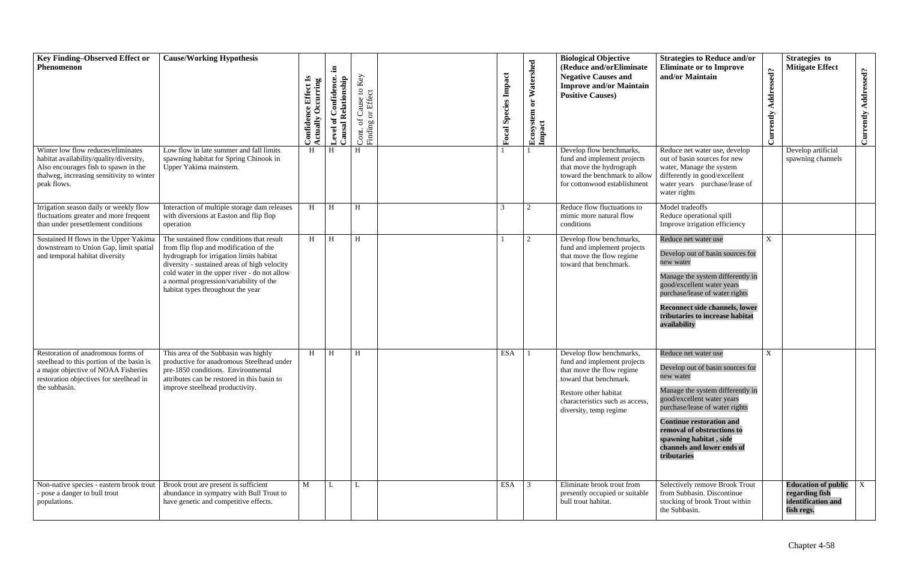| <b>Key Finding-Observed Effect or</b><br>Phenomenon<br>Winter low flow reduces/eliminates                                                                                          | <b>Cause/Working Hypothesis</b><br>Low flow in late summer and fall limits                                                                                                                                                                                                                                      | $\mathbf{s}$<br>${\rm curring}$<br>Effect<br>Confiden<br>H | - 드<br>Confidence.<br>Relationship<br>Level of<br>Causal<br>H | Key<br>$\mathtt{c}$<br>or Effect<br>of Cause<br><b>Finding</b><br>Cont.<br>H | <b>Focal Species Impact</b> | atershed<br>⋗<br>$\mathfrak{g}$<br>tem<br>Ecosyst<br>Impact | <b>Biological Objective</b><br>(Reduce and/orEliminate<br><b>Negative Causes and</b><br><b>Improve and/or Maintain</b><br><b>Positive Causes)</b><br>Develop flow benchmarks,                        | <b>Strategies to Reduce and/or</b><br><b>Eliminate or to Improve</b><br>and/or Maintain<br>Reduce net water use, develop                                                                                                                                                                                          | Strategies to<br><b>Mitigate Effect</b><br>Addressed?<br>Currently<br>Develop artificial | <b>Currently Addressed?</b> |
|------------------------------------------------------------------------------------------------------------------------------------------------------------------------------------|-----------------------------------------------------------------------------------------------------------------------------------------------------------------------------------------------------------------------------------------------------------------------------------------------------------------|------------------------------------------------------------|---------------------------------------------------------------|------------------------------------------------------------------------------|-----------------------------|-------------------------------------------------------------|------------------------------------------------------------------------------------------------------------------------------------------------------------------------------------------------------|-------------------------------------------------------------------------------------------------------------------------------------------------------------------------------------------------------------------------------------------------------------------------------------------------------------------|------------------------------------------------------------------------------------------|-----------------------------|
| habitat availability/quality/diversity,<br>Also encourages fish to spawn in the<br>thalweg, increasing sensitivity to winter<br>peak flows.                                        | spawning habitat for Spring Chinook in<br>Upper Yakima mainstem.                                                                                                                                                                                                                                                |                                                            |                                                               |                                                                              |                             |                                                             | fund and implement projects<br>that move the hydrograph<br>toward the benchmark to allow<br>for cottonwood establishment                                                                             | out of basin sources for new<br>water, Manage the system<br>differently in good/excellent<br>water years purchase/lease of<br>water rights                                                                                                                                                                        | spawning channels                                                                        |                             |
| Irrigation season daily or weekly flow<br>fluctuations greater and more frequent<br>than under presettlement conditions                                                            | Interaction of multiple storage dam releases<br>with diversions at Easton and flip flop<br>operation                                                                                                                                                                                                            | H                                                          | $\vert$ H                                                     | H                                                                            |                             |                                                             | Reduce flow fluctuations to<br>mimic more natural flow<br>conditions                                                                                                                                 | Model tradeoffs<br>Reduce operational spill<br>Improve irrigation efficiency                                                                                                                                                                                                                                      |                                                                                          |                             |
| Sustained H flows in the Upper Yakima<br>downstream to Union Gap, limit spatial<br>and temporal habitat diversity                                                                  | The sustained flow conditions that result<br>from flip flop and modification of the<br>hydrograph for irrigation limits habitat<br>diversity - sustained areas of high velocity<br>cold water in the upper river - do not allow<br>a normal progression/variability of the<br>habitat types throughout the year | H                                                          | H                                                             | H                                                                            |                             | 2                                                           | Develop flow benchmarks,<br>fund and implement projects<br>that move the flow regime<br>toward that benchmark.                                                                                       | Reduce net water use<br>Develop out of basin sources for<br>new water<br>Manage the system differently in<br>good/excellent water years<br>purchase/lease of water rights<br><b>Reconnect side channels, lower</b><br>tributaries to increase habitat<br>availability                                             | $\mathbf X$                                                                              |                             |
| Restoration of anadromous forms of<br>steelhead to this portion of the basin is<br>a major objective of NOAA Fisheries<br>restoration objectives for steelhead in<br>the subbasin. | This area of the Subbasin was highly<br>productive for anadromous Steelhead under<br>pre-1850 conditions. Environmental<br>attributes can be restored in this basin to<br>improve steelhead productivity.                                                                                                       | H                                                          | H                                                             | H                                                                            | <b>ESA</b>                  |                                                             | Develop flow benchmarks,<br>fund and implement projects<br>that move the flow regime<br>toward that benchmark.<br>Restore other habitat<br>characteristics such as access,<br>diversity, temp regime | Reduce net water use<br>Develop out of basin sources for<br>new water<br>Manage the system differently in<br>good/excellent water years<br>purchase/lease of water rights<br><b>Continue restoration and</b><br>removal of obstructions to<br>spawning habitat, side<br>channels and lower ends of<br>tributaries | X                                                                                        |                             |
| Non-native species - eastern brook trout<br>- pose a danger to bull trout<br>populations.                                                                                          | Brook trout are present is sufficient<br>abundance in sympatry with Bull Trout to<br>have genetic and competitive effects.                                                                                                                                                                                      | M                                                          | L                                                             | L                                                                            | <b>ESA</b>                  | $\mathcal{E}$                                               | Eliminate brook trout from<br>presently occupied or suitable<br>bull trout habitat.                                                                                                                  | Selectively remove Brook Trout<br>from Subbasin. Discontinue<br>stocking of brook Trout within<br>the Subbasin.                                                                                                                                                                                                   | <b>Education of public</b><br>regarding fish<br>identification and<br>fish regs.         | $\mathbf{X}$                |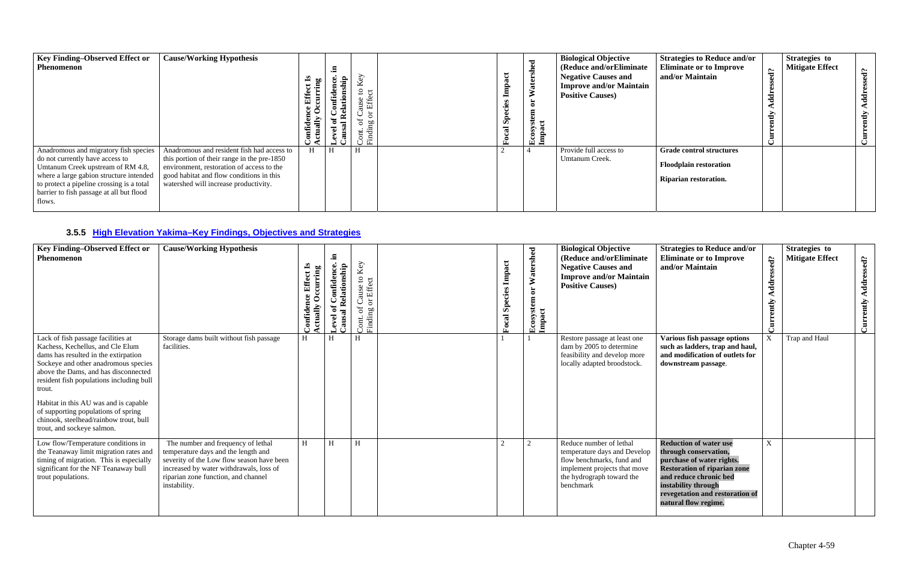| <b>Key Finding-Observed Effect or</b><br>Phenomenon                                                                                                                                                                                                         | <b>Cause/Working Hypothesis</b><br>$\mathbf{S}$<br>ffect<br>ırrin<br>菌<br>ಲಿ ರ                                                                                                                                                   | ា<br>ដ<br>$\mathbf{u}$ | $\overline{c}$<br>$\overline{c}$<br>Effe<br><b>b</b><br>੶ਜ਼<br>置 | ల<br>Lmp<br>S.<br>$-1$<br>نې<br><b>Sp</b><br>$\overline{\mathbf{a}}$<br>است | 国<br>ᅼ | <b>Biological Objective</b><br>(Reduce and/orEliminate<br><b>Negative Causes and</b><br><b>Improve and/or Maintain</b><br><b>Positive Causes)</b> | <b>Strategies to Reduce and/or</b><br><b>Eliminate or to Improve</b><br>and/or Maintain   | $\ddot{a}$<br>ರ<br>£ | Strategies to<br><b>Mitigate Effect</b> | $\ddot{a}$<br>ntly |
|-------------------------------------------------------------------------------------------------------------------------------------------------------------------------------------------------------------------------------------------------------------|----------------------------------------------------------------------------------------------------------------------------------------------------------------------------------------------------------------------------------|------------------------|------------------------------------------------------------------|-----------------------------------------------------------------------------|--------|---------------------------------------------------------------------------------------------------------------------------------------------------|-------------------------------------------------------------------------------------------|----------------------|-----------------------------------------|--------------------|
| Anadromous and migratory fish species<br>do not currently have access to<br>Umtanum Creek upstream of RM 4.8,<br>where a large gabion structure intended<br>to protect a pipeline crossing is a total<br>barrier to fish passage at all but flood<br>flows. | Anadromous and resident fish had access to<br>H<br>this portion of their range in the pre-1850<br>environment, restoration of access to the<br>good habitat and flow conditions in this<br>watershed will increase productivity. | $\vert$ H              |                                                                  |                                                                             |        | Provide full access to<br>Umtanum Creek.                                                                                                          | <b>Grade control structures</b><br><b>Floodplain restoration</b><br>Riparian restoration. |                      |                                         |                    |

#### **3.5.5 High Elevation Yakima–Key Fin dings, Objectives and Strategi e s**

| <b>Key Finding-Observed Effect or</b><br>Phenomenon                                                                                                                                                                                                                                                                                                                                                          | <b>Cause/Working Hypothesis</b>                                                                                                                                                                                          | Effect Is<br>curring<br>Confidence<br>Actually Oc | $\blacksquare$<br>Relationship<br>Confiden<br>$\ddot{\phantom{1}}$<br>Level<br>Causa | Key<br>$\mathbf{c}$<br>or Effect<br>$\mathbf{s}$<br>$\cup$<br>ð<br>Cont. of<br>Finding | <b>Focal Species Impact</b> | atershed<br>⋗<br>$\mathbf{c}$<br>tem<br><b>Ecosy</b><br>Long<br>Lapa | <b>Biological Objective</b><br>(Reduce and/orEliminate)<br><b>Negative Causes and</b><br><b>Improve and/or Maintain</b><br><b>Positive Causes)</b>             | <b>Strategies to Reduce and/or</b><br><b>Eliminate or to Improve</b><br>and/or Maintain                                                                                                                                                | Addressed?<br>rrently<br>් | Strategies to<br><b>Mitigate Effect</b> | Addressed?<br>Currently |
|--------------------------------------------------------------------------------------------------------------------------------------------------------------------------------------------------------------------------------------------------------------------------------------------------------------------------------------------------------------------------------------------------------------|--------------------------------------------------------------------------------------------------------------------------------------------------------------------------------------------------------------------------|---------------------------------------------------|--------------------------------------------------------------------------------------|----------------------------------------------------------------------------------------|-----------------------------|----------------------------------------------------------------------|----------------------------------------------------------------------------------------------------------------------------------------------------------------|----------------------------------------------------------------------------------------------------------------------------------------------------------------------------------------------------------------------------------------|----------------------------|-----------------------------------------|-------------------------|
| Lack of fish passage facilities at<br>Kachess, Kechellus, and Cle Elum<br>dams has resulted in the extirpation<br>Sockeye and other anadromous species<br>above the Dams, and has disconnected<br>resident fish populations including bull<br>trout.<br>Habitat in this AU was and is capable<br>of supporting populations of spring<br>chinook, steelhead/rainbow trout, bull<br>trout, and sockeye salmon. | Storage dams built without fish passage<br>facilities.                                                                                                                                                                   | H                                                 | H                                                                                    |                                                                                        |                             |                                                                      | Restore passage at least one<br>dam by 2005 to determine<br>feasibility and develop more<br>locally adapted broodstock.                                        | Various fish passage options<br>such as ladders, trap and haul,<br>and modification of outlets for<br>downstream passage.                                                                                                              | $\mathbf X$                | Trap and Haul                           |                         |
| Low flow/Temperature conditions in<br>the Teanaway limit migration rates and<br>timing of migration. This is especially<br>significant for the NF Teanaway bull<br>trout populations.                                                                                                                                                                                                                        | The number and frequency of lethal<br>temperature days and the length and<br>severity of the Low flow season have been<br>increased by water withdrawals, loss of<br>riparian zone function, and channel<br>instability. | H                                                 | $\boldsymbol{\mathrm{H}}$                                                            | H                                                                                      |                             | $\mathfrak{D}$                                                       | Reduce number of lethal<br>temperature days and Develop<br>flow benchmarks, fund and<br>implement projects that move<br>the hydrograph toward the<br>benchmark | <b>Reduction of water use</b><br>through conservation,<br>purchase of water rights.<br><b>Restoration of riparian zone</b><br>and reduce chronic bed<br>instability through<br>revegetation and restoration of<br>natural flow regime. | $\mathbf X$                |                                         |                         |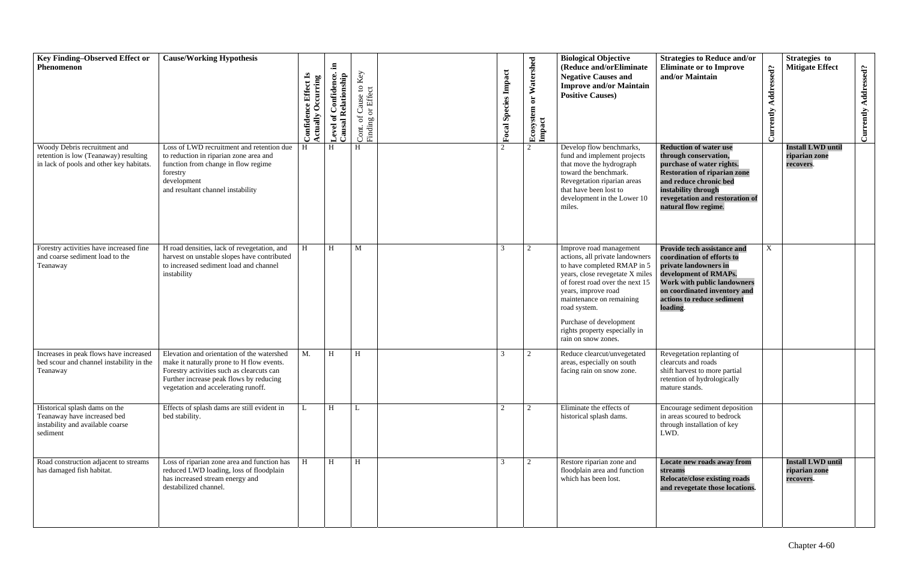| <b>Key Finding-Observed Effect or</b><br>Phenomenon                                                               | <b>Cause/Working Hypothesis</b>                                                                                                                                                                                        | ffect Is<br>curring<br>Confidence<br>Actually Oc | $\blacksquare$<br>Confidence.<br>Relationship<br>$\sigma$<br>Causal<br>Level | Cause to Key<br>or Effect<br>$\sigma$<br>Cont. of<br>Finding | <b>Focal Species Impact</b> |                | Watershed<br>$\mathfrak{b}$<br>Ecosystem<br>Impact | <b>Biological Objective</b><br>(Reduce and/orEliminate)<br><b>Negative Causes and</b><br><b>Improve and/or Maintain</b><br><b>Positive Causes)</b>                                                                                                                                                                    | <b>Strategies to Reduce and/or</b><br><b>Eliminate or to Improve</b><br>and/or Maintain                                                                                                                                                | Addressed?<br>Currently | Strategies to<br><b>Mitigate Effect</b>                | Currently Addressed? |
|-------------------------------------------------------------------------------------------------------------------|------------------------------------------------------------------------------------------------------------------------------------------------------------------------------------------------------------------------|--------------------------------------------------|------------------------------------------------------------------------------|--------------------------------------------------------------|-----------------------------|----------------|----------------------------------------------------|-----------------------------------------------------------------------------------------------------------------------------------------------------------------------------------------------------------------------------------------------------------------------------------------------------------------------|----------------------------------------------------------------------------------------------------------------------------------------------------------------------------------------------------------------------------------------|-------------------------|--------------------------------------------------------|----------------------|
| Woody Debris recruitment and<br>retention is low (Teanaway) resulting<br>in lack of pools and other key habitats. | Loss of LWD recruitment and retention due<br>to reduction in riparian zone area and<br>function from change in flow regime<br>forestry<br>development<br>and resultant channel instability                             | H                                                | $\, {\rm H}$                                                                 | H                                                            |                             | 2              |                                                    | Develop flow benchmarks,<br>fund and implement projects<br>that move the hydrograph<br>toward the benchmark.<br>Revegetation riparian areas<br>that have been lost to<br>development in the Lower 10<br>miles.                                                                                                        | <b>Reduction of water use</b><br>through conservation,<br>purchase of water rights.<br><b>Restoration of riparian zone</b><br>and reduce chronic bed<br>instability through<br>revegetation and restoration of<br>natural flow regime. |                         | <b>Install LWD until</b><br>riparian zone<br>recovers. |                      |
| Forestry activities have increased fine<br>and coarse sediment load to the<br>Teanaway                            | H road densities, lack of revegetation, and<br>harvest on unstable slopes have contributed<br>to increased sediment load and channel<br>instability                                                                    | H                                                | H                                                                            | M                                                            | 3                           | 2              |                                                    | Improve road management<br>actions, all private landowners<br>to have completed RMAP in 5<br>years, close revegetate X miles<br>of forest road over the next 15<br>years, improve road<br>maintenance on remaining<br>road system.<br>Purchase of development<br>rights property especially in<br>rain on snow zones. | <b>Provide tech assistance and</b><br>coordination of efforts to<br>private landowners in<br>development of RMAPs.<br>Work with public landowners<br>on coordinated inventory and<br>actions to reduce sediment<br>loading.            | X                       |                                                        |                      |
| Increases in peak flows have increased<br>bed scour and channel instability in the<br>Teanaway                    | Elevation and orientation of the watershed<br>make it naturally prone to H flow events.<br>Forestry activities such as clearcuts can<br>Further increase peak flows by reducing<br>vegetation and accelerating runoff. | M.                                               | H                                                                            | H                                                            | 3                           | 2              |                                                    | Reduce clearcut/unvegetated<br>areas, especially on south<br>facing rain on snow zone.                                                                                                                                                                                                                                | Revegetation replanting of<br>clearcuts and roads<br>shift harvest to more partial<br>retention of hydrologically<br>mature stands.                                                                                                    |                         |                                                        |                      |
| Historical splash dams on the<br>Teanaway have increased bed<br>instability and available coarse<br>sediment      | Effects of splash dams are still evident in<br>bed stability.                                                                                                                                                          | L                                                | H                                                                            | L                                                            |                             | $\overline{2}$ |                                                    | Eliminate the effects of<br>historical splash dams.                                                                                                                                                                                                                                                                   | Encourage sediment deposition<br>in areas scoured to bedrock<br>through installation of key<br>LWD.                                                                                                                                    |                         |                                                        |                      |
| Road construction adjacent to streams<br>has damaged fish habitat.                                                | Loss of riparian zone area and function has<br>reduced LWD loading, loss of floodplain<br>has increased stream energy and<br>destabilized channel.                                                                     | H                                                | H                                                                            | H                                                            | 3                           | $\overline{2}$ |                                                    | Restore riparian zone and<br>floodplain area and function<br>which has been lost.                                                                                                                                                                                                                                     | Locate new roads away from<br>streams<br><b>Relocate/close existing roads</b><br>and revegetate those locations.                                                                                                                       |                         | <b>Install LWD until</b><br>riparian zone<br>recovers. |                      |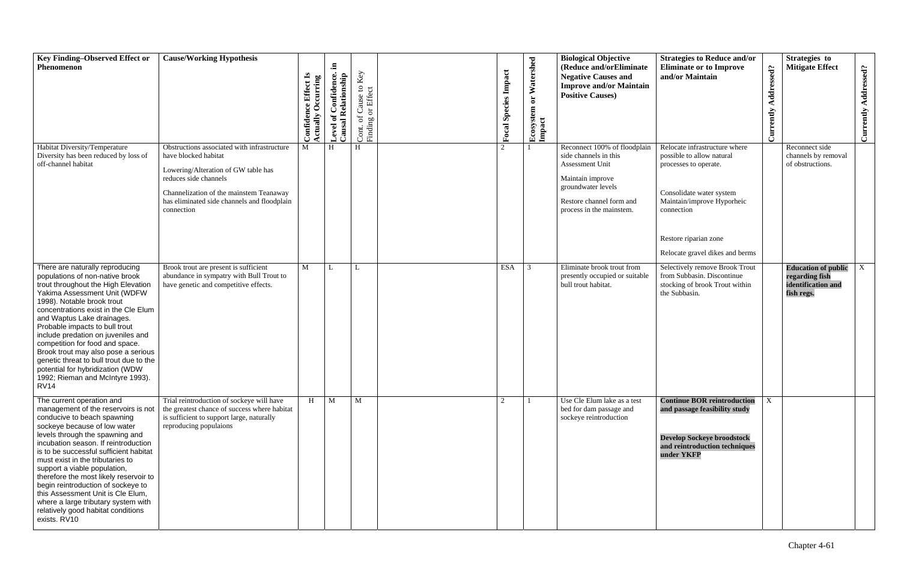| <b>Key Finding-Observed Effect or</b><br>Phenomenon                                                                                                                                                                                                                                                                                                                                                                                                                                                                                        | <b>Cause/Working Hypothesis</b>                                                                                                                                                                                                             | $\mathbf{s}$<br>Effect<br>Confidence | $\blacksquare$<br>Confidence.<br>Relationship<br>$\sigma$<br>Causal<br>Level | Cause to Key<br>or Effect<br>$\mathfrak{b}$<br>Cont. of<br>Finding | <b>Focal Species Impact</b> | Watershed<br>$6^{\circ}$<br>Ecosystem<br>Impact | <b>Biological Objective</b><br>(Reduce and/orEliminate<br><b>Negative Causes and</b><br><b>Improve and/or Maintain</b><br><b>Positive Causes)</b>                          | <b>Strategies to Reduce and/or</b><br><b>Eliminate or to Improve</b><br>Addressed?<br>and/or Maintain<br>Currently                                                                                                      | Strategies to<br><b>Mitigate Effect</b>                                          | <b>Currently Addressed?</b> |
|--------------------------------------------------------------------------------------------------------------------------------------------------------------------------------------------------------------------------------------------------------------------------------------------------------------------------------------------------------------------------------------------------------------------------------------------------------------------------------------------------------------------------------------------|---------------------------------------------------------------------------------------------------------------------------------------------------------------------------------------------------------------------------------------------|--------------------------------------|------------------------------------------------------------------------------|--------------------------------------------------------------------|-----------------------------|-------------------------------------------------|----------------------------------------------------------------------------------------------------------------------------------------------------------------------------|-------------------------------------------------------------------------------------------------------------------------------------------------------------------------------------------------------------------------|----------------------------------------------------------------------------------|-----------------------------|
| Habitat Diversity/Temperature<br>Diversity has been reduced by loss of<br>off-channel habitat                                                                                                                                                                                                                                                                                                                                                                                                                                              | Obstructions associated with infrastructure<br>have blocked habitat<br>Lowering/Alteration of GW table has<br>reduces side channels<br>Channelization of the mainstem Teanaway<br>has eliminated side channels and floodplain<br>connection | M                                    | $\, {\rm H}$                                                                 | H                                                                  | $\overline{2}$              |                                                 | Reconnect 100% of floodplain<br>side channels in this<br>Assessment Unit<br>Maintain improve<br>groundwater levels<br>Restore channel form and<br>process in the mainstem. | Relocate infrastructure where<br>possible to allow natural<br>processes to operate.<br>Consolidate water system<br>Maintain/improve Hyporheic<br>connection<br>Restore riparian zone<br>Relocate gravel dikes and berms | Reconnect side<br>channels by removal<br>of obstructions.                        |                             |
| There are naturally reproducing<br>populations of non-native brook<br>trout throughout the High Elevation<br>Yakima Assessment Unit (WDFW<br>1998). Notable brook trout<br>concentrations exist in the Cle Elum<br>and Waptus Lake drainages.<br>Probable impacts to bull trout<br>include predation on juveniles and<br>competition for food and space.<br>Brook trout may also pose a serious<br>genetic threat to bull trout due to the<br>potential for hybridization (WDW<br>1992; Rieman and McIntyre 1993).<br><b>RV14</b>          | Brook trout are present is sufficient<br>abundance in sympatry with Bull Trout to<br>have genetic and competitive effects.                                                                                                                  | M                                    | L                                                                            |                                                                    | <b>ESA</b>                  | 3                                               | Eliminate brook trout from<br>presently occupied or suitable<br>bull trout habitat.                                                                                        | Selectively remove Brook Trout<br>from Subbasin. Discontinue<br>stocking of brook Trout within<br>the Subbasin.                                                                                                         | <b>Education of public</b><br>regarding fish<br>identification and<br>fish regs. | X                           |
| The current operation and<br>management of the reservoirs is not<br>conducive to beach spawning<br>sockeye because of low water<br>levels through the spawning and<br>incubation season. If reintroduction<br>is to be successful sufficient habitat<br>must exist in the tributaries to<br>support a viable population,<br>therefore the most likely reservoir to<br>begin reintroduction of sockeye to<br>this Assessment Unit is Cle Elum,<br>where a large tributary system with<br>relatively good habitat conditions<br>exists. RV10 | Trial reintroduction of sockeye will have<br>the greatest chance of success where habitat<br>is sufficient to support large, naturally<br>reproducing populaions                                                                            | H                                    | M                                                                            | M                                                                  | $\overline{2}$              |                                                 | Use Cle Elum lake as a test<br>bed for dam passage and<br>sockeye reintroduction                                                                                           | <b>Continue BOR reintroduction</b><br>X<br>and passage feasibility study<br><b>Develop Sockeye broodstock</b><br>and reintroduction techniques<br>under YKFP                                                            |                                                                                  |                             |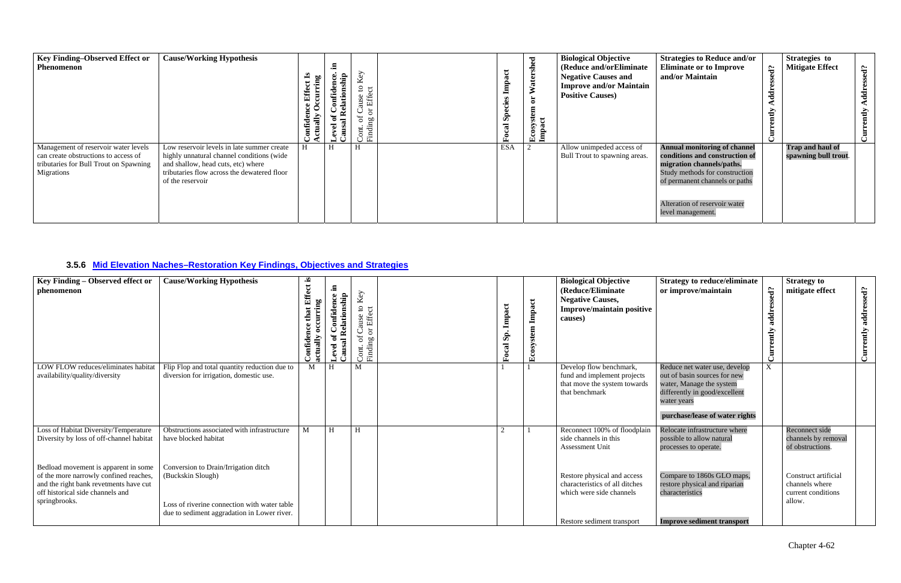| <b>Key Finding-Observed Effect or</b><br>Phenomenon                                                                                         | <b>Cause/Working Hypothesis</b>                                                                                                                                                                  | $\mathbf{a}$<br>go<br>ដ្ អ៊ូ<br>5 | - 금<br>ਖ਼ ਬ<br>ਬ | $\overline{\mathbf{K}}$ e<br>$\overline{c}$<br>ರ<br>Effe<br>$\overline{5}$<br>ೆ<br>pr<br>闰 | ن<br>Impa<br>cies<br><b>Spee</b><br>ನ<br>⊊ | shed<br>$\mathbf{E}$<br>€.<br>59 | <b>Biological Objective</b><br>(Reduce and/orEliminate<br><b>Negative Causes and</b><br><b>Improve and/or Maintain</b><br><b>Positive Causes)</b> | <b>Strategies to Reduce and/or</b><br><b>Eliminate or to Improve</b><br>and/or Maintain                                                                                                                                      | $\ddot{\mathbf{d}}$ | <b>Strategies to</b><br><b>Mitigate Effect</b>  | ed?<br>ntly |
|---------------------------------------------------------------------------------------------------------------------------------------------|--------------------------------------------------------------------------------------------------------------------------------------------------------------------------------------------------|-----------------------------------|------------------|--------------------------------------------------------------------------------------------|--------------------------------------------|----------------------------------|---------------------------------------------------------------------------------------------------------------------------------------------------|------------------------------------------------------------------------------------------------------------------------------------------------------------------------------------------------------------------------------|---------------------|-------------------------------------------------|-------------|
| Management of reservoir water levels<br>can create obstructions to access of<br>tributaries for Bull Trout on Spawning<br><b>Migrations</b> | Low reservoir levels in late summer create<br>highly unnatural channel conditions (wide<br>and shallow, head cuts, etc) where<br>tributaries flow across the dewatered floor<br>of the reservoir |                                   | H                | <b>TT</b>                                                                                  | <b>ESA</b>                                 |                                  | Allow unimpeded access of<br>Bull Trout to spawning areas.                                                                                        | <b>Annual monitoring of channel</b><br>conditions and construction of<br>migration channels/paths.<br>Study methods for construction<br>of permanent channels or paths<br>Alteration of reservoir water<br>level management. |                     | <b>Trap and haul of</b><br>spawning bull trout. |             |

# **3.5.6 Mid Elevation Naches–Restoration Key Findings, Objectives and Strategies**

| Key Finding – Observed effect or<br>phenomenon                                                                                                                                | <b>Cause/Working Hypothesis</b>                                                                                                                          | <u>يا</u><br><b>Effect</b><br>ng<br>C | 요.<br>nship<br>Relat | Key<br>$\mathbf{c}$<br>$\sigma$<br>Effe<br>ause<br>$\overleftarrow{\mathrm{C}}$<br>$\overline{a}$<br>Findir<br>ont | Impact<br>Sp.<br>Focal | Impact<br>$\tilde{\mathrm{E}}$ | <b>Biological Objective</b><br>(Reduce/Eliminate<br><b>Negative Causes,</b><br>Improve/maintain positive<br>causes) | <b>Strategy to reduce/eliminate</b><br>d?<br>or improve/maintain<br>d<br>ently                                                                                                             | <b>Strategy to</b><br>mitigate effect                                  | addressed?<br>Currently |
|-------------------------------------------------------------------------------------------------------------------------------------------------------------------------------|----------------------------------------------------------------------------------------------------------------------------------------------------------|---------------------------------------|----------------------|--------------------------------------------------------------------------------------------------------------------|------------------------|--------------------------------|---------------------------------------------------------------------------------------------------------------------|--------------------------------------------------------------------------------------------------------------------------------------------------------------------------------------------|------------------------------------------------------------------------|-------------------------|
| LOW FLOW reduces/eliminates habitat<br>availability/quality/diversity                                                                                                         | Flip Flop and total quantity reduction due to<br>diversion for irrigation, domestic use.                                                                 | M                                     | H                    | M                                                                                                                  |                        |                                | Develop flow benchmark,<br>fund and implement projects<br>that move the system towards<br>that benchmark            | $\mathbf X$<br>Reduce net water use, develop<br>out of basin sources for new<br>water, Manage the system<br>differently in good/excellent<br>water years<br>purchase/lease of water rights |                                                                        |                         |
| Loss of Habitat Diversity/Temperature<br>Diversity by loss of off-channel habitat                                                                                             | Obstructions associated with infrastructure<br>have blocked habitat                                                                                      | M                                     | H                    | <b>TT</b>                                                                                                          |                        |                                | Reconnect 100% of floodplain<br>side channels in this<br>Assessment Unit                                            | Relocate infrastructure where<br>possible to allow natural<br>processes to operate.                                                                                                        | Reconnect side<br>channels by removal<br>of obstructions.              |                         |
| Bedload movement is apparent in some<br>of the more narrowly confined reaches,<br>and the right bank revetments have cut<br>off historical side channels and<br>springbrooks. | Conversion to Drain/Irrigation ditch<br>(Buckskin Slough)<br>Loss of riverine connection with water table<br>due to sediment aggradation in Lower river. |                                       |                      |                                                                                                                    |                        |                                | Restore physical and access<br>characteristics of all ditches<br>which were side channels                           | Compare to 1860s GLO maps,<br>restore physical and riparian<br>characteristics                                                                                                             | Construct artificial<br>channels where<br>current conditions<br>allow. |                         |
|                                                                                                                                                                               |                                                                                                                                                          |                                       |                      |                                                                                                                    |                        |                                | Restore sediment transport                                                                                          | <b>Improve sediment transport</b>                                                                                                                                                          |                                                                        |                         |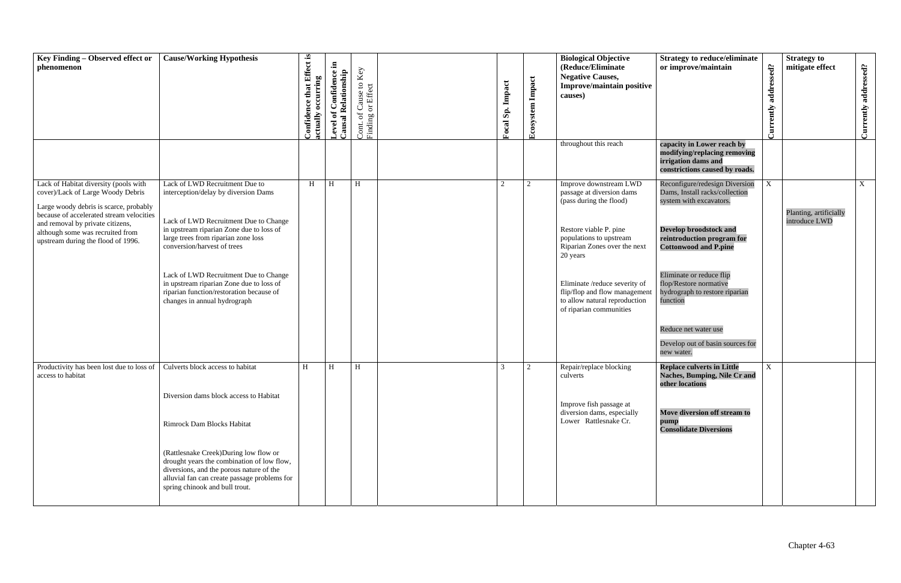| Key Finding – Observed effect or<br>phenomenon                                                                                                                   | <b>Cause/Working Hypothesis</b>                                                                                                                                                                                   | Effect is<br>aun<br>≣<br>that<br>Confidence | - 드<br>of Confidence<br><b>Level of Confidence</b><br>Causal Relationship | f Cause to Key<br>; or Effect<br>$\mathfrak{g}$<br>Cont. of<br>Finding | Impact<br>Focal Sp. | Impact<br>$\mathbb{E}\text{cosystem}$ ] | <b>Biological Objective</b><br>(Reduce/Eliminate<br><b>Negative Causes,</b><br>Improve/maintain positive<br>causes)<br>throughout this reach | <b>Strategy to reduce/eliminate</b><br>or improve/maintain<br>capacity in Lower reach by         | addressed?<br>Currently | <b>Strategy to</b><br>mitigate effect | Currently addressed? |
|------------------------------------------------------------------------------------------------------------------------------------------------------------------|-------------------------------------------------------------------------------------------------------------------------------------------------------------------------------------------------------------------|---------------------------------------------|---------------------------------------------------------------------------|------------------------------------------------------------------------|---------------------|-----------------------------------------|----------------------------------------------------------------------------------------------------------------------------------------------|--------------------------------------------------------------------------------------------------|-------------------------|---------------------------------------|----------------------|
|                                                                                                                                                                  |                                                                                                                                                                                                                   |                                             |                                                                           |                                                                        |                     |                                         |                                                                                                                                              | modifying/replacing removing<br>irrigation dams and<br>constrictions caused by roads.            |                         |                                       |                      |
| Lack of Habitat diversity (pools with<br>cover)/Lack of Large Woody Debris<br>Large woody debris is scarce, probably<br>because of accelerated stream velocities | Lack of LWD Recruitment Due to<br>interception/delay by diversion Dams                                                                                                                                            | H                                           | H                                                                         | $\boldsymbol{\mathrm{H}}$                                              | $\overline{2}$      | 2                                       | Improve downstream LWD<br>passage at diversion dams<br>(pass during the flood)                                                               | Reconfigure/redesign Diversion<br>Dams, Install racks/collection<br>system with excavators.      | $\mathbf{x}$            | Planting, artificially                | X                    |
| and removal by private citizens,<br>although some was recruited from<br>upstream during the flood of 1996.                                                       | Lack of LWD Recruitment Due to Change<br>in upstream riparian Zone due to loss of<br>large trees from riparian zone loss<br>conversion/harvest of trees                                                           |                                             |                                                                           |                                                                        |                     |                                         | Restore viable P. pine<br>populations to upstream<br>Riparian Zones over the next<br>20 years                                                | <b>Develop broodstock and</b><br>reintroduction program for<br><b>Cottonwood and P.pine</b>      |                         | introduce LWD                         |                      |
|                                                                                                                                                                  | Lack of LWD Recruitment Due to Change<br>in upstream riparian Zone due to loss of<br>riparian function/restoration because of<br>changes in annual hydrograph                                                     |                                             |                                                                           |                                                                        |                     |                                         | Eliminate/reduce severity of<br>flip/flop and flow management<br>to allow natural reproduction<br>of riparian communities                    | Eliminate or reduce flip<br>flop/Restore normative<br>hydrograph to restore riparian<br>function |                         |                                       |                      |
|                                                                                                                                                                  |                                                                                                                                                                                                                   |                                             |                                                                           |                                                                        |                     |                                         |                                                                                                                                              | Reduce net water use<br>Develop out of basin sources for<br>new water.                           |                         |                                       |                      |
| Productivity has been lost due to loss of<br>access to habitat                                                                                                   | Culverts block access to habitat                                                                                                                                                                                  | H                                           | H                                                                         | H                                                                      | $\mathcal{R}$       | 2                                       | Repair/replace blocking<br>culverts                                                                                                          | <b>Replace culverts in Little</b><br><b>Naches, Bumping, Nile Cr and</b><br>other locations      | X                       |                                       |                      |
|                                                                                                                                                                  | Diversion dams block access to Habitat                                                                                                                                                                            |                                             |                                                                           |                                                                        |                     |                                         | Improve fish passage at<br>diversion dams, especially                                                                                        | Move diversion off stream to                                                                     |                         |                                       |                      |
|                                                                                                                                                                  | Rimrock Dam Blocks Habitat                                                                                                                                                                                        |                                             |                                                                           |                                                                        |                     |                                         | Lower Rattlesnake Cr.                                                                                                                        | pump<br><b>Consolidate Diversions</b>                                                            |                         |                                       |                      |
|                                                                                                                                                                  | (Rattlesnake Creek)During low flow or<br>drought years the combination of low flow,<br>diversions, and the porous nature of the<br>alluvial fan can create passage problems for<br>spring chinook and bull trout. |                                             |                                                                           |                                                                        |                     |                                         |                                                                                                                                              |                                                                                                  |                         |                                       |                      |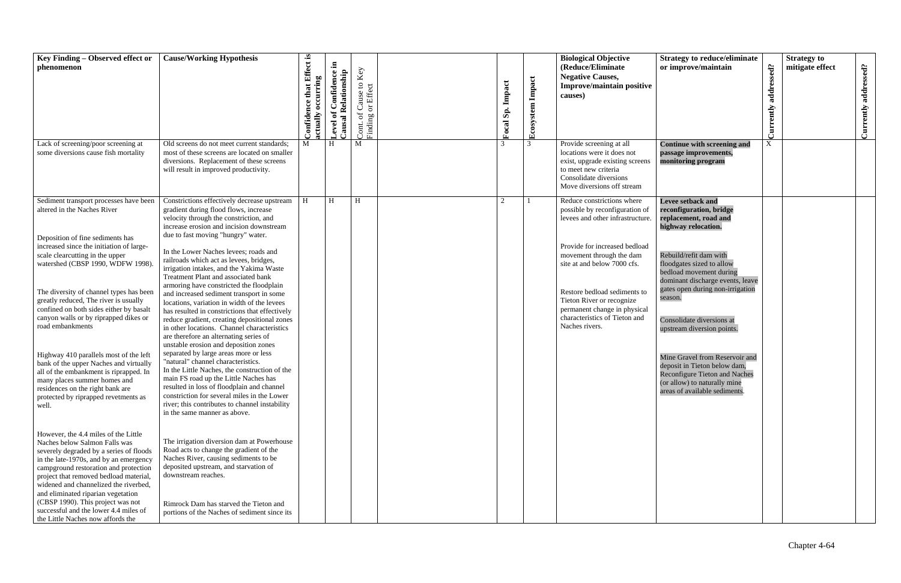| Key Finding - Observed effect or<br>phenomenon                                                                                                                                                                                                                                                                               | <b>Cause/Working Hypothesis</b>                                                                                                                                                                                                                                                                                                                      | <u>ي.</u><br><b>Effect</b> | 릅.<br>Confidence<br>Relationship<br>Level<br>$\mathbb{C}$ aus | Cause to Key<br><b>Effect</b><br>$\mbox{ }^{\rm \acute{e}}$<br>Cont. of<br>Finding | Impact<br>Sp.<br>Focal | Impact<br>stem<br><b>Ecosy</b> | <b>Biological Objective</b><br>(Reduce/Eliminate<br><b>Negative Causes,</b><br>Improve/maintain positive<br>causes)                                                       | <b>Strategy to reduce/eliminate</b><br>or improve/maintain                                                                                                              | addressed?<br>ently<br>Curr | <b>Strategy to</b><br>mitigate effect | Currently addressed? |
|------------------------------------------------------------------------------------------------------------------------------------------------------------------------------------------------------------------------------------------------------------------------------------------------------------------------------|------------------------------------------------------------------------------------------------------------------------------------------------------------------------------------------------------------------------------------------------------------------------------------------------------------------------------------------------------|----------------------------|---------------------------------------------------------------|------------------------------------------------------------------------------------|------------------------|--------------------------------|---------------------------------------------------------------------------------------------------------------------------------------------------------------------------|-------------------------------------------------------------------------------------------------------------------------------------------------------------------------|-----------------------------|---------------------------------------|----------------------|
| Lack of screening/poor screening at<br>some diversions cause fish mortality                                                                                                                                                                                                                                                  | Old screens do not meet current standards;<br>most of these screens are located on smaller<br>diversions. Replacement of these screens<br>will result in improved productivity.                                                                                                                                                                      | M                          | H                                                             | M                                                                                  | $\mathcal{E}$          | 3                              | Provide screening at all<br>locations were it does not<br>exist, upgrade existing screens<br>to meet new criteria<br>Consolidate diversions<br>Move diversions off stream | <b>Continue with screening and</b><br>passage improvements,<br>monitoring program                                                                                       | $\mathbf X$                 |                                       |                      |
| Sediment transport processes have been<br>altered in the Naches River<br>Deposition of fine sediments has                                                                                                                                                                                                                    | Constrictions effectively decrease upstream<br>gradient during flood flows, increase<br>velocity through the constriction, and<br>increase erosion and incision downstream<br>due to fast moving "hungry" water.                                                                                                                                     | H                          | H                                                             | H                                                                                  |                        |                                | Reduce constrictions where<br>possible by reconfiguration of<br>levees and other infrastructure.                                                                          | Levee setback and<br>reconfiguration, bridge<br>replacement, road and<br>highway relocation.                                                                            |                             |                                       |                      |
| increased since the initiation of large-<br>scale clearcutting in the upper<br>watershed (CBSP 1990, WDFW 1998).                                                                                                                                                                                                             | In the Lower Naches levees; roads and<br>railroads which act as levees, bridges,<br>irrigation intakes, and the Yakima Waste<br>Treatment Plant and associated bank<br>armoring have constricted the floodplain                                                                                                                                      |                            |                                                               |                                                                                    |                        |                                | Provide for increased bedload<br>movement through the dam<br>site at and below 7000 cfs.                                                                                  | Rebuild/refit dam with<br>floodgates sized to allow<br>bedload movement during<br>dominant discharge events, leave                                                      |                             |                                       |                      |
| The diversity of channel types has been<br>greatly reduced, The river is usually<br>confined on both sides either by basalt<br>canyon walls or by riprapped dikes or<br>road embankments                                                                                                                                     | and increased sediment transport in some<br>locations, variation in width of the levees<br>has resulted in constrictions that effectively<br>reduce gradient, creating depositional zones<br>in other locations. Channel characteristics<br>are therefore an alternating series of<br>unstable erosion and deposition zones                          |                            |                                                               |                                                                                    |                        |                                | Restore bedload sediments to<br>Tieton River or recognize<br>permanent change in physical<br>characteristics of Tieton and<br>Naches rivers.                              | gates open during non-irrigation<br>season.<br>Consolidate diversions at<br>upstream diversion points.                                                                  |                             |                                       |                      |
| Highway 410 parallels most of the left<br>bank of the upper Naches and virtually<br>all of the embankment is riprapped. In<br>many places summer homes and<br>residences on the right bank are<br>protected by riprapped revetments as<br>well.                                                                              | separated by large areas more or less<br>"natural" channel characteristics.<br>In the Little Naches, the construction of the<br>main FS road up the Little Naches has<br>resulted in loss of floodplain and channel<br>constriction for several miles in the Lower<br>river; this contributes to channel instability<br>in the same manner as above. |                            |                                                               |                                                                                    |                        |                                |                                                                                                                                                                           | Mine Gravel from Reservoir and<br>deposit in Tieton below dam,<br><b>Reconfigure Tieton and Naches</b><br>(or allow) to naturally mine<br>areas of available sediments. |                             |                                       |                      |
| However, the 4.4 miles of the Little<br>Naches below Salmon Falls was<br>severely degraded by a series of floods<br>in the late-1970s, and by an emergency<br>campground restoration and protection<br>project that removed bedload material,<br>widened and channelized the riverbed,<br>and eliminated riparian vegetation | The irrigation diversion dam at Powerhouse<br>Road acts to change the gradient of the<br>Naches River, causing sediments to be<br>deposited upstream, and starvation of<br>downstream reaches.                                                                                                                                                       |                            |                                                               |                                                                                    |                        |                                |                                                                                                                                                                           |                                                                                                                                                                         |                             |                                       |                      |
| (CBSP 1990). This project was not<br>successful and the lower 4.4 miles of<br>the Little Naches now affords the                                                                                                                                                                                                              | Rimrock Dam has starved the Tieton and<br>portions of the Naches of sediment since its                                                                                                                                                                                                                                                               |                            |                                                               |                                                                                    |                        |                                |                                                                                                                                                                           |                                                                                                                                                                         |                             |                                       |                      |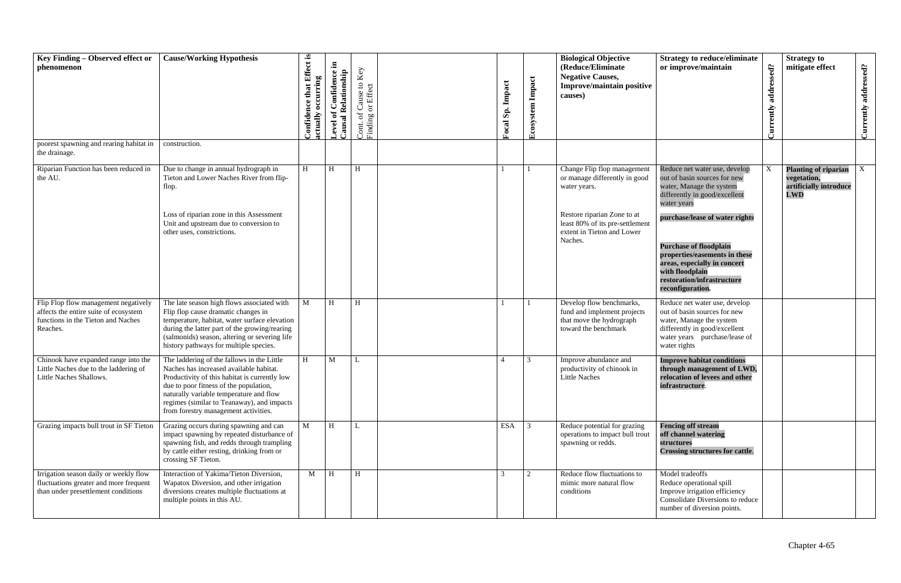| Key Finding – Observed effect or<br>phenomenon<br>poorest spawning and rearing habitat in                                       | <b>Cause/Working Hypothesis</b><br>construction.                                                                                                                                                                                                                                                                  | Effect is<br>that<br>Confidence | $\blacksquare$<br>Confidence<br>Causal Relationship<br>$\ddot{\mathbf{z}}$<br>Level | Cause to Key<br>or Effect<br>$\mathfrak{b}$<br>Cont. of<br>Finding | Impact<br>Focal Sp. | Impact<br>Ecosystem | <b>Biological Objective</b><br>(Reduce/Eliminate<br><b>Negative Causes,</b><br>Improve/maintain positive<br>causes) | <b>Strategy to reduce/eliminate</b><br>or improve/maintain                                                                                                                  | addressed?<br>Currently | <b>Strategy to</b><br>mitigate effect                                              | Currently addressed? |
|---------------------------------------------------------------------------------------------------------------------------------|-------------------------------------------------------------------------------------------------------------------------------------------------------------------------------------------------------------------------------------------------------------------------------------------------------------------|---------------------------------|-------------------------------------------------------------------------------------|--------------------------------------------------------------------|---------------------|---------------------|---------------------------------------------------------------------------------------------------------------------|-----------------------------------------------------------------------------------------------------------------------------------------------------------------------------|-------------------------|------------------------------------------------------------------------------------|----------------------|
| the drainage.                                                                                                                   |                                                                                                                                                                                                                                                                                                                   |                                 |                                                                                     |                                                                    |                     |                     |                                                                                                                     |                                                                                                                                                                             |                         |                                                                                    |                      |
| Riparian Function has been reduced in<br>the AU.                                                                                | Due to change in annual hydrograph in<br>Tieton and Lower Naches River from flip-<br>flop.                                                                                                                                                                                                                        | H                               | H                                                                                   | H                                                                  |                     |                     | Change Flip flop management<br>or manage differently in good<br>water years.                                        | Reduce net water use, develop<br>out of basin sources for new<br>water, Manage the system<br>differently in good/excellent<br>water years                                   |                         | <b>Planting of riparian</b><br>vegetation,<br>artificially introduce<br><b>LWD</b> | $\vert X \vert$      |
|                                                                                                                                 | Loss of riparian zone in this Assessment<br>Unit and upstream due to conversion to<br>other uses, constrictions.                                                                                                                                                                                                  |                                 |                                                                                     |                                                                    |                     |                     | Restore riparian Zone to at<br>least 80% of its pre-settlement<br>extent in Tieton and Lower<br>Naches.             | purchase/lease of water rights                                                                                                                                              |                         |                                                                                    |                      |
|                                                                                                                                 |                                                                                                                                                                                                                                                                                                                   |                                 |                                                                                     |                                                                    |                     |                     |                                                                                                                     | <b>Purchase of floodplain</b><br>properties/easements in these<br>areas, especially in concert<br>with floodplain<br>restoration/infrastructure<br>reconfiguration.         |                         |                                                                                    |                      |
| Flip Flop flow management negatively<br>affects the entire suite of ecosystem<br>functions in the Tieton and Naches<br>Reaches. | The late season high flows associated with<br>Flip flop cause dramatic changes in<br>temperature, habitat, water surface elevation<br>during the latter part of the growing/rearing<br>(salmonids) season, altering or severing life<br>history pathways for multiple species.                                    | M                               | $\, {\rm H}$                                                                        | H                                                                  |                     |                     | Develop flow benchmarks,<br>fund and implement projects<br>that move the hydrograph<br>toward the benchmark         | Reduce net water use, develop<br>out of basin sources for new<br>water, Manage the system<br>differently in good/excellent<br>water years purchase/lease of<br>water rights |                         |                                                                                    |                      |
| Chinook have expanded range into the<br>Little Naches due to the laddering of<br>Little Naches Shallows.                        | The laddering of the fallows in the Little<br>Naches has increased available habitat.<br>Productivity of this habitat is currently low<br>due to poor fitness of the population,<br>naturally variable temperature and flow<br>regimes (similar to Teanaway), and impacts<br>from forestry management activities. | H                               | M                                                                                   |                                                                    | $\overline{4}$      | $\mathfrak{Z}$      | Improve abundance and<br>productivity of chinook in<br><b>Little Naches</b>                                         | <b>Improve habitat conditions</b><br>through management of LWD,<br>relocation of levees and other<br>infrastructure.                                                        |                         |                                                                                    |                      |
| Grazing impacts bull trout in SF Tieton                                                                                         | Grazing occurs during spawning and can<br>impact spawning by repeated disturbance of<br>spawning fish, and redds through trampling<br>by cattle either resting, drinking from or<br>crossing SF Tieton.                                                                                                           | M                               | H                                                                                   | L                                                                  | <b>ESA</b>          | $\mathbf{3}$        | Reduce potential for grazing<br>operations to impact bull trout<br>spawning or redds.                               | <b>Fencing off stream</b><br>off channel watering<br>structures<br><b>Crossing structures for cattle.</b>                                                                   |                         |                                                                                    |                      |
| Irrigation season daily or weekly flow<br>fluctuations greater and more frequent<br>than under presettlement conditions         | Interaction of Yakima/Tieton Diversion,<br>Wapatox Diversion, and other irrigation<br>diversions creates multiple fluctuations at<br>multiple points in this AU.                                                                                                                                                  | M                               | H                                                                                   | H                                                                  | 3                   | 2                   | Reduce flow fluctuations to<br>mimic more natural flow<br>conditions                                                | Model tradeoffs<br>Reduce operational spill<br>Improve irrigation efficiency<br>Consolidate Diversions to reduce<br>number of diversion points.                             |                         |                                                                                    |                      |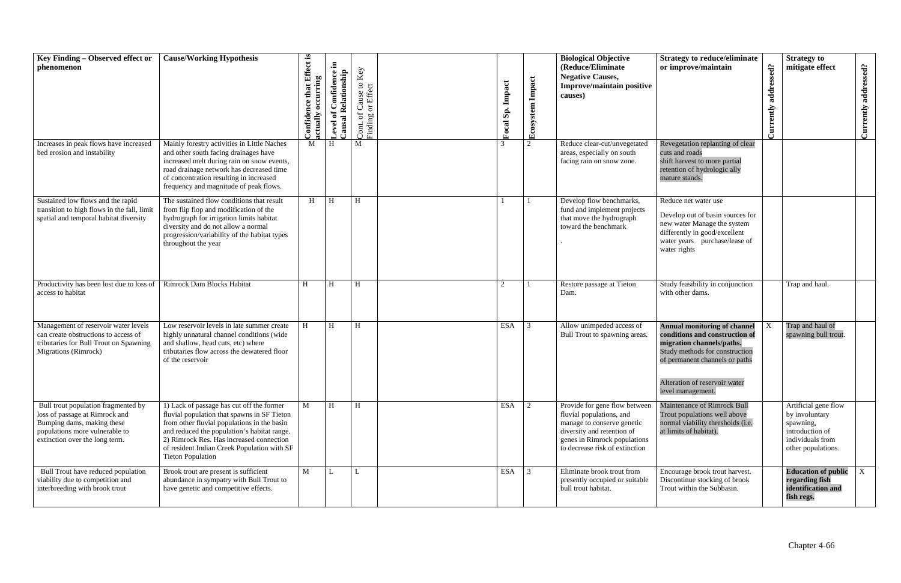| Key Finding - Observed effect or<br>phenomenon                                                                                                                          | <b>Cause/Working Hypothesis</b>                                                                                                                                                                                                                                                                               | Effect is<br>that<br>Confidence | - 드<br>of Confidence<br>al Relationship<br>Level<br>$\sum_{\alpha}$ aus | Cause to Key<br>or Effect<br>$\overleftrightarrow{\mathrm{C}}$<br>đ<br>Finding<br>Cont. | Impact<br>Focal Sp. | Impact<br>Ecosystem 1 | <b>Biological Objective</b><br>(Reduce/Eliminate<br><b>Negative Causes,</b><br>Improve/maintain positive<br>causes)                                                                     | <b>Strategy to reduce/eliminate</b><br>or improve/maintain                                                                                                                                                                   | <b>Strategy to</b><br>addressed?<br>mitigate effect<br>Currently                                                 | Currently addressed? |
|-------------------------------------------------------------------------------------------------------------------------------------------------------------------------|---------------------------------------------------------------------------------------------------------------------------------------------------------------------------------------------------------------------------------------------------------------------------------------------------------------|---------------------------------|-------------------------------------------------------------------------|-----------------------------------------------------------------------------------------|---------------------|-----------------------|-----------------------------------------------------------------------------------------------------------------------------------------------------------------------------------------|------------------------------------------------------------------------------------------------------------------------------------------------------------------------------------------------------------------------------|------------------------------------------------------------------------------------------------------------------|----------------------|
| Increases in peak flows have increased<br>bed erosion and instability                                                                                                   | Mainly forestry activities in Little Naches<br>and other south facing drainages have<br>increased melt during rain on snow events,<br>road drainage network has decreased time<br>of concentration resulting in increased<br>frequency and magnitude of peak flows.                                           | M                               | H                                                                       | M                                                                                       | 3                   | 2                     | Reduce clear-cut/unvegetated<br>areas, especially on south<br>facing rain on snow zone.                                                                                                 | Revegetation replanting of clear<br>cuts and roads<br>shift harvest to more partial<br>retention of hydrologic ally<br>mature stands.                                                                                        |                                                                                                                  |                      |
| Sustained low flows and the rapid<br>transition to high flows in the fall, limit<br>spatial and temporal habitat diversity                                              | The sustained flow conditions that result<br>from flip flop and modification of the<br>hydrograph for irrigation limits habitat<br>diversity and do not allow a normal<br>progression/variability of the habitat types<br>throughout the year                                                                 | H                               | H                                                                       | H                                                                                       |                     |                       | Develop flow benchmarks,<br>fund and implement projects<br>that move the hydrograph<br>toward the benchmark                                                                             | Reduce net water use<br>Develop out of basin sources for<br>new water Manage the system<br>differently in good/excellent<br>water years purchase/lease of<br>water rights                                                    |                                                                                                                  |                      |
| Productivity has been lost due to loss of   Rimrock Dam Blocks Habitat<br>access to habitat                                                                             |                                                                                                                                                                                                                                                                                                               | H                               | H                                                                       | H                                                                                       | $\overline{2}$      |                       | Restore passage at Tieton<br>Dam.                                                                                                                                                       | Study feasibility in conjunction<br>with other dams.                                                                                                                                                                         | Trap and haul.                                                                                                   |                      |
| Management of reservoir water levels<br>can create obstructions to access of<br>tributaries for Bull Trout on Spawning<br>Migrations (Rimrock)                          | Low reservoir levels in late summer create<br>highly unnatural channel conditions (wide<br>and shallow, head cuts, etc) where<br>tributaries flow across the dewatered floor<br>of the reservoir                                                                                                              | H                               | H                                                                       | H                                                                                       | <b>ESA</b>          | 3                     | Allow unimpeded access of<br>Bull Trout to spawning areas.                                                                                                                              | <b>Annual monitoring of channel</b><br>conditions and construction of<br>migration channels/paths.<br>Study methods for construction<br>of permanent channels or paths<br>Alteration of reservoir water<br>level management. | Trap and haul of<br>spawning bull trout                                                                          |                      |
| Bull trout population fragmented by<br>loss of passage at Rimrock and<br>Bumping dams, making these<br>populations more vulnerable to<br>extinction over the long term. | 1) Lack of passage has cut off the former<br>fluvial population that spawns in SF Tieton<br>from other fluvial populations in the basin<br>and reduced the population's habitat range.<br>2) Rimrock Res. Has increased connection<br>of resident Indian Creek Population with SF<br><b>Tieton Population</b> | M                               | $\, {\rm H}$                                                            | $\, {\rm H}$                                                                            | <b>ESA</b>          | 2                     | Provide for gene flow between<br>fluvial populations, and<br>manage to conserve genetic<br>diversity and retention of<br>genes in Rimrock populations<br>to decrease risk of extinction | Maintenance of Rimrock Bull<br>Trout populations well above<br>normal viability thresholds (i.e.<br>at limits of habitat).                                                                                                   | Artificial gene flow<br>by involuntary<br>spawning,<br>introduction of<br>individuals from<br>other populations. |                      |
| Bull Trout have reduced population<br>viability due to competition and<br>interbreeding with brook trout                                                                | Brook trout are present is sufficient<br>abundance in sympatry with Bull Trout to<br>have genetic and competitive effects.                                                                                                                                                                                    | M                               |                                                                         | L                                                                                       | <b>ESA</b>          | 3                     | Eliminate brook trout from<br>presently occupied or suitable<br>bull trout habitat.                                                                                                     | Encourage brook trout harvest.<br>Discontinue stocking of brook<br>Trout within the Subbasin.                                                                                                                                | <b>Education of public</b> X<br>regarding fish<br>identification and<br>fish regs.                               |                      |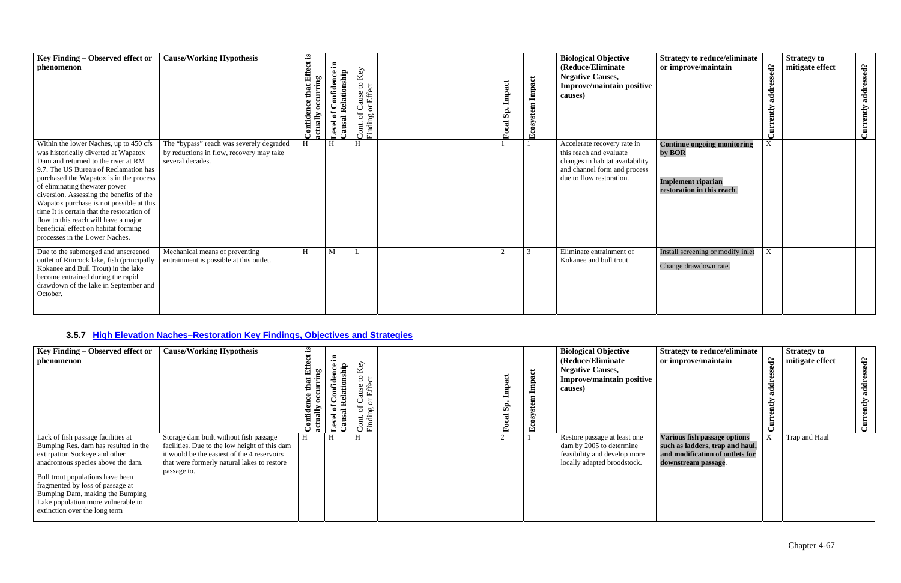| Key Finding – Observed effect or<br>phenomenon                                                                                                                                                                                                                                                                                                                                                                                                                                                     | <b>Cause/Working Hypothesis</b>                                                                          | Effect is<br>that<br>dence | - 드<br>Relationship<br>Confider<br>رح | Key<br>$\mathbf{C}$<br>Effect<br>Cause<br>$\overleftarrow{\mathrm{C}}$<br>ಕ<br>Cont. of<br>Finding | Impact<br>Sp.<br>Focal | Impact<br>မ္မ | <b>Biological Objective</b><br>(Reduce/Eliminate<br><b>Negative Causes,</b><br>Improve/maintain positive<br>causes)                                   | <b>Strategy to reduce/eliminate</b><br>or improve/maintain                                              | ddressed?<br>ntly | <b>Strategy to</b><br>addressed?<br>mitigate effect<br>Currently |
|----------------------------------------------------------------------------------------------------------------------------------------------------------------------------------------------------------------------------------------------------------------------------------------------------------------------------------------------------------------------------------------------------------------------------------------------------------------------------------------------------|----------------------------------------------------------------------------------------------------------|----------------------------|---------------------------------------|----------------------------------------------------------------------------------------------------|------------------------|---------------|-------------------------------------------------------------------------------------------------------------------------------------------------------|---------------------------------------------------------------------------------------------------------|-------------------|------------------------------------------------------------------|
| Within the lower Naches, up to 450 cfs<br>was historically diverted at Wapatox<br>Dam and returned to the river at RM<br>9.7. The US Bureau of Reclamation has<br>purchased the Wapatox is in the process<br>of eliminating thewater power<br>diversion. Assessing the benefits of the<br>Wapatox purchase is not possible at this<br>time It is certain that the restoration of<br>flow to this reach will have a major<br>beneficial effect on habitat forming<br>processes in the Lower Naches. | The "bypass" reach was severely degraded<br>by reductions in flow, recovery may take<br>several decades. | H                          | H                                     | H                                                                                                  |                        |               | Accelerate recovery rate in<br>this reach and evaluate<br>changes in habitat availability<br>and channel form and process<br>due to flow restoration. | <b>Continue ongoing monitoring</b><br>by BOR<br><b>Implement riparian</b><br>restoration in this reach. | X                 |                                                                  |
| Due to the submerged and unscreened<br>outlet of Rimrock lake, fish (principally<br>Kokanee and Bull Trout) in the lake<br>become entrained during the rapid<br>drawdown of the lake in September and<br>October.                                                                                                                                                                                                                                                                                  | Mechanical means of preventing<br>entrainment is possible at this outlet.                                | H                          | M                                     |                                                                                                    |                        | 3             | Eliminate entrainment of<br>Kokanee and bull trout                                                                                                    | Install screening or modify inlet<br>Change drawdown rate.                                              | X                 |                                                                  |

# **3.5.7 High Elevation Naches–Restoration Key Findings, Objectives and Strategies**

| Key Finding – Observed effect or<br>phenomenon                                                                                                                                                                                                                                                                                     | <b>Cause/Working Hypothesis</b>                                                                                                                                                                      | <u>ي.</u><br>ffect<br>Ë | .目<br>, ਜ਼ਿ | $\triangleright$<br>Ke<br>$\mathbf{S}$<br>$\overline{5}$<br>Effe<br>$\circ$<br>pr<br>ਜ਼<br>一二 | Impac<br>$\bullet$<br>$\mathbf{s}_\mathbf{S}$<br>ಷ<br>오 | act | <b>Biological Objective</b><br>(Reduce/Eliminate<br><b>Negative Causes,</b><br>Improve/maintain positive<br>causes)     | <b>Strategy to reduce/eliminate</b><br>or improve/maintain                                                                | $\ddot{a}$<br>号<br>È | <b>Strategy to</b><br>mitigate effect | $\ddot{a}$<br>ntly |
|------------------------------------------------------------------------------------------------------------------------------------------------------------------------------------------------------------------------------------------------------------------------------------------------------------------------------------|------------------------------------------------------------------------------------------------------------------------------------------------------------------------------------------------------|-------------------------|-------------|-----------------------------------------------------------------------------------------------|---------------------------------------------------------|-----|-------------------------------------------------------------------------------------------------------------------------|---------------------------------------------------------------------------------------------------------------------------|----------------------|---------------------------------------|--------------------|
| Lack of fish passage facilities at<br>Bumping Res. dam has resulted in the<br>extirpation Sockeye and other<br>anadromous species above the dam.<br>Bull trout populations have been<br>fragmented by loss of passage at<br>Bumping Dam, making the Bumping<br>Lake population more vulnerable to<br>extinction over the long term | Storage dam built without fish passage<br>facilities. Due to the low height of this dam<br>it would be the easiest of the 4 reservoirs<br>that were formerly natural lakes to restore<br>passage to. | H                       | H           | <b>TT</b>                                                                                     |                                                         |     | Restore passage at least one<br>dam by 2005 to determine<br>feasibility and develop more<br>locally adapted broodstock. | Various fish passage options<br>such as ladders, trap and haul,<br>and modification of outlets for<br>downstream passage. | $\mathbf X$          | Trap and Haul                         |                    |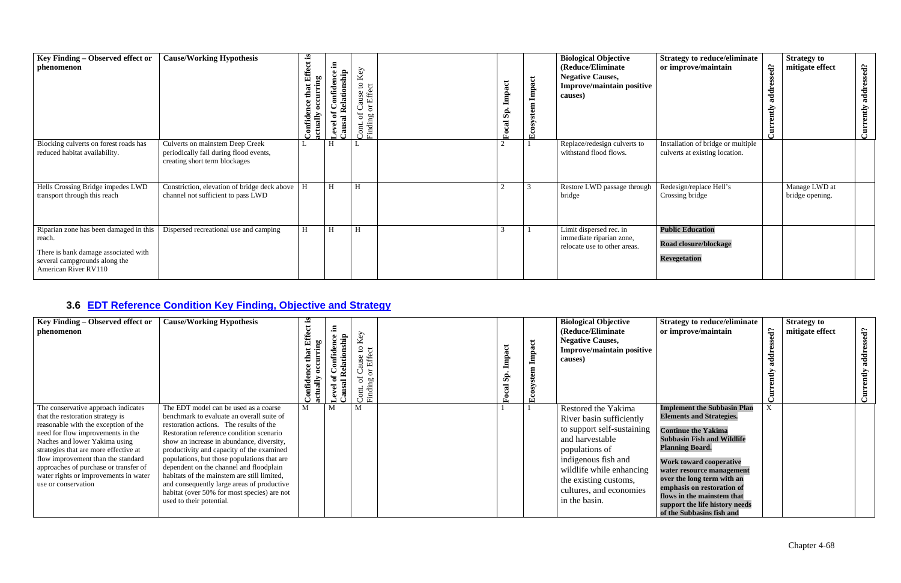| Key Finding – Observed effect or<br>phenomenon                                                                                                    | <b>Cause/Working Hypothesis</b>                                                                            | .≌<br><b>Effect</b><br>iat<br>denc | - 드<br>ence<br>ship<br>nfider<br>Rela<br>◡ | to Key<br>Effect<br>$s$ e<br>$\overline{a}$<br>$\Xi$<br>ð<br>Cont.<br>Finding | Impact<br>ى<br>ئ<br>Focal | $\mathbf{t}$<br>na<br>L. | <b>Biological Objective</b><br>(Reduce/Eliminate<br><b>Negative Causes,</b><br>Improve/maintain positive<br>causes) | <b>Strategy to reduce/eliminate</b><br>or improve/maintain              | <b>Strategy to</b><br>$\ddot{a}$<br>mitigate effect<br>ਤੂ<br>ದ<br>ently | addressed?<br>Currently |
|---------------------------------------------------------------------------------------------------------------------------------------------------|------------------------------------------------------------------------------------------------------------|------------------------------------|--------------------------------------------|-------------------------------------------------------------------------------|---------------------------|--------------------------|---------------------------------------------------------------------------------------------------------------------|-------------------------------------------------------------------------|-------------------------------------------------------------------------|-------------------------|
| Blocking culverts on forest roads has<br>reduced habitat availability.                                                                            | Culverts on mainstem Deep Creek<br>periodically fail during flood events,<br>creating short term blockages | L                                  |                                            |                                                                               |                           |                          | Replace/redesign culverts to<br>withstand flood flows.                                                              | Installation of bridge or multiple<br>culverts at existing location.    |                                                                         |                         |
| Hells Crossing Bridge impedes LWD<br>transport through this reach                                                                                 | Constriction, elevation of bridge deck above<br>channel not sufficient to pass LWD                         | H                                  | H                                          | H                                                                             |                           |                          | Restore LWD passage through<br>bridge                                                                               | Redesign/replace Hell's<br>Crossing bridge                              | Manage LWD at<br>bridge opening.                                        |                         |
| Riparian zone has been damaged in this<br>reach.<br>There is bank damage associated with<br>several campgrounds along the<br>American River RV110 | Dispersed recreational use and camping                                                                     | $\boldsymbol{\mathrm{H}}$          | H                                          | H                                                                             |                           |                          | Limit dispersed rec. in<br>immediate riparian zone,<br>relocate use to other areas.                                 | <b>Public Education</b><br>Road closure/blockage<br><b>Revegetation</b> |                                                                         |                         |

# **3.6 EDT Reference Condition Key Finding, Objective and Strategy**

| Key Finding – Observed effect or<br>phenomenon                                                                                                                                                                                                                                                                                                                                | <b>Cause/Working Hypothesis</b>                                                                                                                                                                                                                                                                                                                                                                                                                                                                                                       | .≌<br>ffect | <u>तीय</u><br>ज<br>fider<br>ಕ | $\mathcal{S}$<br>to K<br>$\sigma$<br>Effe<br>$\mathbf{S}^{\mathbf{C}}$<br>$\overline{5}$<br>$\sin$<br>ರ iE | Impact<br>Sp.<br>Focal | ಕ<br>E | <b>Biological Objective</b><br>(Reduce/Eliminate)<br><b>Negative Causes,</b><br>Improve/maintain positive<br>causes)                                                                                                                       | Strategy to reduce/eliminate<br>or improve/maintain                                                                                                                                                                                                                                                                                                                                        | ਦਿ | <b>Strategy to</b><br>mitigate effect | essed?<br>add<br>ently |
|-------------------------------------------------------------------------------------------------------------------------------------------------------------------------------------------------------------------------------------------------------------------------------------------------------------------------------------------------------------------------------|---------------------------------------------------------------------------------------------------------------------------------------------------------------------------------------------------------------------------------------------------------------------------------------------------------------------------------------------------------------------------------------------------------------------------------------------------------------------------------------------------------------------------------------|-------------|-------------------------------|------------------------------------------------------------------------------------------------------------|------------------------|--------|--------------------------------------------------------------------------------------------------------------------------------------------------------------------------------------------------------------------------------------------|--------------------------------------------------------------------------------------------------------------------------------------------------------------------------------------------------------------------------------------------------------------------------------------------------------------------------------------------------------------------------------------------|----|---------------------------------------|------------------------|
| The conservative approach indicates<br>that the restoration strategy is<br>reasonable with the exception of the<br>need for flow improvements in the<br>Naches and lower Yakima using<br>strategies that are more effective at<br>flow improvement than the standard<br>approaches of purchase or transfer of<br>water rights or improvements in water<br>use or conservation | The EDT model can be used as a coarse<br>benchmark to evaluate an overall suite of<br>restoration actions. The results of the<br>Restoration reference condition scenario<br>show an increase in abundance, diversity,<br>productivity and capacity of the examined<br>populations, but those populations that are<br>dependent on the channel and floodplain<br>habitats of the mainstem are still limited,<br>and consequently large areas of productive<br>habitat (over 50% for most species) are not<br>used to their potential. | M           | M                             | M                                                                                                          |                        |        | Restored the Yakima<br>River basin sufficiently<br>to support self-sustaining<br>and harvestable<br>populations of<br>indigenous fish and<br>wildlife while enhancing<br>the existing customs,<br>cultures, and economies<br>in the basin. | <b>Implement the Subbasin Plan</b><br><b>Elements and Strategies.</b><br><b>Continue the Yakima</b><br><b>Subbasin Fish and Wildlife</b><br><b>Planning Board.</b><br><b>Work toward cooperative</b><br>water resource management<br>over the long term with an<br>emphasis on restoration of<br>flows in the mainstem that<br>support the life history needs<br>of the Subbasins fish and |    |                                       |                        |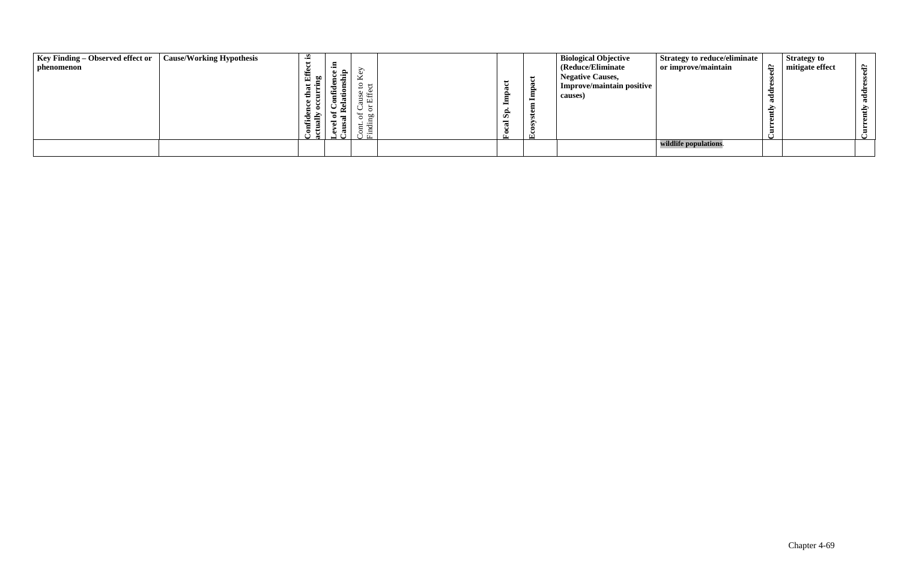| Key Finding – Observed effect or | <b>Cause/Working Hypothesis</b> | .ష<br>پ    |                       |                          |      | <b>Biological Objective</b>      | Strategy to reduce/eliminate | <b>Strategy to</b>            |            |
|----------------------------------|---------------------------------|------------|-----------------------|--------------------------|------|----------------------------------|------------------------------|-------------------------------|------------|
| phenomenon                       |                                 |            | - 특<br>- 2            |                          |      | (Reduce/Eliminate                | or improve/maintain          | mitigate effect<br>$\ddot{r}$ | $\ddot{a}$ |
|                                  |                                 | Effe<br>1g | ਾ⊐                    |                          |      | <b>Negative Causes,</b>          |                              |                               |            |
|                                  |                                 |            | ". ¤                  | $\mathcal{L}$            |      | <b>Improve/maintain positive</b> |                              |                               |            |
|                                  |                                 |            | ಷ                     | Effe                     |      | causes)                          |                              |                               |            |
|                                  |                                 |            |                       |                          |      |                                  |                              | $\mathbf{F}$                  |            |
|                                  |                                 |            |                       | αo                       | င်္ဘ |                                  |                              |                               |            |
|                                  |                                 |            |                       | $\overline{\phantom{a}}$ |      |                                  |                              |                               |            |
|                                  |                                 | <u>ರ ಕ</u> | $\blacksquare$ $\cup$ | .<br>U L                 | E,   |                                  |                              |                               |            |
|                                  |                                 |            |                       |                          |      |                                  | wildlife populations.        |                               |            |
|                                  |                                 |            |                       |                          |      |                                  |                              |                               |            |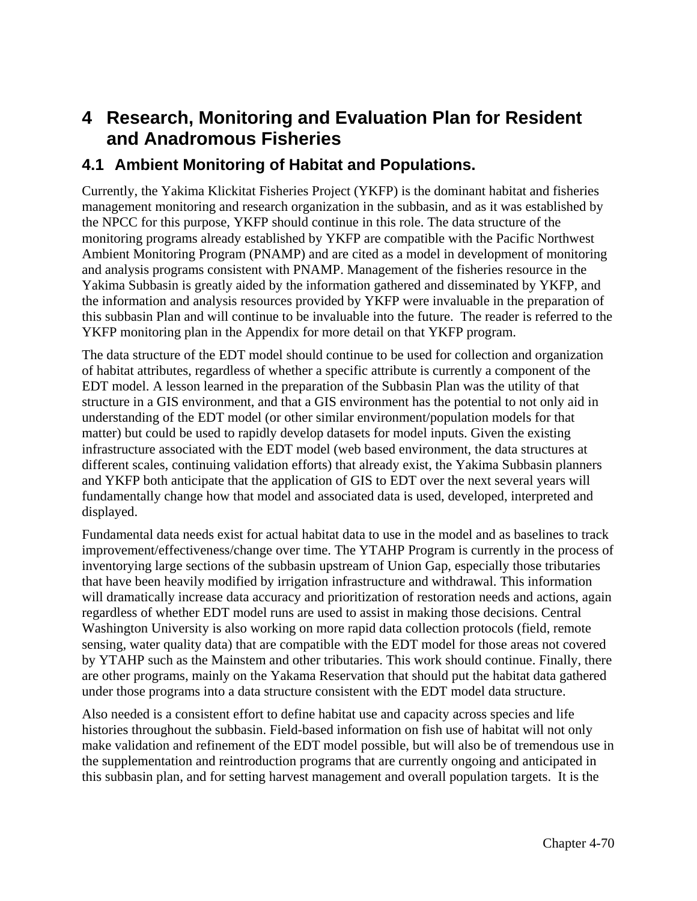# **4 Research, Monitoring and Evaluation Plan for Resident and Anadromous Fisheries**

#### **4.1 Ambient Monitoring of Habitat and Populations.**

Currently, the Yakima Klickitat Fisheries Project (YKFP) is the dominant habitat and fisheries management monitoring and research organization in the subbasin, and as it was established by the NPCC for this purpose, YKFP should continue in this role. The data structure of the monitoring programs already established by YKFP are compatible with the Pacific Northwest Ambient Monitoring Program (PNAMP) and are cited as a model in development of monitoring and analysis programs consistent with PNAMP. Management of the fisheries resource in the Yakima Subbasin is greatly aided by the information gathered and disseminated by YKFP, and the information and analysis resources provided by YKFP were invaluable in the preparation of this subbasin Plan and will continue to be invaluable into the future. The reader is referred to the YKFP monitoring plan in the Appendix for more detail on that YKFP program.

The data structure of the EDT model should continue to be used for collection and organization of habitat attributes, regardless of whether a specific attribute is currently a component of the EDT model. A lesson learned in the preparation of the Subbasin Plan was the utility of that structure in a GIS environment, and that a GIS environment has the potential to not only aid in understanding of the EDT model (or other similar environment/population models for that matter) but could be used to rapidly develop datasets for model inputs. Given the existing infrastructure associated with the EDT model (web based environment, the data structures at different scales, continuing validation efforts) that already exist, the Yakima Subbasin planners and YKFP both anticipate that the application of GIS to EDT over the next several years will fundamentally change how that model and associated data is used, developed, interpreted and displayed.

Fundamental data needs exist for actual habitat data to use in the model and as baselines to track improvement/effectiveness/change over time. The YTAHP Program is currently in the process of inventorying large sections of the subbasin upstream of Union Gap, especially those tributaries that have been heavily modified by irrigation infrastructure and withdrawal. This information will dramatically increase data accuracy and prioritization of restoration needs and actions, again regardless of whether EDT model runs are used to assist in making those decisions. Central Washington University is also working on more rapid data collection protocols (field, remote sensing, water quality data) that are compatible with the EDT model for those areas not covered by YTAHP such as the Mainstem and other tributaries. This work should continue. Finally, there are other programs, mainly on the Yakama Reservation that should put the habitat data gathered under those programs into a data structure consistent with the EDT model data structure.

Also needed is a consistent effort to define habitat use and capacity across species and life histories throughout the subbasin. Field-based information on fish use of habitat will not only make validation and refinement of the EDT model possible, but will also be of tremendous use in the supplementation and reintroduction programs that are currently ongoing and anticipated in this subbasin plan, and for setting harvest management and overall population targets. It is the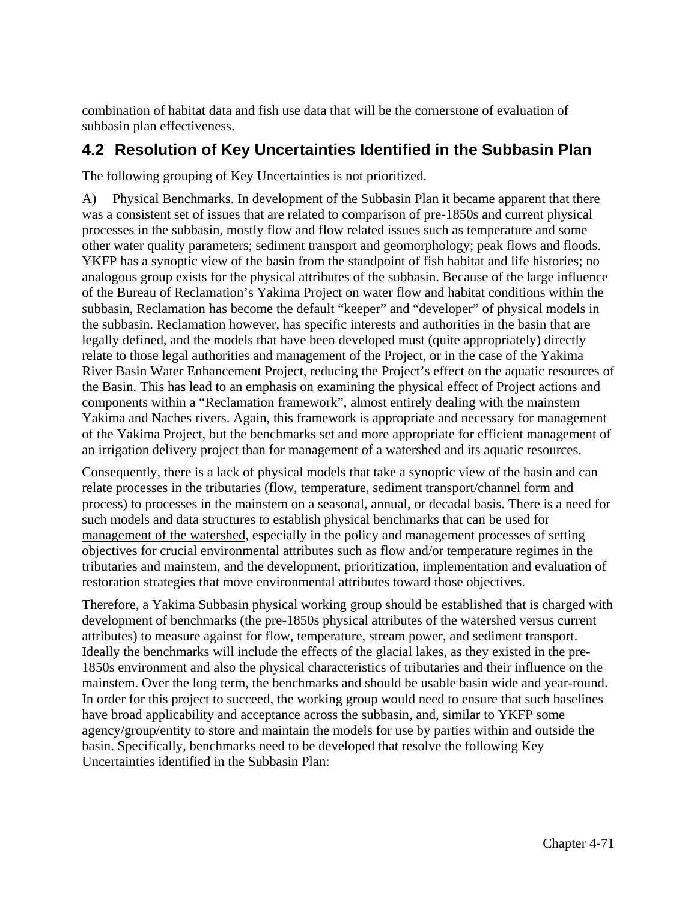combination of habitat data and fish use data that will be the cornerstone of evaluation of subbasin plan effectiveness.

#### **4.2 Resolution of Key Uncertainties Identified in the Subbasin Plan**

The following grouping of Key Uncertainties is not prioritized.

A) Physical Benchmarks. In development of the Subbasin Plan it became apparent that there was a consistent set of issues that are related to comparison of pre-1850s and current physical processes in the subbasin, mostly flow and flow related issues such as temperature and some other water quality parameters; sediment transport and geomorphology; peak flows and floods. YKFP has a synoptic view of the basin from the standpoint of fish habitat and life histories; no analogous group exists for the physical attributes of the subbasin. Because of the large influence of the Bureau of Reclamation's Yakima Project on water flow and habitat conditions within the subbasin, Reclamation has become the default "keeper" and "developer" of physical models in the subbasin. Reclamation however, has specific interests and authorities in the basin that are legally defined, and the models that have been developed must (quite appropriately) directly relate to those legal authorities and management of the Project, or in the case of the Yakima River Basin Water Enhancement Project, reducing the Project's effect on the aquatic resources of the Basin. This has lead to an emphasis on examining the physical effect of Project actions and components within a "Reclamation framework", almost entirely dealing with the mainstem Yakima and Naches rivers. Again, this framework is appropriate and necessary for management of the Yakima Project, but the benchmarks set and more appropriate for efficient management of an irrigation delivery project than for management of a watershed and its aquatic resources.

Consequently, there is a lack of physical models that take a synoptic view of the basin and can relate processes in the tributaries (flow, temperature, sediment transport/channel form and process) to processes in the mainstem on a seasonal, annual, or decadal basis. There is a need for such models and data structures to establish physical benchmarks that can be used for management of the watershed, especially in the policy and management processes of setting objectives for crucial environmental attributes such as flow and/or temperature regimes in the tributaries and mainstem, and the development, prioritization, implementation and evaluation of restoration strategies that move environmental attributes toward those objectives.

Therefore, a Yakima Subbasin physical working group should be established that is charged with development of benchmarks (the pre-1850s physical attributes of the watershed versus current attributes) to measure against for flow, temperature, stream power, and sediment transport. Ideally the benchmarks will include the effects of the glacial lakes, as they existed in the pre-1850s environment and also the physical characteristics of tributaries and their influence on the mainstem. Over the long term, the benchmarks and should be usable basin wide and year-round. In order for this project to succeed, the working group would need to ensure that such baselines have broad applicability and acceptance across the subbasin, and, similar to YKFP some agency/group/entity to store and maintain the models for use by parties within and outside the basin. Specifically, benchmarks need to be developed that resolve the following Key Uncertainties identified in the Subbasin Plan: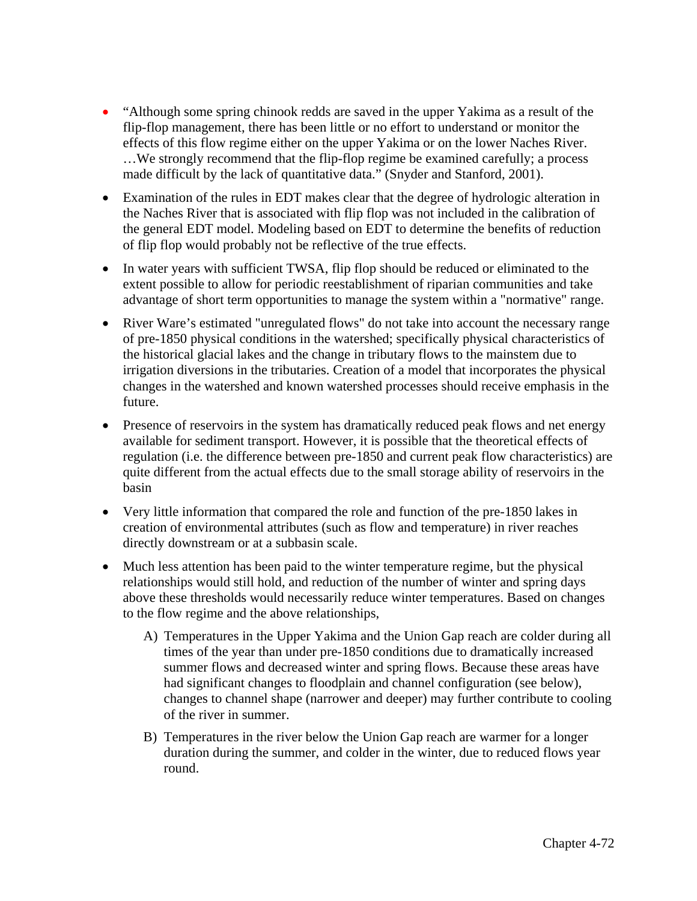- "Although some spring chinook redds are saved in the upper Yakima as a result of the flip-flop management, there has been little or no effort to understand or monitor the effects of this flow regime either on the upper Yakima or on the lower Naches River. …We strongly recommend that the flip-flop regime be examined carefully; a process made difficult by the lack of quantitative data." (Snyder and Stanford, 2001).
- Examination of the rules in EDT makes clear that the degree of hydrologic alteration in the Naches River that is associated with flip flop was not included in the calibration of the general EDT model. Modeling based on EDT to determine the benefits of reduction of flip flop would probably not be reflective of the true effects.
- In water years with sufficient TWSA, flip flop should be reduced or eliminated to the extent possible to allow for periodic reestablishment of riparian communities and take advantage of short term opportunities to manage the system within a "normative" range.
- River Ware's estimated "unregulated flows" do not take into account the necessary range of pre-1850 physical conditions in the watershed; specifically physical characteristics of the historical glacial lakes and the change in tributary flows to the mainstem due to irrigation diversions in the tributaries. Creation of a model that incorporates the physical changes in the watershed and known watershed processes should receive emphasis in the future.
- Presence of reservoirs in the system has dramatically reduced peak flows and net energy available for sediment transport. However, it is possible that the theoretical effects of regulation (i.e. the difference between pre-1850 and current peak flow characteristics) are quite different from the actual effects due to the small storage ability of reservoirs in the basin
- Very little information that compared the role and function of the pre-1850 lakes in creation of environmental attributes (such as flow and temperature) in river reaches directly downstream or at a subbasin scale.
- Much less attention has been paid to the winter temperature regime, but the physical relationships would still hold, and reduction of the number of winter and spring days above these thresholds would necessarily reduce winter temperatures. Based on changes to the flow regime and the above relationships,
	- A) Temperatures in the Upper Yakima and the Union Gap reach are colder during all times of the year than under pre-1850 conditions due to dramatically increased summer flows and decreased winter and spring flows. Because these areas have had significant changes to floodplain and channel configuration (see below), changes to channel shape (narrower and deeper) may further contribute to cooling of the river in summer.
	- B) Temperatures in the river below the Union Gap reach are warmer for a longer duration during the summer, and colder in the winter, due to reduced flows year round.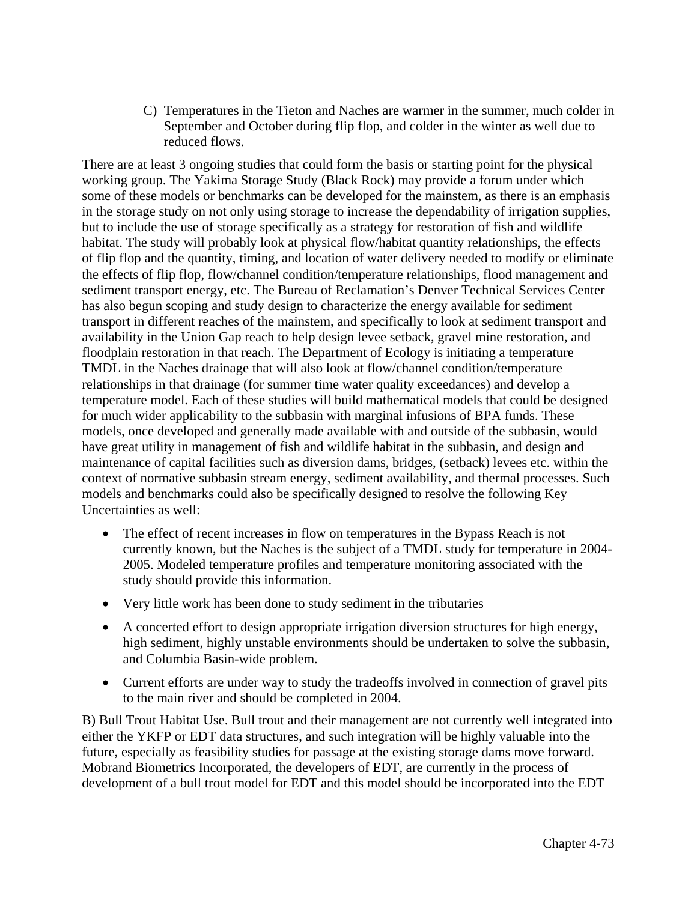C) Temperatures in the Tieton and Naches are warmer in the summer, much colder in September and October during flip flop, and colder in the winter as well due to reduced flows.

There are at least 3 ongoing studies that could form the basis or starting point for the physical working group. The Yakima Storage Study (Black Rock) may provide a forum under which some of these models or benchmarks can be developed for the mainstem, as there is an emphasis in the storage study on not only using storage to increase the dependability of irrigation supplies, but to include the use of storage specifically as a strategy for restoration of fish and wildlife habitat. The study will probably look at physical flow/habitat quantity relationships, the effects of flip flop and the quantity, timing, and location of water delivery needed to modify or eliminate the effects of flip flop, flow/channel condition/temperature relationships, flood management and sediment transport energy, etc. The Bureau of Reclamation's Denver Technical Services Center has also begun scoping and study design to characterize the energy available for sediment transport in different reaches of the mainstem, and specifically to look at sediment transport and availability in the Union Gap reach to help design levee setback, gravel mine restoration, and floodplain restoration in that reach. The Department of Ecology is initiating a temperature TMDL in the Naches drainage that will also look at flow/channel condition/temperature relationships in that drainage (for summer time water quality exceedances) and develop a temperature model. Each of these studies will build mathematical models that could be designed for much wider applicability to the subbasin with marginal infusions of BPA funds. These models, once developed and generally made available with and outside of the subbasin, would have great utility in management of fish and wildlife habitat in the subbasin, and design and maintenance of capital facilities such as diversion dams, bridges, (setback) levees etc. within the context of normative subbasin stream energy, sediment availability, and thermal processes. Such models and benchmarks could also be specifically designed to resolve the following Key Uncertainties as well:

- The effect of recent increases in flow on temperatures in the Bypass Reach is not currently known, but the Naches is the subject of a TMDL study for temperature in 2004- 2005. Modeled temperature profiles and temperature monitoring associated with the study should provide this information.
- Very little work has been done to study sediment in the tributaries
- A concerted effort to design appropriate irrigation diversion structures for high energy, high sediment, highly unstable environments should be undertaken to solve the subbasin, and Columbia Basin-wide problem.
- Current efforts are under way to study the tradeoffs involved in connection of gravel pits to the main river and should be completed in 2004.

B) Bull Trout Habitat Use. Bull trout and their management are not currently well integrated into either the YKFP or EDT data structures, and such integration will be highly valuable into the future, especially as feasibility studies for passage at the existing storage dams move forward. Mobrand Biometrics Incorporated, the developers of EDT, are currently in the process of development of a bull trout model for EDT and this model should be incorporated into the EDT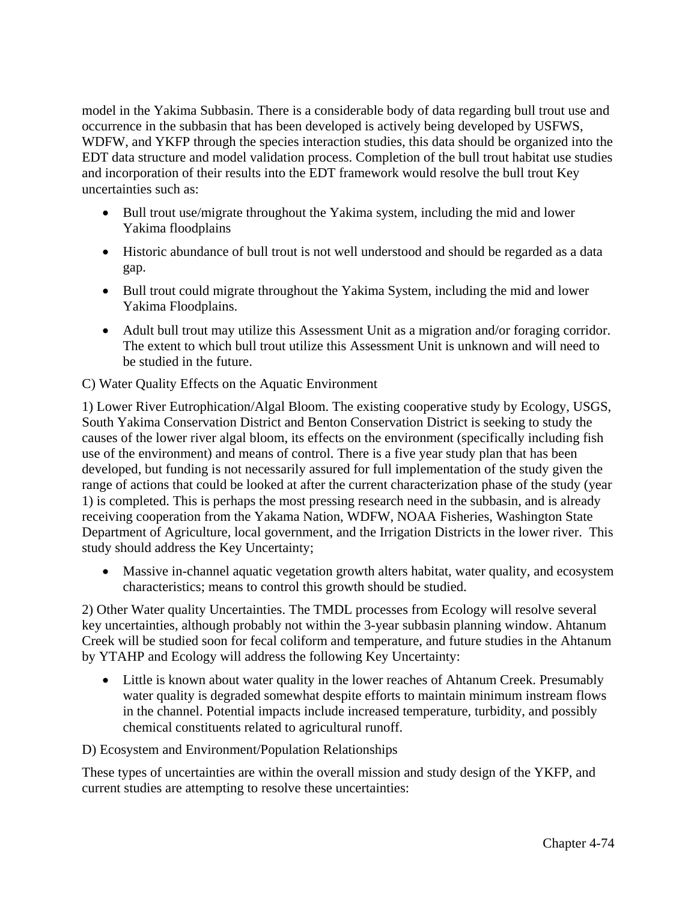model in the Yakima Subbasin. There is a considerable body of data regarding bull trout use and occurrence in the subbasin that has been developed is actively being developed by USFWS, WDFW, and YKFP through the species interaction studies, this data should be organized into the EDT data structure and model validation process. Completion of the bull trout habitat use studies and incorporation of their results into the EDT framework would resolve the bull trout Key uncertainties such as:

- Bull trout use/migrate throughout the Yakima system, including the mid and lower Yakima floodplains
- Historic abundance of bull trout is not well understood and should be regarded as a data gap.
- Bull trout could migrate throughout the Yakima System, including the mid and lower Yakima Floodplains.
- Adult bull trout may utilize this Assessment Unit as a migration and/or foraging corridor. The extent to which bull trout utilize this Assessment Unit is unknown and will need to be studied in the future.

C) Water Quality Effects on the Aquatic Environment

1) Lower River Eutrophication/Algal Bloom. The existing cooperative study by Ecology, USGS, South Yakima Conservation District and Benton Conservation District is seeking to study the causes of the lower river algal bloom, its effects on the environment (specifically including fish use of the environment) and means of control. There is a five year study plan that has been developed, but funding is not necessarily assured for full implementation of the study given the range of actions that could be looked at after the current characterization phase of the study (year 1) is completed. This is perhaps the most pressing research need in the subbasin, and is already receiving cooperation from the Yakama Nation, WDFW, NOAA Fisheries, Washington State Department of Agriculture, local government, and the Irrigation Districts in the lower river. This study should address the Key Uncertainty;

• Massive in-channel aquatic vegetation growth alters habitat, water quality, and ecosystem characteristics; means to control this growth should be studied.

2) Other Water quality Uncertainties. The TMDL processes from Ecology will resolve several key uncertainties, although probably not within the 3-year subbasin planning window. Ahtanum Creek will be studied soon for fecal coliform and temperature, and future studies in the Ahtanum by YTAHP and Ecology will address the following Key Uncertainty:

• Little is known about water quality in the lower reaches of Ahtanum Creek. Presumably water quality is degraded somewhat despite efforts to maintain minimum instream flows in the channel. Potential impacts include increased temperature, turbidity, and possibly chemical constituents related to agricultural runoff.

## D) Ecosystem and Environment/Population Relationships

These types of uncertainties are within the overall mission and study design of the YKFP, and current studies are attempting to resolve these uncertainties: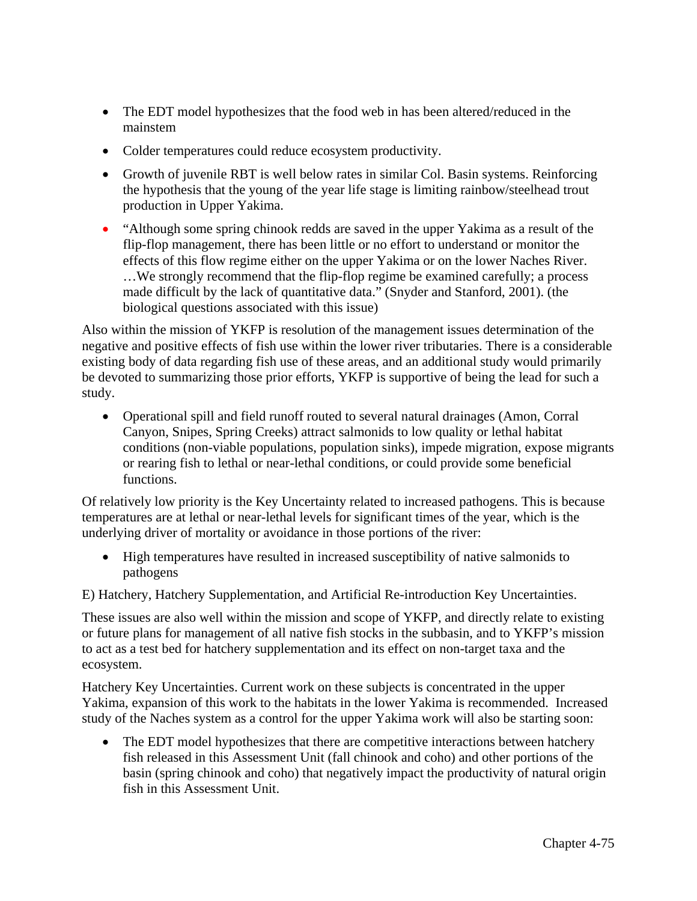- The EDT model hypothesizes that the food web in has been altered/reduced in the mainstem
- Colder temperatures could reduce ecosystem productivity.
- Growth of juvenile RBT is well below rates in similar Col. Basin systems. Reinforcing the hypothesis that the young of the year life stage is limiting rainbow/steelhead trout production in Upper Yakima.
- "Although some spring chinook redds are saved in the upper Yakima as a result of the flip-flop management, there has been little or no effort to understand or monitor the effects of this flow regime either on the upper Yakima or on the lower Naches River. …We strongly recommend that the flip-flop regime be examined carefully; a process made difficult by the lack of quantitative data." (Snyder and Stanford, 2001). (the biological questions associated with this issue)

Also within the mission of YKFP is resolution of the management issues determination of the negative and positive effects of fish use within the lower river tributaries. There is a considerable existing body of data regarding fish use of these areas, and an additional study would primarily be devoted to summarizing those prior efforts, YKFP is supportive of being the lead for such a study.

• Operational spill and field runoff routed to several natural drainages (Amon, Corral Canyon, Snipes, Spring Creeks) attract salmonids to low quality or lethal habitat conditions (non-viable populations, population sinks), impede migration, expose migrants or rearing fish to lethal or near-lethal conditions, or could provide some beneficial functions.

Of relatively low priority is the Key Uncertainty related to increased pathogens. This is because temperatures are at lethal or near-lethal levels for significant times of the year, which is the underlying driver of mortality or avoidance in those portions of the river:

• High temperatures have resulted in increased susceptibility of native salmonids to pathogens

E) Hatchery, Hatchery Supplementation, and Artificial Re-introduction Key Uncertainties.

These issues are also well within the mission and scope of YKFP, and directly relate to existing or future plans for management of all native fish stocks in the subbasin, and to YKFP's mission to act as a test bed for hatchery supplementation and its effect on non-target taxa and the ecosystem.

Hatchery Key Uncertainties. Current work on these subjects is concentrated in the upper Yakima, expansion of this work to the habitats in the lower Yakima is recommended. Increased study of the Naches system as a control for the upper Yakima work will also be starting soon:

• The EDT model hypothesizes that there are competitive interactions between hatchery fish released in this Assessment Unit (fall chinook and coho) and other portions of the basin (spring chinook and coho) that negatively impact the productivity of natural origin fish in this Assessment Unit.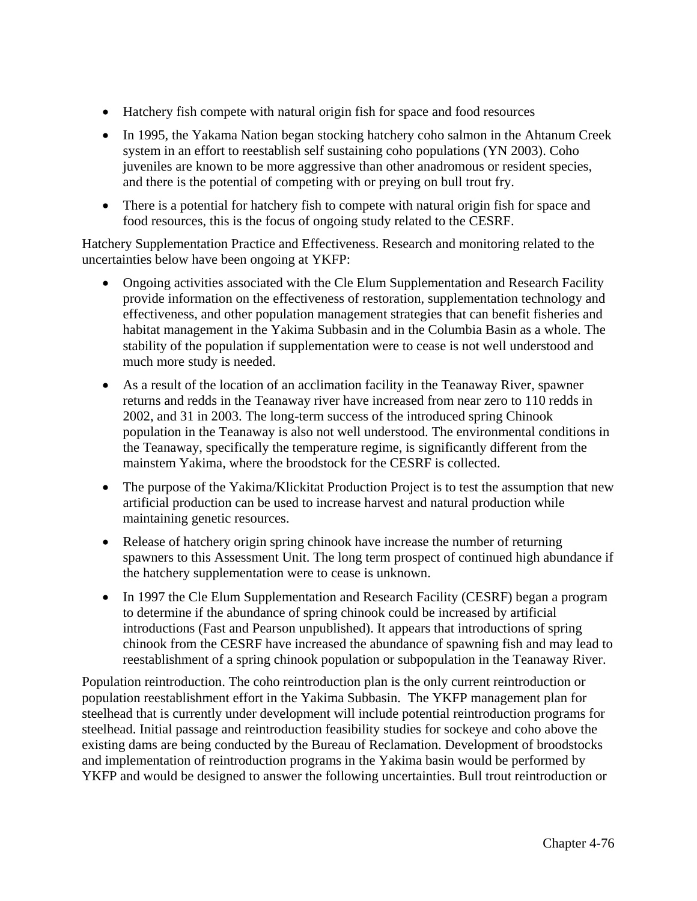- Hatchery fish compete with natural origin fish for space and food resources
- In 1995, the Yakama Nation began stocking hatchery coho salmon in the Ahtanum Creek system in an effort to reestablish self sustaining coho populations (YN 2003). Coho juveniles are known to be more aggressive than other anadromous or resident species, and there is the potential of competing with or preying on bull trout fry.
- There is a potential for hatchery fish to compete with natural origin fish for space and food resources, this is the focus of ongoing study related to the CESRF.

Hatchery Supplementation Practice and Effectiveness. Research and monitoring related to the uncertainties below have been ongoing at YKFP:

- Ongoing activities associated with the Cle Elum Supplementation and Research Facility provide information on the effectiveness of restoration, supplementation technology and effectiveness, and other population management strategies that can benefit fisheries and habitat management in the Yakima Subbasin and in the Columbia Basin as a whole. The stability of the population if supplementation were to cease is not well understood and much more study is needed.
- As a result of the location of an acclimation facility in the Teanaway River, spawner returns and redds in the Teanaway river have increased from near zero to 110 redds in 2002, and 31 in 2003. The long-term success of the introduced spring Chinook population in the Teanaway is also not well understood. The environmental conditions in the Teanaway, specifically the temperature regime, is significantly different from the mainstem Yakima, where the broodstock for the CESRF is collected.
- The purpose of the Yakima/Klickitat Production Project is to test the assumption that new artificial production can be used to increase harvest and natural production while maintaining genetic resources.
- Release of hatchery origin spring chinook have increase the number of returning spawners to this Assessment Unit. The long term prospect of continued high abundance if the hatchery supplementation were to cease is unknown.
- In 1997 the Cle Elum Supplementation and Research Facility (CESRF) began a program to determine if the abundance of spring chinook could be increased by artificial introductions (Fast and Pearson unpublished). It appears that introductions of spring chinook from the CESRF have increased the abundance of spawning fish and may lead to reestablishment of a spring chinook population or subpopulation in the Teanaway River.

Population reintroduction. The coho reintroduction plan is the only current reintroduction or population reestablishment effort in the Yakima Subbasin. The YKFP management plan for steelhead that is currently under development will include potential reintroduction programs for steelhead. Initial passage and reintroduction feasibility studies for sockeye and coho above the existing dams are being conducted by the Bureau of Reclamation. Development of broodstocks and implementation of reintroduction programs in the Yakima basin would be performed by YKFP and would be designed to answer the following uncertainties. Bull trout reintroduction or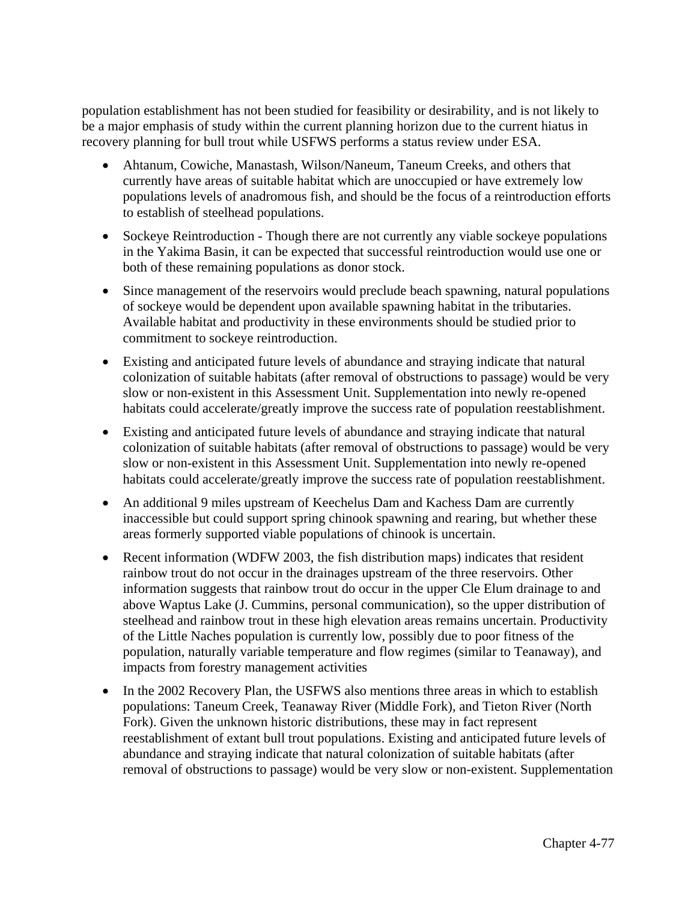population establishment has not been studied for feasibility or desirability, and is not likely to be a major emphasis of study within the current planning horizon due to the current hiatus in recovery planning for bull trout while USFWS performs a status review under ESA.

- Ahtanum, Cowiche, Manastash, Wilson/Naneum, Taneum Creeks, and others that currently have areas of suitable habitat which are unoccupied or have extremely low populations levels of anadromous fish, and should be the focus of a reintroduction efforts to establish of steelhead populations.
- Sockeye Reintroduction Though there are not currently any viable sockeye populations in the Yakima Basin, it can be expected that successful reintroduction would use one or both of these remaining populations as donor stock.
- Since management of the reservoirs would preclude beach spawning, natural populations of sockeye would be dependent upon available spawning habitat in the tributaries. Available habitat and productivity in these environments should be studied prior to commitment to sockeye reintroduction.
- Existing and anticipated future levels of abundance and straying indicate that natural colonization of suitable habitats (after removal of obstructions to passage) would be very slow or non-existent in this Assessment Unit. Supplementation into newly re-opened habitats could accelerate/greatly improve the success rate of population reestablishment.
- Existing and anticipated future levels of abundance and straying indicate that natural colonization of suitable habitats (after removal of obstructions to passage) would be very slow or non-existent in this Assessment Unit. Supplementation into newly re-opened habitats could accelerate/greatly improve the success rate of population reestablishment.
- An additional 9 miles upstream of Keechelus Dam and Kachess Dam are currently inaccessible but could support spring chinook spawning and rearing, but whether these areas formerly supported viable populations of chinook is uncertain.
- Recent information (WDFW 2003, the fish distribution maps) indicates that resident rainbow trout do not occur in the drainages upstream of the three reservoirs. Other information suggests that rainbow trout do occur in the upper Cle Elum drainage to and above Waptus Lake (J. Cummins, personal communication), so the upper distribution of steelhead and rainbow trout in these high elevation areas remains uncertain. Productivity of the Little Naches population is currently low, possibly due to poor fitness of the population, naturally variable temperature and flow regimes (similar to Teanaway), and impacts from forestry management activities
- In the 2002 Recovery Plan, the USFWS also mentions three areas in which to establish populations: Taneum Creek, Teanaway River (Middle Fork), and Tieton River (North Fork). Given the unknown historic distributions, these may in fact represent reestablishment of extant bull trout populations. Existing and anticipated future levels of abundance and straying indicate that natural colonization of suitable habitats (after removal of obstructions to passage) would be very slow or non-existent. Supplementation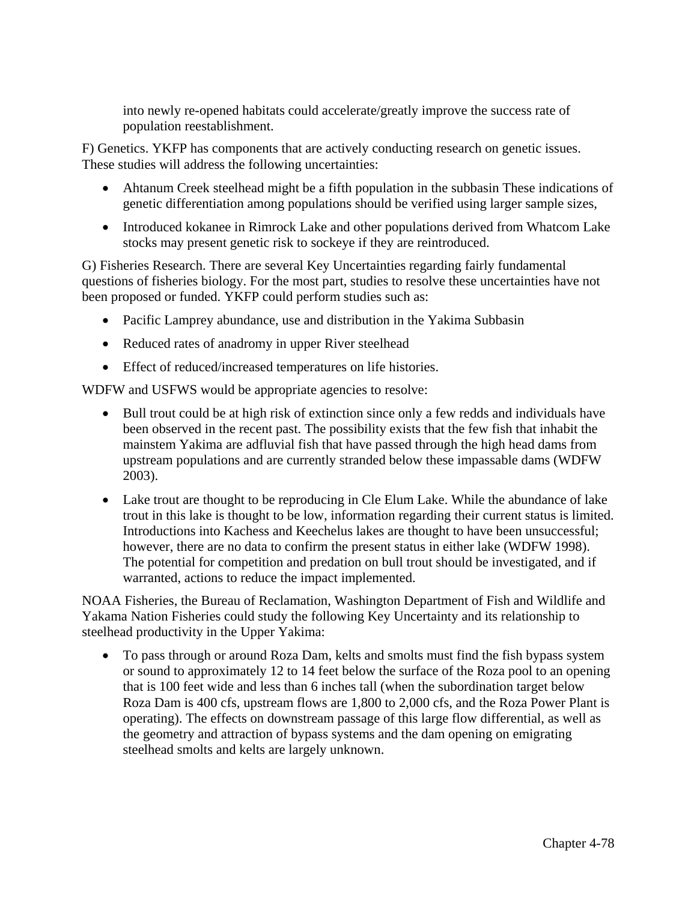into newly re-opened habitats could accelerate/greatly improve the success rate of population reestablishment.

F) Genetics. YKFP has components that are actively conducting research on genetic issues. These studies will address the following uncertainties:

- Ahtanum Creek steelhead might be a fifth population in the subbasin These indications of genetic differentiation among populations should be verified using larger sample sizes,
- Introduced kokanee in Rimrock Lake and other populations derived from Whatcom Lake stocks may present genetic risk to sockeye if they are reintroduced.

G) Fisheries Research. There are several Key Uncertainties regarding fairly fundamental questions of fisheries biology. For the most part, studies to resolve these uncertainties have not been proposed or funded. YKFP could perform studies such as:

- Pacific Lamprey abundance, use and distribution in the Yakima Subbasin
- Reduced rates of anadromy in upper River steelhead
- Effect of reduced/increased temperatures on life histories.

WDFW and USFWS would be appropriate agencies to resolve:

- Bull trout could be at high risk of extinction since only a few redds and individuals have been observed in the recent past. The possibility exists that the few fish that inhabit the mainstem Yakima are adfluvial fish that have passed through the high head dams from upstream populations and are currently stranded below these impassable dams (WDFW 2003).
- Lake trout are thought to be reproducing in Cle Elum Lake. While the abundance of lake trout in this lake is thought to be low, information regarding their current status is limited. Introductions into Kachess and Keechelus lakes are thought to have been unsuccessful; however, there are no data to confirm the present status in either lake (WDFW 1998). The potential for competition and predation on bull trout should be investigated, and if warranted, actions to reduce the impact implemented.

NOAA Fisheries, the Bureau of Reclamation, Washington Department of Fish and Wildlife and Yakama Nation Fisheries could study the following Key Uncertainty and its relationship to steelhead productivity in the Upper Yakima:

• To pass through or around Roza Dam, kelts and smolts must find the fish bypass system or sound to approximately 12 to 14 feet below the surface of the Roza pool to an opening that is 100 feet wide and less than 6 inches tall (when the subordination target below Roza Dam is 400 cfs, upstream flows are 1,800 to 2,000 cfs, and the Roza Power Plant is operating). The effects on downstream passage of this large flow differential, as well as the geometry and attraction of bypass systems and the dam opening on emigrating steelhead smolts and kelts are largely unknown.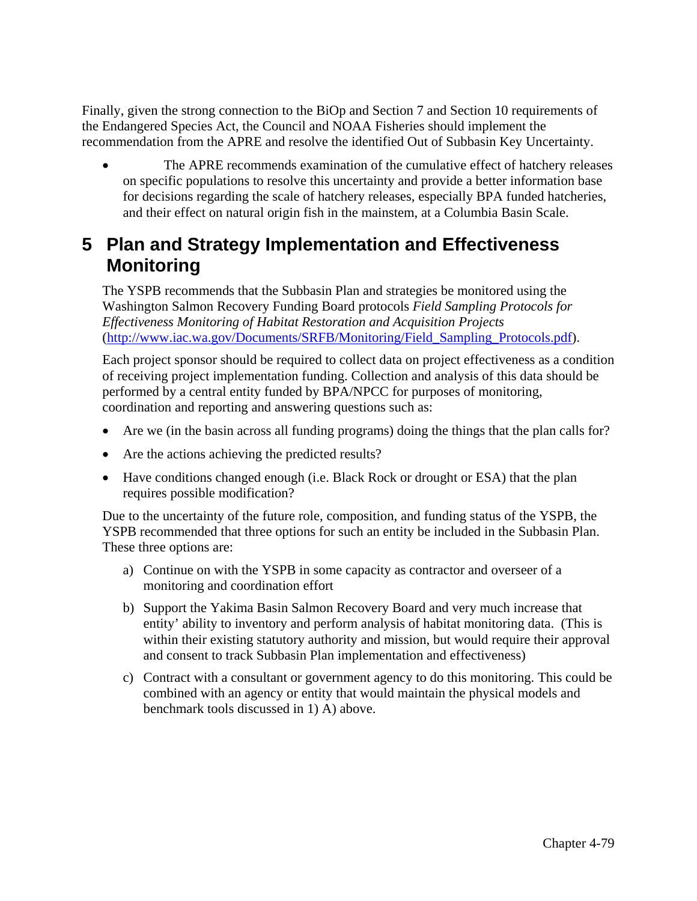Finally, given the strong connection to the BiOp and Section 7 and Section 10 requirements of the Endangered Species Act, the Council and NOAA Fisheries should implement the recommendation from the APRE and resolve the identified Out of Subbasin Key Uncertainty.

• The APRE recommends examination of the cumulative effect of hatchery releases on specific populations to resolve this uncertainty and provide a better information base for decisions regarding the scale of hatchery releases, especially BPA funded hatcheries, and their effect on natural origin fish in the mainstem, at a Columbia Basin Scale.

## **5 Plan and Strategy Implementation and Effectiveness Monitoring**

The YSPB recommends that the Subbasin Plan and strategies be monitored using the Washington Salmon Recovery Funding Board protocols *Field Sampling Protocols for Effectiveness Monitoring of Habitat Restoration and Acquisition Projects*  ([http://www.iac.wa.gov/Documents/SRFB/Monitoring/Field\\_Sampling\\_Protocols.pdf\)](http://www.iac.wa.gov/Documents/SRFB/Monitoring/Field_Sampling_Protocols.pdf).

Each project sponsor should be required to collect data on project effectiveness as a condition of receiving project implementation funding. Collection and analysis of this data should be performed by a central entity funded by BPA/NPCC for purposes of monitoring, coordination and reporting and answering questions such as:

- Are we (in the basin across all funding programs) doing the things that the plan calls for?
- Are the actions achieving the predicted results?
- Have conditions changed enough (i.e. Black Rock or drought or ESA) that the plan requires possible modification?

Due to the uncertainty of the future role, composition, and funding status of the YSPB, the YSPB recommended that three options for such an entity be included in the Subbasin Plan. These three options are:

- a) Continue on with the YSPB in some capacity as contractor and overseer of a monitoring and coordination effort
- b) Support the Yakima Basin Salmon Recovery Board and very much increase that entity' ability to inventory and perform analysis of habitat monitoring data. (This is within their existing statutory authority and mission, but would require their approval and consent to track Subbasin Plan implementation and effectiveness)
- c) Contract with a consultant or government agency to do this monitoring. This could be combined with an agency or entity that would maintain the physical models and benchmark tools discussed in 1) A) above.